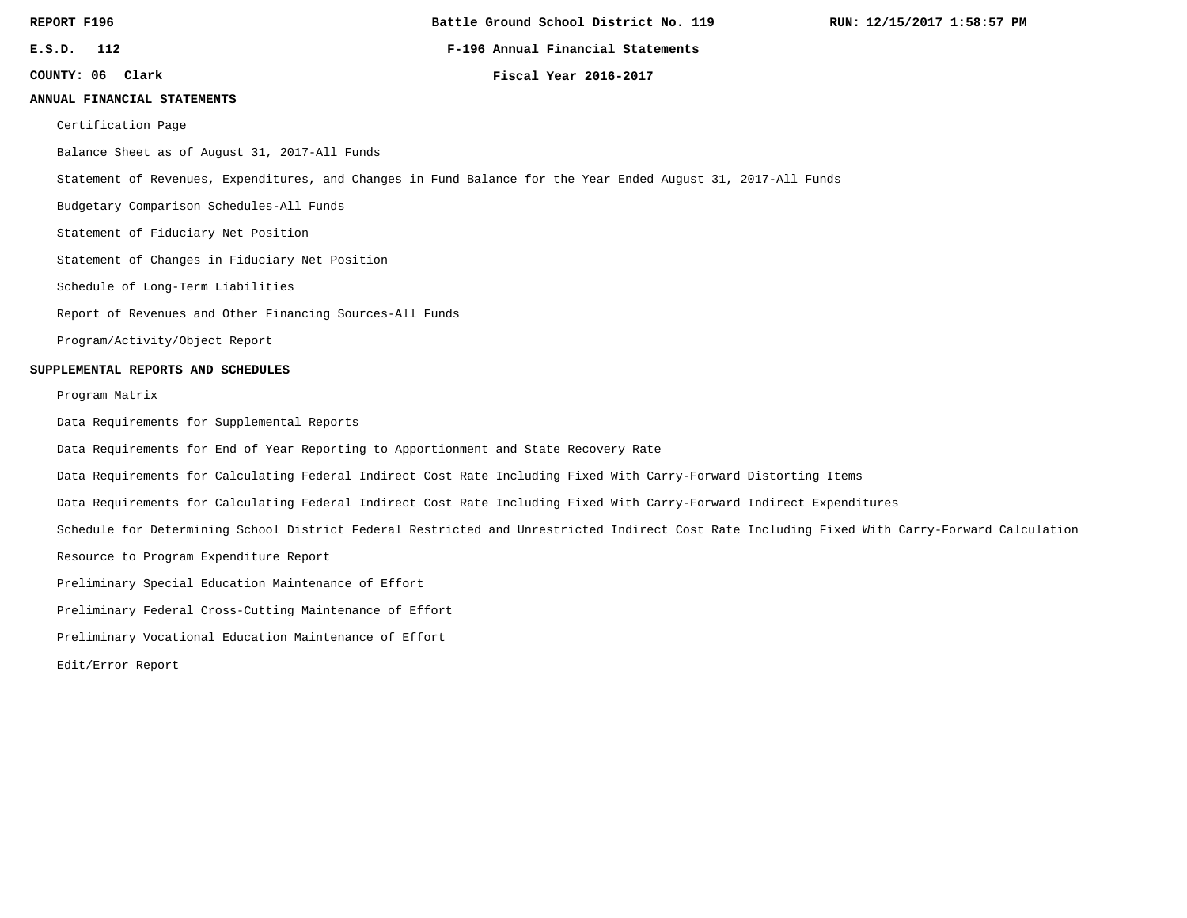**Battle Ground School District No. 119**

**RUN: 12/15/2017 1:58:57 PM**

**E.S.D. 112 F-196 Annual Financial Statements**

**COUNTY: 06**

**Clark Fiscal Year 2016-2017**

#### **ANNUAL FINANCIAL STATEMENTS**

Certification Page

Balance Sheet as of August 31, 2017-All Funds

Statement of Revenues, Expenditures, and Changes in Fund Balance for the Year Ended August 31, 2017-All Funds

Budgetary Comparison Schedules-All Funds

Statement of Fiduciary Net Position

Statement of Changes in Fiduciary Net Position

Schedule of Long-Term Liabilities

Report of Revenues and Other Financing Sources-All Funds

Program/Activity/Object Report

#### **SUPPLEMENTAL REPORTS AND SCHEDULES**

Program Matrix

Data Requirements for Supplemental Reports

Data Requirements for End of Year Reporting to Apportionment and State Recovery Rate

Data Requirements for Calculating Federal Indirect Cost Rate Including Fixed With Carry-Forward Distorting Items

Data Requirements for Calculating Federal Indirect Cost Rate Including Fixed With Carry-Forward Indirect Expenditures

Schedule for Determining School District Federal Restricted and Unrestricted Indirect Cost Rate Including Fixed With Carry-Forward Calculation

Resource to Program Expenditure Report

Preliminary Special Education Maintenance of Effort

Preliminary Federal Cross-Cutting Maintenance of Effort

Preliminary Vocational Education Maintenance of Effort

Edit/Error Report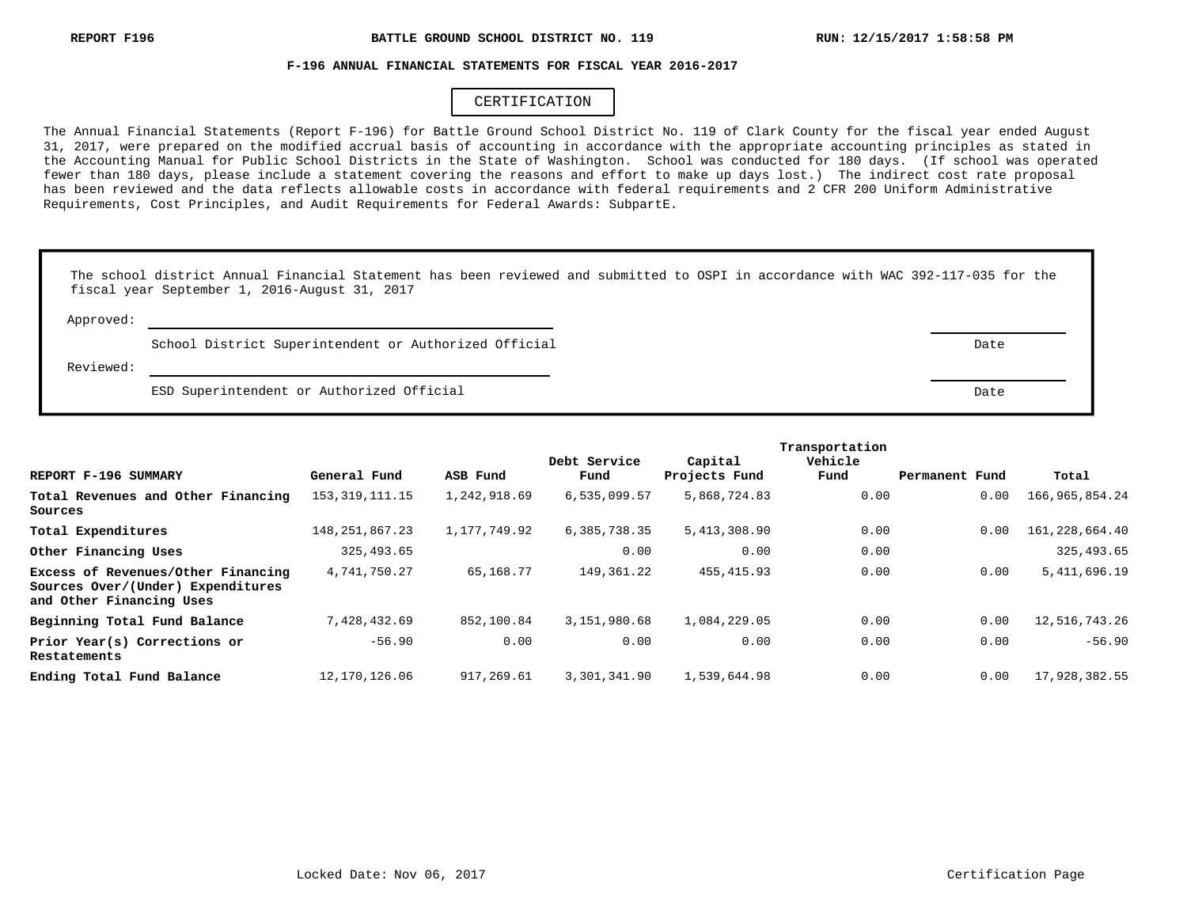#### **F-196 ANNUAL FINANCIAL STATEMENTS FOR FISCAL YEAR 2016-2017**

## CERTIFICATION

The Annual Financial Statements (Report F-196) for Battle Ground School District No. 119 of Clark County for the fiscal year ended August 31, 2017, were prepared on the modified accrual basis of accounting in accordance with the appropriate accounting principles as stated in the Accounting Manual for Public School Districts in the State of Washington. School was conducted for 180 days. (If school was operated fewer than 180 days, please include a statement covering the reasons and effort to make up days lost.) The indirect cost rate proposal has been reviewed and the data reflects allowable costs in accordance with federal requirements and 2 CFR 200 Uniform Administrative Requirements, Cost Principles, and Audit Requirements for Federal Awards: SubpartE.

|           | The school district Annual Financial Statement has been reviewed and submitted to OSPI in accordance with WAC 392-117-035 for the<br>fiscal year September 1, 2016-August 31, 2017 |      |
|-----------|------------------------------------------------------------------------------------------------------------------------------------------------------------------------------------|------|
| Approved: |                                                                                                                                                                                    |      |
|           | School District Superintendent or Authorized Official                                                                                                                              | Date |
| Reviewed: |                                                                                                                                                                                    |      |
|           | ESD Superintendent or Authorized Official                                                                                                                                          | Date |

|                                                                                                     |                   |              |              |               | Transportation |                |                |
|-----------------------------------------------------------------------------------------------------|-------------------|--------------|--------------|---------------|----------------|----------------|----------------|
|                                                                                                     |                   |              | Debt Service | Capital       | Vehicle        |                |                |
| REPORT F-196 SUMMARY                                                                                | General Fund      | ASB Fund     | Fund         | Projects Fund | Fund           | Permanent Fund | Total          |
| Total Revenues and Other Financing<br>Sources                                                       | 153, 319, 111. 15 | 1,242,918.69 | 6,535,099.57 | 5,868,724.83  | 0.00           | 0.00           | 166,965,854.24 |
| Total Expenditures                                                                                  | 148, 251, 867. 23 | 1,177,749.92 | 6,385,738.35 | 5,413,308.90  | 0.00           | 0.00           | 161,228,664.40 |
| Other Financing Uses                                                                                | 325,493.65        |              | 0.00         | 0.00          | 0.00           |                | 325,493.65     |
| Excess of Revenues/Other Financing<br>Sources Over/(Under) Expenditures<br>and Other Financing Uses | 4,741,750.27      | 65,168.77    | 149,361.22   | 455, 415.93   | 0.00           | 0.00           | 5,411,696.19   |
| Beginning Total Fund Balance                                                                        | 7,428,432.69      | 852,100.84   | 3,151,980.68 | 1,084,229.05  | 0.00           | 0.00           | 12,516,743.26  |
| Prior Year(s) Corrections or<br>Restatements                                                        | $-56.90$          | 0.00         | 0.00         | 0.00          | 0.00           | 0.00           | $-56.90$       |
| Ending Total Fund Balance                                                                           | 12,170,126.06     | 917,269.61   | 3,301,341.90 | 1,539,644.98  | 0.00           | 0.00           | 17,928,382.55  |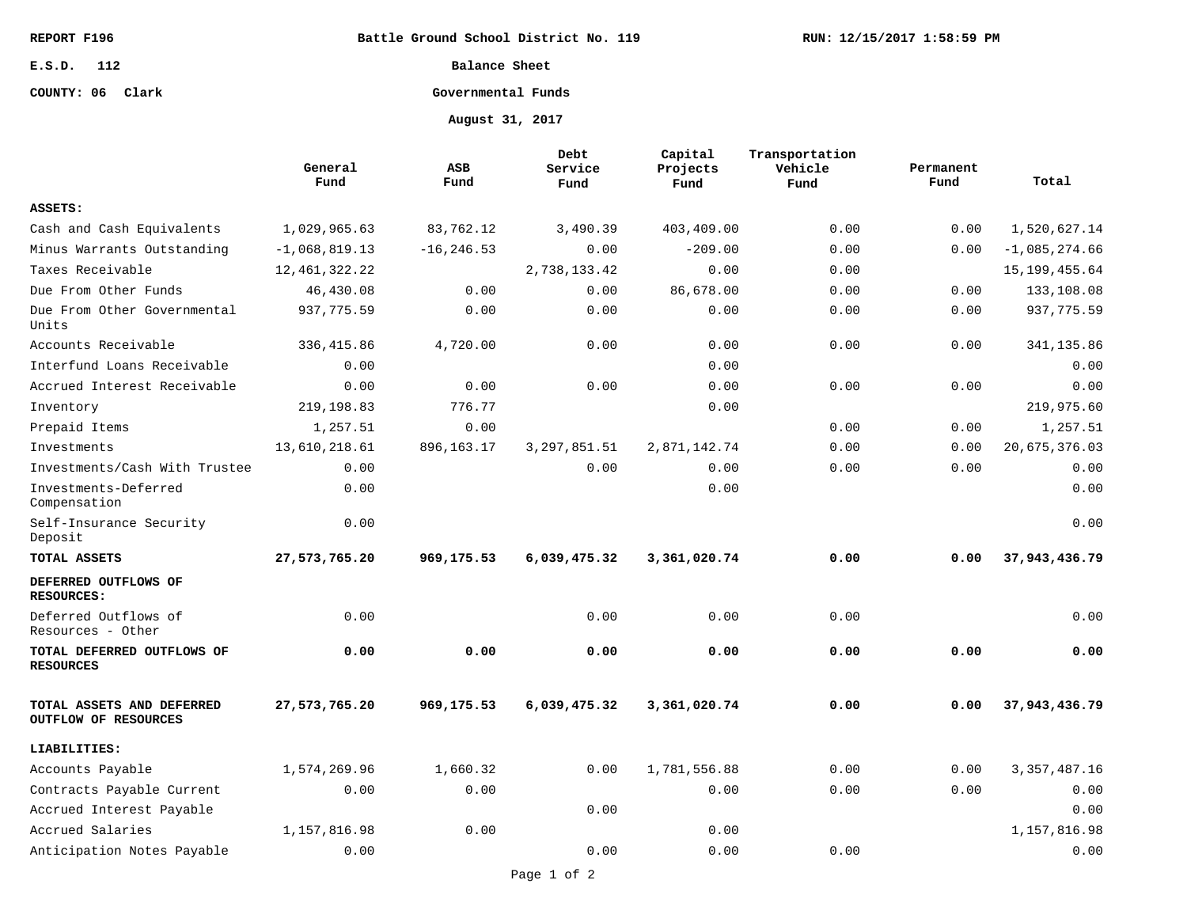**Battle Ground School District No. 119**

## **E.S.D. 112**

# **COUNTY: 06 Clark**

**Balance Sheet**

# **Governmental Funds**

**August 31, 2017**

|                                                   | General<br>Fund  | ASB<br>Fund   | Debt<br>Service<br>Fund | Capital<br>Projects<br>Fund | Transportation<br>Vehicle<br>Fund | Permanent<br>Fund | Total           |
|---------------------------------------------------|------------------|---------------|-------------------------|-----------------------------|-----------------------------------|-------------------|-----------------|
| ASSETS:                                           |                  |               |                         |                             |                                   |                   |                 |
| Cash and Cash Equivalents                         | 1,029,965.63     | 83,762.12     | 3,490.39                | 403,409.00                  | 0.00                              | 0.00              | 1,520,627.14    |
| Minus Warrants Outstanding                        | $-1,068,819.13$  | $-16, 246.53$ | 0.00                    | $-209.00$                   | 0.00                              | 0.00              | $-1,085,274.66$ |
| Taxes Receivable                                  | 12, 461, 322. 22 |               | 2,738,133.42            | 0.00                        | 0.00                              |                   | 15, 199, 455.64 |
| Due From Other Funds                              | 46,430.08        | 0.00          | 0.00                    | 86,678.00                   | 0.00                              | 0.00              | 133,108.08      |
| Due From Other Governmental<br>Units              | 937,775.59       | 0.00          | 0.00                    | 0.00                        | 0.00                              | 0.00              | 937,775.59      |
| Accounts Receivable                               | 336, 415.86      | 4,720.00      | 0.00                    | 0.00                        | 0.00                              | 0.00              | 341,135.86      |
| Interfund Loans Receivable                        | 0.00             |               |                         | 0.00                        |                                   |                   | 0.00            |
| Accrued Interest Receivable                       | 0.00             | 0.00          | 0.00                    | 0.00                        | 0.00                              | 0.00              | 0.00            |
| Inventory                                         | 219, 198.83      | 776.77        |                         | 0.00                        |                                   |                   | 219,975.60      |
| Prepaid Items                                     | 1,257.51         | 0.00          |                         |                             | 0.00                              | 0.00              | 1,257.51        |
| Investments                                       | 13,610,218.61    | 896, 163. 17  | 3, 297, 851.51          | 2,871,142.74                | 0.00                              | 0.00              | 20,675,376.03   |
| Investments/Cash With Trustee                     | 0.00             |               | 0.00                    | 0.00                        | 0.00                              | 0.00              | 0.00            |
| Investments-Deferred<br>Compensation              | 0.00             |               |                         | 0.00                        |                                   |                   | 0.00            |
| Self-Insurance Security<br>Deposit                | 0.00             |               |                         |                             |                                   |                   | 0.00            |
| TOTAL ASSETS                                      | 27,573,765.20    | 969,175.53    | 6,039,475.32            | 3,361,020.74                | 0.00                              | 0.00              | 37,943,436.79   |
| DEFERRED OUTFLOWS OF<br><b>RESOURCES:</b>         |                  |               |                         |                             |                                   |                   |                 |
| Deferred Outflows of<br>Resources - Other         | 0.00             |               | 0.00                    | 0.00                        | 0.00                              |                   | 0.00            |
| TOTAL DEFERRED OUTFLOWS OF<br><b>RESOURCES</b>    | 0.00             | 0.00          | 0.00                    | 0.00                        | 0.00                              | 0.00              | 0.00            |
| TOTAL ASSETS AND DEFERRED<br>OUTFLOW OF RESOURCES | 27,573,765.20    | 969,175.53    | 6,039,475.32            | 3,361,020.74                | 0.00                              | 0.00              | 37,943,436.79   |
| LIABILITIES:                                      |                  |               |                         |                             |                                   |                   |                 |
| Accounts Payable                                  | 1,574,269.96     | 1,660.32      | 0.00                    | 1,781,556.88                | 0.00                              | 0.00              | 3, 357, 487. 16 |
| Contracts Payable Current                         | 0.00             | 0.00          |                         | 0.00                        | 0.00                              | 0.00              | 0.00            |
| Accrued Interest Payable                          |                  |               | 0.00                    |                             |                                   |                   | 0.00            |
| Accrued Salaries                                  | 1,157,816.98     | 0.00          |                         | 0.00                        |                                   |                   | 1,157,816.98    |
| Anticipation Notes Payable                        | 0.00             |               | 0.00                    | 0.00                        | 0.00                              |                   | 0.00            |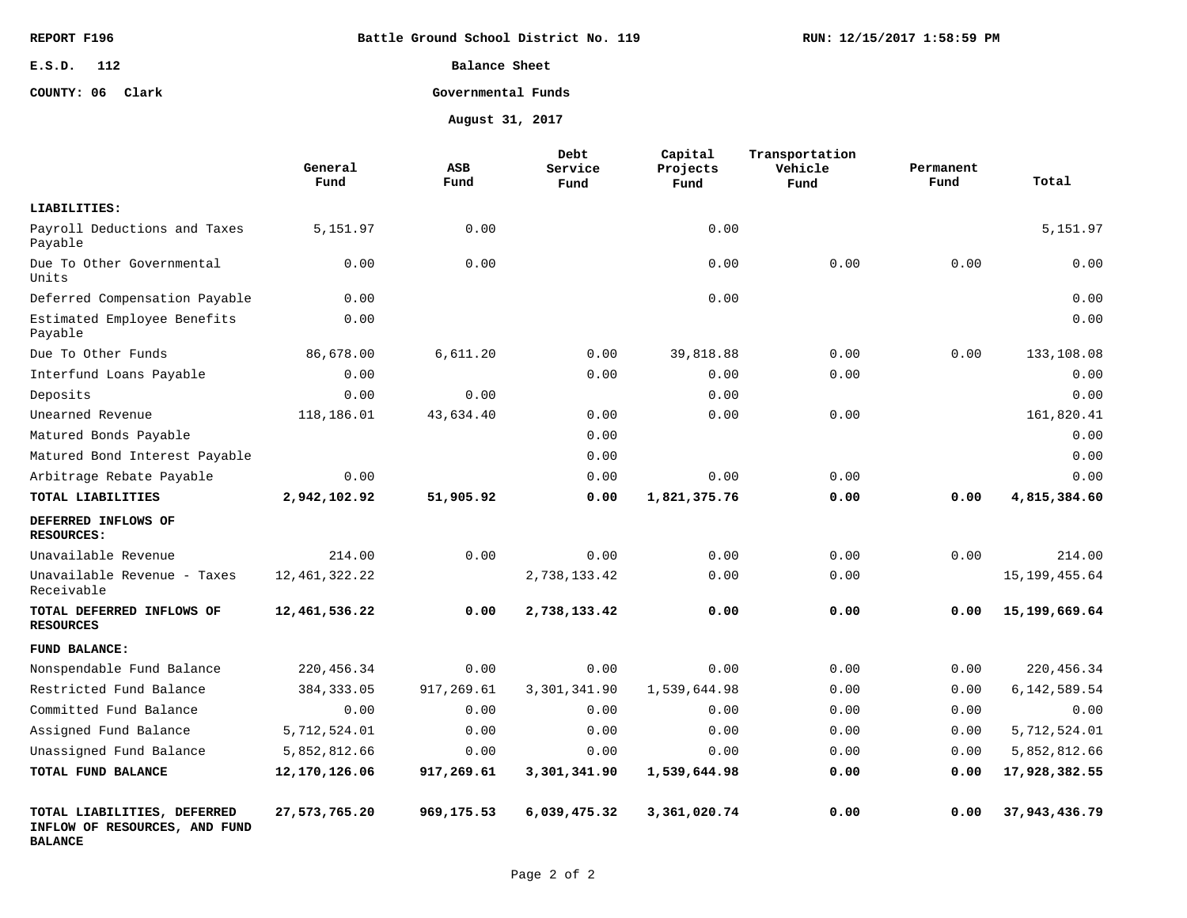| REPORT F196      | Battle Ground School District No. 119 | RUN: 12/15/2017 1:58:59 PM |
|------------------|---------------------------------------|----------------------------|
| E.S.D.<br>112    | Balance Sheet                         |                            |
| COUNTY: 06 Clark | Governmental Funds                    |                            |
|                  | August 31, 2017                       |                            |

|                                                                                | General<br>Fund  | ASB<br>Fund | <b>Debt</b><br>Service<br>Fund | Capital<br>Projects<br>Fund | Transportation<br>Vehicle<br>Fund | Permanent<br>Fund | Total           |
|--------------------------------------------------------------------------------|------------------|-------------|--------------------------------|-----------------------------|-----------------------------------|-------------------|-----------------|
| LIABILITIES:                                                                   |                  |             |                                |                             |                                   |                   |                 |
| Payroll Deductions and Taxes<br>Payable                                        | 5,151.97         | 0.00        |                                | 0.00                        |                                   |                   | 5,151.97        |
| Due To Other Governmental<br>Units                                             | 0.00             | 0.00        |                                | 0.00                        | 0.00                              | 0.00              | 0.00            |
| Deferred Compensation Payable                                                  | 0.00             |             |                                | 0.00                        |                                   |                   | 0.00            |
| Estimated Employee Benefits<br>Payable                                         | 0.00             |             |                                |                             |                                   |                   | 0.00            |
| Due To Other Funds                                                             | 86,678.00        | 6,611.20    | 0.00                           | 39,818.88                   | 0.00                              | 0.00              | 133,108.08      |
| Interfund Loans Payable                                                        | 0.00             |             | 0.00                           | 0.00                        | 0.00                              |                   | 0.00            |
| Deposits                                                                       | 0.00             | 0.00        |                                | 0.00                        |                                   |                   | 0.00            |
| Unearned Revenue                                                               | 118,186.01       | 43,634.40   | 0.00                           | 0.00                        | 0.00                              |                   | 161,820.41      |
| Matured Bonds Payable                                                          |                  |             | 0.00                           |                             |                                   |                   | 0.00            |
| Matured Bond Interest Payable                                                  |                  |             | 0.00                           |                             |                                   |                   | 0.00            |
| Arbitrage Rebate Payable                                                       | 0.00             |             | 0.00                           | 0.00                        | 0.00                              |                   | 0.00            |
| TOTAL LIABILITIES                                                              | 2,942,102.92     | 51,905.92   | 0.00                           | 1,821,375.76                | 0.00                              | 0.00              | 4,815,384.60    |
| DEFERRED INFLOWS OF<br><b>RESOURCES:</b>                                       |                  |             |                                |                             |                                   |                   |                 |
| Unavailable Revenue                                                            | 214.00           | 0.00        | 0.00                           | 0.00                        | 0.00                              | 0.00              | 214.00          |
| Unavailable Revenue - Taxes<br>Receivable                                      | 12, 461, 322. 22 |             | 2,738,133.42                   | 0.00                        | 0.00                              |                   | 15, 199, 455.64 |
| TOTAL DEFERRED INFLOWS OF<br><b>RESOURCES</b>                                  | 12,461,536.22    | 0.00        | 2,738,133.42                   | 0.00                        | 0.00                              | 0.00              | 15,199,669.64   |
| FUND BALANCE:                                                                  |                  |             |                                |                             |                                   |                   |                 |
| Nonspendable Fund Balance                                                      | 220, 456.34      | 0.00        | 0.00                           | 0.00                        | 0.00                              | 0.00              | 220,456.34      |
| Restricted Fund Balance                                                        | 384, 333.05      | 917,269.61  | 3,301,341.90                   | 1,539,644.98                | 0.00                              | 0.00              | 6, 142, 589. 54 |
| Committed Fund Balance                                                         | 0.00             | 0.00        | 0.00                           | 0.00                        | 0.00                              | 0.00              | 0.00            |
| Assigned Fund Balance                                                          | 5,712,524.01     | 0.00        | 0.00                           | 0.00                        | 0.00                              | 0.00              | 5,712,524.01    |
| Unassigned Fund Balance                                                        | 5,852,812.66     | 0.00        | 0.00                           | 0.00                        | 0.00                              | 0.00              | 5,852,812.66    |
| TOTAL FUND BALANCE                                                             | 12,170,126.06    | 917,269.61  | 3,301,341.90                   | 1,539,644.98                | 0.00                              | 0.00              | 17,928,382.55   |
| TOTAL LIABILITIES, DEFERRED<br>INFLOW OF RESOURCES, AND FUND<br><b>BALANCE</b> | 27,573,765.20    | 969,175.53  | 6,039,475.32                   | 3,361,020.74                | 0.00                              | 0.00              | 37,943,436.79   |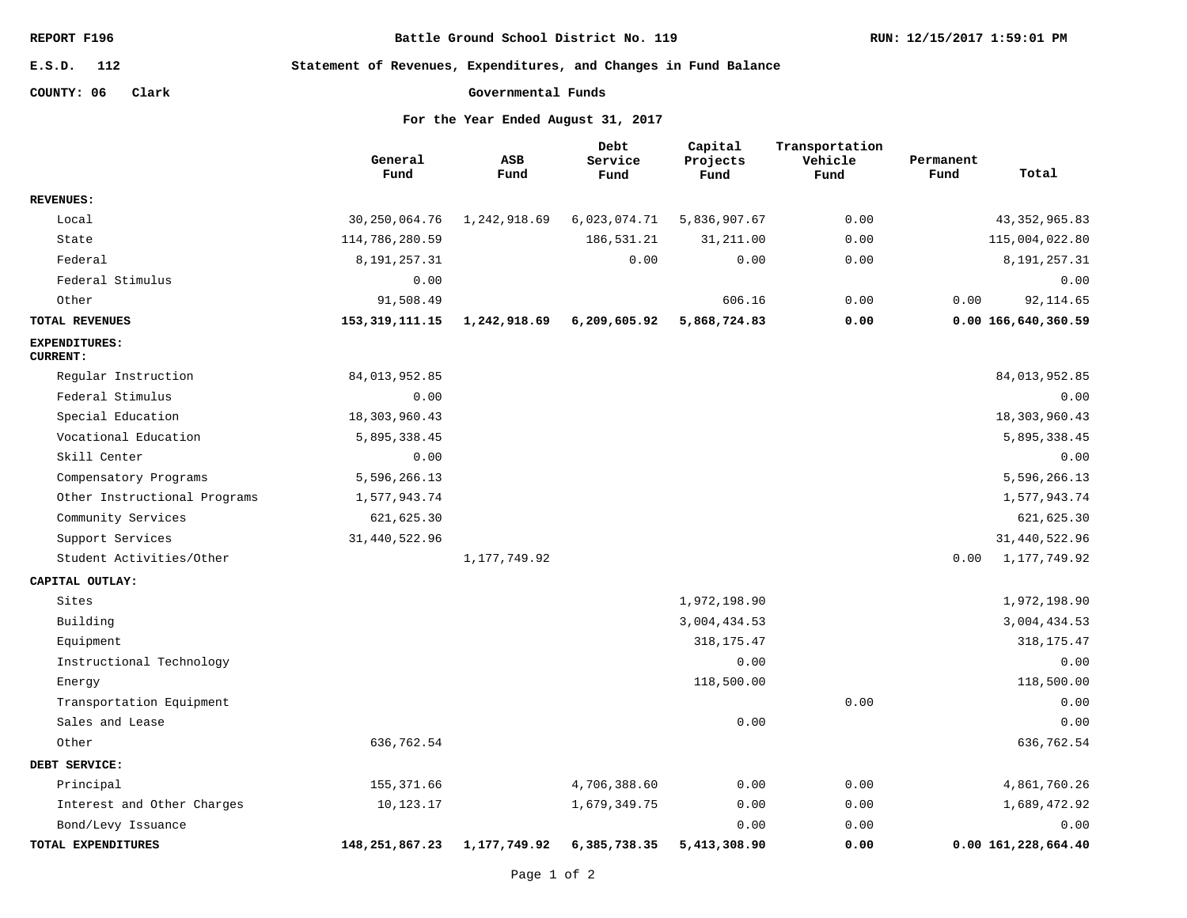**Battle Ground School District No. 119**

**112 E.S.D.**

**Statement of Revenues, Expenditures, and Changes in Fund Balance**

**COUNTY: 06 Clark**

```
Governmental Funds
```

|                                         | General<br>Fund   | ASB<br>Fund    | Debt<br>Service<br>Fund | Capital<br>Projects<br>Fund | Transportation<br>Vehicle<br>Fund | Permanent<br>Fund  | Total           |
|-----------------------------------------|-------------------|----------------|-------------------------|-----------------------------|-----------------------------------|--------------------|-----------------|
| <b>REVENUES:</b>                        |                   |                |                         |                             |                                   |                    |                 |
| Local                                   | 30, 250, 064.76   | 1,242,918.69   | 6,023,074.71            | 5,836,907.67                | 0.00                              |                    | 43, 352, 965.83 |
| State                                   | 114,786,280.59    |                | 186,531.21              | 31, 211.00                  | 0.00                              |                    | 115,004,022.80  |
| Federal                                 | 8, 191, 257. 31   |                | 0.00                    | 0.00                        | 0.00                              |                    | 8, 191, 257. 31 |
| Federal Stimulus                        | 0.00              |                |                         |                             |                                   |                    | 0.00            |
| Other                                   | 91,508.49         |                |                         | 606.16                      | 0.00                              | 0.00               | 92, 114.65      |
| TOTAL REVENUES                          | 153, 319, 111. 15 | 1,242,918.69   | 6,209,605.92            | 5,868,724.83                | 0.00                              | 0.00166,640,360.59 |                 |
| <b>EXPENDITURES:</b><br><b>CURRENT:</b> |                   |                |                         |                             |                                   |                    |                 |
| Regular Instruction                     | 84,013,952.85     |                |                         |                             |                                   |                    | 84,013,952.85   |
| Federal Stimulus                        | 0.00              |                |                         |                             |                                   |                    | 0.00            |
| Special Education                       | 18,303,960.43     |                |                         |                             |                                   |                    | 18,303,960.43   |
| Vocational Education                    | 5,895,338.45      |                |                         |                             |                                   |                    | 5,895,338.45    |
| Skill Center                            | 0.00              |                |                         |                             |                                   |                    | 0.00            |
| Compensatory Programs                   | 5,596,266.13      |                |                         |                             |                                   |                    | 5,596,266.13    |
| Other Instructional Programs            | 1,577,943.74      |                |                         |                             |                                   |                    | 1,577,943.74    |
| Community Services                      | 621,625.30        |                |                         |                             |                                   |                    | 621, 625.30     |
| Support Services                        | 31,440,522.96     |                |                         |                             |                                   |                    | 31,440,522.96   |
| Student Activities/Other                |                   | 1, 177, 749.92 |                         |                             |                                   | 0.00               | 1,177,749.92    |
| CAPITAL OUTLAY:                         |                   |                |                         |                             |                                   |                    |                 |
| Sites                                   |                   |                |                         | 1,972,198.90                |                                   |                    | 1,972,198.90    |
| Building                                |                   |                |                         | 3,004,434.53                |                                   |                    | 3,004,434.53    |
| Equipment                               |                   |                |                         | 318, 175. 47                |                                   |                    | 318, 175. 47    |
| Instructional Technology                |                   |                |                         | 0.00                        |                                   |                    | 0.00            |
| Energy                                  |                   |                |                         | 118,500.00                  |                                   |                    | 118,500.00      |
| Transportation Equipment                |                   |                |                         |                             | 0.00                              |                    | 0.00            |
| Sales and Lease                         |                   |                |                         | 0.00                        |                                   |                    | 0.00            |
| Other                                   | 636,762.54        |                |                         |                             |                                   |                    | 636,762.54      |
| DEBT SERVICE:                           |                   |                |                         |                             |                                   |                    |                 |
| Principal                               | 155, 371.66       |                | 4,706,388.60            | 0.00                        | 0.00                              |                    | 4,861,760.26    |
| Interest and Other Charges              | 10,123.17         |                | 1,679,349.75            | 0.00                        | 0.00                              |                    | 1,689,472.92    |
| Bond/Levy Issuance                      |                   |                |                         | 0.00                        | 0.00                              |                    | 0.00            |
| TOTAL EXPENDITURES                      | 148,251,867.23    | 1,177,749.92   | 6,385,738.35            | 5,413,308.90                | 0.00                              | 0.00161,228,664.40 |                 |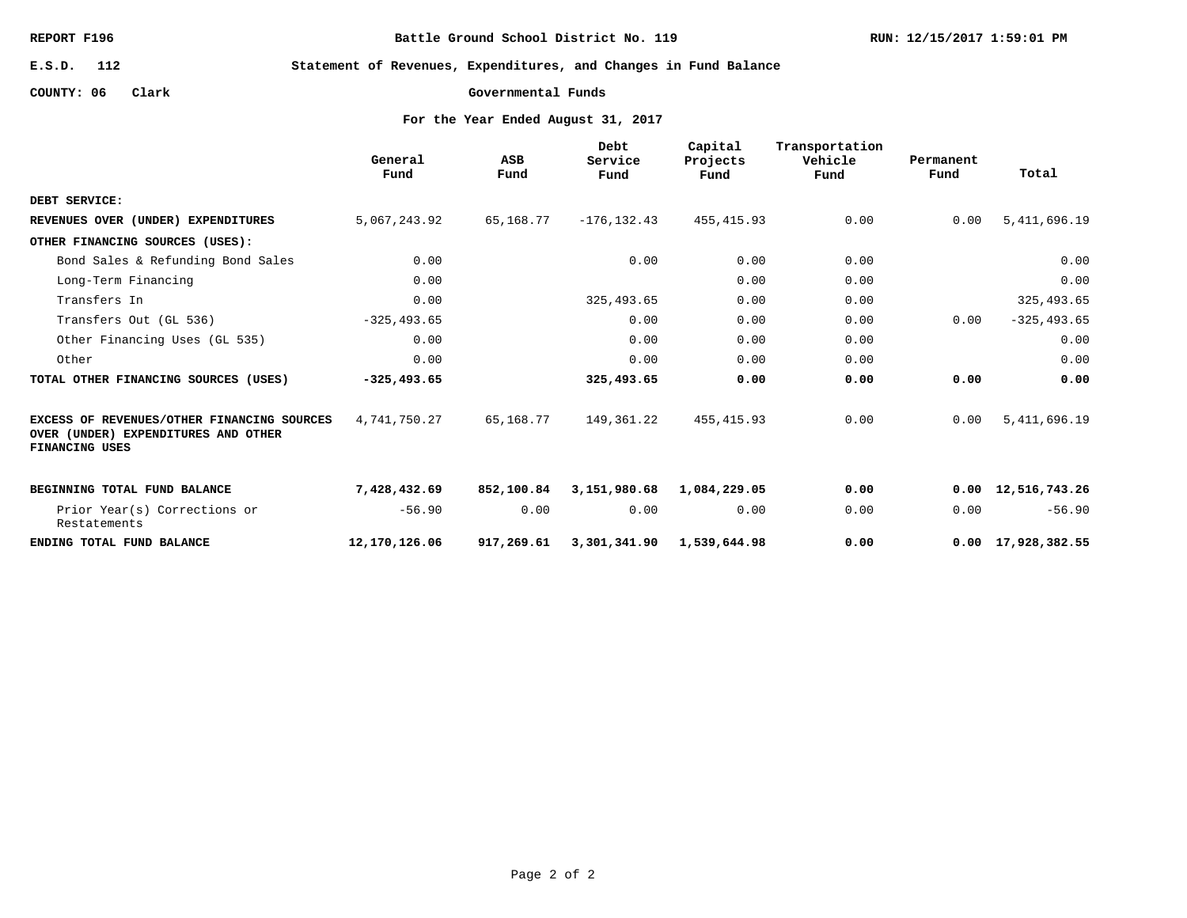**Battle Ground School District No. 119**

**RUN: 12/15/2017 1:59:01 PM**

**112 E.S.D.**

**Statement of Revenues, Expenditures, and Changes in Fund Balance**

**COUNTY: 06 Clark**

**Governmental Funds**

|                                                                                                     | General<br>Fund | ASB<br>Fund | Debt<br>Service<br>Fund | Capital<br>Projects<br>Fund | Transportation<br>Vehicle<br>Fund | Permanent<br>Fund | Total                      |
|-----------------------------------------------------------------------------------------------------|-----------------|-------------|-------------------------|-----------------------------|-----------------------------------|-------------------|----------------------------|
| DEBT SERVICE:                                                                                       |                 |             |                         |                             |                                   |                   |                            |
| REVENUES OVER (UNDER) EXPENDITURES                                                                  | 5,067,243.92    | 65,168.77   | $-176, 132.43$          | 455, 415.93                 | 0.00                              | 0.00              | 5, 411, 696.19             |
| OTHER FINANCING SOURCES (USES):                                                                     |                 |             |                         |                             |                                   |                   |                            |
| Bond Sales & Refunding Bond Sales                                                                   | 0.00            |             | 0.00                    | 0.00                        | 0.00                              |                   | 0.00                       |
| Long-Term Financing                                                                                 | 0.00            |             |                         | 0.00                        | 0.00                              |                   | 0.00                       |
| Transfers In                                                                                        | 0.00            |             | 325, 493.65             | 0.00                        | 0.00                              |                   | 325, 493.65                |
| Transfers Out (GL 536)                                                                              | $-325, 493.65$  |             | 0.00                    | 0.00                        | 0.00                              | 0.00              | $-325, 493.65$             |
| Other Financing Uses (GL 535)                                                                       | 0.00            |             | 0.00                    | 0.00                        | 0.00                              |                   | 0.00                       |
| Other                                                                                               | 0.00            |             | 0.00                    | 0.00                        | 0.00                              |                   | 0.00                       |
| TOTAL OTHER FINANCING SOURCES (USES)                                                                | $-325, 493.65$  |             | 325,493.65              | 0.00                        | 0.00                              | 0.00              | 0.00                       |
| EXCESS OF REVENUES/OTHER FINANCING SOURCES<br>OVER (UNDER) EXPENDITURES AND OTHER<br>FINANCING USES | 4,741,750.27    | 65,168.77   | 149,361.22              | 455, 415.93                 | 0.00                              | 0.00              | 5, 411, 696.19             |
| BEGINNING TOTAL FUND BALANCE                                                                        | 7,428,432.69    | 852,100.84  | 3,151,980.68            | 1,084,229.05                | 0.00                              |                   | $0.00 \quad 12,516,743.26$ |
| Prior Year(s) Corrections or<br>Restatements                                                        | $-56.90$        | 0.00        | 0.00                    | 0.00                        | 0.00                              | 0.00              | $-56.90$                   |
| ENDING TOTAL FUND BALANCE                                                                           | 12,170,126.06   | 917,269.61  | 3,301,341.90            | 1,539,644.98                | 0.00                              |                   | $0.00 \quad 17,928,382.55$ |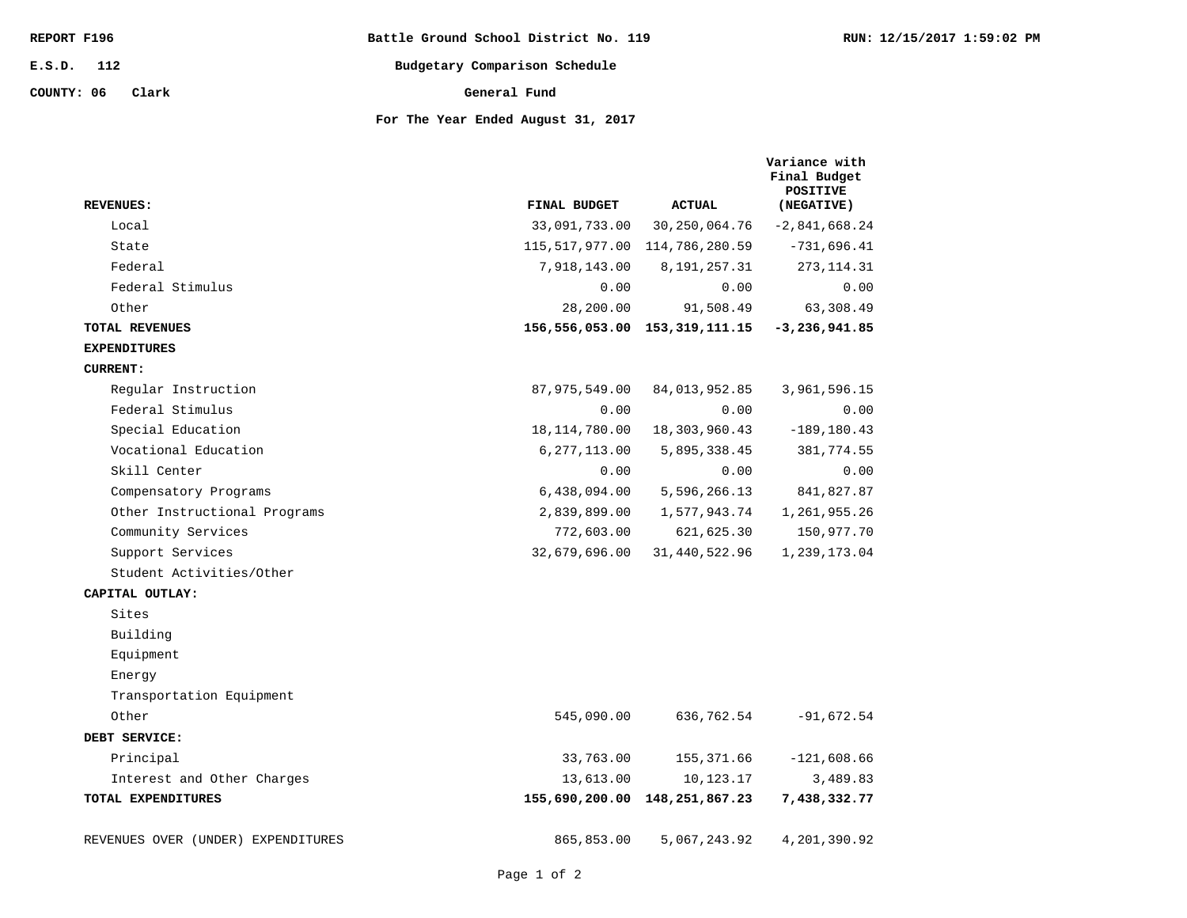| REPORT F196         | Battle Ground School District No. 119 | RUN: 12/15/2017 1:59:02 PM |
|---------------------|---------------------------------------|----------------------------|
| 112<br>E.S.D.       | Budgetary Comparison Schedule         |                            |
| COUNTY: 06<br>Clark | General Fund                          |                            |
|                     | For The Year Ended August 31, 2017    |                            |

| <b>REVENUES:</b>                   | FINAL BUDGET    | <b>ACTUAL</b>                     | Variance with<br>Final Budget<br><b>POSITIVE</b><br>(NEGATIVE) |
|------------------------------------|-----------------|-----------------------------------|----------------------------------------------------------------|
| Local                              | 33,091,733.00   | 30,250,064.76                     | $-2,841,668.24$                                                |
| State                              |                 | 115, 517, 977.00 114, 786, 280.59 | $-731,696.41$                                                  |
| Federal                            | 7,918,143.00    | 8,191,257.31                      | 273, 114.31                                                    |
| Federal Stimulus                   | 0.00            | 0.00                              | 0.00                                                           |
| Other                              | 28,200.00       | 91,508.49                         | 63,308.49                                                      |
| TOTAL REVENUES                     |                 | 156,556,053.00 153,319,111.15     | $-3,236,941.85$                                                |
| <b>EXPENDITURES</b>                |                 |                                   |                                                                |
| <b>CURRENT:</b>                    |                 |                                   |                                                                |
| Regular Instruction                | 87,975,549.00   | 84,013,952.85                     | 3,961,596.15                                                   |
| Federal Stimulus                   | 0.00            | 0.00                              | 0.00                                                           |
| Special Education                  | 18, 114, 780.00 | 18,303,960.43                     | $-189, 180.43$                                                 |
| Vocational Education               | 6, 277, 113.00  | 5,895,338.45                      | 381,774.55                                                     |
| Skill Center                       | 0.00            | 0.00                              | 0.00                                                           |
| Compensatory Programs              | 6,438,094.00    | 5,596,266.13                      | 841,827.87                                                     |
| Other Instructional Programs       | 2,839,899.00    | 1,577,943.74                      | 1,261,955.26                                                   |
| Community Services                 | 772,603.00      | 621,625.30                        | 150,977.70                                                     |
| Support Services                   | 32,679,696.00   | 31,440,522.96                     | 1,239,173.04                                                   |
| Student Activities/Other           |                 |                                   |                                                                |
| CAPITAL OUTLAY:                    |                 |                                   |                                                                |
| Sites                              |                 |                                   |                                                                |
| Building                           |                 |                                   |                                                                |
| Equipment                          |                 |                                   |                                                                |
| Energy                             |                 |                                   |                                                                |
| Transportation Equipment           |                 |                                   |                                                                |
| Other                              | 545,090.00      | 636,762.54                        | $-91,672.54$                                                   |
| DEBT SERVICE:                      |                 |                                   |                                                                |
| Principal                          | 33,763.00       | 155,371.66                        | $-121,608.66$                                                  |
| Interest and Other Charges         | 13,613.00       | 10,123.17                         | 3,489.83                                                       |
| TOTAL EXPENDITURES                 |                 | 155,690,200.00 148,251,867.23     | 7,438,332.77                                                   |
| REVENUES OVER (UNDER) EXPENDITURES | 865,853.00      | 5,067,243.92                      | 4,201,390.92                                                   |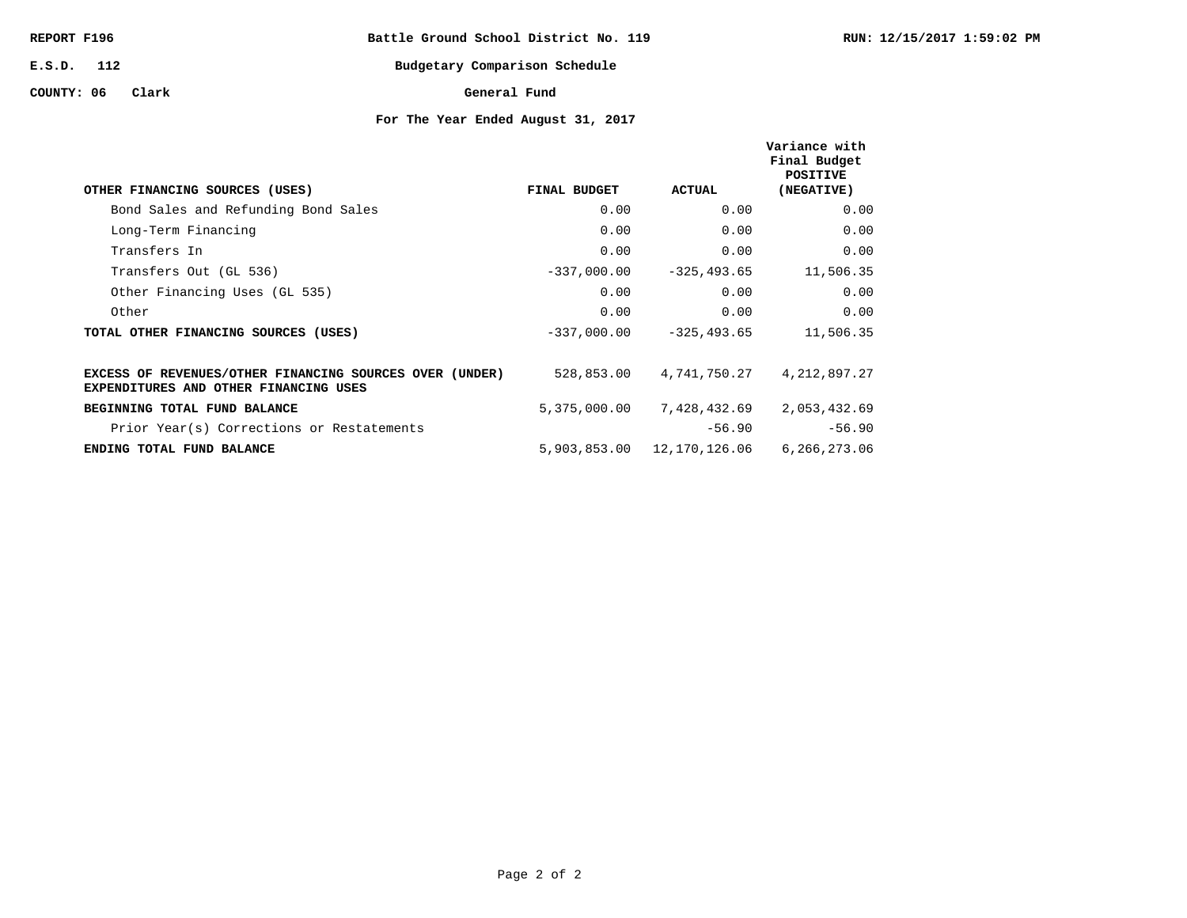| REPORT F196 |  |
|-------------|--|
|-------------|--|

**Battle Ground School District No. 119**

**112 E.S.D.**

#### **COUNTY: 06 Clark**

# **Budgetary Comparison Schedule General Fund**

| OTHER FINANCING SOURCES (USES)                                                                   | FINAL BUDGET  | ACTUAL                     | Variance with<br>Final Budget<br><b>POSITIVE</b><br>(NEGATIVE) |
|--------------------------------------------------------------------------------------------------|---------------|----------------------------|----------------------------------------------------------------|
| Bond Sales and Refunding Bond Sales                                                              | 0.00          | 0.00                       | 0.00                                                           |
| Long-Term Financing                                                                              | 0.00          | 0.00                       | 0.00                                                           |
| Transfers In                                                                                     | 0.00          | 0.00                       | 0.00                                                           |
| Transfers Out (GL 536)                                                                           | $-337,000.00$ | $-325, 493.65$             | 11,506.35                                                      |
| Other Financing Uses (GL 535)                                                                    | 0.00          | 0.00                       | 0.00                                                           |
| Other                                                                                            | 0.00          | 0.00                       | 0.00                                                           |
| TOTAL OTHER FINANCING SOURCES (USES)                                                             | $-337,000.00$ | $-325, 493.65$             | 11,506.35                                                      |
| EXCESS OF REVENUES/OTHER FINANCING SOURCES OVER (UNDER)<br>EXPENDITURES AND OTHER FINANCING USES | 528,853.00    | 4,741,750.27               | 4, 212, 897. 27                                                |
| BEGINNING TOTAL FUND BALANCE                                                                     | 5,375,000.00  | 7,428,432.69               | 2,053,432.69                                                   |
| Prior Year(s) Corrections or Restatements                                                        |               | $-56.90$                   | $-56.90$                                                       |
| ENDING TOTAL FUND BALANCE                                                                        |               | 5,903,853.00 12,170,126.06 | 6.266.273.06                                                   |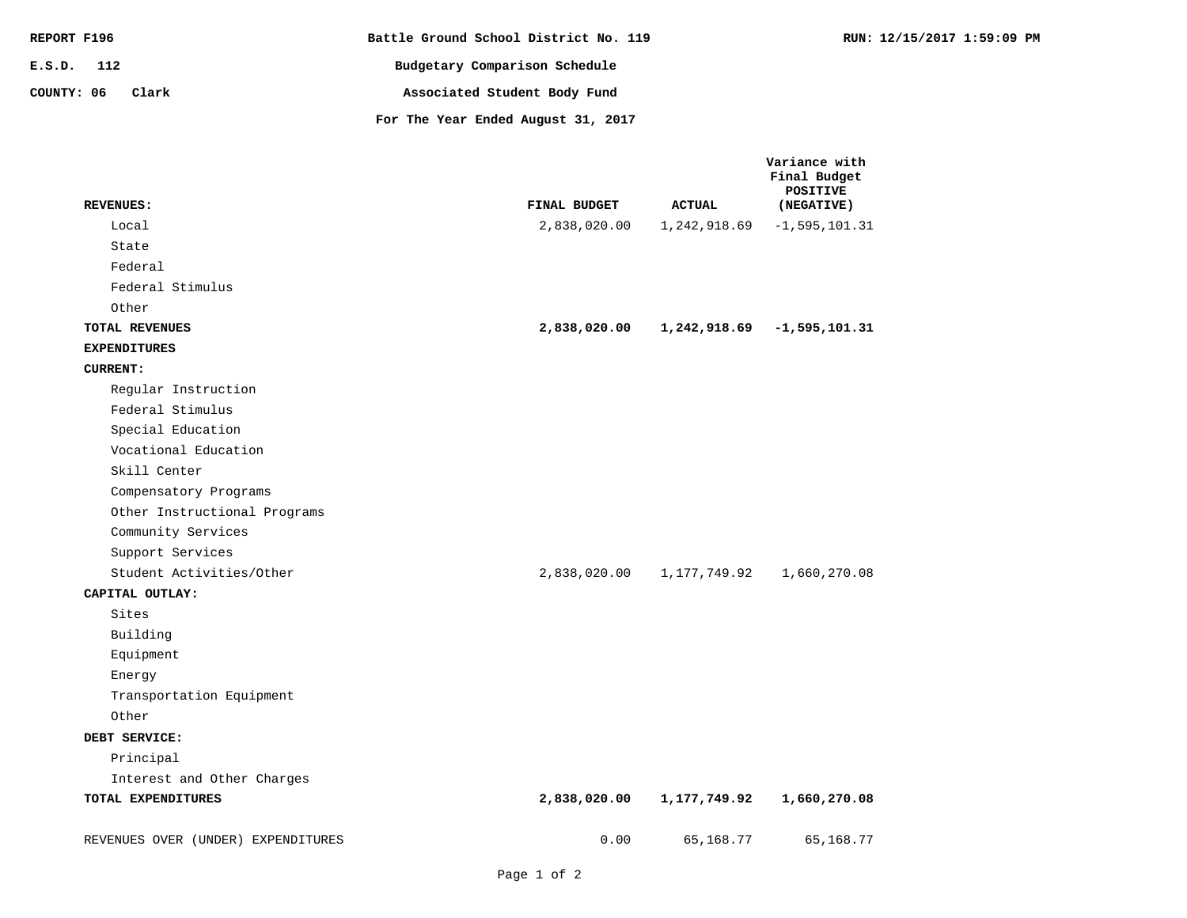| REPORT F196         | Battle Ground School District No. 119 | RUN: 12/15/2017 1:59:09 PM |
|---------------------|---------------------------------------|----------------------------|
| E.S.D. 112          | Budgetary Comparison Schedule         |                            |
| COUNTY: 06<br>Clark | Associated Student Body Fund          |                            |
|                     | For The Year Ended August 31, 2017    |                            |

| <b>REVENUES:</b>                   | FINAL BUDGET | <b>ACTUAL</b> | Variance with<br>Final Budget<br><b>POSITIVE</b><br>(NEGATIVE) |
|------------------------------------|--------------|---------------|----------------------------------------------------------------|
| Local                              | 2,838,020.00 | 1,242,918.69  | $-1, 595, 101.31$                                              |
| State                              |              |               |                                                                |
| Federal                            |              |               |                                                                |
| Federal Stimulus                   |              |               |                                                                |
| Other                              |              |               |                                                                |
| TOTAL REVENUES                     | 2,838,020.00 | 1,242,918.69  | $-1,595,101.31$                                                |
| <b>EXPENDITURES</b>                |              |               |                                                                |
| <b>CURRENT:</b>                    |              |               |                                                                |
| Regular Instruction                |              |               |                                                                |
| Federal Stimulus                   |              |               |                                                                |
| Special Education                  |              |               |                                                                |
| Vocational Education               |              |               |                                                                |
| Skill Center                       |              |               |                                                                |
| Compensatory Programs              |              |               |                                                                |
| Other Instructional Programs       |              |               |                                                                |
| Community Services                 |              |               |                                                                |
| Support Services                   |              |               |                                                                |
| Student Activities/Other           | 2,838,020.00 | 1,177,749.92  | 1,660,270.08                                                   |
| CAPITAL OUTLAY:                    |              |               |                                                                |
| Sites                              |              |               |                                                                |
| Building                           |              |               |                                                                |
| Equipment                          |              |               |                                                                |
| Energy                             |              |               |                                                                |
| Transportation Equipment           |              |               |                                                                |
| Other                              |              |               |                                                                |
| DEBT SERVICE:                      |              |               |                                                                |
| Principal                          |              |               |                                                                |
| Interest and Other Charges         |              |               |                                                                |
| TOTAL EXPENDITURES                 | 2,838,020.00 | 1,177,749.92  | 1,660,270.08                                                   |
| REVENUES OVER (UNDER) EXPENDITURES | 0.00         | 65,168.77     | 65,168.77                                                      |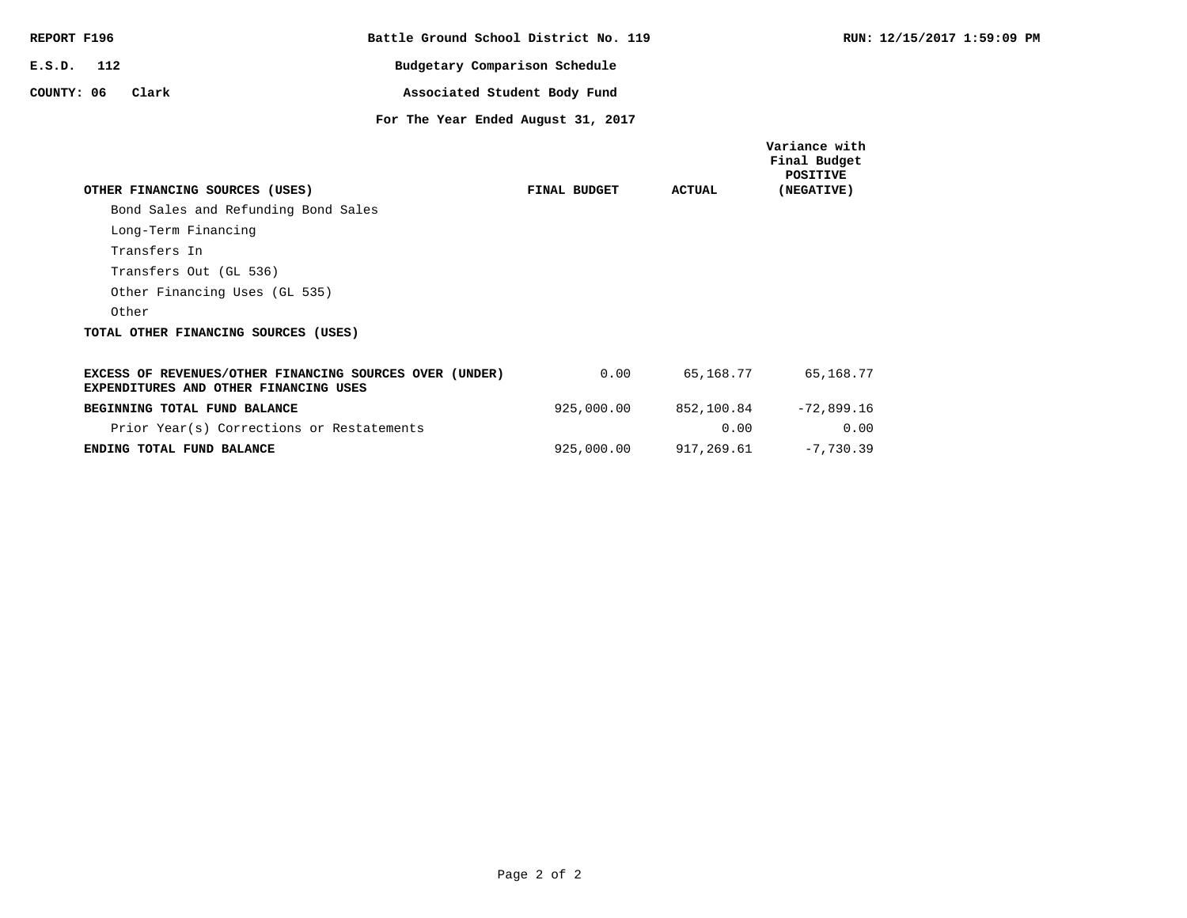| REPORT F196 |     |                                                                                                  | Battle Ground School District No. 119 |                              |              |               | <b>RUN: 12</b>                                                 |
|-------------|-----|--------------------------------------------------------------------------------------------------|---------------------------------------|------------------------------|--------------|---------------|----------------------------------------------------------------|
| E.S.D.      | 112 |                                                                                                  | Budgetary Comparison Schedule         |                              |              |               |                                                                |
| COUNTY: 06  |     | Clark                                                                                            |                                       | Associated Student Body Fund |              |               |                                                                |
|             |     |                                                                                                  | For The Year Ended August 31, 2017    |                              |              |               |                                                                |
|             |     | OTHER FINANCING SOURCES (USES)                                                                   |                                       |                              | FINAL BUDGET | <b>ACTUAL</b> | Variance with<br>Final Budget<br><b>POSITIVE</b><br>(NEGATIVE) |
|             |     | Bond Sales and Refunding Bond Sales                                                              |                                       |                              |              |               |                                                                |
|             |     | Long-Term Financing                                                                              |                                       |                              |              |               |                                                                |
|             |     | Transfers In                                                                                     |                                       |                              |              |               |                                                                |
|             |     |                                                                                                  |                                       |                              |              |               |                                                                |
|             |     | Transfers Out (GL 536)                                                                           |                                       |                              |              |               |                                                                |
|             |     | Other Financing Uses (GL 535)                                                                    |                                       |                              |              |               |                                                                |
|             |     | Other                                                                                            |                                       |                              |              |               |                                                                |
|             |     | TOTAL OTHER FINANCING SOURCES (USES)                                                             |                                       |                              |              |               |                                                                |
|             |     | EXCESS OF REVENUES/OTHER FINANCING SOURCES OVER (UNDER)<br>EXPENDITURES AND OTHER FINANCING USES |                                       |                              | 0.00         | 65,168.77     | 65,168.77                                                      |
|             |     | BEGINNING TOTAL FUND BALANCE                                                                     |                                       |                              | 925,000.00   |               | 852,100.84 -72,899.16                                          |
|             |     | Prior Year(s) Corrections or Restatements                                                        |                                       |                              |              | 0.00          | 0.00                                                           |
|             |     | ENDING TOTAL FUND BALANCE                                                                        |                                       |                              | 925,000.00   | 917,269.61    | $-7,730.39$                                                    |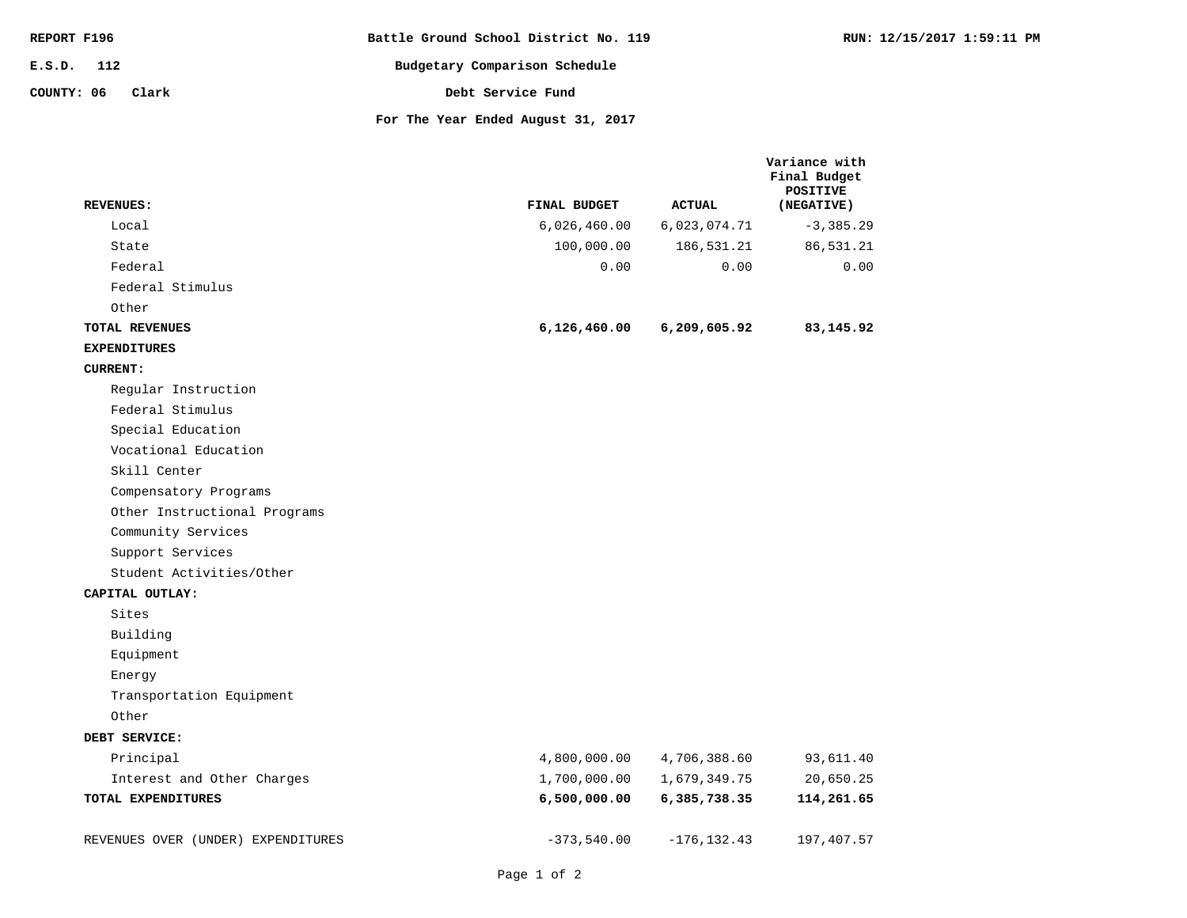| REPORT F196         | Battle Ground School District No. 119 | RUN: 12/15/2017 1:59:11 PM |
|---------------------|---------------------------------------|----------------------------|
| E.S.D. 112          | Budgetary Comparison Schedule         |                            |
| COUNTY: 06<br>Clark | Debt Service Fund                     |                            |
|                     | For The Year Ended August 31, 2017    |                            |

| <b>REVENUES:</b>                   | FINAL BUDGET  | <b>ACTUAL</b>  | Variance with<br>Final Budget<br><b>POSITIVE</b><br>(NEGATIVE) |
|------------------------------------|---------------|----------------|----------------------------------------------------------------|
| Local                              | 6,026,460.00  | 6,023,074.71   | $-3,385.29$                                                    |
| State                              | 100,000.00    | 186,531.21     | 86,531.21                                                      |
| Federal                            | 0.00          | 0.00           | 0.00                                                           |
| Federal Stimulus                   |               |                |                                                                |
| Other                              |               |                |                                                                |
| TOTAL REVENUES                     | 6,126,460.00  | 6,209,605.92   | 83,145.92                                                      |
| <b>EXPENDITURES</b>                |               |                |                                                                |
| <b>CURRENT:</b>                    |               |                |                                                                |
| Reqular Instruction                |               |                |                                                                |
| Federal Stimulus                   |               |                |                                                                |
| Special Education                  |               |                |                                                                |
| Vocational Education               |               |                |                                                                |
| Skill Center                       |               |                |                                                                |
| Compensatory Programs              |               |                |                                                                |
| Other Instructional Programs       |               |                |                                                                |
| Community Services                 |               |                |                                                                |
| Support Services                   |               |                |                                                                |
| Student Activities/Other           |               |                |                                                                |
| CAPITAL OUTLAY:                    |               |                |                                                                |
| Sites                              |               |                |                                                                |
| Building                           |               |                |                                                                |
| Equipment                          |               |                |                                                                |
| Energy                             |               |                |                                                                |
| Transportation Equipment           |               |                |                                                                |
| Other                              |               |                |                                                                |
| DEBT SERVICE:                      |               |                |                                                                |
| Principal                          | 4,800,000.00  | 4,706,388.60   | 93,611.40                                                      |
| Interest and Other Charges         | 1,700,000.00  | 1,679,349.75   | 20,650.25                                                      |
| TOTAL EXPENDITURES                 | 6,500,000.00  | 6,385,738.35   | 114,261.65                                                     |
| REVENUES OVER (UNDER) EXPENDITURES | $-373,540.00$ | $-176, 132.43$ | 197,407.57                                                     |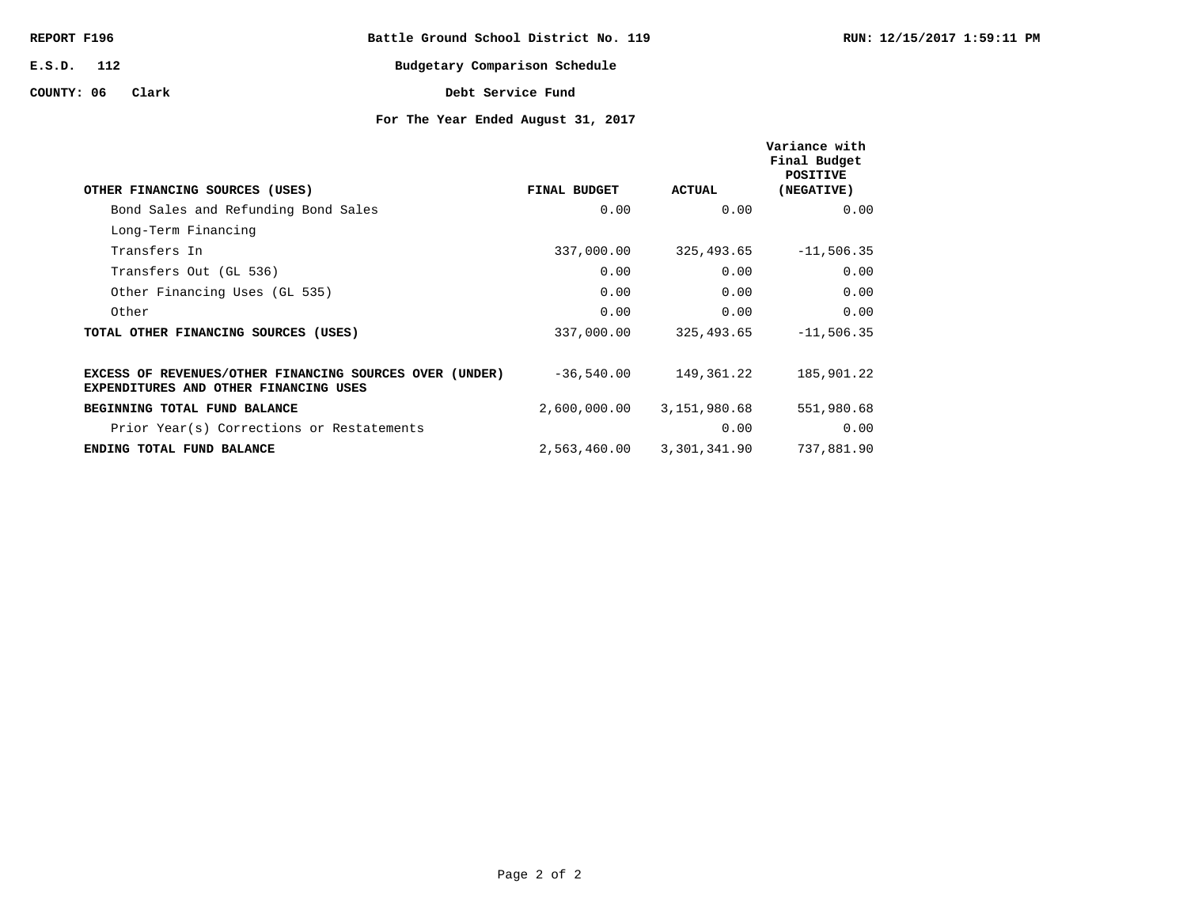| REPORT F196  |       |  | Battle Ground School District No. 119 |  |
|--------------|-------|--|---------------------------------------|--|
| $E.S.D.$ 112 |       |  | Budgetary Comparison Schedule         |  |
| COUNTY: 06   | Clark |  | Debt Service Fund                     |  |

| OTHER FINANCING SOURCES (USES)                                                                   | FINAL BUDGET | <b>ACTUAL</b> | Variance with<br>Final Budget<br><b>POSITIVE</b><br>(NEGATIVE) |
|--------------------------------------------------------------------------------------------------|--------------|---------------|----------------------------------------------------------------|
| Bond Sales and Refunding Bond Sales                                                              | 0.00         | 0.00          | 0.00                                                           |
| Long-Term Financing                                                                              |              |               |                                                                |
| Transfers In                                                                                     | 337,000.00   | 325,493.65    | $-11,506.35$                                                   |
| Transfers Out (GL 536)                                                                           | 0.00         | 0.00          | 0.00                                                           |
| Other Financing Uses (GL 535)                                                                    | 0.00         | 0.00          | 0.00                                                           |
| Other                                                                                            | 0.00         | 0.00          | 0.00                                                           |
| TOTAL OTHER FINANCING SOURCES (USES)                                                             | 337,000.00   | 325,493.65    | $-11,506.35$                                                   |
|                                                                                                  |              |               |                                                                |
| EXCESS OF REVENUES/OTHER FINANCING SOURCES OVER (UNDER)<br>EXPENDITURES AND OTHER FINANCING USES | $-36,540.00$ | 149,361.22    | 185,901.22                                                     |
| BEGINNING TOTAL FUND BALANCE                                                                     | 2,600,000.00 | 3,151,980.68  | 551,980.68                                                     |
| Prior Year(s) Corrections or Restatements                                                        |              | 0.00          | 0.00                                                           |
| ENDING TOTAL FUND BALANCE                                                                        | 2,563,460.00 | 3,301,341.90  | 737,881.90                                                     |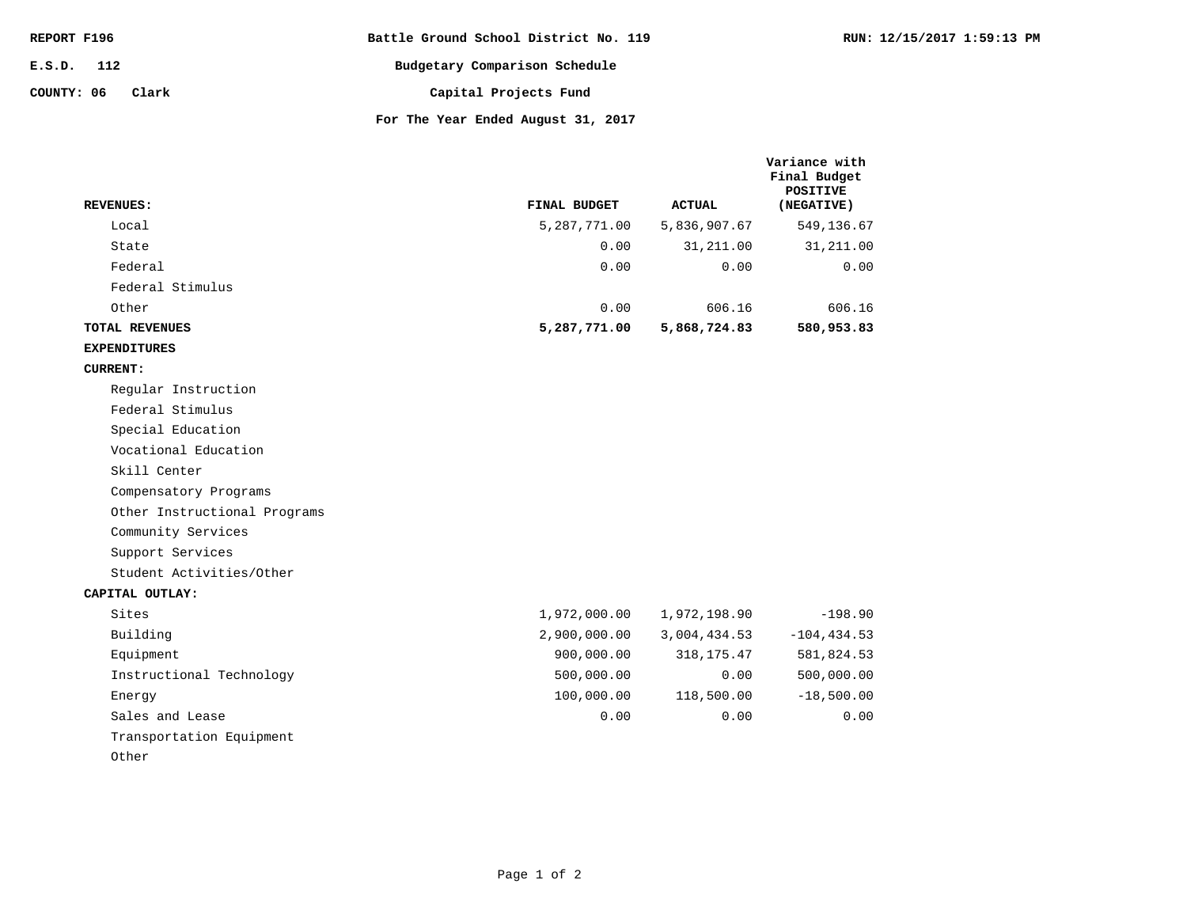| REPORT F196         | Battle Ground School District No. 119 |
|---------------------|---------------------------------------|
| E.S.D. 112          | Budgetary Comparison Schedule         |
| COUNTY: 06<br>Clark | Capital Projects Fund                 |
|                     | For The Year Ended August 31, 2017    |

**Variance with** 

|                              |              |               | Final Budget<br><b>POSITIVE</b> |
|------------------------------|--------------|---------------|---------------------------------|
| <b>REVENUES:</b>             | FINAL BUDGET | <b>ACTUAL</b> | (NEGATIVE)                      |
| Local                        | 5,287,771.00 | 5,836,907.67  | 549,136.67                      |
| State                        | 0.00         | 31,211.00     | 31, 211.00                      |
| Federal                      | 0.00         | 0.00          | 0.00                            |
| Federal Stimulus             |              |               |                                 |
| Other                        | 0.00         | 606.16        | 606.16                          |
| TOTAL REVENUES               | 5,287,771.00 | 5,868,724.83  | 580,953.83                      |
| <b>EXPENDITURES</b>          |              |               |                                 |
| <b>CURRENT:</b>              |              |               |                                 |
| Regular Instruction          |              |               |                                 |
| Federal Stimulus             |              |               |                                 |
| Special Education            |              |               |                                 |
| Vocational Education         |              |               |                                 |
| Skill Center                 |              |               |                                 |
| Compensatory Programs        |              |               |                                 |
| Other Instructional Programs |              |               |                                 |
| Community Services           |              |               |                                 |
| Support Services             |              |               |                                 |
| Student Activities/Other     |              |               |                                 |
| CAPITAL OUTLAY:              |              |               |                                 |
| Sites                        | 1,972,000.00 | 1,972,198.90  | $-198.90$                       |
| Building                     | 2,900,000.00 | 3,004,434.53  | $-104, 434.53$                  |
| Equipment                    | 900,000.00   | 318, 175.47   | 581,824.53                      |
| Instructional Technology     | 500,000.00   | 0.00          | 500,000.00                      |
| Energy                       | 100,000.00   | 118,500.00    | $-18,500.00$                    |
| Sales and Lease              | 0.00         | 0.00          | 0.00                            |
| Transportation Equipment     |              |               |                                 |
| Other                        |              |               |                                 |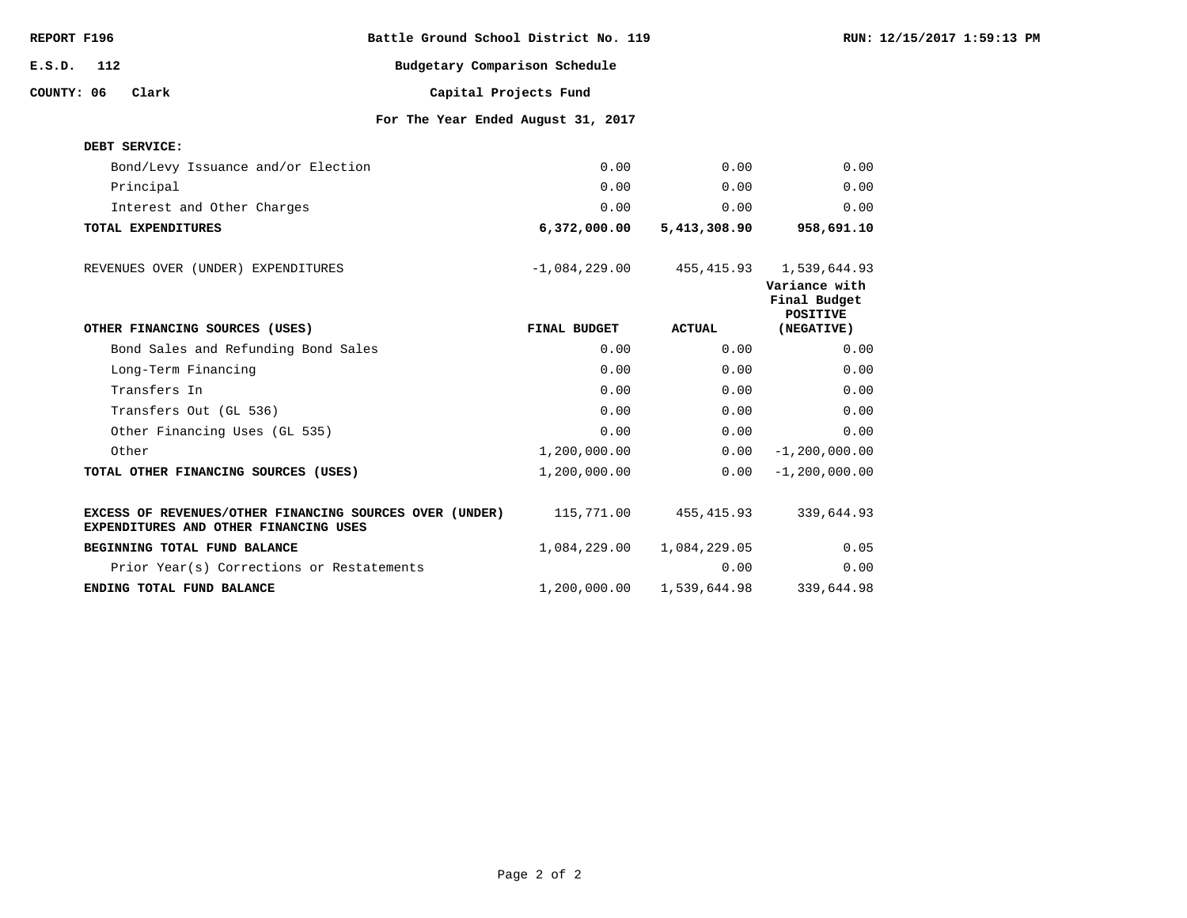| REPORT F196 |     |                                                                                                  | Battle Ground School District No. 119 |               |                                                  | RUN: 12/15/2017 1:59:13 PM |
|-------------|-----|--------------------------------------------------------------------------------------------------|---------------------------------------|---------------|--------------------------------------------------|----------------------------|
| E.S.D.      | 112 |                                                                                                  | Budgetary Comparison Schedule         |               |                                                  |                            |
| COUNTY: 06  |     | Clark                                                                                            | Capital Projects Fund                 |               |                                                  |                            |
|             |     |                                                                                                  | For The Year Ended August 31, 2017    |               |                                                  |                            |
|             |     | DEBT SERVICE:                                                                                    |                                       |               |                                                  |                            |
|             |     | Bond/Levy Issuance and/or Election                                                               | 0.00                                  | 0.00          | 0.00                                             |                            |
|             |     | Principal                                                                                        | 0.00                                  | 0.00          | 0.00                                             |                            |
|             |     | Interest and Other Charges                                                                       | 0.00                                  | 0.00          | 0.00                                             |                            |
|             |     | TOTAL EXPENDITURES                                                                               | 6,372,000.00                          | 5,413,308.90  | 958,691.10                                       |                            |
|             |     | REVENUES OVER (UNDER) EXPENDITURES                                                               | $-1,084,229.00$                       | 455,415.93    | 1,539,644.93                                     |                            |
|             |     |                                                                                                  |                                       |               | Variance with<br>Final Budget<br><b>POSITIVE</b> |                            |
|             |     |                                                                                                  |                                       |               |                                                  |                            |
|             |     | OTHER FINANCING SOURCES (USES)                                                                   | FINAL BUDGET                          | <b>ACTUAL</b> | (NEGATIVE)                                       |                            |
|             |     | Bond Sales and Refunding Bond Sales                                                              | 0.00                                  | 0.00          | 0.00                                             |                            |
|             |     | Long-Term Financing                                                                              | 0.00                                  | 0.00          | 0.00                                             |                            |
|             |     | Transfers In                                                                                     | 0.00                                  | 0.00          | 0.00                                             |                            |
|             |     | Transfers Out (GL 536)                                                                           | 0.00                                  | 0.00          | 0.00                                             |                            |
|             |     | Other Financing Uses (GL 535)                                                                    | 0.00                                  | 0.00          | 0.00                                             |                            |
|             |     | Other                                                                                            | 1,200,000.00                          | 0.00          | $-1, 200, 000.00$                                |                            |
|             |     | TOTAL OTHER FINANCING SOURCES (USES)                                                             | 1,200,000.00                          | 0.00          | $-1, 200, 000.00$                                |                            |
|             |     | EXCESS OF REVENUES/OTHER FINANCING SOURCES OVER (UNDER)<br>EXPENDITURES AND OTHER FINANCING USES | 115,771.00                            | 455,415.93    | 339,644.93                                       |                            |
|             |     | BEGINNING TOTAL FUND BALANCE                                                                     | 1,084,229.00                          | 1,084,229.05  | 0.05                                             |                            |
|             |     | Prior Year(s) Corrections or Restatements                                                        |                                       | 0.00          | 0.00                                             |                            |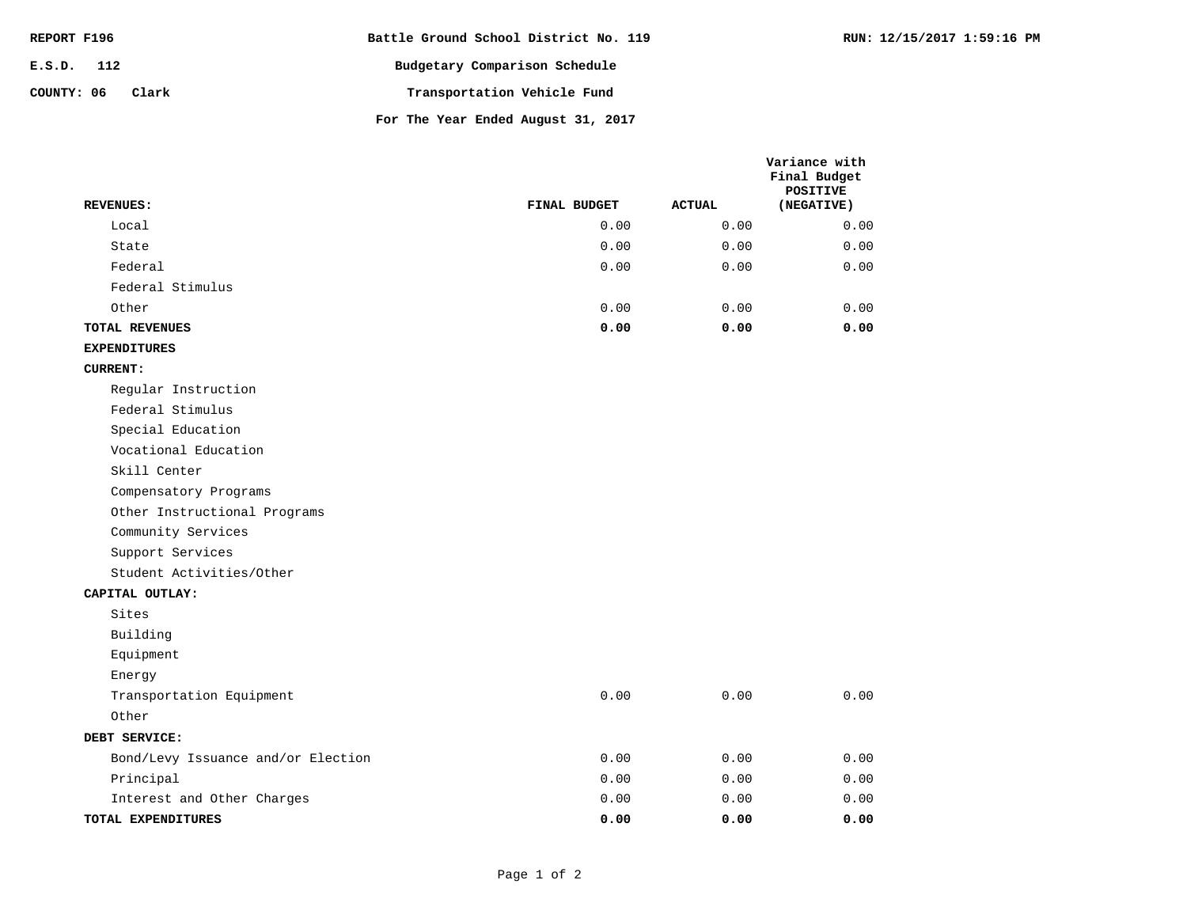| REPORT F196         | Battle Ground School District No. 119 |
|---------------------|---------------------------------------|
| $E.S.D.$ 112        | Budgetary Comparison Schedule         |
| COUNTY: 06<br>Clark | Transportation Vehicle Fund           |
|                     | For The Year Ended August 31, 2017    |

| - - - |  |  |  |
|-------|--|--|--|

**RUN: 12/15/2017 1:59:16 PM**

| <b>REVENUES:</b>                   | FINAL BUDGET | <b>ACTUAL</b> | Variance with<br>Final Budget<br><b>POSITIVE</b> |
|------------------------------------|--------------|---------------|--------------------------------------------------|
| Local                              | 0.00         | 0.00          | (NEGATIVE)                                       |
| State                              | 0.00         | 0.00          | 0.00<br>0.00                                     |
| Federal                            | 0.00         | 0.00          | 0.00                                             |
|                                    |              |               |                                                  |
| Federal Stimulus                   |              |               |                                                  |
| Other                              | 0.00<br>0.00 | 0.00<br>0.00  | 0.00<br>0.00                                     |
| TOTAL REVENUES                     |              |               |                                                  |
| <b>EXPENDITURES</b>                |              |               |                                                  |
| <b>CURRENT:</b>                    |              |               |                                                  |
| Regular Instruction                |              |               |                                                  |
| Federal Stimulus                   |              |               |                                                  |
| Special Education                  |              |               |                                                  |
| Vocational Education               |              |               |                                                  |
| Skill Center                       |              |               |                                                  |
| Compensatory Programs              |              |               |                                                  |
| Other Instructional Programs       |              |               |                                                  |
| Community Services                 |              |               |                                                  |
| Support Services                   |              |               |                                                  |
| Student Activities/Other           |              |               |                                                  |
| CAPITAL OUTLAY:                    |              |               |                                                  |
| Sites                              |              |               |                                                  |
| Building                           |              |               |                                                  |
| Equipment                          |              |               |                                                  |
| Energy                             |              |               |                                                  |
| Transportation Equipment           | 0.00         | 0.00          | 0.00                                             |
| Other                              |              |               |                                                  |
| DEBT SERVICE:                      |              |               |                                                  |
| Bond/Levy Issuance and/or Election | 0.00         | 0.00          | 0.00                                             |
| Principal                          | 0.00         | 0.00          | 0.00                                             |
| Interest and Other Charges         | 0.00         | 0.00          | 0.00                                             |
| TOTAL EXPENDITURES                 | 0.00         | 0.00          | 0.00                                             |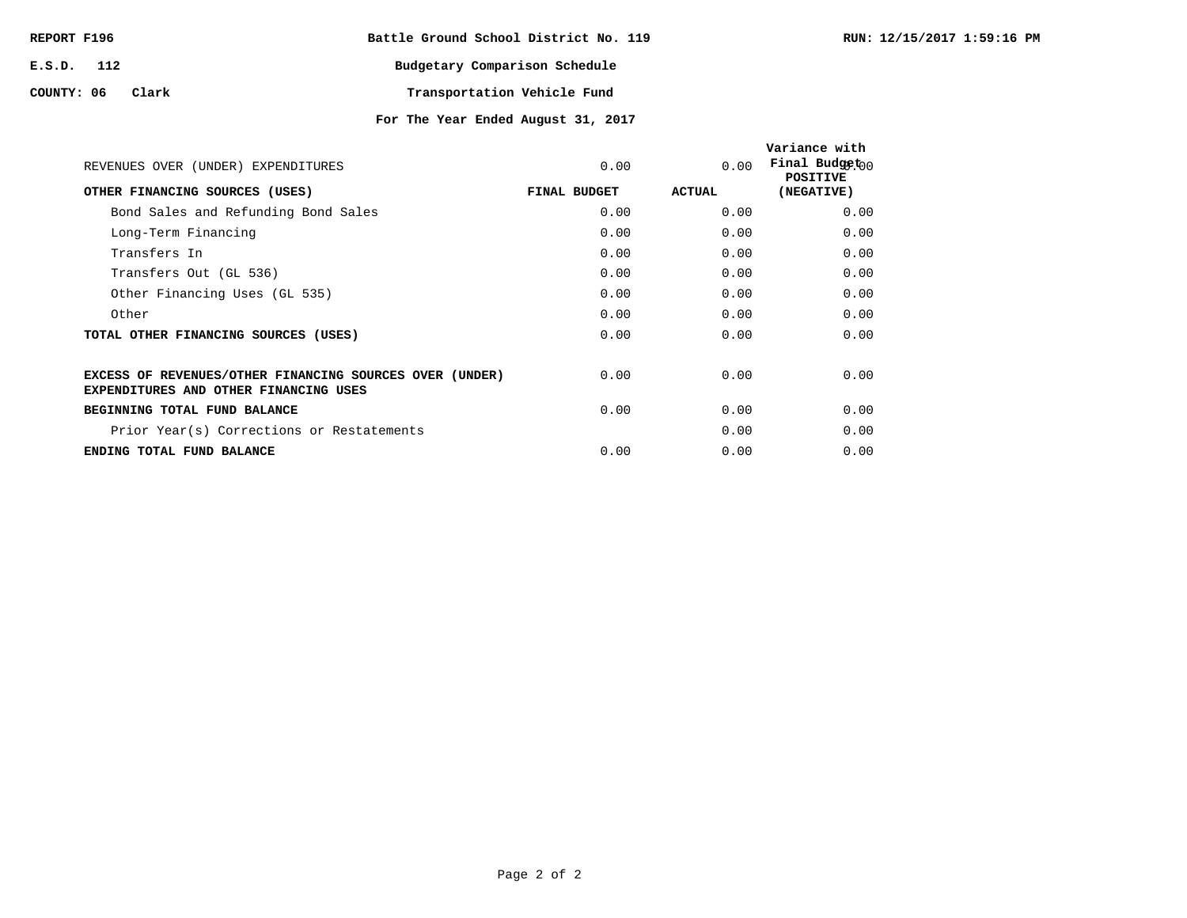| REPORT F196 |       | Battle Ground School District No. 119 |                             |  |
|-------------|-------|---------------------------------------|-----------------------------|--|
| E.S.D. 112  |       | Budgetary Comparison Schedule         |                             |  |
| COUNTY: 06  | Clark |                                       | Transportation Vehicle Fund |  |

| REVENUES OVER (UNDER) EXPENDITURES                                                                      | 0.00         | 0.00   | Variance with<br>Final Budget <sub>00</sub><br><b>POSITIVE</b> |
|---------------------------------------------------------------------------------------------------------|--------------|--------|----------------------------------------------------------------|
| OTHER FINANCING SOURCES (USES)                                                                          | FINAL BUDGET | ACTUAL | (NEGATIVE)                                                     |
| Bond Sales and Refunding Bond Sales                                                                     | 0.00         | 0.00   | 0.00                                                           |
| Long-Term Financing                                                                                     | 0.00         | 0.00   | 0.00                                                           |
| Transfers In                                                                                            | 0.00         | 0.00   | 0.00                                                           |
| Transfers Out (GL 536)                                                                                  | 0.00         | 0.00   | 0.00                                                           |
| Other Financing Uses (GL 535)                                                                           | 0.00         | 0.00   | 0.00                                                           |
| Other                                                                                                   | 0.00         | 0.00   | 0.00                                                           |
| TOTAL OTHER FINANCING SOURCES (USES)                                                                    | 0.00         | 0.00   | 0.00                                                           |
| EXCESS OF REVENUES/OTHER FINANCING SOURCES OVER (UNDER)<br><b>EXPENDITURES AND OTHER FINANCING USES</b> | 0.00         | 0.00   | 0.00                                                           |
| BEGINNING TOTAL FUND BALANCE                                                                            | 0.00         | 0.00   | 0.00                                                           |
| Prior Year(s) Corrections or Restatements                                                               |              | 0.00   | 0.00                                                           |
| ENDING TOTAL FUND BALANCE                                                                               | 0.00         | 0.00   | 0.00                                                           |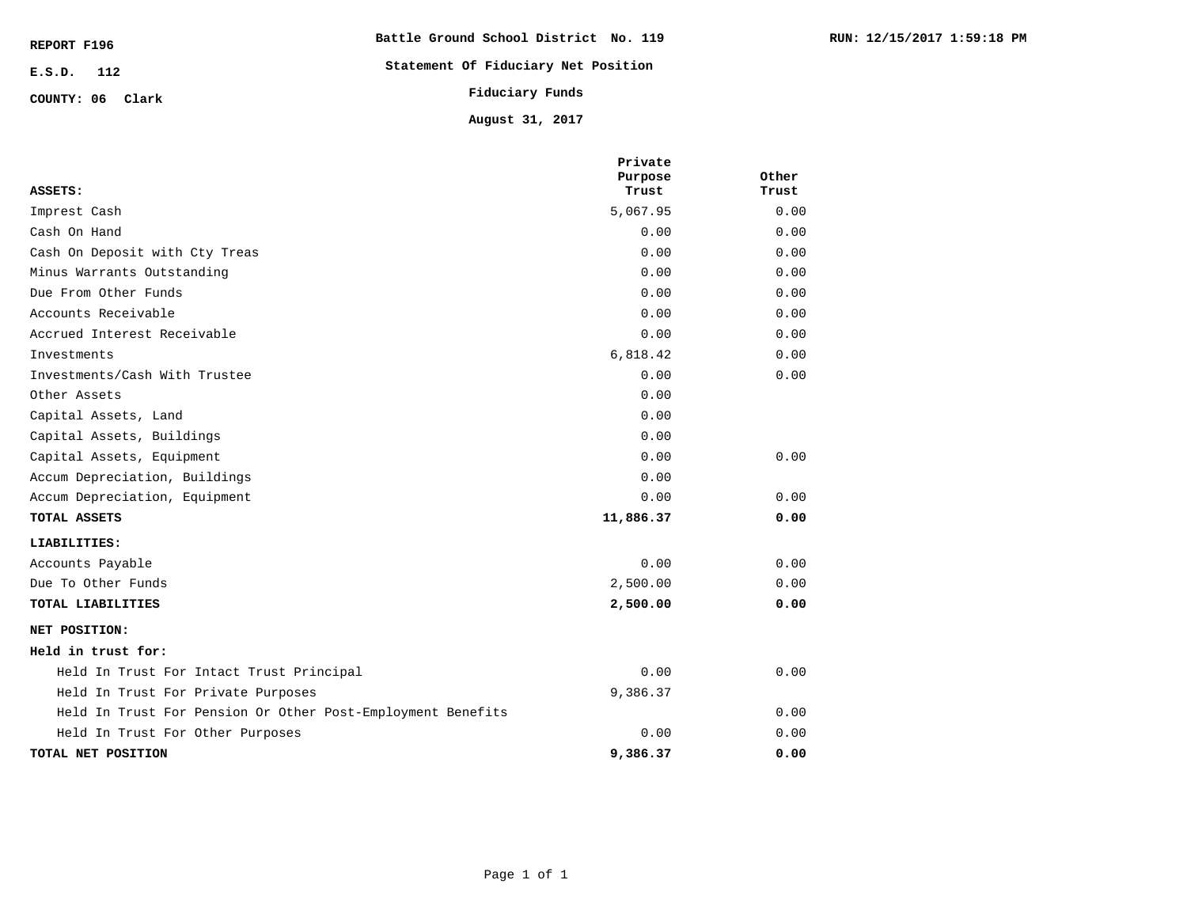| REPORT F196      | Battle Ground School District No. 119 |  |  |
|------------------|---------------------------------------|--|--|
| E.S.D. 112       | Statement Of Fiduciary Net Position   |  |  |
| COUNTY: 06 Clark | Fiduciary Funds                       |  |  |
|                  | August 31, 2017                       |  |  |

|                                                             | Private<br>Purpose | Other |
|-------------------------------------------------------------|--------------------|-------|
| ASSETS:                                                     | Trust              | Trust |
| Imprest Cash                                                | 5,067.95           | 0.00  |
| Cash On Hand                                                | 0.00               | 0.00  |
| Cash On Deposit with Cty Treas                              | 0.00               | 0.00  |
| Minus Warrants Outstanding                                  | 0.00               | 0.00  |
| Due From Other Funds                                        | 0.00               | 0.00  |
| Accounts Receivable                                         | 0.00               | 0.00  |
| Accrued Interest Receivable                                 | 0.00               | 0.00  |
| Investments                                                 | 6,818.42           | 0.00  |
| Investments/Cash With Trustee                               | 0.00               | 0.00  |
| Other Assets                                                | 0.00               |       |
| Capital Assets, Land                                        | 0.00               |       |
| Capital Assets, Buildings                                   | 0.00               |       |
| Capital Assets, Equipment                                   | 0.00               | 0.00  |
| Accum Depreciation, Buildings                               | 0.00               |       |
| Accum Depreciation, Equipment                               | 0.00               | 0.00  |
| TOTAL ASSETS                                                | 11,886.37          | 0.00  |
| LIABILITIES:                                                |                    |       |
| Accounts Payable                                            | 0.00               | 0.00  |
| Due To Other Funds                                          | 2,500.00           | 0.00  |
| TOTAL LIABILITIES                                           | 2,500.00           | 0.00  |
| NET POSITION:                                               |                    |       |
| Held in trust for:                                          |                    |       |
| Held In Trust For Intact Trust Principal                    | 0.00               | 0.00  |
| Held In Trust For Private Purposes                          | 9,386.37           |       |
| Held In Trust For Pension Or Other Post-Employment Benefits |                    | 0.00  |
| Held In Trust For Other Purposes                            | 0.00               | 0.00  |
| TOTAL NET POSITION                                          | 9,386.37           | 0.00  |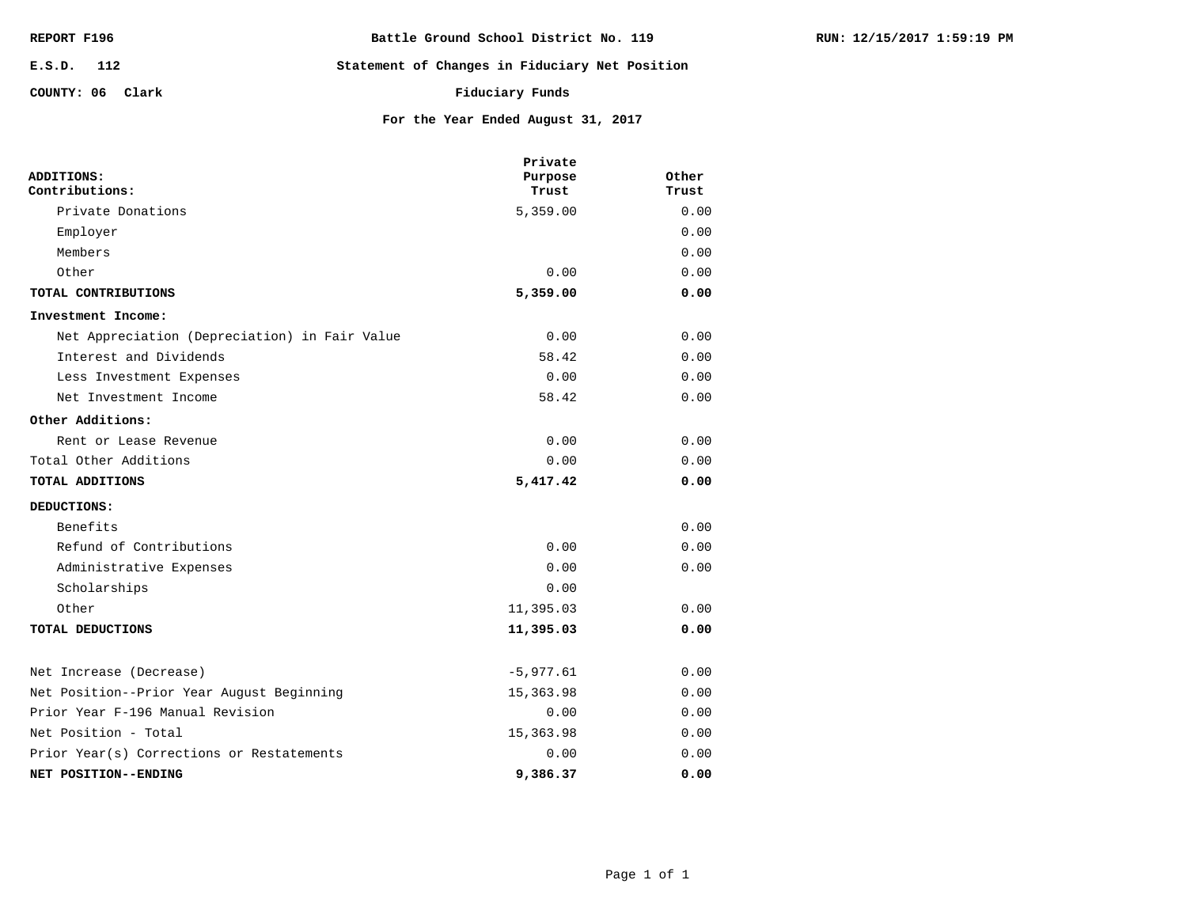| REPORT F196      | Battle Ground School District No. 119          |
|------------------|------------------------------------------------|
| E.S.D. 112       | Statement of Changes in Fiduciary Net Position |
| COUNTY: 06 Clark | Fiduciary Funds                                |

**TOTAL DEDUCTIONS** Other

|                                               | Private   |       |
|-----------------------------------------------|-----------|-------|
| ADDITIONS:                                    | Purpose   | Other |
| Contributions:                                | Trust     | Trust |
| Private Donations                             | 5,359.00  | 0.00  |
| Employer                                      |           | 0.00  |
| Members                                       |           | 0.00  |
| Other                                         | 0.00      | 0.00  |
| TOTAL CONTRIBUTIONS                           | 5,359.00  | 0.00  |
| Investment Income:                            |           |       |
| Net Appreciation (Depreciation) in Fair Value | 0.00      | 0.00  |
| Interest and Dividends                        | 58.42     | 0.00  |
| Less Investment Expenses                      | 0.00      | 0.00  |
| Net Investment Income                         | 58.42     | 0.00  |
| Other Additions:                              |           |       |
| Rent or Lease Revenue                         | 0.00      | 0.00  |
| Total Other Additions                         | 0.00      | 0.00  |
| TOTAL ADDITIONS                               | 5,417.42  | 0.00  |
| DEDUCTIONS:                                   |           |       |
| Benefits                                      |           | 0.00  |
| Refund of Contributions                       | 0.00      | 0.00  |
| Administrative Expenses                       | 0.00      | 0.00  |
| Scholarships                                  | 0.00      |       |
| Other                                         | 11,395.03 | 0.00  |

**For the Year Ended August 31, 2017**

**9,386.37 0.00** 0.00 0.00 15,363.98 0.00 0.00 0.00 15,363.98 0.00 -5,977.61 0.00 **NET POSITION--ENDING** Prior Year(s) Corrections or Restatements Net Position - Total Prior Year F-196 Manual Revision Net Position--Prior Year August Beginning Net Increase (Decrease)

**11,395.03 0.00**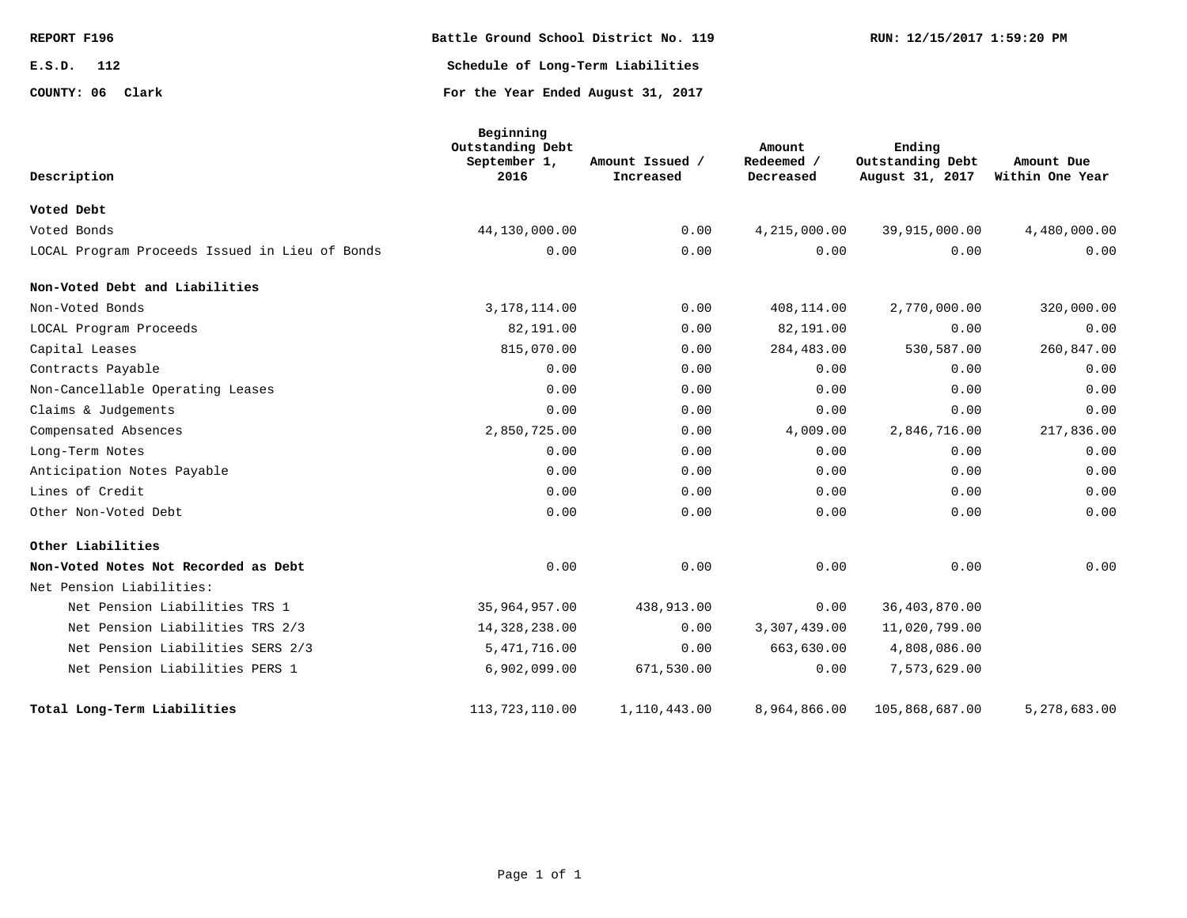| REPORT F196      | Battle Ground School District No. 119 | RUN: 12/15/2017 1:59:20 PM |
|------------------|---------------------------------------|----------------------------|
| E.S.D.<br>112    | Schedule of Long-Term Liabilities     |                            |
| COUNTY: 06 Clark | For the Year Ended August 31, 2017    |                            |

| Description                                    | Beginning<br>Outstanding Debt<br>September 1,<br>2016 | Amount Issued /<br>Increased | Amount<br>Redeemed /<br>Decreased | Ending<br>Outstanding Debt<br>August 31, 2017 | Amount Due<br>Within One Year |
|------------------------------------------------|-------------------------------------------------------|------------------------------|-----------------------------------|-----------------------------------------------|-------------------------------|
| Voted Debt                                     |                                                       |                              |                                   |                                               |                               |
| Voted Bonds                                    | 44,130,000.00                                         | 0.00                         | 4,215,000.00                      | 39,915,000.00                                 | 4,480,000.00                  |
| LOCAL Program Proceeds Issued in Lieu of Bonds | 0.00                                                  | 0.00                         | 0.00                              | 0.00                                          | 0.00                          |
| Non-Voted Debt and Liabilities                 |                                                       |                              |                                   |                                               |                               |
| Non-Voted Bonds                                | 3,178,114.00                                          | 0.00                         | 408,114.00                        | 2,770,000.00                                  | 320,000.00                    |
| LOCAL Program Proceeds                         | 82,191.00                                             | 0.00                         | 82,191.00                         | 0.00                                          | 0.00                          |
| Capital Leases                                 | 815,070.00                                            | 0.00                         | 284,483.00                        | 530,587.00                                    | 260,847.00                    |
| Contracts Payable                              | 0.00                                                  | 0.00                         | 0.00                              | 0.00                                          | 0.00                          |
| Non-Cancellable Operating Leases               | 0.00                                                  | 0.00                         | 0.00                              | 0.00                                          | 0.00                          |
| Claims & Judgements                            | 0.00                                                  | 0.00                         | 0.00                              | 0.00                                          | 0.00                          |
| Compensated Absences                           | 2,850,725.00                                          | 0.00                         | 4,009.00                          | 2,846,716.00                                  | 217,836.00                    |
| Long-Term Notes                                | 0.00                                                  | 0.00                         | 0.00                              | 0.00                                          | 0.00                          |
| Anticipation Notes Payable                     | 0.00                                                  | 0.00                         | 0.00                              | 0.00                                          | 0.00                          |
| Lines of Credit                                | 0.00                                                  | 0.00                         | 0.00                              | 0.00                                          | 0.00                          |
| Other Non-Voted Debt                           | 0.00                                                  | 0.00                         | 0.00                              | 0.00                                          | 0.00                          |
| Other Liabilities                              |                                                       |                              |                                   |                                               |                               |
| Non-Voted Notes Not Recorded as Debt           | 0.00                                                  | 0.00                         | 0.00                              | 0.00                                          | 0.00                          |
| Net Pension Liabilities:                       |                                                       |                              |                                   |                                               |                               |
| Net Pension Liabilities TRS 1                  | 35,964,957.00                                         | 438,913.00                   | 0.00                              | 36,403,870.00                                 |                               |
| Net Pension Liabilities TRS 2/3                | 14,328,238.00                                         | 0.00                         | 3,307,439.00                      | 11,020,799.00                                 |                               |
| Net Pension Liabilities SERS 2/3               | 5, 471, 716.00                                        | 0.00                         | 663,630.00                        | 4,808,086.00                                  |                               |
| Net Pension Liabilities PERS 1                 | 6,902,099.00                                          | 671,530.00                   | 0.00                              | 7,573,629.00                                  |                               |
| Total Long-Term Liabilities                    | 113, 723, 110.00                                      | 1,110,443.00                 | 8,964,866.00                      | 105,868,687.00                                | 5,278,683.00                  |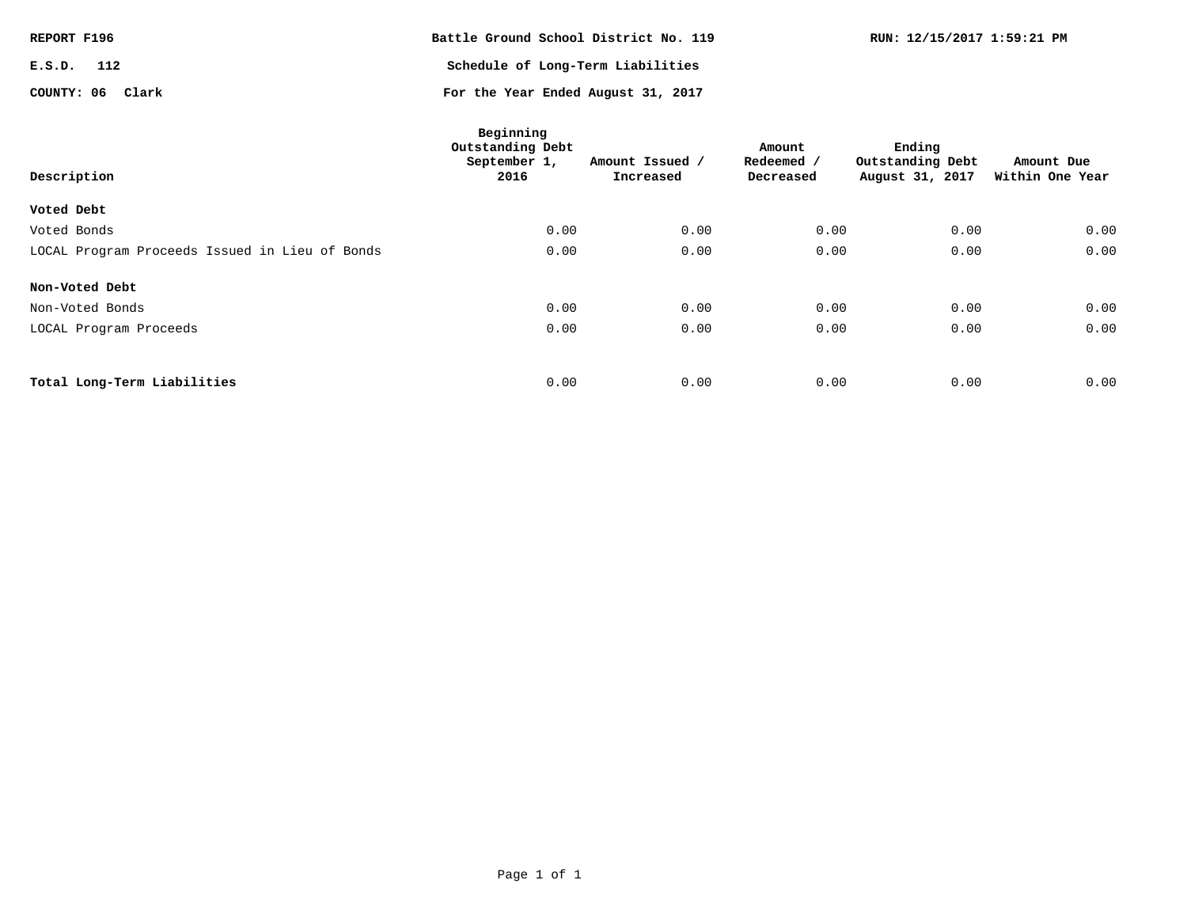| REPORT F196      | Battle Ground School District No. 119 | RUN: 12/15/2017 1:59:21 PM |
|------------------|---------------------------------------|----------------------------|
| E.S.D.<br>112    | Schedule of Long-Term Liabilities     |                            |
| COUNTY: 06 Clark | For the Year Ended August 31, 2017    |                            |

| Description                                    | Beginning<br>Outstanding Debt<br>September 1,<br>2016 | Amount Issued /<br>Increased | Amount<br>Redeemed /<br>Decreased | Ending<br>Outstanding Debt<br>August 31, 2017 | Amount Due<br>Within One Year |
|------------------------------------------------|-------------------------------------------------------|------------------------------|-----------------------------------|-----------------------------------------------|-------------------------------|
| Voted Debt                                     |                                                       |                              |                                   |                                               |                               |
| Voted Bonds                                    | 0.00                                                  | 0.00                         | 0.00                              | 0.00                                          | 0.00                          |
| LOCAL Program Proceeds Issued in Lieu of Bonds | 0.00                                                  | 0.00                         | 0.00                              | 0.00                                          | 0.00                          |
| Non-Voted Debt                                 |                                                       |                              |                                   |                                               |                               |
| Non-Voted Bonds                                | 0.00                                                  | 0.00                         | 0.00                              | 0.00                                          | 0.00                          |
| LOCAL Program Proceeds                         | 0.00                                                  | 0.00                         | 0.00                              | 0.00                                          | 0.00                          |
|                                                |                                                       |                              |                                   |                                               |                               |
| Total Long-Term Liabilities                    | 0.00                                                  | 0.00                         | 0.00                              | 0.00                                          | 0.00                          |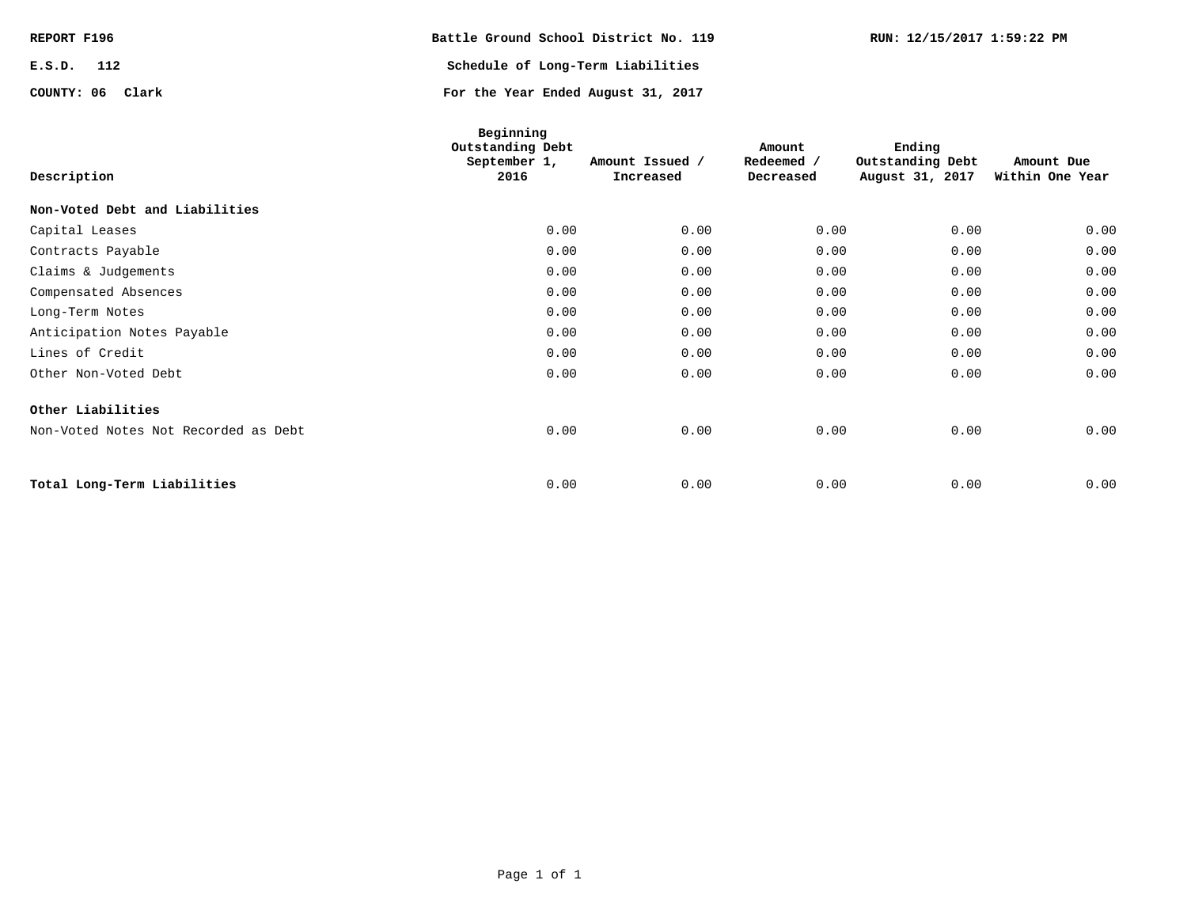| REPORT F196      | Battle Ground School District No. 119 | RUN: 12/15/2017 1:59:22 PM |
|------------------|---------------------------------------|----------------------------|
| 112<br>E.S.D.    | Schedule of Long-Term Liabilities     |                            |
| COUNTY: 06 Clark | For the Year Ended August 31, 2017    |                            |

| Description                          | Beginning<br>Outstanding Debt<br>September 1,<br>2016 | Amount Issued /<br>Increased | Amount<br>Redeemed /<br>Decreased | Ending<br>Outstanding Debt<br>August 31, 2017 | Amount Due<br>Within One Year |
|--------------------------------------|-------------------------------------------------------|------------------------------|-----------------------------------|-----------------------------------------------|-------------------------------|
| Non-Voted Debt and Liabilities       |                                                       |                              |                                   |                                               |                               |
| Capital Leases                       | 0.00                                                  | 0.00                         | 0.00                              | 0.00                                          | 0.00                          |
| Contracts Payable                    | 0.00                                                  | 0.00                         | 0.00                              | 0.00                                          | 0.00                          |
| Claims & Judgements                  | 0.00                                                  | 0.00                         | 0.00                              | 0.00                                          | 0.00                          |
| Compensated Absences                 | 0.00                                                  | 0.00                         | 0.00                              | 0.00                                          | 0.00                          |
| Long-Term Notes                      | 0.00                                                  | 0.00                         | 0.00                              | 0.00                                          | 0.00                          |
| Anticipation Notes Payable           | 0.00                                                  | 0.00                         | 0.00                              | 0.00                                          | 0.00                          |
| Lines of Credit                      | 0.00                                                  | 0.00                         | 0.00                              | 0.00                                          | 0.00                          |
| Other Non-Voted Debt                 | 0.00                                                  | 0.00                         | 0.00                              | 0.00                                          | 0.00                          |
| Other Liabilities                    |                                                       |                              |                                   |                                               |                               |
| Non-Voted Notes Not Recorded as Debt | 0.00                                                  | 0.00                         | 0.00                              | 0.00                                          | 0.00                          |
| Total Long-Term Liabilities          | 0.00                                                  | 0.00                         | 0.00                              | 0.00                                          | 0.00                          |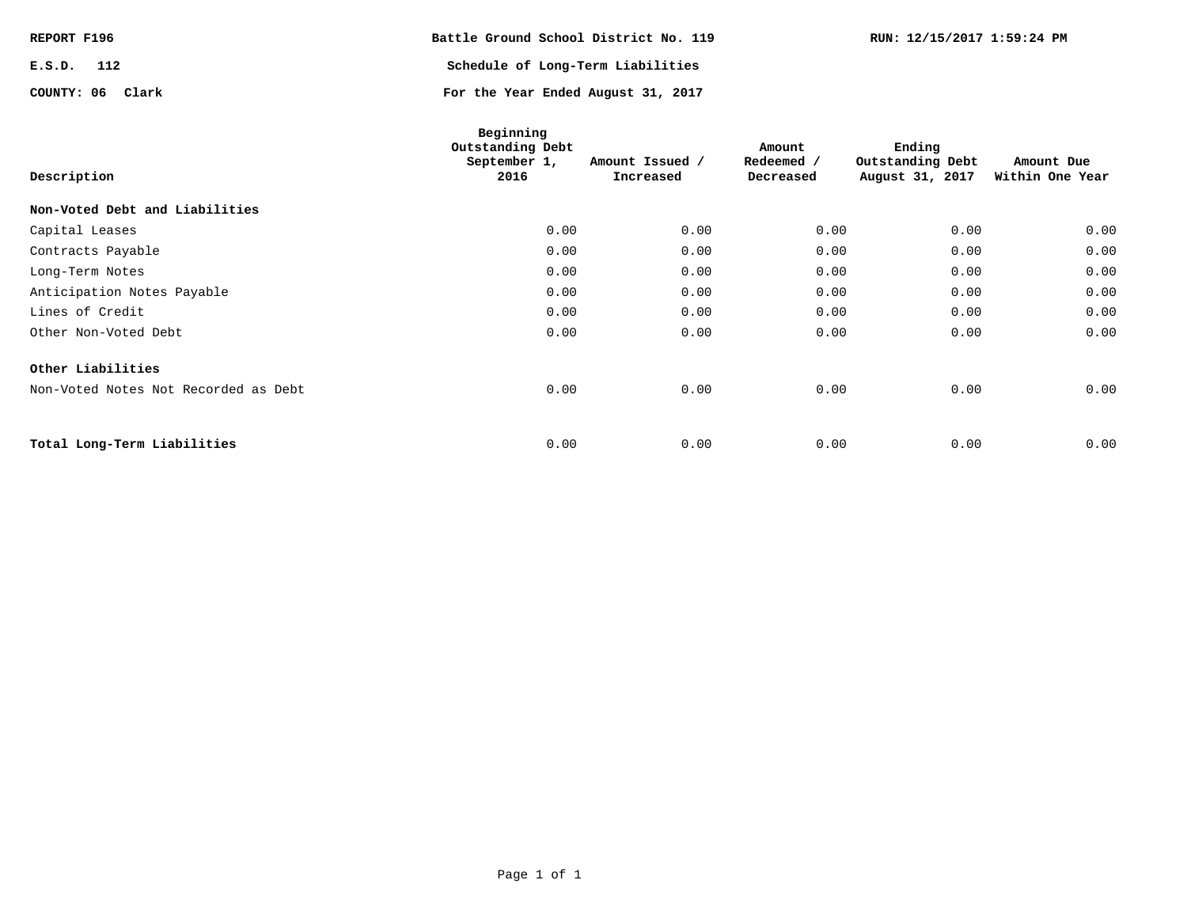| REPORT F196      | Battle Ground School District No. 119 | RUN: 12/15/2017 1:59:24 PM |
|------------------|---------------------------------------|----------------------------|
| E.S.D.<br>112    | Schedule of Long-Term Liabilities     |                            |
| COUNTY: 06 Clark | For the Year Ended August 31, 2017    |                            |

| Description                          | Beginning<br>Outstanding Debt<br>September 1,<br>2016 | Amount Issued /<br>Increased | Amount<br>Redeemed /<br>Decreased | Ending<br>Outstanding Debt<br>August 31, 2017 | Amount Due<br>Within One Year |
|--------------------------------------|-------------------------------------------------------|------------------------------|-----------------------------------|-----------------------------------------------|-------------------------------|
| Non-Voted Debt and Liabilities       |                                                       |                              |                                   |                                               |                               |
| Capital Leases                       | 0.00                                                  | 0.00                         | 0.00                              | 0.00                                          | 0.00                          |
| Contracts Payable                    | 0.00                                                  | 0.00                         | 0.00                              | 0.00                                          | 0.00                          |
| Long-Term Notes                      | 0.00                                                  | 0.00                         | 0.00                              | 0.00                                          | 0.00                          |
| Anticipation Notes Payable           | 0.00                                                  | 0.00                         | 0.00                              | 0.00                                          | 0.00                          |
| Lines of Credit                      | 0.00                                                  | 0.00                         | 0.00                              | 0.00                                          | 0.00                          |
| Other Non-Voted Debt                 | 0.00                                                  | 0.00                         | 0.00                              | 0.00                                          | 0.00                          |
| Other Liabilities                    |                                                       |                              |                                   |                                               |                               |
| Non-Voted Notes Not Recorded as Debt | 0.00                                                  | 0.00                         | 0.00                              | 0.00                                          | 0.00                          |
|                                      |                                                       |                              |                                   |                                               |                               |
| Total Long-Term Liabilities          | 0.00                                                  | 0.00                         | 0.00                              | 0.00                                          | 0.00                          |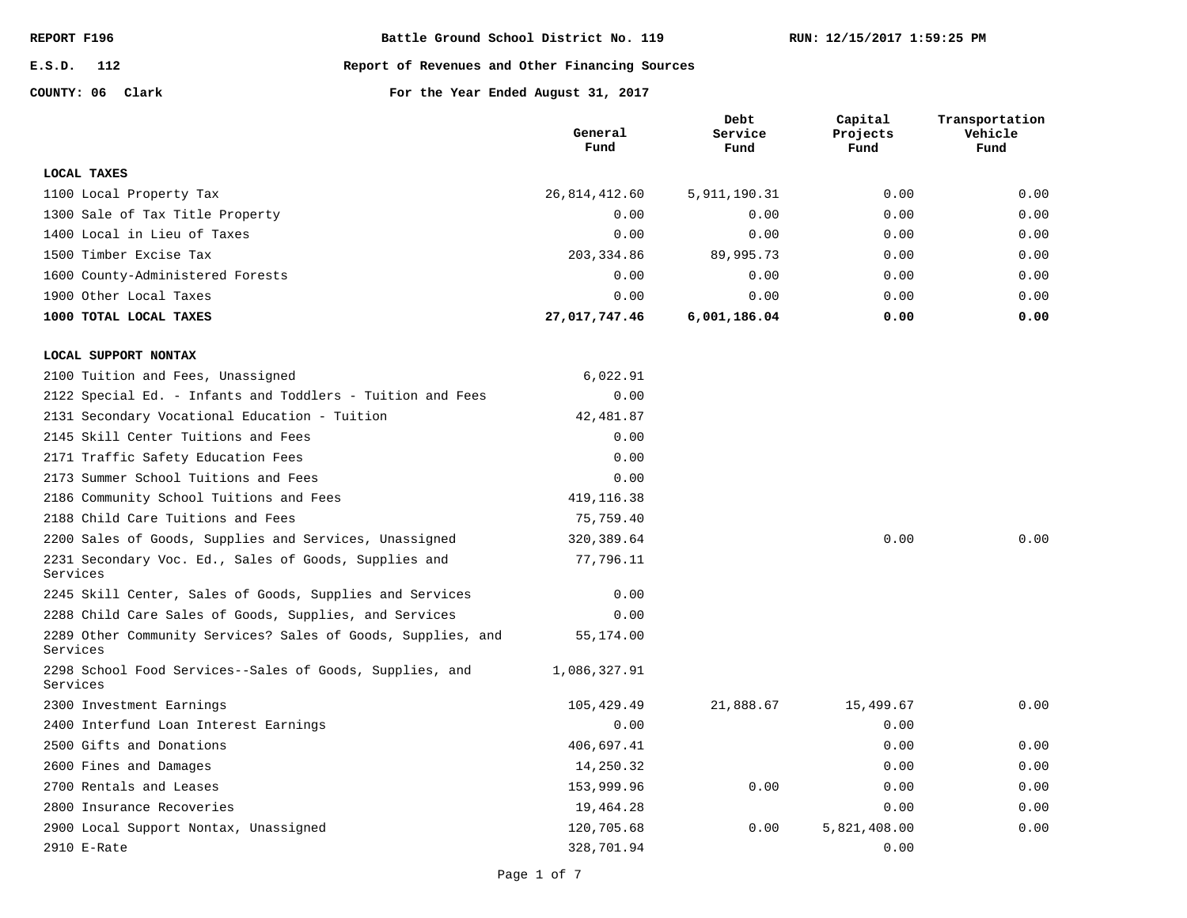**E.S.D. 112**

#### **Report of Revenues and Other Financing Sources**

**COUNTY: 06**

|                                                                          | General<br>Fund | Debt<br>Service<br>Fund | Capital<br>Projects<br>Fund | Transportation<br>Vehicle<br>Fund |
|--------------------------------------------------------------------------|-----------------|-------------------------|-----------------------------|-----------------------------------|
| LOCAL TAXES                                                              |                 |                         |                             |                                   |
| 1100 Local Property Tax                                                  | 26,814,412.60   | 5, 911, 190. 31         | 0.00                        | 0.00                              |
| 1300 Sale of Tax Title Property                                          | 0.00            | 0.00                    | 0.00                        | 0.00                              |
| 1400 Local in Lieu of Taxes                                              | 0.00            | 0.00                    | 0.00                        | 0.00                              |
| 1500 Timber Excise Tax                                                   | 203,334.86      | 89,995.73               | 0.00                        | 0.00                              |
| 1600 County-Administered Forests                                         | 0.00            | 0.00                    | 0.00                        | 0.00                              |
| 1900 Other Local Taxes                                                   | 0.00            | 0.00                    | 0.00                        | 0.00                              |
| 1000 TOTAL LOCAL TAXES                                                   | 27,017,747.46   | 6,001,186.04            | 0.00                        | 0.00                              |
| LOCAL SUPPORT NONTAX                                                     |                 |                         |                             |                                   |
| 2100 Tuition and Fees, Unassigned                                        | 6,022.91        |                         |                             |                                   |
| 2122 Special Ed. - Infants and Toddlers - Tuition and Fees               | 0.00            |                         |                             |                                   |
| 2131 Secondary Vocational Education - Tuition                            | 42, 481.87      |                         |                             |                                   |
| 2145 Skill Center Tuitions and Fees                                      | 0.00            |                         |                             |                                   |
| 2171 Traffic Safety Education Fees                                       | 0.00            |                         |                             |                                   |
| 2173 Summer School Tuitions and Fees                                     | 0.00            |                         |                             |                                   |
| 2186 Community School Tuitions and Fees                                  | 419, 116.38     |                         |                             |                                   |
| 2188 Child Care Tuitions and Fees                                        | 75,759.40       |                         |                             |                                   |
| 2200 Sales of Goods, Supplies and Services, Unassigned                   | 320, 389.64     |                         | 0.00                        | 0.00                              |
| 2231 Secondary Voc. Ed., Sales of Goods, Supplies and<br>Services        | 77,796.11       |                         |                             |                                   |
| 2245 Skill Center, Sales of Goods, Supplies and Services                 | 0.00            |                         |                             |                                   |
| 2288 Child Care Sales of Goods, Supplies, and Services                   | 0.00            |                         |                             |                                   |
| 2289 Other Community Services? Sales of Goods, Supplies, and<br>Services | 55,174.00       |                         |                             |                                   |
| 2298 School Food Services--Sales of Goods, Supplies, and<br>Services     | 1,086,327.91    |                         |                             |                                   |
| 2300 Investment Earnings                                                 | 105,429.49      | 21,888.67               | 15,499.67                   | 0.00                              |
| 2400 Interfund Loan Interest Earnings                                    | 0.00            |                         | 0.00                        |                                   |
| 2500 Gifts and Donations                                                 | 406,697.41      |                         | 0.00                        | 0.00                              |
| 2600 Fines and Damages                                                   | 14,250.32       |                         | 0.00                        | 0.00                              |
| 2700 Rentals and Leases                                                  | 153,999.96      | 0.00                    | 0.00                        | 0.00                              |
| 2800 Insurance Recoveries                                                | 19,464.28       |                         | 0.00                        | 0.00                              |
| 2900 Local Support Nontax, Unassigned                                    | 120,705.68      | 0.00                    | 5,821,408.00                | 0.00                              |
| 2910 E-Rate                                                              | 328,701.94      |                         | 0.00                        |                                   |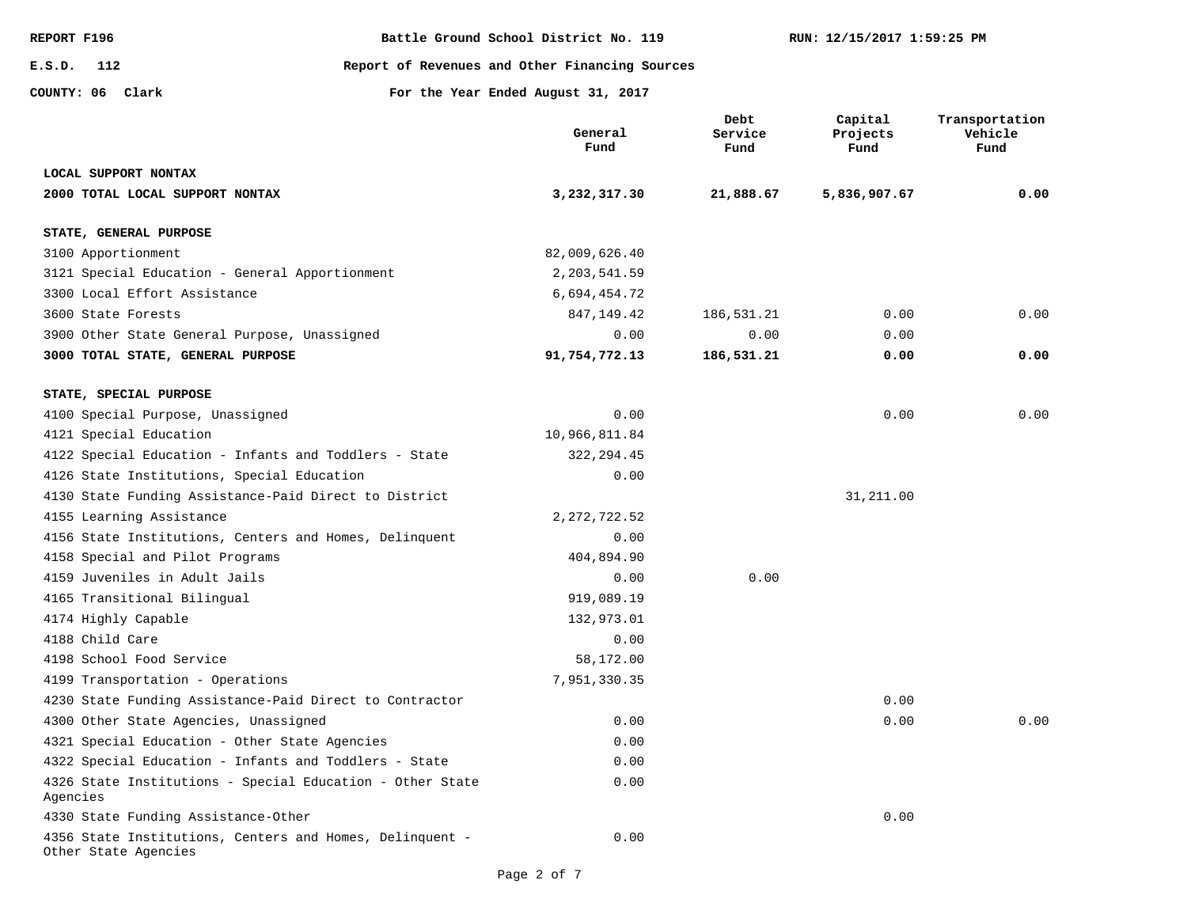**E.S.D. 112**

**REPORT F196 Battle Ground School District No. 119**

**Report of Revenues and Other Financing Sources**

**COUNTY: 06**

|                                                                                  | General<br>Fund | Debt<br>Service<br>Fund | Capital<br>Projects<br>Fund | Transportation<br>Vehicle<br>Fund |
|----------------------------------------------------------------------------------|-----------------|-------------------------|-----------------------------|-----------------------------------|
| LOCAL SUPPORT NONTAX                                                             |                 |                         |                             |                                   |
| 2000 TOTAL LOCAL SUPPORT NONTAX                                                  | 3,232,317.30    | 21,888.67               | 5,836,907.67                | 0.00                              |
| STATE, GENERAL PURPOSE                                                           |                 |                         |                             |                                   |
| 3100 Apportionment                                                               | 82,009,626.40   |                         |                             |                                   |
| 3121 Special Education - General Apportionment                                   | 2, 203, 541.59  |                         |                             |                                   |
| 3300 Local Effort Assistance                                                     | 6,694,454.72    |                         |                             |                                   |
| 3600 State Forests                                                               | 847,149.42      | 186,531.21              | 0.00                        | 0.00                              |
| 3900 Other State General Purpose, Unassigned                                     | 0.00            | 0.00                    | 0.00                        |                                   |
| 3000 TOTAL STATE, GENERAL PURPOSE                                                | 91,754,772.13   | 186,531.21              | 0.00                        | 0.00                              |
| STATE, SPECIAL PURPOSE                                                           |                 |                         |                             |                                   |
| 4100 Special Purpose, Unassigned                                                 | 0.00            |                         | 0.00                        | 0.00                              |
| 4121 Special Education                                                           | 10,966,811.84   |                         |                             |                                   |
| 4122 Special Education - Infants and Toddlers - State                            | 322, 294.45     |                         |                             |                                   |
| 4126 State Institutions, Special Education                                       | 0.00            |                         |                             |                                   |
| 4130 State Funding Assistance-Paid Direct to District                            |                 |                         | 31,211.00                   |                                   |
| 4155 Learning Assistance                                                         | 2, 272, 722.52  |                         |                             |                                   |
| 4156 State Institutions, Centers and Homes, Delinquent                           | 0.00            |                         |                             |                                   |
| 4158 Special and Pilot Programs                                                  | 404,894.90      |                         |                             |                                   |
| 4159 Juveniles in Adult Jails                                                    | 0.00            | 0.00                    |                             |                                   |
| 4165 Transitional Bilingual                                                      | 919,089.19      |                         |                             |                                   |
| 4174 Highly Capable                                                              | 132,973.01      |                         |                             |                                   |
| 4188 Child Care                                                                  | 0.00            |                         |                             |                                   |
| 4198 School Food Service                                                         | 58,172.00       |                         |                             |                                   |
| 4199 Transportation - Operations                                                 | 7,951,330.35    |                         |                             |                                   |
| 4230 State Funding Assistance-Paid Direct to Contractor                          |                 |                         | 0.00                        |                                   |
| 4300 Other State Agencies, Unassigned                                            | 0.00            |                         | 0.00                        | 0.00                              |
| 4321 Special Education - Other State Agencies                                    | 0.00            |                         |                             |                                   |
| 4322 Special Education - Infants and Toddlers - State                            | 0.00            |                         |                             |                                   |
| 4326 State Institutions - Special Education - Other State<br>Agencies            | 0.00            |                         |                             |                                   |
| 4330 State Funding Assistance-Other                                              |                 |                         | 0.00                        |                                   |
| 4356 State Institutions, Centers and Homes, Delinquent -<br>Other State Agencies | 0.00            |                         |                             |                                   |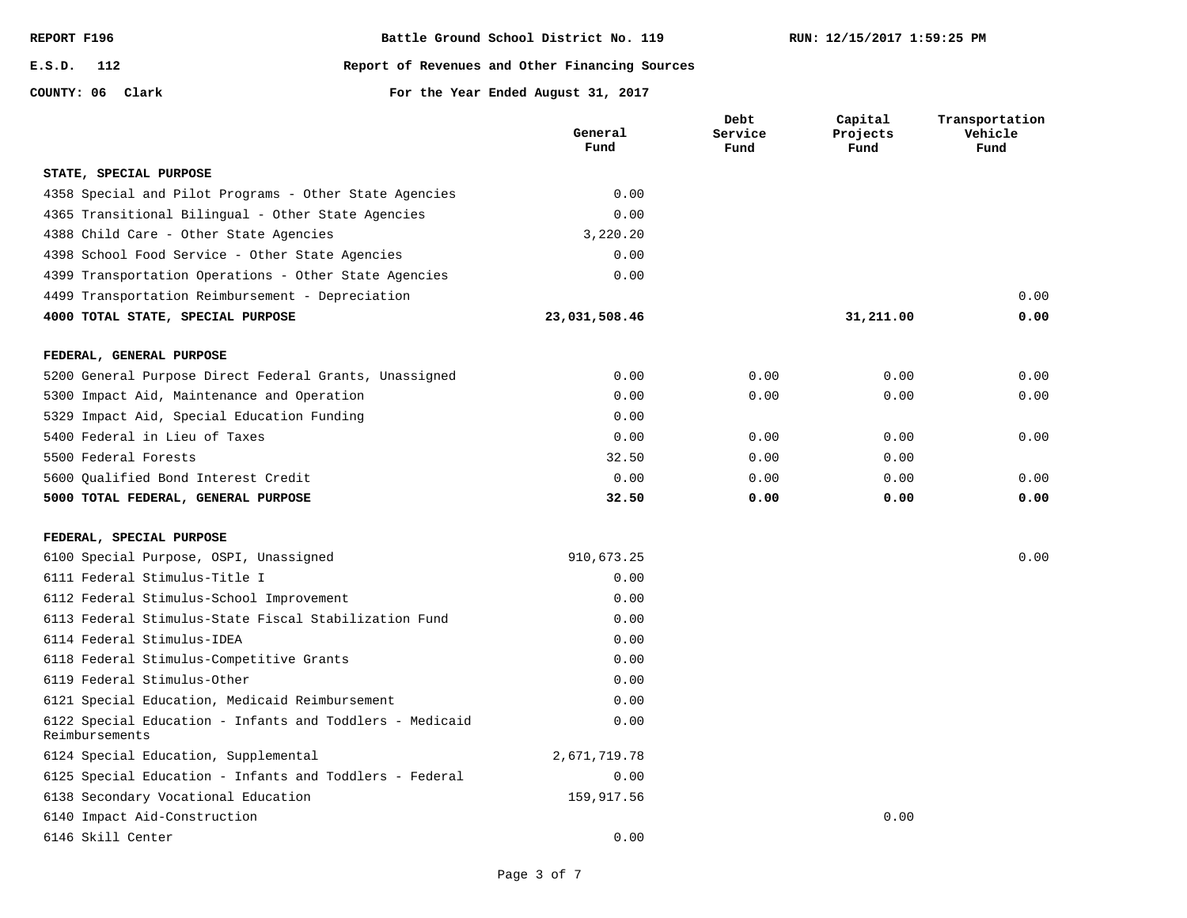| REPORT F196 |  |
|-------------|--|
|-------------|--|

**COUNTY: 06**

**E.S.D. 112**

#### **Report of Revenues and Other Financing Sources**

|                                                                            | General<br>Fund | Debt<br>Service<br>Fund | Capital<br>Projects<br>Fund | Transportation<br>Vehicle<br>Fund |
|----------------------------------------------------------------------------|-----------------|-------------------------|-----------------------------|-----------------------------------|
| STATE, SPECIAL PURPOSE                                                     |                 |                         |                             |                                   |
| 4358 Special and Pilot Programs - Other State Agencies                     | 0.00            |                         |                             |                                   |
| 4365 Transitional Bilingual - Other State Agencies                         | 0.00            |                         |                             |                                   |
| 4388 Child Care - Other State Agencies                                     | 3,220.20        |                         |                             |                                   |
| 4398 School Food Service - Other State Agencies                            | 0.00            |                         |                             |                                   |
| 4399 Transportation Operations - Other State Agencies                      | 0.00            |                         |                             |                                   |
| 4499 Transportation Reimbursement - Depreciation                           |                 |                         |                             | 0.00                              |
| 4000 TOTAL STATE, SPECIAL PURPOSE                                          | 23,031,508.46   |                         | 31,211.00                   | 0.00                              |
| FEDERAL, GENERAL PURPOSE                                                   |                 |                         |                             |                                   |
| 5200 General Purpose Direct Federal Grants, Unassigned                     | 0.00            | 0.00                    | 0.00                        | 0.00                              |
| 5300 Impact Aid, Maintenance and Operation                                 | 0.00            | 0.00                    | 0.00                        | 0.00                              |
| 5329 Impact Aid, Special Education Funding                                 | 0.00            |                         |                             |                                   |
| 5400 Federal in Lieu of Taxes                                              | 0.00            | 0.00                    | 0.00                        | 0.00                              |
| 5500 Federal Forests                                                       | 32.50           | 0.00                    | 0.00                        |                                   |
| 5600 Oualified Bond Interest Credit                                        | 0.00            | 0.00                    | 0.00                        | 0.00                              |
| 5000 TOTAL FEDERAL, GENERAL PURPOSE                                        | 32.50           | 0.00                    | 0.00                        | 0.00                              |
| FEDERAL, SPECIAL PURPOSE                                                   |                 |                         |                             |                                   |
| 6100 Special Purpose, OSPI, Unassigned                                     | 910,673.25      |                         |                             | 0.00                              |
| 6111 Federal Stimulus-Title I                                              | 0.00            |                         |                             |                                   |
| 6112 Federal Stimulus-School Improvement                                   | 0.00            |                         |                             |                                   |
| 6113 Federal Stimulus-State Fiscal Stabilization Fund                      | 0.00            |                         |                             |                                   |
| 6114 Federal Stimulus-IDEA                                                 | 0.00            |                         |                             |                                   |
| 6118 Federal Stimulus-Competitive Grants                                   | 0.00            |                         |                             |                                   |
| 6119 Federal Stimulus-Other                                                | 0.00            |                         |                             |                                   |
| 6121 Special Education, Medicaid Reimbursement                             | 0.00            |                         |                             |                                   |
| 6122 Special Education - Infants and Toddlers - Medicaid<br>Reimbursements | 0.00            |                         |                             |                                   |
| 6124 Special Education, Supplemental                                       | 2,671,719.78    |                         |                             |                                   |
| 6125 Special Education - Infants and Toddlers - Federal                    | 0.00            |                         |                             |                                   |
| 6138 Secondary Vocational Education                                        | 159,917.56      |                         |                             |                                   |
| 6140 Impact Aid-Construction                                               |                 |                         | 0.00                        |                                   |
| 6146 Skill Center                                                          | 0.00            |                         |                             |                                   |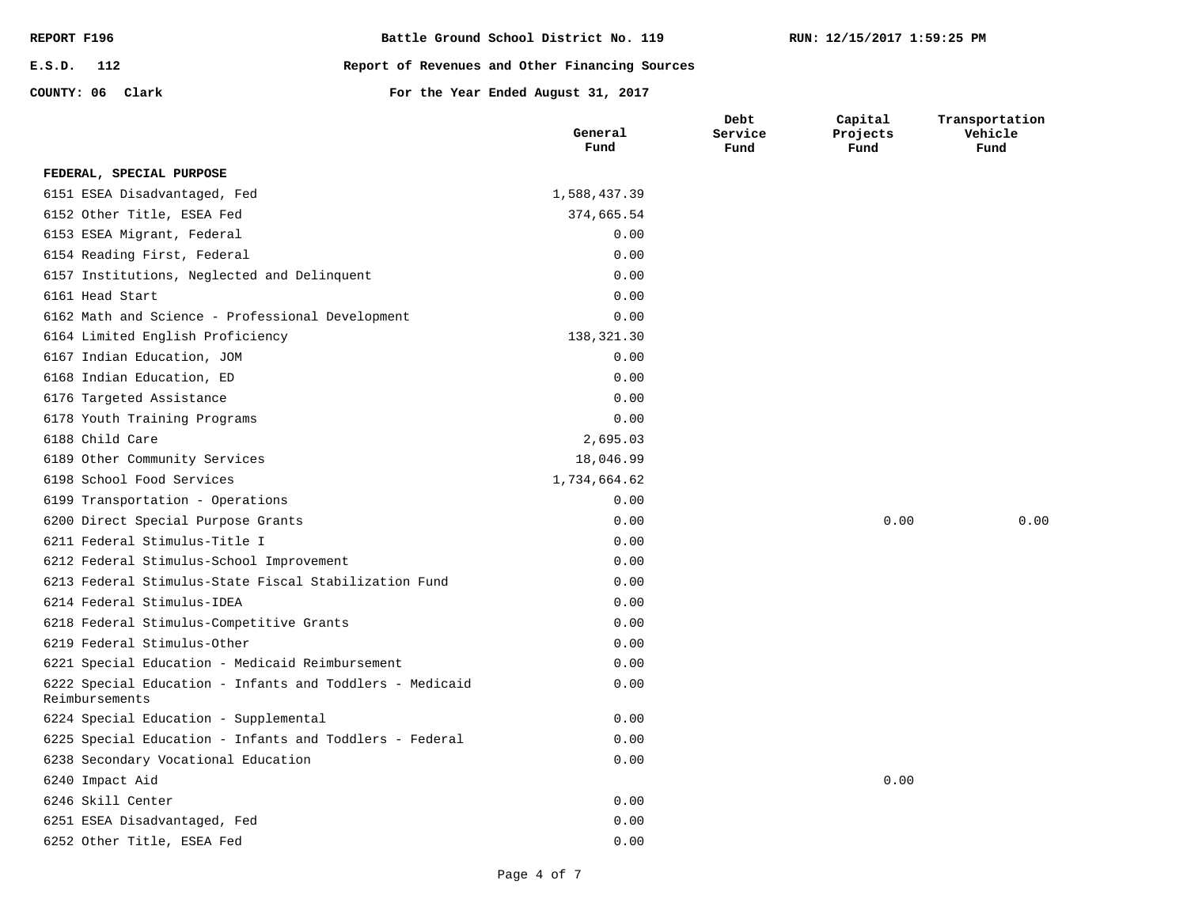| REPORT F196      | Battle Ground School District No. 119          |
|------------------|------------------------------------------------|
| E.S.D. 112       | Report of Revenues and Other Financing Sources |
| COUNTY: 06 Clark | For the Year Ended August 31, 2017             |

|                                                                            | General<br>Fund | Service<br>Fund | Projects<br>Fund | Vehicle<br>Fund |
|----------------------------------------------------------------------------|-----------------|-----------------|------------------|-----------------|
| FEDERAL, SPECIAL PURPOSE                                                   |                 |                 |                  |                 |
| 6151 ESEA Disadvantaged, Fed                                               | 1,588,437.39    |                 |                  |                 |
| 6152 Other Title, ESEA Fed                                                 | 374,665.54      |                 |                  |                 |
| 6153 ESEA Migrant, Federal                                                 | 0.00            |                 |                  |                 |
| 6154 Reading First, Federal                                                | 0.00            |                 |                  |                 |
| 6157 Institutions, Neglected and Delinquent                                | 0.00            |                 |                  |                 |
| 6161 Head Start                                                            | 0.00            |                 |                  |                 |
| 6162 Math and Science - Professional Development                           | 0.00            |                 |                  |                 |
| 6164 Limited English Proficiency                                           | 138,321.30      |                 |                  |                 |
| 6167 Indian Education, JOM                                                 | 0.00            |                 |                  |                 |
| 6168 Indian Education, ED                                                  | 0.00            |                 |                  |                 |
| 6176 Targeted Assistance                                                   | 0.00            |                 |                  |                 |
| 6178 Youth Training Programs                                               | 0.00            |                 |                  |                 |
| 6188 Child Care                                                            | 2,695.03        |                 |                  |                 |
| 6189 Other Community Services                                              | 18,046.99       |                 |                  |                 |
| 6198 School Food Services                                                  | 1,734,664.62    |                 |                  |                 |
| 6199 Transportation - Operations                                           | 0.00            |                 |                  |                 |
| 6200 Direct Special Purpose Grants                                         | 0.00            |                 | 0.00             | 0.00            |
| 6211 Federal Stimulus-Title I                                              | 0.00            |                 |                  |                 |
| 6212 Federal Stimulus-School Improvement                                   | 0.00            |                 |                  |                 |
| 6213 Federal Stimulus-State Fiscal Stabilization Fund                      | 0.00            |                 |                  |                 |
| 6214 Federal Stimulus-IDEA                                                 | 0.00            |                 |                  |                 |
| 6218 Federal Stimulus-Competitive Grants                                   | 0.00            |                 |                  |                 |
| 6219 Federal Stimulus-Other                                                | 0.00            |                 |                  |                 |
| 6221 Special Education - Medicaid Reimbursement                            | 0.00            |                 |                  |                 |
| 6222 Special Education - Infants and Toddlers - Medicaid<br>Reimbursements | 0.00            |                 |                  |                 |
| 6224 Special Education - Supplemental                                      | 0.00            |                 |                  |                 |
| 6225 Special Education - Infants and Toddlers - Federal                    | 0.00            |                 |                  |                 |
| 6238 Secondary Vocational Education                                        | 0.00            |                 |                  |                 |
| 6240 Impact Aid                                                            |                 |                 | 0.00             |                 |
| 6246 Skill Center                                                          | 0.00            |                 |                  |                 |
| 6251 ESEA Disadvantaged, Fed                                               | 0.00            |                 |                  |                 |
| 6252 Other Title, ESEA Fed                                                 | 0.00            |                 |                  |                 |

**RUN: 12/15/2017 1:59:25 PM**

**Capital** 

**Transportation** 

**Debt**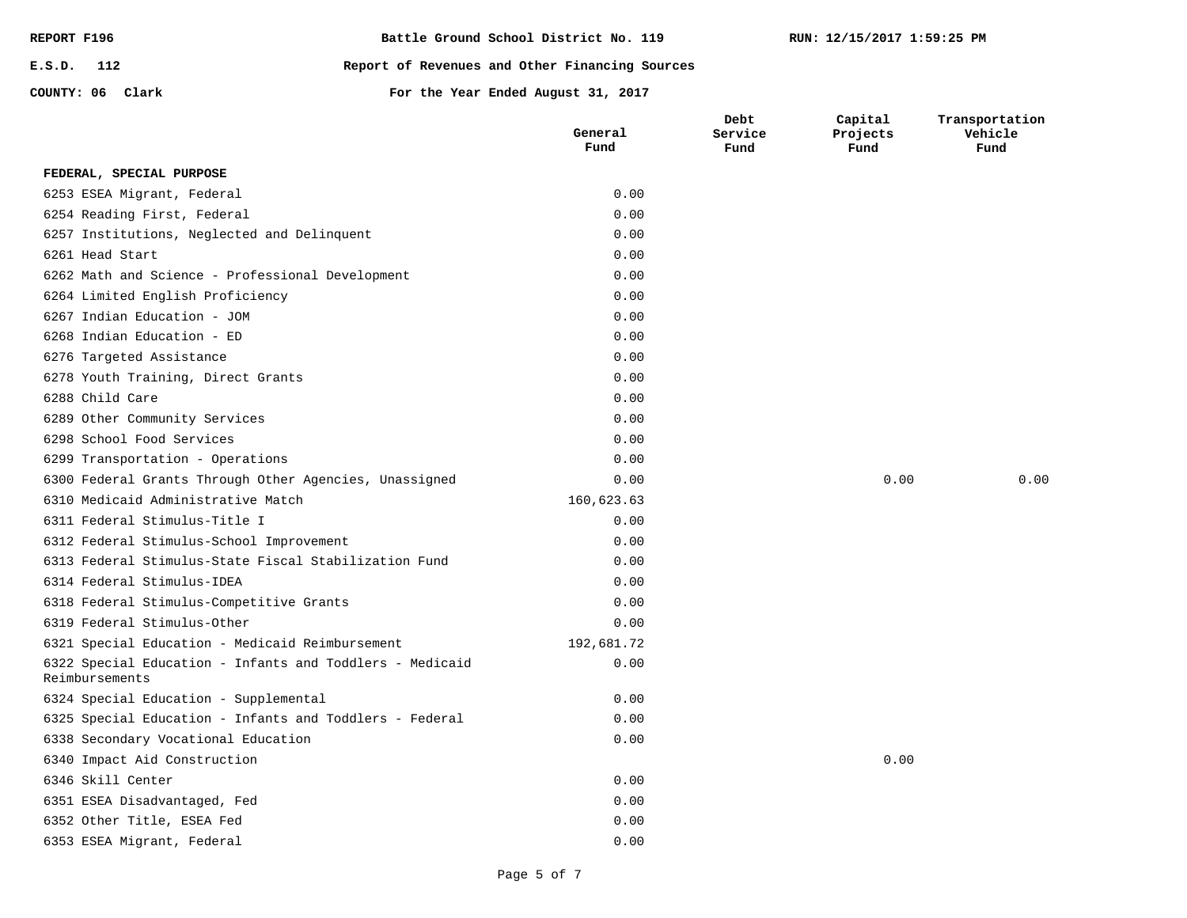| REPORT F196      |  | Battle Ground School District No. 119          |
|------------------|--|------------------------------------------------|
| $E.S.D.$ 112     |  | Report of Revenues and Other Financing Sources |
| COUNTY: 06 Clark |  | For the Year Ended August 31, 2017             |

6353 ESEA Migrant, Federal 6352 Other Title, ESEA Fed 6351 ESEA Disadvantaged, Fed

6340 Impact Aid Construction

6319 Federal Stimulus-Other

6314 Federal Stimulus-IDEA

6311 Federal Stimulus-Title I 6310 Medicaid Administrative Match

6299 Transportation - Operations

6278 Youth Training, Direct Grants

6298 School Food Services 6289 Other Community Services

6276 Targeted Assistance 6268 Indian Education - ED 6267 Indian Education - JOM 6264 Limited English Proficiency

6254 Reading First, Federal 6253 ESEA Migrant, Federal **FEDERAL, SPECIAL PURPOSE**

6288 Child Care

6261 Head Start

6338 Secondary Vocational Education

6324 Special Education - Supplemental

6318 Federal Stimulus-Competitive Grants

6312 Federal Stimulus-School Improvement

6325 Special Education - Infants and Toddlers - Federal

6322 Special Education - Infants and Toddlers - Medicaid

6313 Federal Stimulus-State Fiscal Stabilization Fund

6300 Federal Grants Through Other Agencies, Unassigned

6262 Math and Science - Professional Development

6257 Institutions, Neglected and Delinquent

6321 Special Education - Medicaid Reimbursement

6346 Skill Center

Reimbursements

**Capital Projects Fund**

0.00 0.00 0.00

**Transportation Vehicle Fund**

0.00

0.00 0.00 0.00 0.00

0.00 0.00 0.00

0.00

0.00 0.00 0.00 0.00 0.00 0.00

192,681.72

160,623.63

0.00 0.00 0.00 0.00 0.00 0.00 0.00 0.00 0.00 0.00 0.00 0.00 0.00 0.00

**General Fund**

**Debt Service Fund**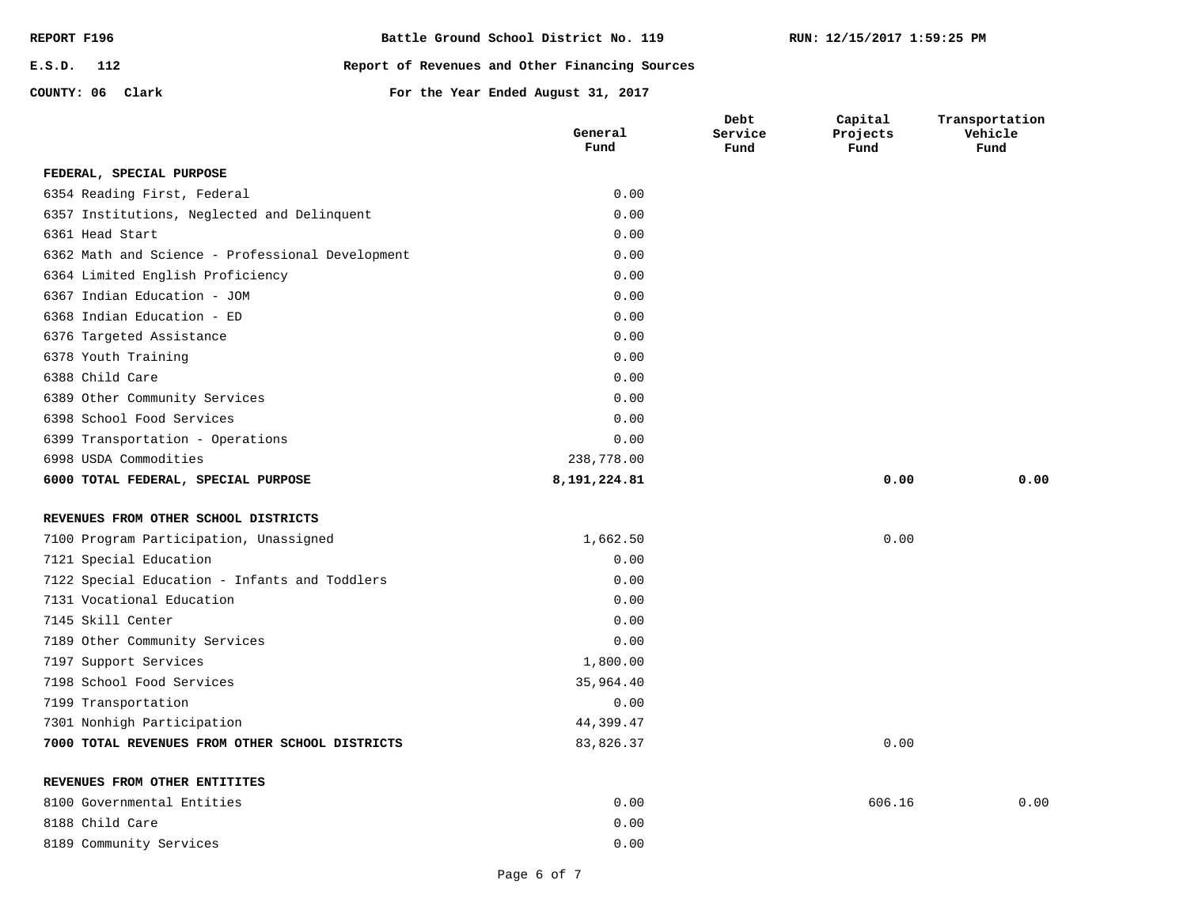| REPORT F196      | Battle Ground School District No. 119          |
|------------------|------------------------------------------------|
| E.S.D. 112       | Report of Revenues and Other Financing Sources |
| COUNTY: 06 Clark | For the Year Ended August 31, 2017             |

|                                                  | General<br>Fund | Debt<br>Service<br>Fund | Capital<br>Projects<br>Fund | Transportation<br>Vehicle<br>Fund |
|--------------------------------------------------|-----------------|-------------------------|-----------------------------|-----------------------------------|
| FEDERAL, SPECIAL PURPOSE                         |                 |                         |                             |                                   |
| 6354 Reading First, Federal                      | 0.00            |                         |                             |                                   |
| 6357 Institutions, Neglected and Delinquent      | 0.00            |                         |                             |                                   |
| 6361 Head Start                                  | 0.00            |                         |                             |                                   |
| 6362 Math and Science - Professional Development | 0.00            |                         |                             |                                   |
| 6364 Limited English Proficiency                 | 0.00            |                         |                             |                                   |
| 6367 Indian Education - JOM                      | 0.00            |                         |                             |                                   |
| 6368 Indian Education - ED                       | 0.00            |                         |                             |                                   |
| 6376 Targeted Assistance                         | 0.00            |                         |                             |                                   |
| 6378 Youth Training                              | 0.00            |                         |                             |                                   |
| 6388 Child Care                                  | 0.00            |                         |                             |                                   |
| 6389 Other Community Services                    | 0.00            |                         |                             |                                   |
| 6398 School Food Services                        | 0.00            |                         |                             |                                   |
| 6399 Transportation - Operations                 | 0.00            |                         |                             |                                   |
| 6998 USDA Commodities                            | 238,778.00      |                         |                             |                                   |
| 6000 TOTAL FEDERAL, SPECIAL PURPOSE              | 8, 191, 224.81  |                         | 0.00                        | 0.00                              |
| REVENUES FROM OTHER SCHOOL DISTRICTS             |                 |                         |                             |                                   |
| 7100 Program Participation, Unassigned           | 1,662.50        |                         | 0.00                        |                                   |
| 7121 Special Education                           | 0.00            |                         |                             |                                   |
| 7122 Special Education - Infants and Toddlers    | 0.00            |                         |                             |                                   |
| 7131 Vocational Education                        | 0.00            |                         |                             |                                   |
| 7145 Skill Center                                | 0.00            |                         |                             |                                   |
| 7189 Other Community Services                    | 0.00            |                         |                             |                                   |
| 7197 Support Services                            | 1,800.00        |                         |                             |                                   |
| 7198 School Food Services                        | 35,964.40       |                         |                             |                                   |
| 7199 Transportation                              | 0.00            |                         |                             |                                   |
| 7301 Nonhigh Participation                       | 44,399.47       |                         |                             |                                   |
| 7000 TOTAL REVENUES FROM OTHER SCHOOL DISTRICTS  | 83,826.37       |                         | 0.00                        |                                   |
| REVENUES FROM OTHER ENTITITES                    |                 |                         |                             |                                   |
| 8100 Governmental Entities                       | 0.00            |                         | 606.16                      | 0.00                              |
| 8188 Child Care                                  | 0.00            |                         |                             |                                   |
| 8189 Community Services                          | 0.00            |                         |                             |                                   |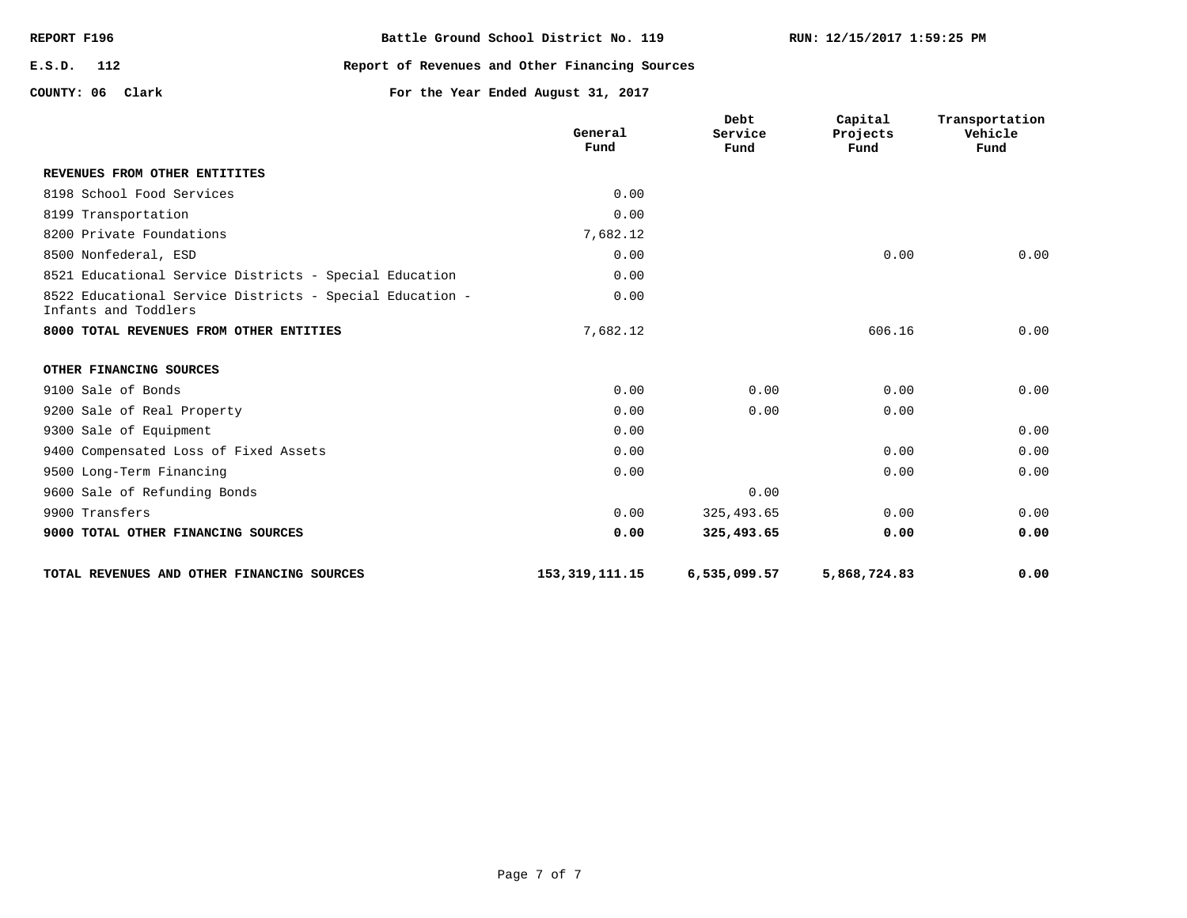| REPORT F196      | Battle Ground School District No. 119          |
|------------------|------------------------------------------------|
| E.S.D. 112       | Report of Revenues and Other Financing Sources |
| COUNTY: 06 Clark | For the Year Ended August 31, 2017             |

|                                                                                  | General<br>Fund   | Debt<br>Service<br>Fund | Capital<br>Projects<br>Fund | Transportation<br>Vehicle<br>Fund |
|----------------------------------------------------------------------------------|-------------------|-------------------------|-----------------------------|-----------------------------------|
| REVENUES FROM OTHER ENTITITES                                                    |                   |                         |                             |                                   |
| 8198 School Food Services                                                        | 0.00              |                         |                             |                                   |
| 8199 Transportation                                                              | 0.00              |                         |                             |                                   |
| 8200 Private Foundations                                                         | 7,682.12          |                         |                             |                                   |
| 8500 Nonfederal, ESD                                                             | 0.00              |                         | 0.00                        | 0.00                              |
| 8521 Educational Service Districts - Special Education                           | 0.00              |                         |                             |                                   |
| 8522 Educational Service Districts - Special Education -<br>Infants and Toddlers | 0.00              |                         |                             |                                   |
| 8000 TOTAL REVENUES FROM OTHER ENTITIES                                          | 7,682.12          |                         | 606.16                      | 0.00                              |
| OTHER FINANCING SOURCES                                                          |                   |                         |                             |                                   |
| 9100 Sale of Bonds                                                               | 0.00              | 0.00                    | 0.00                        | 0.00                              |
| 9200 Sale of Real Property                                                       | 0.00              | 0.00                    | 0.00                        |                                   |
| 9300 Sale of Equipment                                                           | 0.00              |                         |                             | 0.00                              |
| 9400 Compensated Loss of Fixed Assets                                            | 0.00              |                         | 0.00                        | 0.00                              |
| 9500 Long-Term Financing                                                         | 0.00              |                         | 0.00                        | 0.00                              |
| 9600 Sale of Refunding Bonds                                                     |                   | 0.00                    |                             |                                   |
| 9900 Transfers                                                                   | 0.00              | 325,493.65              | 0.00                        | 0.00                              |
| 9000 TOTAL OTHER FINANCING SOURCES                                               | 0.00              | 325,493.65              | 0.00                        | 0.00                              |
| TOTAL REVENUES AND OTHER FINANCING SOURCES                                       | 153, 319, 111. 15 | 6,535,099.57            | 5,868,724.83                | 0.00                              |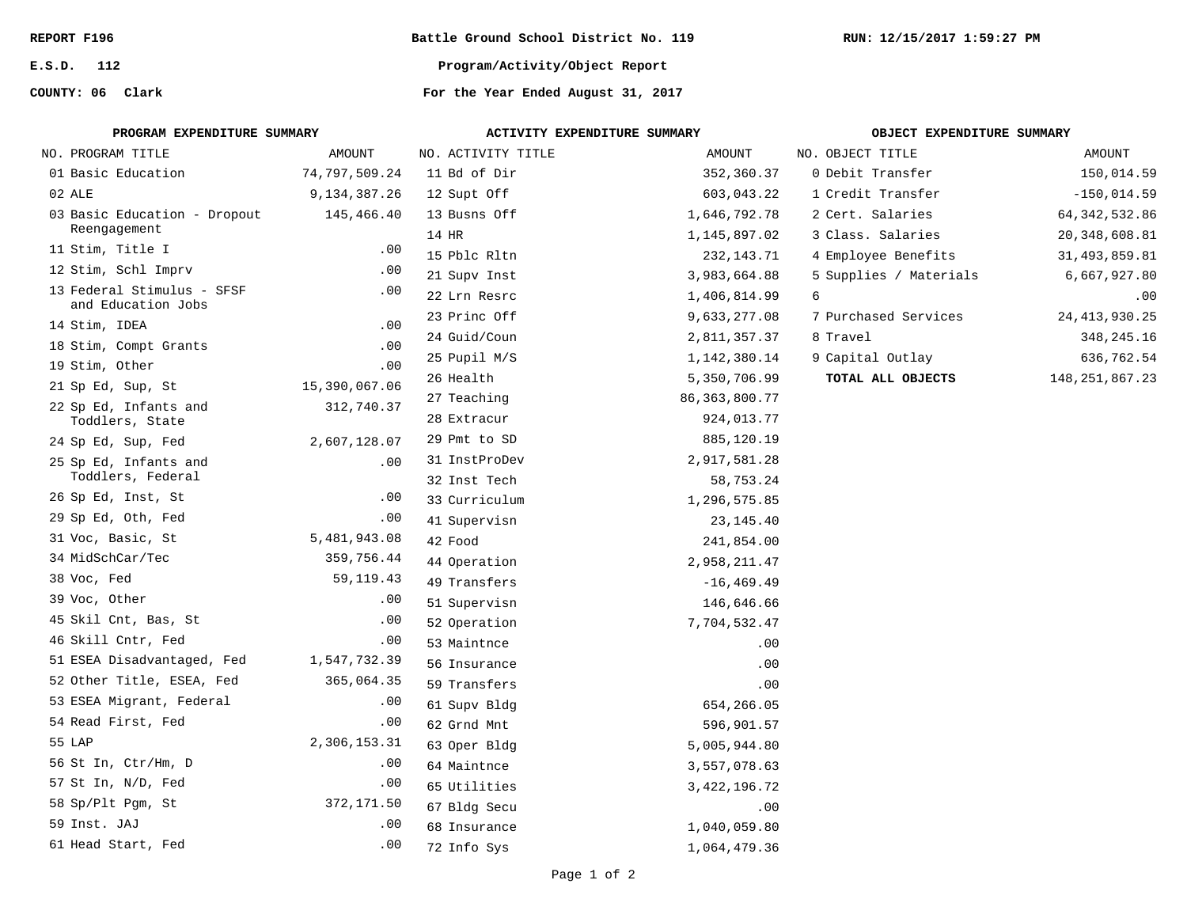**E.S.D. 112**

**COUNTY: 06**

**Battle Ground School District No. 119**

**Program/Activity/Object Report**

| PROGRAM EXPENDITURE SUMMARY                      |               | ACTIVITY EXPENDITURE SUMMARY |                  | OBJECT EXPENDITURE SUMMARY |                   |  |  |
|--------------------------------------------------|---------------|------------------------------|------------------|----------------------------|-------------------|--|--|
| NO. PROGRAM TITLE                                | AMOUNT        | NO. ACTIVITY TITLE           | AMOUNT           | NO. OBJECT TITLE           | AMOUNT            |  |  |
| 01 Basic Education                               | 74,797,509.24 | 11 Bd of Dir                 | 352,360.37       | 0 Debit Transfer           | 150,014.59        |  |  |
| 02 ALE                                           | 9,134,387.26  | 12 Supt Off                  | 603,043.22       | 1 Credit Transfer          | $-150,014.59$     |  |  |
| 03 Basic Education - Dropout                     | 145,466.40    | 13 Busns Off                 | 1,646,792.78     | 2 Cert. Salaries           | 64, 342, 532.86   |  |  |
| Reengagement                                     |               | 14 HR                        | 1,145,897.02     | 3 Class. Salaries          | 20, 348, 608.81   |  |  |
| 11 Stim, Title I                                 | .00           | 15 Pblc Rltn                 | 232, 143. 71     | 4 Employee Benefits        | 31,493,859.81     |  |  |
| 12 Stim, Schl Imprv                              | .00           | 21 Supv Inst                 | 3,983,664.88     | 5 Supplies / Materials     | 6,667,927.80      |  |  |
| 13 Federal Stimulus - SFSF<br>and Education Jobs | .00           | 22 Lrn Resrc                 | 1,406,814.99     | 6                          | .00               |  |  |
| 14 Stim, IDEA                                    | .00           | 23 Princ Off                 | 9,633,277.08     | 7 Purchased Services       | 24, 413, 930. 25  |  |  |
| 18 Stim, Compt Grants                            | .00           | 24 Guid/Coun                 | 2,811,357.37     | 8 Travel                   | 348,245.16        |  |  |
| 19 Stim, Other                                   | .00           | 25 Pupil M/S                 | 1,142,380.14     | 9 Capital Outlay           | 636,762.54        |  |  |
| 21 Sp Ed, Sup, St                                | 15,390,067.06 | 26 Health                    | 5,350,706.99     | TOTAL ALL OBJECTS          | 148, 251, 867. 23 |  |  |
| 22 Sp Ed, Infants and                            | 312,740.37    | 27 Teaching                  | 86, 363, 800. 77 |                            |                   |  |  |
| Toddlers, State                                  |               | 28 Extracur                  | 924,013.77       |                            |                   |  |  |
| 24 Sp Ed, Sup, Fed                               | 2,607,128.07  | 29 Pmt to SD                 | 885,120.19       |                            |                   |  |  |
| 25 Sp Ed, Infants and                            | .00           | 31 InstProDev                | 2,917,581.28     |                            |                   |  |  |
| Toddlers, Federal                                |               | 32 Inst Tech                 | 58,753.24        |                            |                   |  |  |
| 26 Sp Ed, Inst, St                               | .00           | 33 Curriculum                | 1,296,575.85     |                            |                   |  |  |
| 29 Sp Ed, Oth, Fed                               | .00           | 41 Supervisn                 | 23, 145. 40      |                            |                   |  |  |
| 31 Voc, Basic, St                                | 5,481,943.08  | 42 Food                      | 241,854.00       |                            |                   |  |  |
| 34 MidSchCar/Tec                                 | 359,756.44    | 44 Operation                 | 2,958,211.47     |                            |                   |  |  |
| 38 Voc, Fed                                      | 59, 119. 43   | 49 Transfers                 | $-16, 469.49$    |                            |                   |  |  |
| 39 Voc, Other                                    | .00           | 51 Supervisn                 | 146,646.66       |                            |                   |  |  |
| 45 Skil Cnt, Bas, St                             | .00           | 52 Operation                 | 7,704,532.47     |                            |                   |  |  |
| 46 Skill Cntr, Fed                               | .00           | 53 Maintnce                  | .00              |                            |                   |  |  |
| 51 ESEA Disadvantaged, Fed                       | 1,547,732.39  | 56 Insurance                 | .00              |                            |                   |  |  |
| 52 Other Title, ESEA, Fed                        | 365,064.35    | 59 Transfers                 | .00              |                            |                   |  |  |
| 53 ESEA Migrant, Federal                         | .00           | 61 Supv Bldg                 | 654,266.05       |                            |                   |  |  |
| 54 Read First, Fed                               | .00           | 62 Grnd Mnt                  | 596,901.57       |                            |                   |  |  |
| 55 LAP                                           | 2,306,153.31  | 63 Oper Bldg                 | 5,005,944.80     |                            |                   |  |  |
| 56 St In, Ctr/Hm, D                              | .00           | 64 Maintnce                  | 3,557,078.63     |                            |                   |  |  |
| 57 St In, N/D, Fed                               | .00           | 65 Utilities                 | 3, 422, 196. 72  |                            |                   |  |  |
| 58 Sp/Plt Pgm, St                                | 372,171.50    | 67 Bldg Secu                 | .00              |                            |                   |  |  |
| 59 Inst. JAJ                                     | .00           | 68 Insurance                 | 1,040,059.80     |                            |                   |  |  |
| 61 Head Start, Fed                               | .00           | 72 Info Sys                  | 1,064,479.36     |                            |                   |  |  |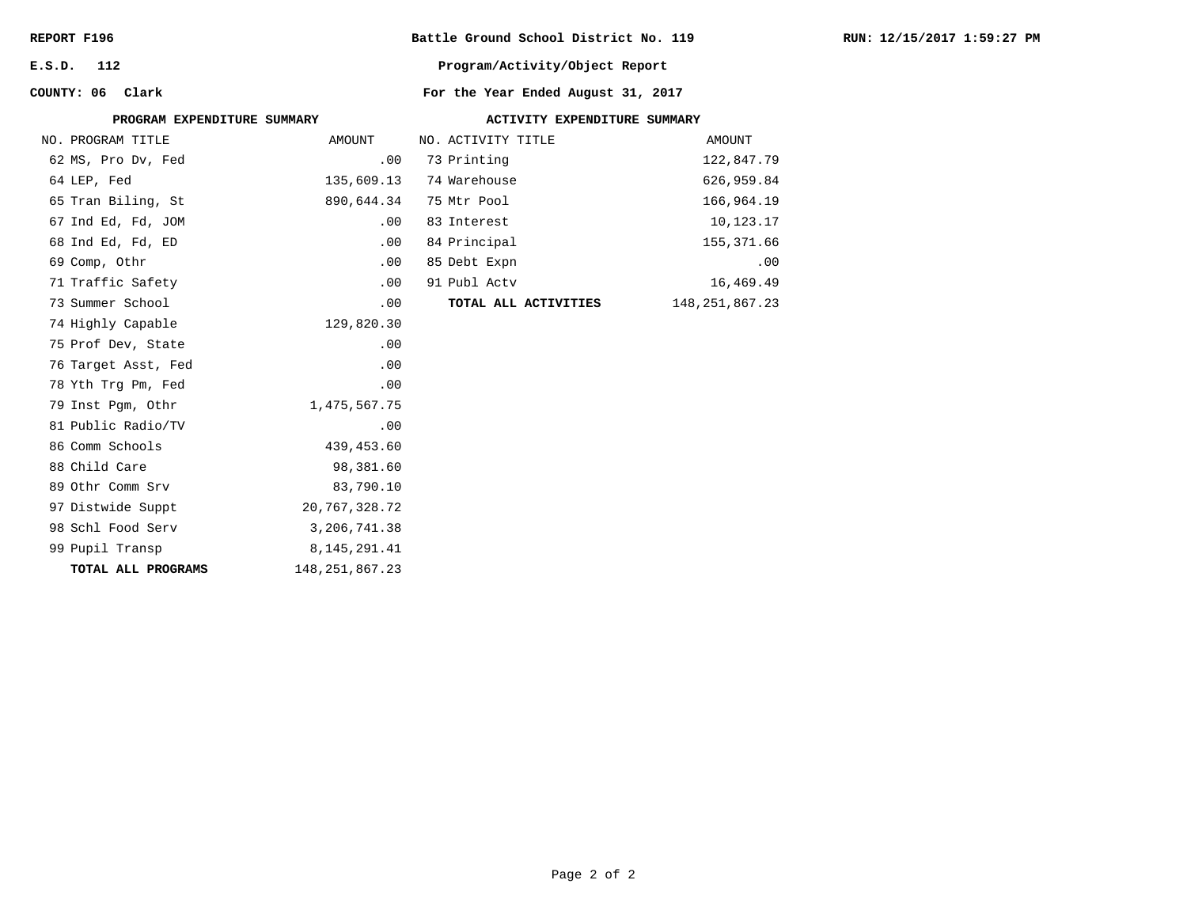| REPORT F196 |  |
|-------------|--|
|-------------|--|

**E.S.D. 112**

**COUNTY: 06**

## **Battle Ground School District No. 119**

## **Program/Activity/Object Report**

| PROGRAM EXPENDITURE SUMMARY |                   |                      | ACTIVITY EXPENDITURE SUMMARY |                   |
|-----------------------------|-------------------|----------------------|------------------------------|-------------------|
| NO. PROGRAM TITLE           | AMOUNT            | NO. ACTIVITY TITLE   |                              | AMOUNT            |
| 62 MS, Pro Dv, Fed          | .00               | 73 Printing          |                              | 122,847.79        |
| 64 LEP, Fed                 | 135,609.13        | 74 Warehouse         |                              | 626,959.84        |
| 65 Tran Biling, St          | 890,644.34        | 75 Mtr Pool          |                              | 166,964.19        |
| 67 Ind Ed, Fd, JOM          | .00               | 83 Interest          |                              | 10,123.17         |
| 68 Ind Ed, Fd, ED           | .00               | 84 Principal         |                              | 155,371.66        |
| 69 Comp, Othr               | .00               | 85 Debt Expn         |                              | .00               |
| 71 Traffic Safety           | .00               | 91 Publ Actv         |                              | 16,469.49         |
| 73 Summer School            | .00               | TOTAL ALL ACTIVITIES |                              | 148, 251, 867. 23 |
| 74 Highly Capable           | 129,820.30        |                      |                              |                   |
| 75 Prof Dev, State          | .00               |                      |                              |                   |
| 76 Target Asst, Fed         | .00               |                      |                              |                   |
| 78 Yth Trg Pm, Fed          | .00               |                      |                              |                   |
| 79 Inst Pgm, Othr           | 1,475,567.75      |                      |                              |                   |
| 81 Public Radio/TV          | .00               |                      |                              |                   |
| 86 Comm Schools             | 439,453.60        |                      |                              |                   |
| 88 Child Care               | 98,381.60         |                      |                              |                   |
| 89 Othr Comm Srv            | 83,790.10         |                      |                              |                   |
| 97 Distwide Suppt           | 20,767,328.72     |                      |                              |                   |
| 98 Schl Food Serv           | 3, 206, 741.38    |                      |                              |                   |
| 99 Pupil Transp             | 8,145,291.41      |                      |                              |                   |
| TOTAL ALL PROGRAMS          | 148, 251, 867. 23 |                      |                              |                   |
|                             |                   |                      |                              |                   |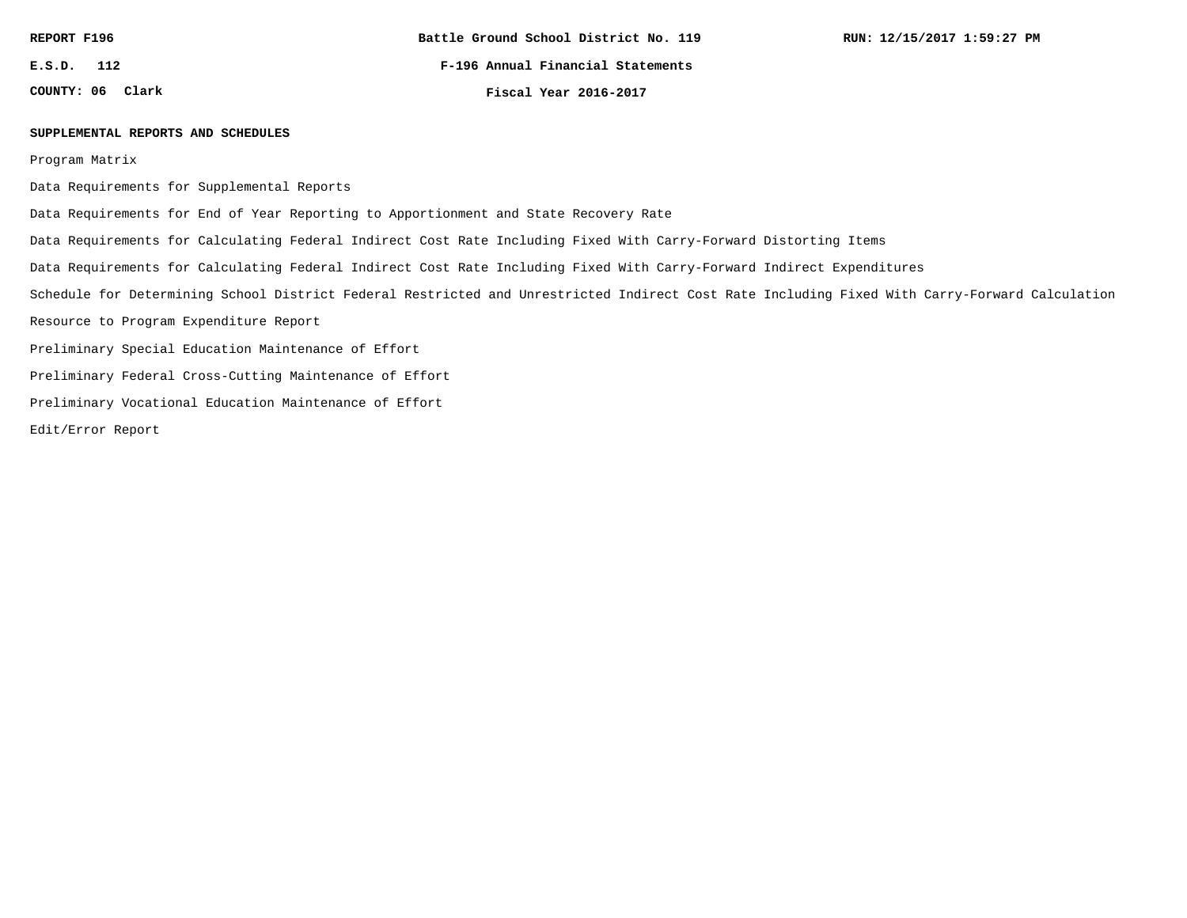**E.S.D. 112**

**COUNTY: 06**

**F-196 Annual Financial Statements**

**Clark Fiscal Year 2016-2017**

#### **SUPPLEMENTAL REPORTS AND SCHEDULES**

Program Matrix

Data Requirements for Supplemental Reports

Data Requirements for End of Year Reporting to Apportionment and State Recovery Rate

Data Requirements for Calculating Federal Indirect Cost Rate Including Fixed With Carry-Forward Distorting Items

Data Requirements for Calculating Federal Indirect Cost Rate Including Fixed With Carry-Forward Indirect Expenditures

Schedule for Determining School District Federal Restricted and Unrestricted Indirect Cost Rate Including Fixed With Carry-Forward Calculation

Resource to Program Expenditure Report

Preliminary Special Education Maintenance of Effort

Preliminary Federal Cross-Cutting Maintenance of Effort

Preliminary Vocational Education Maintenance of Effort

Edit/Error Report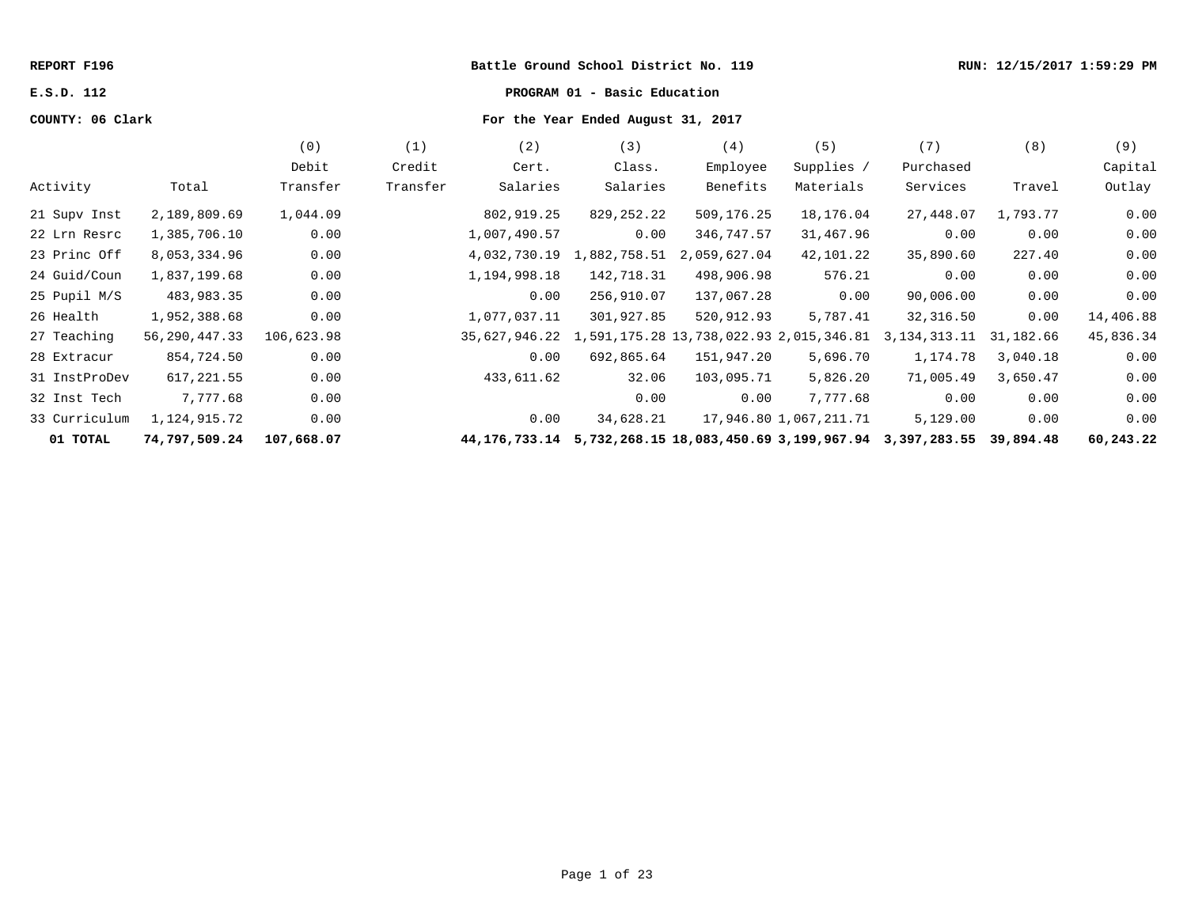#### **REPORT F196 Battle Ground School District No. 119 RUN: 12/15/2017 1:59:29 PM**

# **E.S.D. 112 PROGRAM 01 - Basic Education**

# **COUNTY: 06 Clark For the Year Ended August 31, 2017**

|               |               | (0)        | (1)      | (2)                                                                | (3)          | (4)          | (5)                    | (7)          | (8)       | (9)       |
|---------------|---------------|------------|----------|--------------------------------------------------------------------|--------------|--------------|------------------------|--------------|-----------|-----------|
|               |               | Debit      | Credit   | Cert.                                                              | Class.       | Employee     | Supplies /             | Purchased    |           | Capital   |
| Activity      | Total         | Transfer   | Transfer | Salaries                                                           | Salaries     | Benefits     | Materials              | Services     | Travel    | Outlay    |
| 21 Supv Inst  | 2,189,809.69  | 1,044.09   |          | 802,919.25                                                         | 829,252.22   | 509,176.25   | 18,176.04              | 27,448.07    | 1,793.77  | 0.00      |
| 22 Lrn Resrc  | 1,385,706.10  | 0.00       |          | 1,007,490.57                                                       | 0.00         | 346,747.57   | 31,467.96              | 0.00         | 0.00      | 0.00      |
| 23 Princ Off  | 8,053,334.96  | 0.00       |          | 4,032,730.19                                                       | 1,882,758.51 | 2,059,627.04 | 42,101.22              | 35,890.60    | 227.40    | 0.00      |
| 24 Guid/Coun  | 1,837,199.68  | 0.00       |          | 1,194,998.18                                                       | 142,718.31   | 498,906.98   | 576.21                 | 0.00         | 0.00      | 0.00      |
| 25 Pupil M/S  | 483,983.35    | 0.00       |          | 0.00                                                               | 256,910.07   | 137,067.28   | 0.00                   | 90,006.00    | 0.00      | 0.00      |
| 26 Health     | 1,952,388.68  | 0.00       |          | 1,077,037.11                                                       | 301,927.85   | 520,912.93   | 5,787.41               | 32,316.50    | 0.00      | 14,406.88 |
| 27 Teaching   | 56,290,447.33 | 106,623.98 |          | 35,627,946.22 1,591,175.28 13,738,022.93 2,015,346.81              |              |              |                        | 3,134,313.11 | 31,182.66 | 45,836.34 |
| 28 Extracur   | 854,724.50    | 0.00       |          | 0.00                                                               | 692,865.64   | 151,947.20   | 5,696.70               | 1,174.78     | 3,040.18  | 0.00      |
| 31 InstProDev | 617,221.55    | 0.00       |          | 433,611.62                                                         | 32.06        | 103,095.71   | 5,826.20               | 71,005.49    | 3,650.47  | 0.00      |
| 32 Inst Tech  | 7,777.68      | 0.00       |          |                                                                    | 0.00         | 0.00         | 7,777.68               | 0.00         | 0.00      | 0.00      |
| 33 Curriculum | 1,124,915.72  | 0.00       |          | 0.00                                                               | 34,628.21    |              | 17,946.80 1,067,211.71 | 5,129.00     | 0.00      | 0.00      |
| 01 TOTAL      | 74,797,509.24 | 107,668.07 |          | 44,176,733.14 5,732,268.15 18,083,450.69 3,199,967.94 3,397,283.55 |              |              |                        |              | 39,894.48 | 60,243.22 |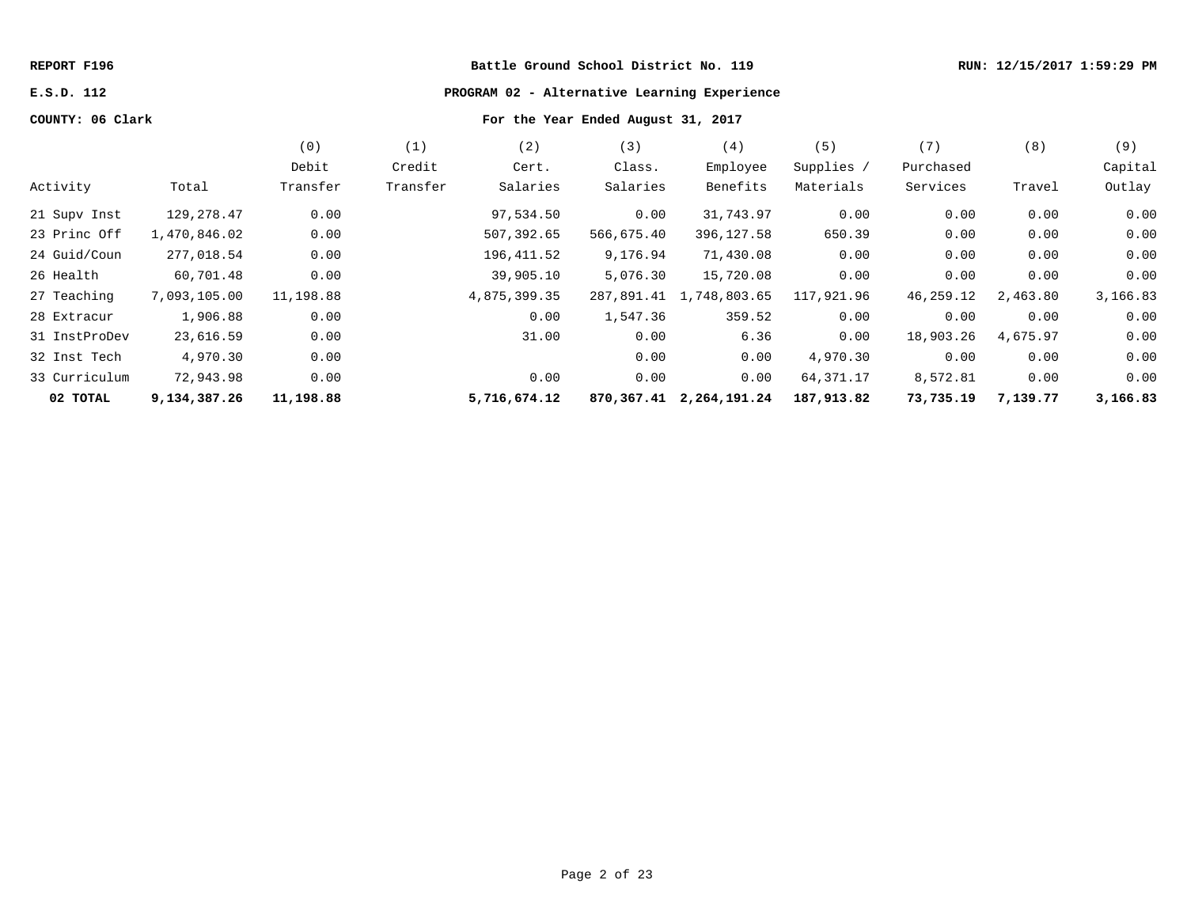# **REPORT F196 Battle Ground School District No. 119 RUN: 12/15/2017 1:59:29 PM**

# **E.S.D. 112 PROGRAM 02 - Alternative Learning Experience**

# **COUNTY: 06 Clark For the Year Ended August 31, 2017**

|               |              | (0)       | (1)      | (2)          | (3)        | (4)                     | (5)        | (7)       | (8)      | (9)      |
|---------------|--------------|-----------|----------|--------------|------------|-------------------------|------------|-----------|----------|----------|
|               |              | Debit     | Credit   | Cert.        | Class.     | Employee                | Supplies / | Purchased |          | Capital  |
| Activity      | Total        | Transfer  | Transfer | Salaries     | Salaries   | Benefits                | Materials  | Services  | Travel   | Outlay   |
| 21 Supv Inst  | 129,278.47   | 0.00      |          | 97,534.50    | 0.00       | 31,743.97               | 0.00       | 0.00      | 0.00     | 0.00     |
| 23 Princ Off  | 1,470,846.02 | 0.00      |          | 507,392.65   | 566,675.40 | 396,127.58              | 650.39     | 0.00      | 0.00     | 0.00     |
| 24 Guid/Coun  | 277,018.54   | 0.00      |          | 196,411.52   | 9,176.94   | 71,430.08               | 0.00       | 0.00      | 0.00     | 0.00     |
| 26 Health     | 60,701.48    | 0.00      |          | 39,905.10    | 5,076.30   | 15,720.08               | 0.00       | 0.00      | 0.00     | 0.00     |
| 27 Teaching   | 7,093,105.00 | 11,198.88 |          | 4,875,399.35 | 287,891.41 | 1,748,803.65            | 117,921.96 | 46,259.12 | 2,463.80 | 3,166.83 |
| 28 Extracur   | 1,906.88     | 0.00      |          | 0.00         | 1,547.36   | 359.52                  | 0.00       | 0.00      | 0.00     | 0.00     |
| 31 InstProDev | 23,616.59    | 0.00      |          | 31.00        | 0.00       | 6.36                    | 0.00       | 18,903.26 | 4,675.97 | 0.00     |
| 32 Inst Tech  | 4,970.30     | 0.00      |          |              | 0.00       | 0.00                    | 4,970.30   | 0.00      | 0.00     | 0.00     |
| 33 Curriculum | 72,943.98    | 0.00      |          | 0.00         | 0.00       | 0.00                    | 64,371.17  | 8,572.81  | 0.00     | 0.00     |
| 02 TOTAL      | 9,134,387.26 | 11,198.88 |          | 5,716,674.12 |            | 870,367.41 2,264,191.24 | 187,913.82 | 73,735.19 | 7,139.77 | 3,166.83 |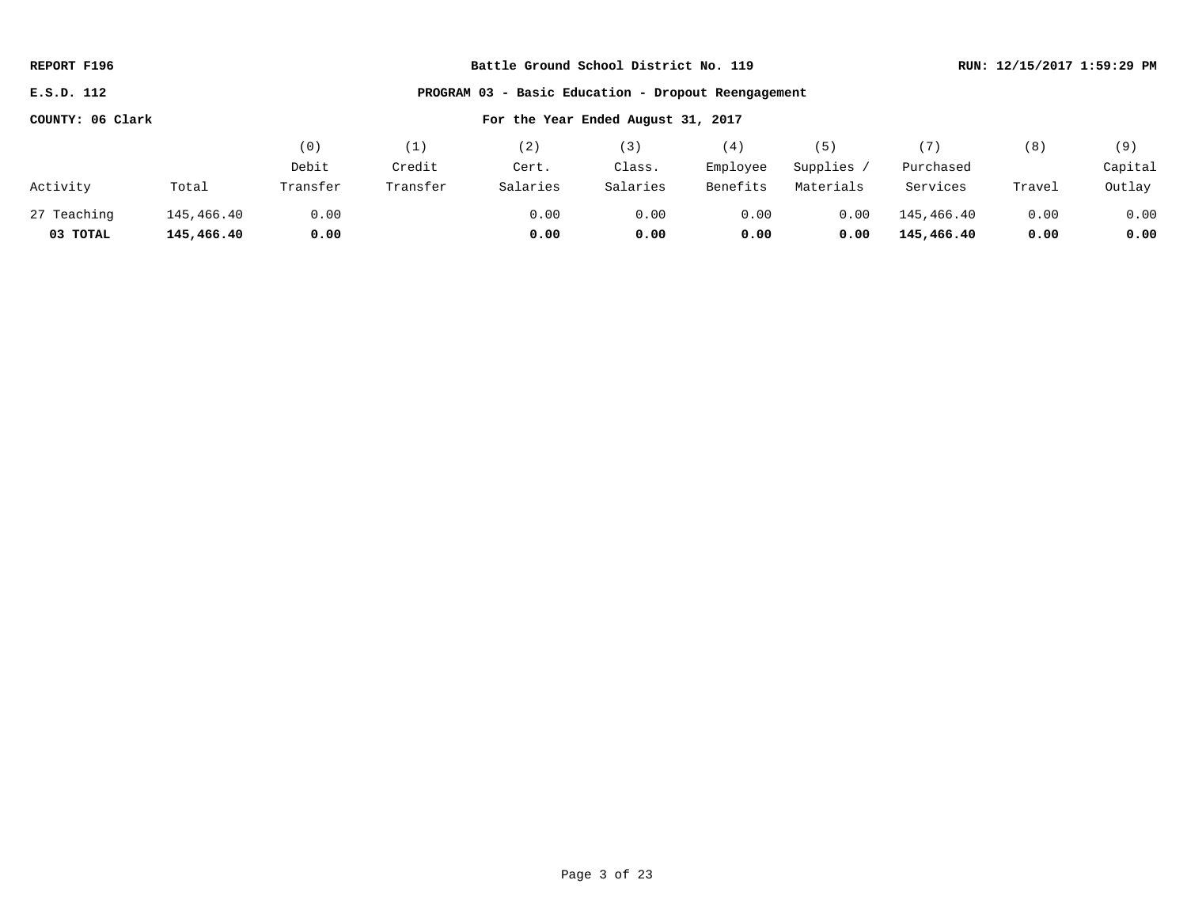| REPORT F196                                            | Battle Ground School District No. 119               |          |          |          |          |          |            |            |        | RUN: 12/15/2017 1:59:29 PM |
|--------------------------------------------------------|-----------------------------------------------------|----------|----------|----------|----------|----------|------------|------------|--------|----------------------------|
| E.S.D. 112                                             | PROGRAM 03 - Basic Education - Dropout Reengagement |          |          |          |          |          |            |            |        |                            |
| For the Year Ended August 31, 2017<br>COUNTY: 06 Clark |                                                     |          |          |          |          |          |            |            |        |                            |
|                                                        |                                                     | (0)      | (1)      | (2)      | (3)      | (4)      | (5)        | (7)        | (8)    | (9)                        |
|                                                        |                                                     | Debit    | Credit   | Cert.    | Class.   | Employee | Supplies / | Purchased  |        | Capital                    |
| Activity                                               | Total                                               | Transfer | Transfer | Salaries | Salaries | Benefits | Materials  | Services   | Travel | Outlay                     |
| 27 Teaching                                            | 145,466.40                                          | 0.00     |          | 0.00     | 0.00     | 0.00     | 0.00       | 145,466.40 | 0.00   | 0.00                       |
| 03 TOTAL                                               | 145,466.40                                          | 0.00     |          | 0.00     | 0.00     | 0.00     | 0.00       | 145,466.40 | 0.00   | 0.00                       |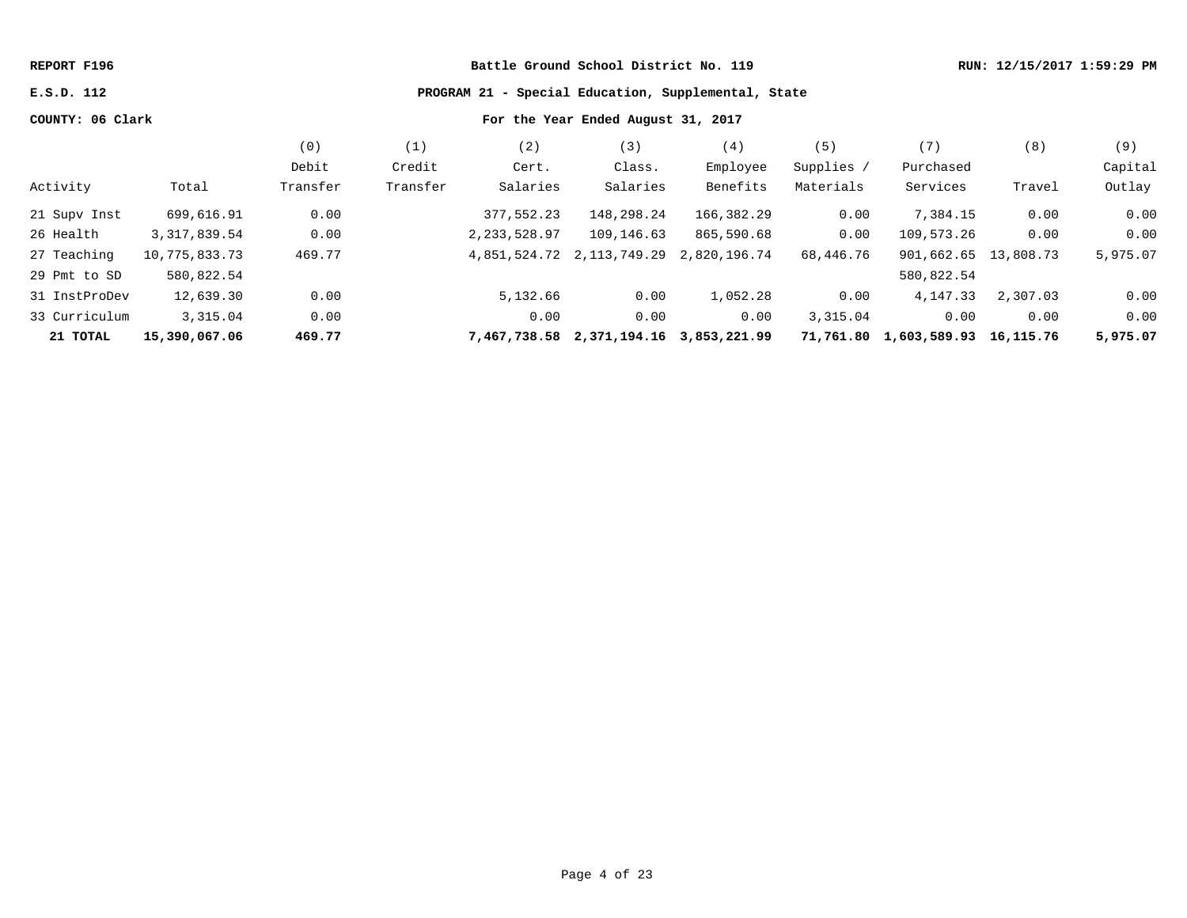#### **REPORT F196 Battle Ground School District No. 119 RUN: 12/15/2017 1:59:29 PM**

**E.S.D. 112 PROGRAM 21 - Special Education, Supplemental, State**

# **COUNTY: 06 Clark For the Year Ended August 31, 2017**

|               |                | (0)      | (1)      | (2)            | (3)                                    | (4)          | (5)        | (7)                    | (8)       | (9)      |
|---------------|----------------|----------|----------|----------------|----------------------------------------|--------------|------------|------------------------|-----------|----------|
|               |                | Debit    | Credit   | Cert.          | Class.                                 | Employee     | Supplies / | Purchased              |           | Capital  |
| Activity      | Total          | Transfer | Transfer | Salaries       | Salaries                               | Benefits     | Materials  | Services               | Travel    | Outlay   |
| 21 Supv Inst  | 699,616.91     | 0.00     |          | 377,552.23     | 148,298.24                             | 166,382.29   | 0.00       | 7,384.15               | 0.00      | 0.00     |
| 26 Health     | 3, 317, 839.54 | 0.00     |          | 2, 233, 528.97 | 109,146.63                             | 865,590.68   | 0.00       | 109,573.26             | 0.00      | 0.00     |
| 27 Teaching   | 10,775,833.73  | 469.77   |          | 4,851,524.72   | 2, 113, 749. 29                        | 2,820,196.74 | 68,446.76  | 901,662.65 13,808.73   |           | 5,975.07 |
| 29 Pmt to SD  | 580,822.54     |          |          |                |                                        |              |            | 580,822.54             |           |          |
| 31 InstProDev | 12,639.30      | 0.00     |          | 5,132.66       | 0.00                                   | 1,052.28     | 0.00       | 4, 147. 33             | 2,307.03  | 0.00     |
| 33 Curriculum | 3,315.04       | 0.00     |          | 0.00           | 0.00                                   | 0.00         | 3,315.04   | 0.00                   | 0.00      | 0.00     |
| 21 TOTAL      | 15,390,067.06  | 469.77   |          |                | 7,467,738.58 2,371,194.16 3,853,221.99 |              |            | 71,761.80 1,603,589.93 | 16,115.76 | 5,975.07 |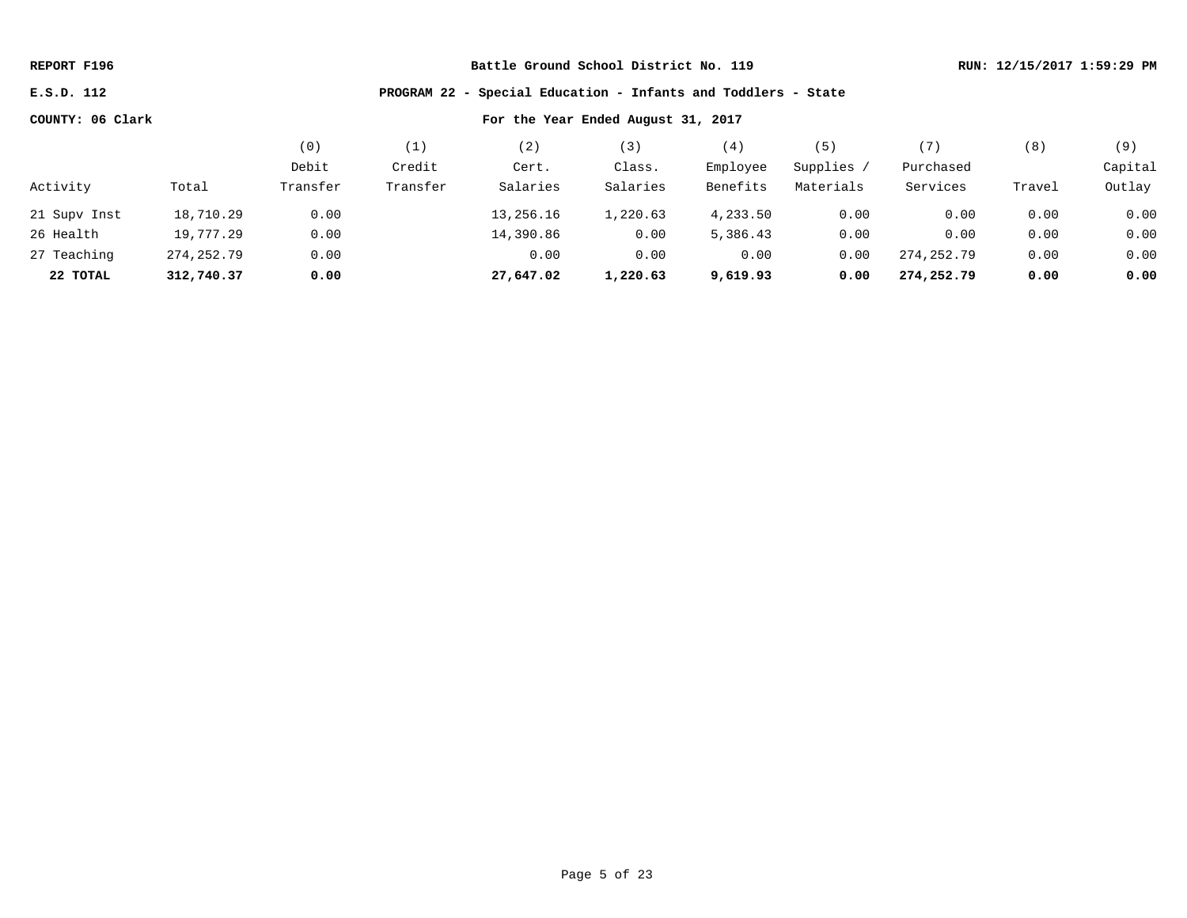**E.S.D. 112 PROGRAM 22 - Special Education - Infants and Toddlers - State**

|              |            | $\left( 0\right)$ |          | $\overline{2}$ | ' 3 )    | $\left( 4\right)$ | (5)       |            | (8)    | (9)     |
|--------------|------------|-------------------|----------|----------------|----------|-------------------|-----------|------------|--------|---------|
|              |            | Debit             | Credit   | Cert.          | Class.   | Employee          | Supplies  | Purchased  |        | Capital |
| Activity     | Total      | Transfer          | Transfer | Salaries       | Salaries | Benefits          | Materials | Services   | Travel | Outlay  |
| 21 Supv Inst | 18,710.29  | 0.00              |          | 13,256.16      | 1,220.63 | 4,233.50          | 0.00      | 0.00       | 0.00   | 0.00    |
| 26 Health    | 19,777.29  | 0.00              |          | 14,390.86      | 0.00     | 5,386.43          | 0.00      | 0.00       | 0.00   | 0.00    |
| 27 Teaching  | 274,252.79 | 0.00              |          | 0.00           | 0.00     | 0.00              | 0.00      | 274,252.79 | 0.00   | 0.00    |
| 22 TOTAL     | 312,740.37 | 0.00              |          | 27,647.02      | 1,220.63 | 9,619.93          | 0.00      | 274,252.79 | 0.00   | 0.00    |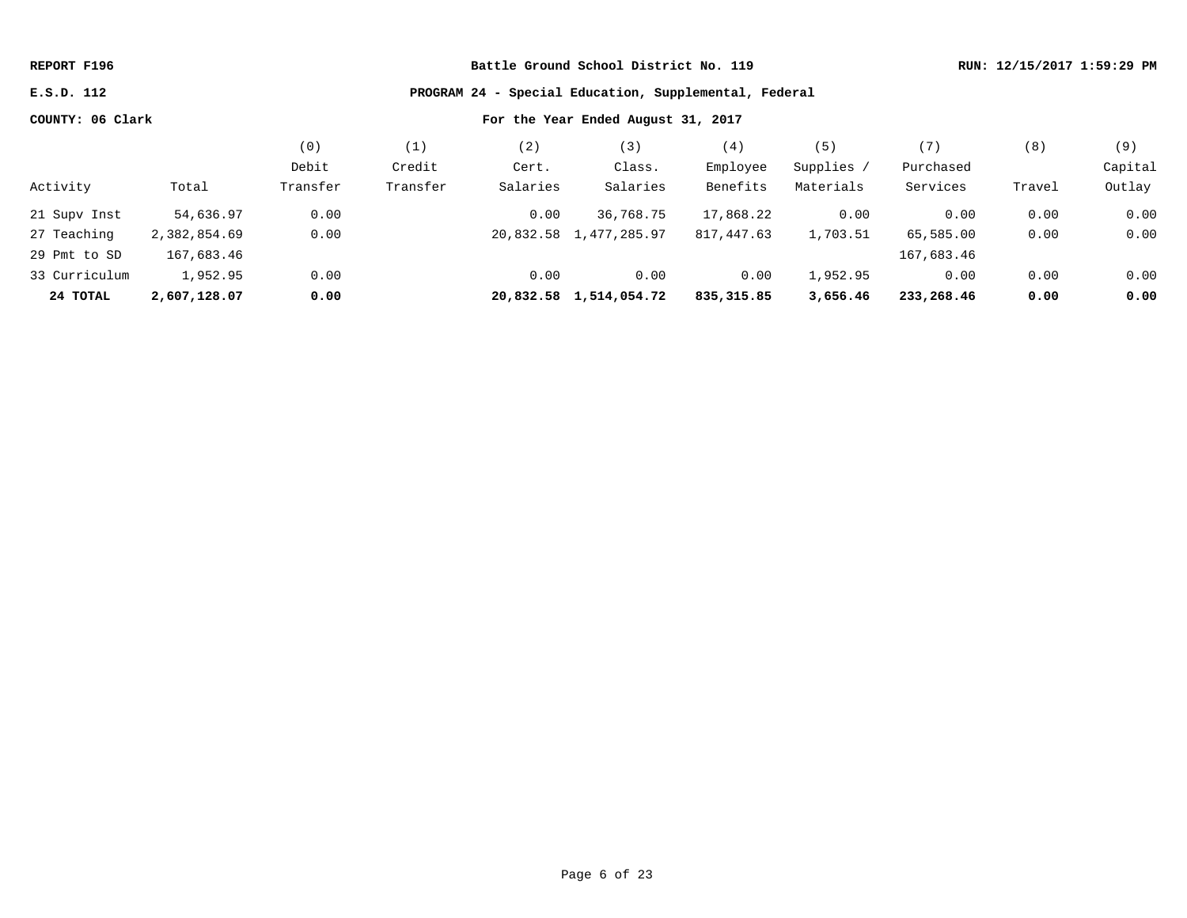**E.S.D. 112 PROGRAM 24 - Special Education, Supplemental, Federal**

|               |              | (0)      |          | $\overline{2}$ | $\overline{3}$         | (4)         |            | 〔7〕        | (8)    | (9)     |
|---------------|--------------|----------|----------|----------------|------------------------|-------------|------------|------------|--------|---------|
|               |              | Debit    | Credit   | Cert.          | Class.                 | Employee    | Supplies / | Purchased  |        | Capital |
| Activity      | Total        | Transfer | Transfer | Salaries       | Salaries               | Benefits    | Materials  | Services   | Travel | Outlay  |
| 21 Supv Inst  | 54,636.97    | 0.00     |          | 0.00           | 36,768.75              | 17,868.22   | 0.00       | 0.00       | 0.00   | 0.00    |
| 27 Teaching   | 2,382,854.69 | 0.00     |          |                | 20,832.58 1,477,285.97 | 817,447.63  | 1,703.51   | 65,585.00  | 0.00   | 0.00    |
| 29 Pmt to SD  | 167,683.46   |          |          |                |                        |             |            | 167,683.46 |        |         |
| 33 Curriculum | 1,952.95     | 0.00     |          | 0.00           | 0.00                   | 0.00        | 1,952.95   | 0.00       | 0.00   | 0.00    |
| 24 TOTAL      | 2,607,128.07 | 0.00     |          |                | 20,832.58 1,514,054.72 | 835, 315.85 | 3,656.46   | 233,268.46 | 0.00   | 0.00    |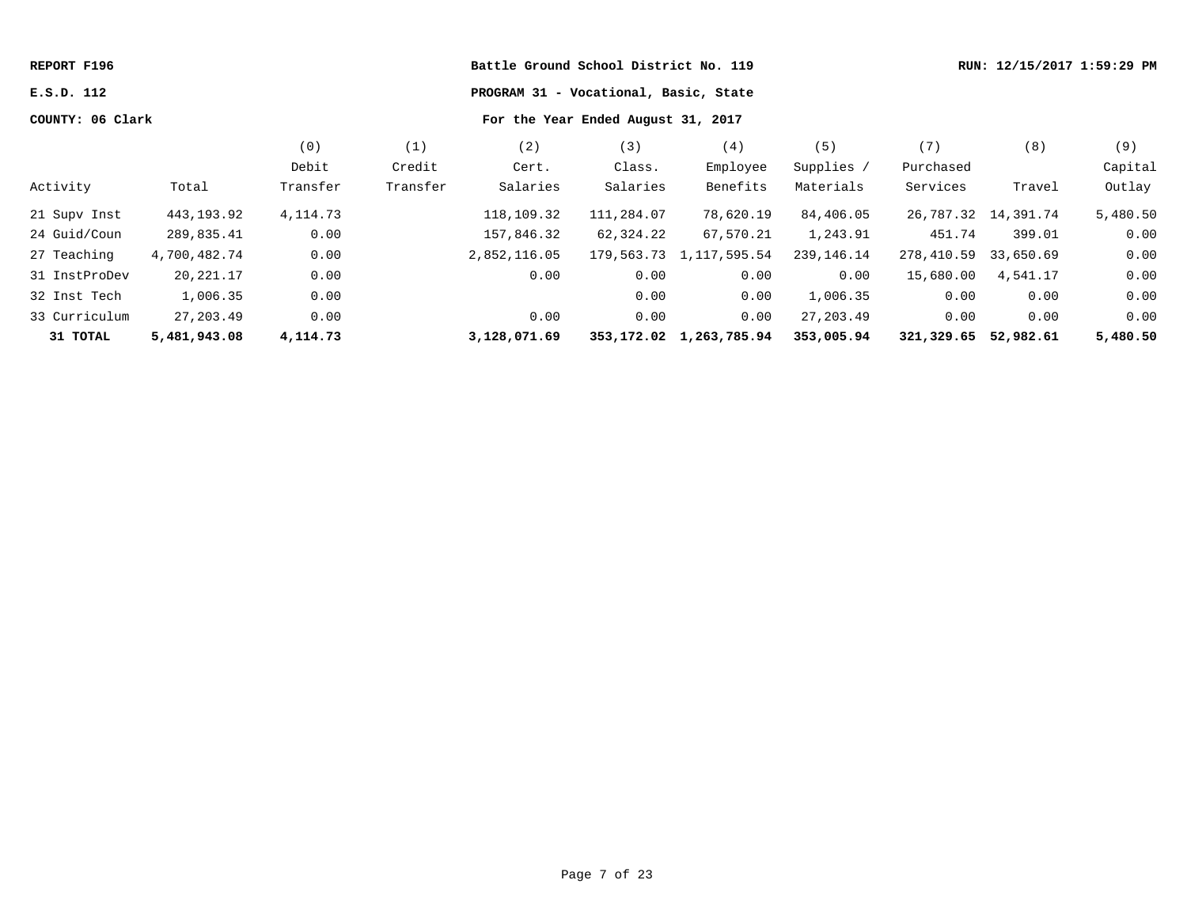| REPORT F196      |              |            |                                       | Battle Ground School District No. 119 |                                    | RUN: 12/15/2017 1:59:29 PM |              |                      |                       |          |
|------------------|--------------|------------|---------------------------------------|---------------------------------------|------------------------------------|----------------------------|--------------|----------------------|-----------------------|----------|
| E.S.D. 112       |              |            | PROGRAM 31 - Vocational, Basic, State |                                       |                                    |                            |              |                      |                       |          |
| COUNTY: 06 Clark |              |            |                                       |                                       | For the Year Ended August 31, 2017 |                            |              |                      |                       |          |
|                  |              | (0)        | (1)                                   | (2)                                   | (3)                                | (4)                        | (5)          | (7)                  | (8)                   | (9)      |
|                  |              | Debit      | Credit                                | Cert.                                 | Class.                             | Employee                   | Supplies /   | Purchased            |                       | Capital  |
| Activity         | Total        | Transfer   | Transfer                              | Salaries                              | Salaries                           | Benefits                   | Materials    | Services             | Travel                | Outlay   |
| 21 Supv Inst     | 443,193.92   | 4, 114. 73 |                                       | 118,109.32                            | 111,284.07                         | 78,620.19                  | 84,406.05    |                      | 26, 787.32 14, 391.74 | 5,480.50 |
| 24 Guid/Coun     | 289,835.41   | 0.00       |                                       | 157,846.32                            | 62,324.22                          | 67,570.21                  | 1,243.91     | 451.74               | 399.01                | 0.00     |
| 27 Teaching      | 4,700,482.74 | 0.00       |                                       | 2,852,116.05                          |                                    | 179,563.73 1,117,595.54    | 239, 146. 14 | 278,410.59           | 33,650.69             | 0.00     |
| 31 InstProDev    | 20,221.17    | 0.00       |                                       | 0.00                                  | 0.00                               | 0.00                       | 0.00         | 15,680.00            | 4,541.17              | 0.00     |
| 32 Inst Tech     | 1,006.35     | 0.00       |                                       |                                       | 0.00                               | 0.00                       | 1,006.35     | 0.00                 | 0.00                  | 0.00     |
| 33 Curriculum    | 27,203.49    | 0.00       |                                       | 0.00                                  | 0.00                               | 0.00                       | 27,203.49    | 0.00                 | 0.00                  | 0.00     |
| 31 TOTAL         | 5,481,943.08 | 4,114.73   |                                       | 3,128,071.69                          |                                    | 353, 172.02 1, 263, 785.94 | 353,005.94   | 321,329.65 52,982.61 |                       | 5,480.50 |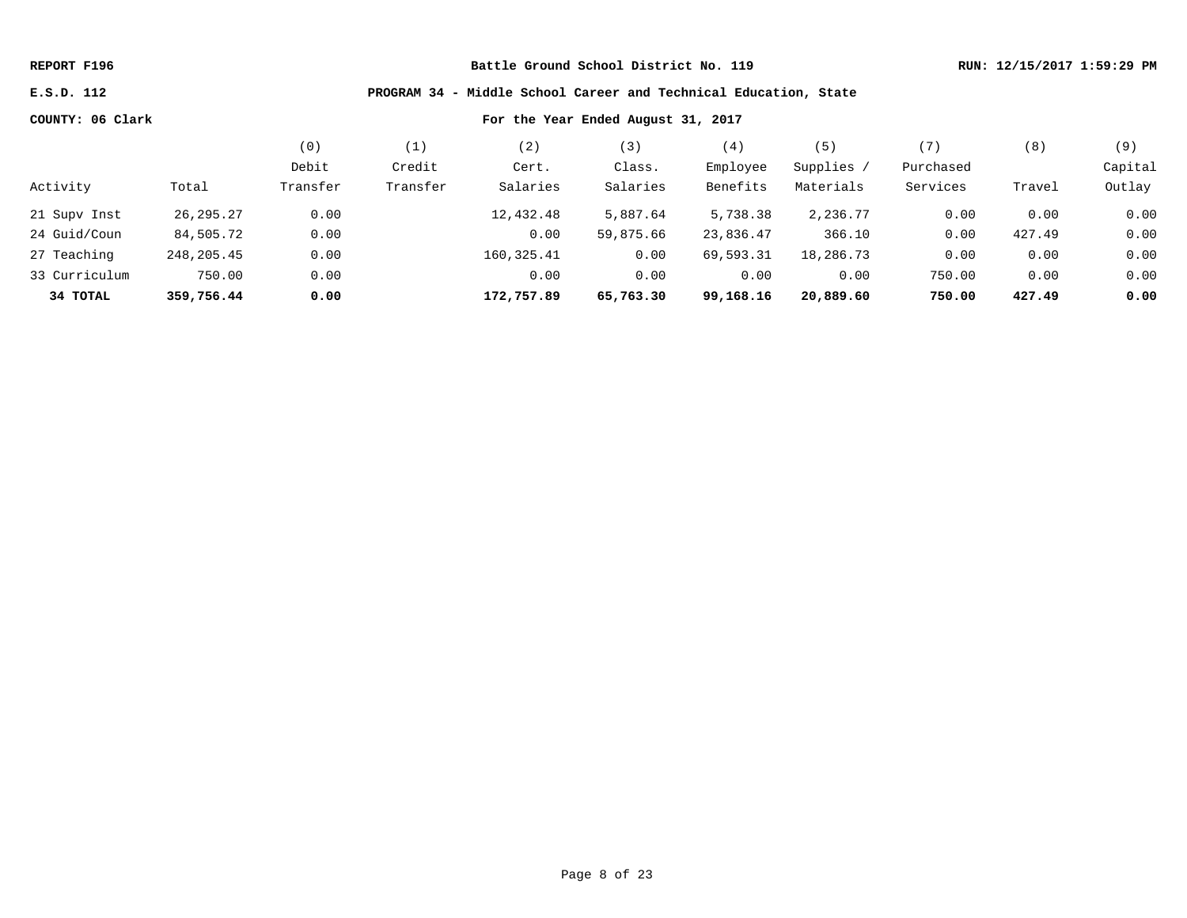### **E.S.D. 112 PROGRAM 34 - Middle School Career and Technical Education, State**

|               |             | (0)      | (1)      | (2)         | (3)       | (4)       | (5)        | '7        | (8)    | (9)     |
|---------------|-------------|----------|----------|-------------|-----------|-----------|------------|-----------|--------|---------|
|               |             | Debit    | Credit   | Cert.       | Class.    | Employee  | Supplies / | Purchased |        | Capital |
| Activity      | Total       | Transfer | Transfer | Salaries    | Salaries  | Benefits  | Materials  | Services  | Travel | Outlay  |
| 21 Supv Inst  | 26, 295. 27 | 0.00     |          | 12,432.48   | 5,887.64  | 5,738.38  | 2,236.77   | 0.00      | 0.00   | 0.00    |
| 24 Guid/Coun  | 84,505.72   | 0.00     |          | 0.00        | 59,875.66 | 23,836.47 | 366.10     | 0.00      | 427.49 | 0.00    |
| 27 Teaching   | 248,205.45  | 0.00     |          | 160, 325.41 | 0.00      | 69,593.31 | 18,286.73  | 0.00      | 0.00   | 0.00    |
| 33 Curriculum | 750.00      | 0.00     |          | 0.00        | 0.00      | 0.00      | 0.00       | 750.00    | 0.00   | 0.00    |
| 34 TOTAL      | 359,756.44  | 0.00     |          | 172,757.89  | 65,763.30 | 99,168.16 | 20,889.60  | 750.00    | 427.49 | 0.00    |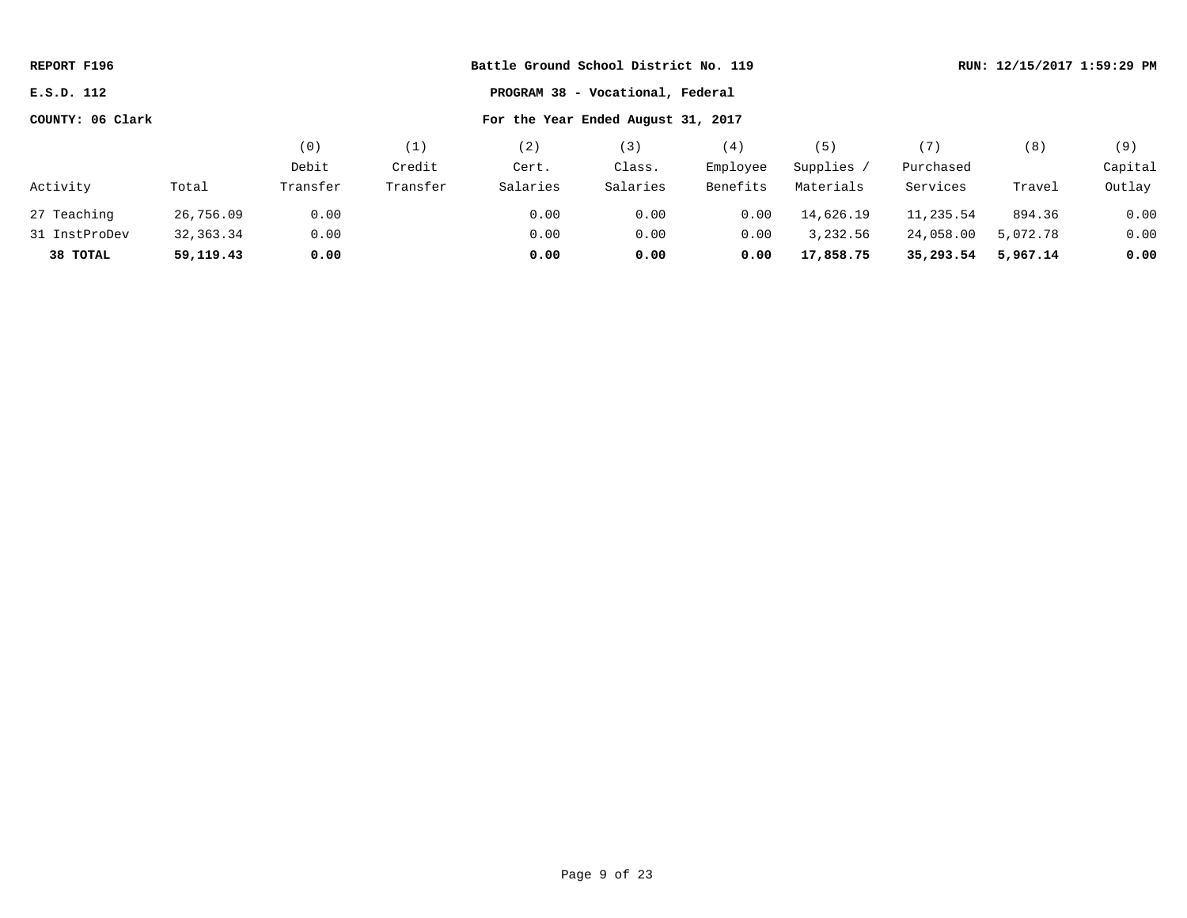| REPORT F196      |           |          | Battle Ground School District No. 119 |                                    |          |          |            |           |          | RUN: 12/15/2017 1:59:29 PM |
|------------------|-----------|----------|---------------------------------------|------------------------------------|----------|----------|------------|-----------|----------|----------------------------|
| E.S.D. 112       |           |          |                                       | PROGRAM 38 - Vocational, Federal   |          |          |            |           |          |                            |
| COUNTY: 06 Clark |           |          |                                       | For the Year Ended August 31, 2017 |          |          |            |           |          |                            |
|                  |           | (0)      | (1)                                   | (2)                                | (3)      | (4)      | (5)        | (7)       | (8)      | (9)                        |
|                  |           | Debit    | Credit                                | Cert.                              | Class.   | Employee | Supplies / | Purchased |          | Capital                    |
| Activity         | Total     | Transfer | Transfer                              | Salaries                           | Salaries | Benefits | Materials  | Services  | Travel   | Outlay                     |
| 27 Teaching      | 26,756.09 | 0.00     |                                       | 0.00                               | 0.00     | 0.00     | 14,626.19  | 11,235.54 | 894.36   | 0.00                       |
| 31 InstProDev    | 32,363.34 | 0.00     |                                       | 0.00                               | 0.00     | 0.00     | 3,232.56   | 24,058.00 | 5,072.78 | 0.00                       |
| 38 TOTAL         | 59,119.43 | 0.00     |                                       | 0.00                               | 0.00     | 0.00     | 17,858.75  | 35,293.54 | 5,967.14 | 0.00                       |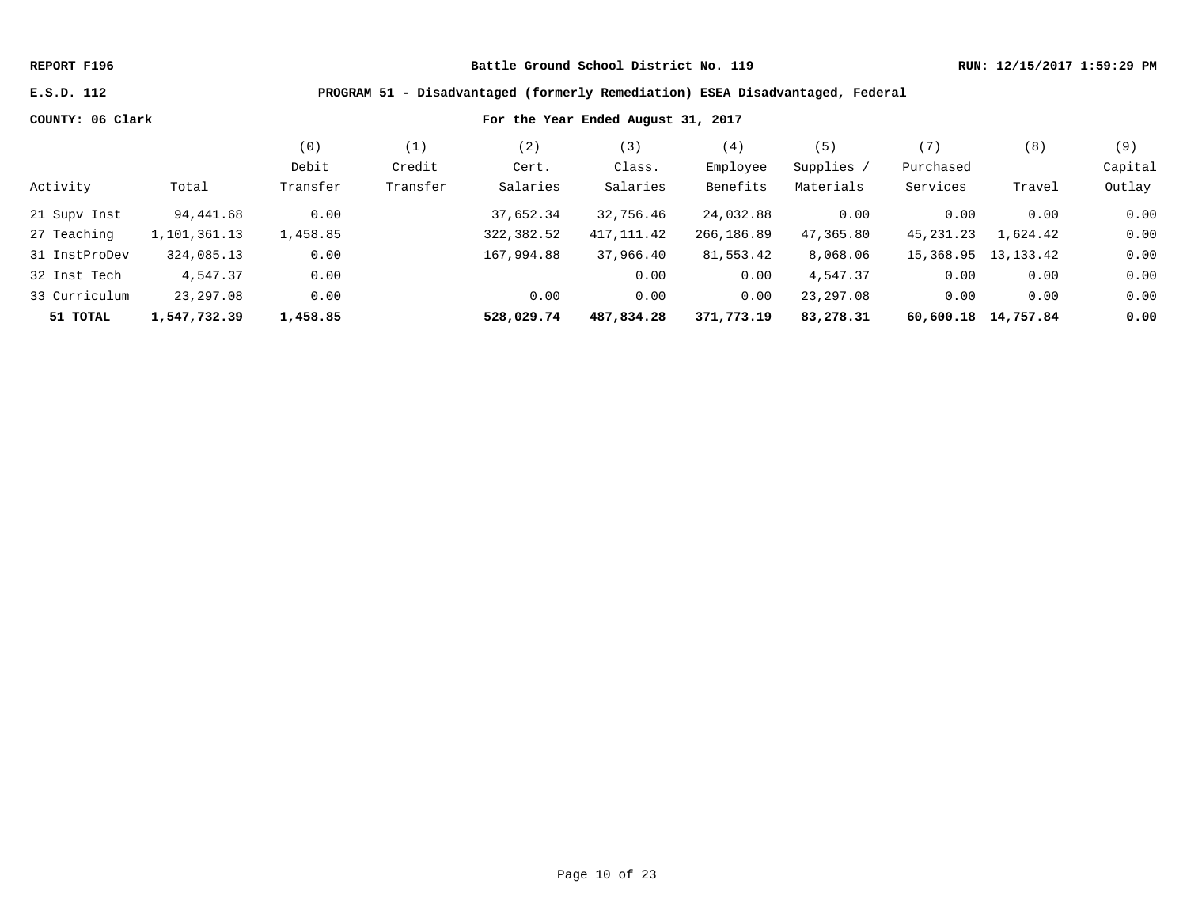### **E.S.D. 112 PROGRAM 51 - Disadvantaged (formerly Remediation) ESEA Disadvantaged, Federal**

|               |              | (0)      | $\perp$  | 2)         | (3)        | (4,        | 5)         | (7)       | (8)                 | (9)     |
|---------------|--------------|----------|----------|------------|------------|------------|------------|-----------|---------------------|---------|
|               |              | Debit    | Credit   | Cert.      | Class.     | Employee   | Supplies / | Purchased |                     | Capital |
| Activity      | Total        | Transfer | Transfer | Salaries   | Salaries   | Benefits   | Materials  | Services  | Travel              | Outlay  |
| 21 Supv Inst  | 94,441.68    | 0.00     |          | 37,652.34  | 32,756.46  | 24,032.88  | 0.00       | 0.00      | 0.00                | 0.00    |
| 27 Teaching   | 1,101,361.13 | 1,458.85 |          | 322,382.52 | 417,111.42 | 266,186.89 | 47,365.80  | 45,231.23 | 1,624.42            | 0.00    |
| 31 InstProDev | 324,085.13   | 0.00     |          | 167,994.88 | 37,966.40  | 81,553.42  | 8,068.06   | 15,368.95 | 13, 133. 42         | 0.00    |
| 32 Inst Tech  | 4,547.37     | 0.00     |          |            | 0.00       | 0.00       | 4,547.37   | 0.00      | 0.00                | 0.00    |
| 33 Curriculum | 23,297.08    | 0.00     |          | 0.00       | 0.00       | 0.00       | 23, 297.08 | 0.00      | 0.00                | 0.00    |
| 51 TOTAL      | 1,547,732.39 | 1,458.85 |          | 528,029.74 | 487,834.28 | 371,773.19 | 83,278.31  |           | 60,600.18 14,757.84 | 0.00    |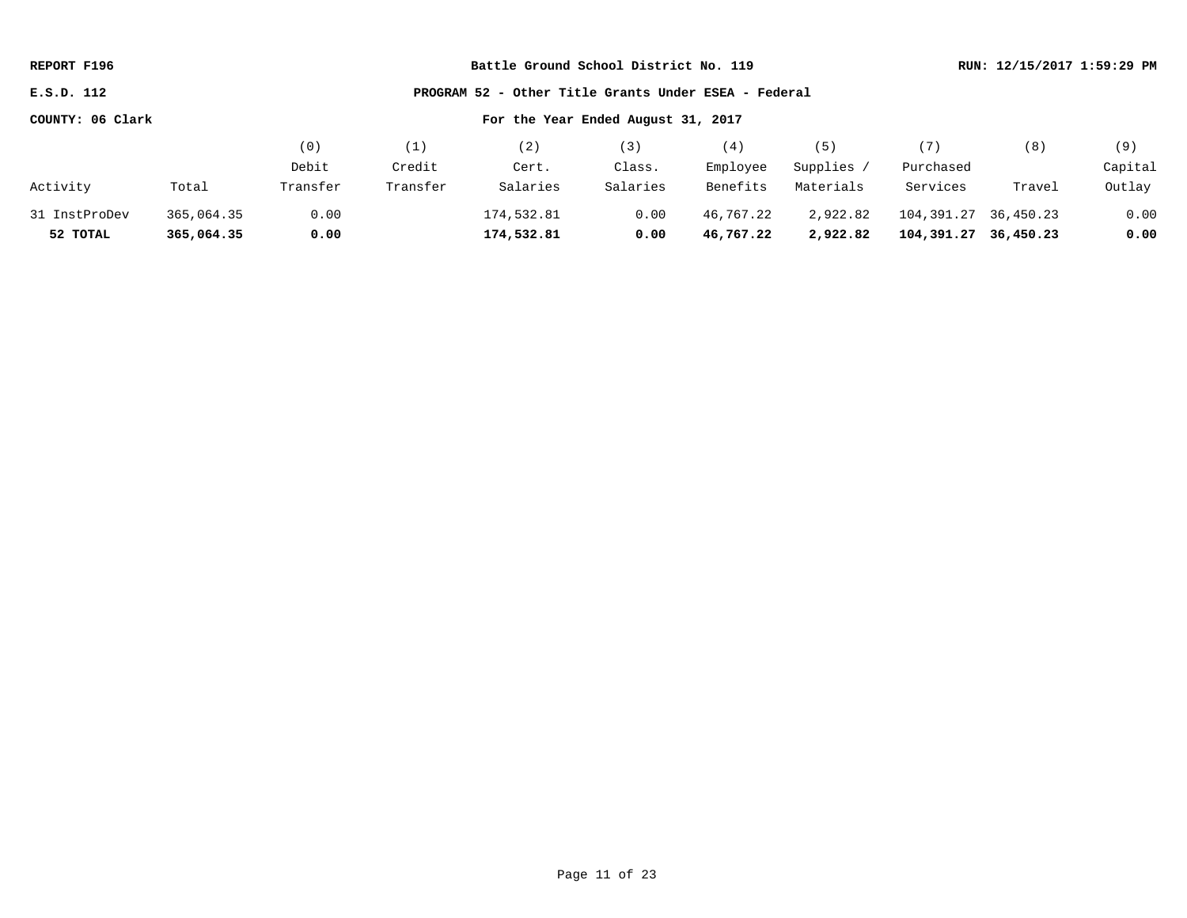| REPORT F196      |            |          |          | Battle Ground School District No. 119                | RUN: 12/15/2017 1:59:29 PM |           |            |            |           |         |
|------------------|------------|----------|----------|------------------------------------------------------|----------------------------|-----------|------------|------------|-----------|---------|
| E.S.D. 112       |            |          |          | PROGRAM 52 - Other Title Grants Under ESEA - Federal |                            |           |            |            |           |         |
| COUNTY: 06 Clark |            |          |          | For the Year Ended August 31, 2017                   |                            |           |            |            |           |         |
|                  |            | (0)      | (1)      | (2)                                                  | (3)                        | (4)       | (5)        | (7)        | (8)       | (9)     |
|                  |            | Debit    | Credit   | Cert.                                                | Class.                     | Employee  | Supplies / | Purchased  |           | Capital |
| Activity         | Total      | Transfer | Transfer | Salaries                                             | Salaries                   | Benefits  | Materials  | Services   | Travel    | Outlay  |
| 31 InstProDev    | 365,064.35 | 0.00     |          | 174,532.81                                           | 0.00                       | 46,767.22 | 2,922.82   | 104,391.27 | 36,450.23 | 0.00    |
| 52 TOTAL         | 365,064.35 | 0.00     |          | 174,532.81                                           | 0.00                       | 46,767.22 | 2,922.82   | 104,391.27 | 36,450.23 | 0.00    |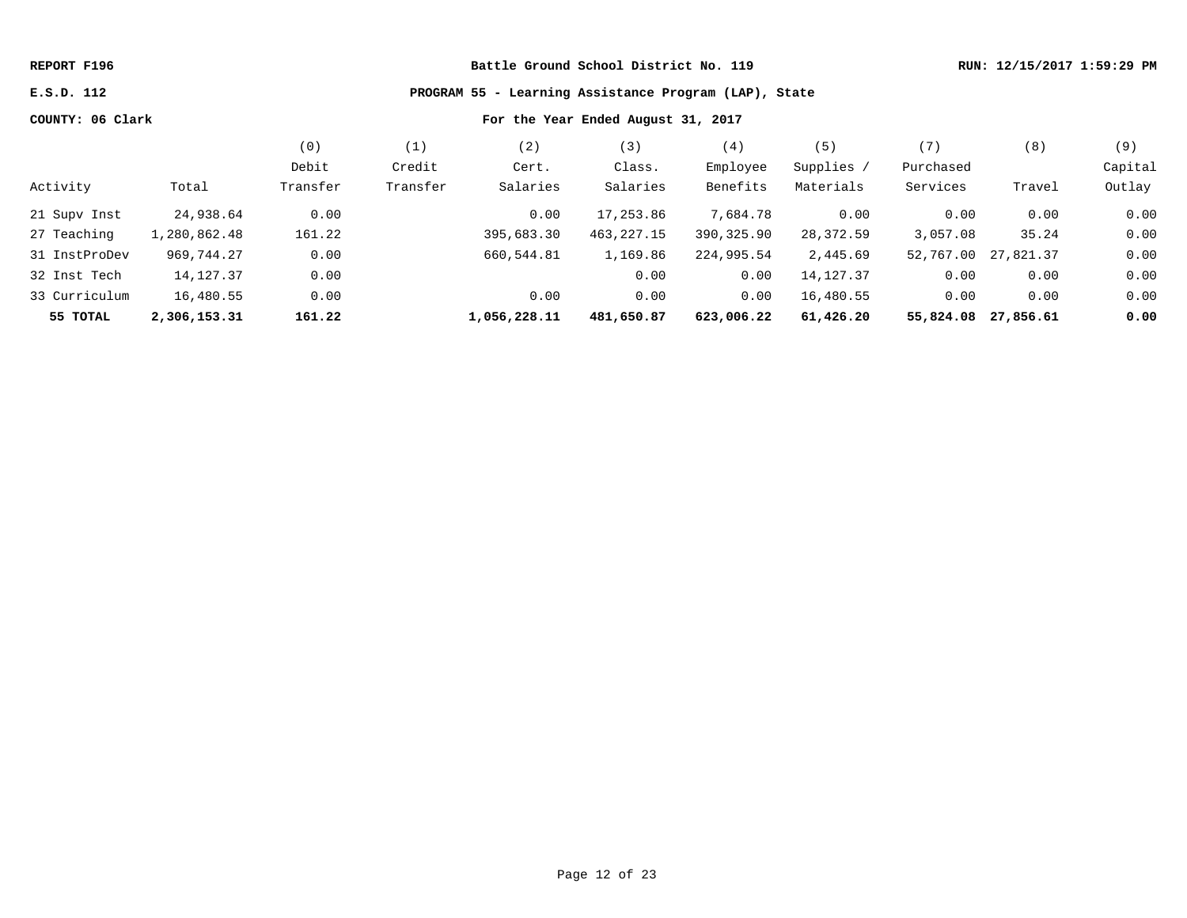# **E.S.D. 112 PROGRAM 55 - Learning Assistance Program (LAP), State**

|               |              | (0)      | (1)      | (2)          | (3)          | (4)        | (5)        | (7)       | (8)       | (9)     |
|---------------|--------------|----------|----------|--------------|--------------|------------|------------|-----------|-----------|---------|
|               |              | Debit    | Credit   | Cert.        | Class.       | Employee   | Supplies / | Purchased |           | Capital |
| Activity      | Total        | Transfer | Transfer | Salaries     | Salaries     | Benefits   | Materials  | Services  | Travel    | Outlay  |
| 21 Supv Inst  | 24,938.64    | 0.00     |          | 0.00         | 17,253.86    | 7,684.78   | 0.00       | 0.00      | 0.00      | 0.00    |
| 27 Teaching   | 1,280,862.48 | 161.22   |          | 395,683.30   | 463, 227. 15 | 390,325.90 | 28,372.59  | 3,057.08  | 35.24     | 0.00    |
| 31 InstProDev | 969,744.27   | 0.00     |          | 660,544.81   | 1,169.86     | 224,995.54 | 2,445.69   | 52,767.00 | 27,821.37 | 0.00    |
| 32 Inst Tech  | 14,127.37    | 0.00     |          |              | 0.00         | 0.00       | 14,127.37  | 0.00      | 0.00      | 0.00    |
| 33 Curriculum | 16,480.55    | 0.00     |          | 0.00         | 0.00         | 0.00       | 16,480.55  | 0.00      | 0.00      | 0.00    |
| 55 TOTAL      | 2,306,153.31 | 161.22   |          | 1,056,228.11 | 481,650.87   | 623,006.22 | 61,426.20  | 55,824.08 | 27,856.61 | 0.00    |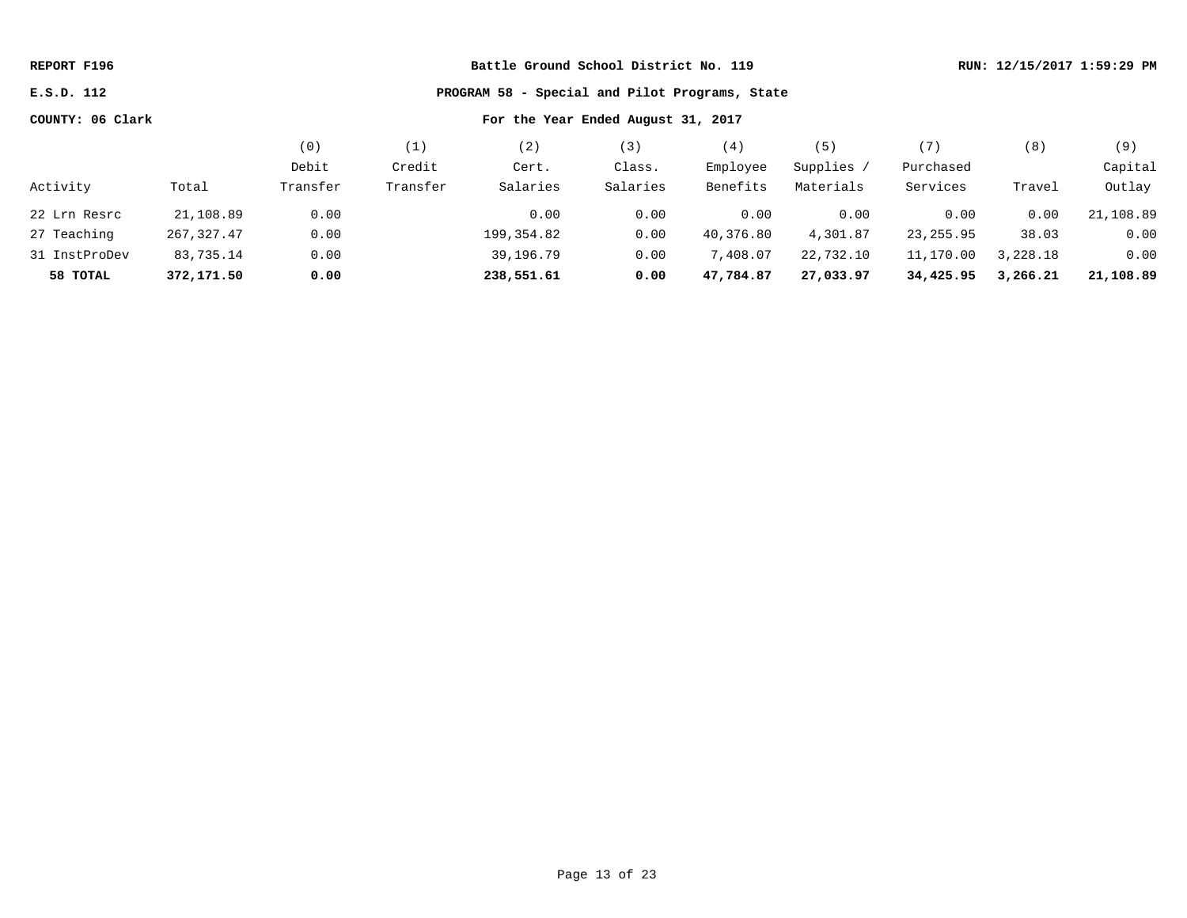| REPORT F196      |             |          |          |                                                |          | RUN: 12/15/2017 1:59:29 PM |            |            |          |           |
|------------------|-------------|----------|----------|------------------------------------------------|----------|----------------------------|------------|------------|----------|-----------|
| E.S.D. 112       |             |          |          | PROGRAM 58 - Special and Pilot Programs, State |          |                            |            |            |          |           |
| COUNTY: 06 Clark |             |          |          | For the Year Ended August 31, 2017             |          |                            |            |            |          |           |
|                  |             | (0)      | (1)      | (2)                                            | (3)      | (4)                        | (5)        | (7)        | (8)      | (9)       |
|                  |             | Debit    | Credit   | Cert.                                          | Class.   | Employee                   | Supplies / | Purchased  |          | Capital   |
| Activity         | Total       | Transfer | Transfer | Salaries                                       | Salaries | Benefits                   | Materials  | Services   | Travel   | Outlay    |
| 22 Lrn Resrc     | 21,108.89   | 0.00     |          | 0.00                                           | 0.00     | 0.00                       | 0.00       | 0.00       | 0.00     | 21,108.89 |
| 27 Teaching      | 267, 327.47 | 0.00     |          | 199,354.82                                     | 0.00     | 40,376.80                  | 4,301.87   | 23, 255.95 | 38.03    | 0.00      |
| 31 InstProDev    | 83,735.14   | 0.00     |          | 39,196.79                                      | 0.00     | 7,408.07                   | 22,732.10  | 11,170.00  | 3,228.18 | 0.00      |
| 58 TOTAL         | 372,171.50  | 0.00     |          | 238,551.61                                     | 0.00     | 47,784.87                  | 27,033.97  | 34,425.95  | 3,266.21 | 21,108.89 |
|                  |             |          |          |                                                |          |                            |            |            |          |           |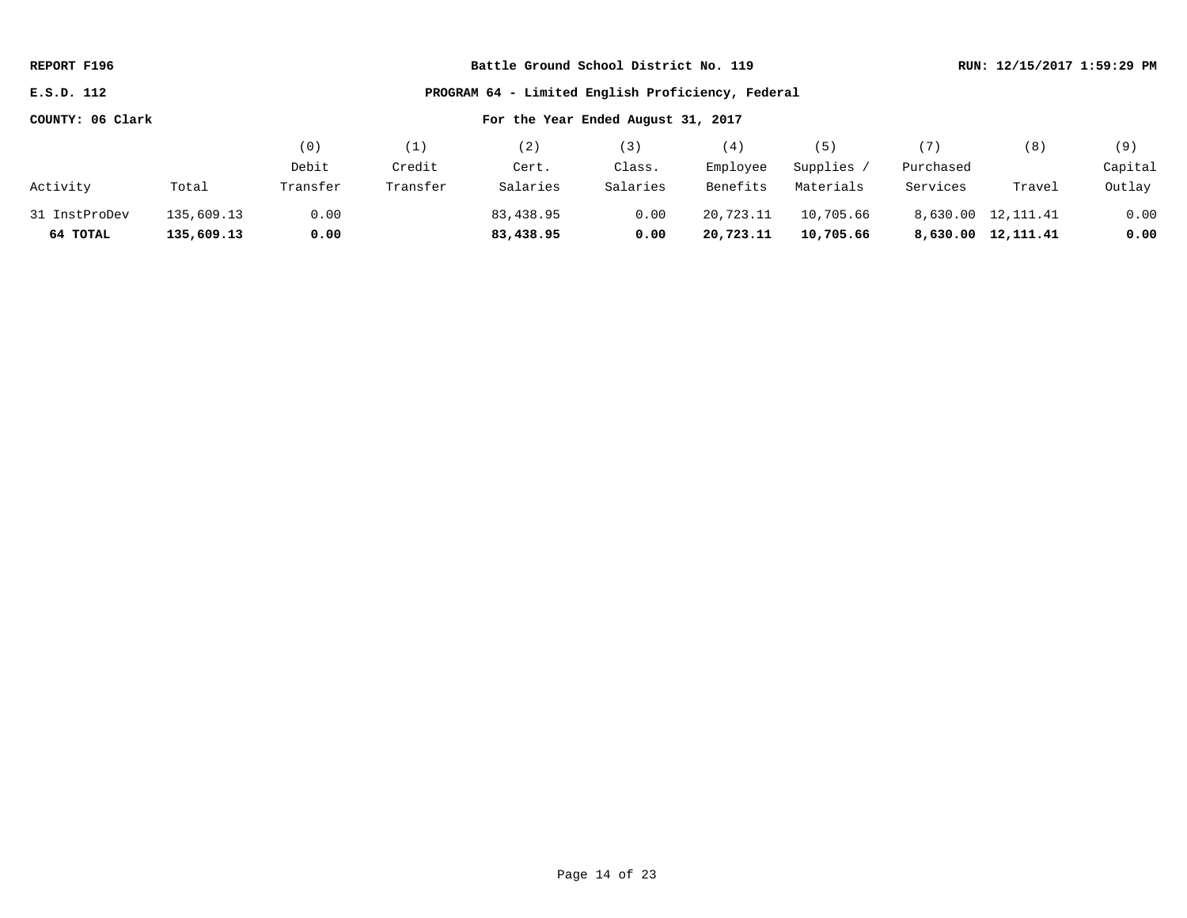| REPORT F196      |            |          |          | Battle Ground School District No. 119             | RUN: 12/15/2017 1:59:29 PM |           |            |           |                    |         |
|------------------|------------|----------|----------|---------------------------------------------------|----------------------------|-----------|------------|-----------|--------------------|---------|
| E.S.D. 112       |            |          |          | PROGRAM 64 - Limited English Proficiency, Federal |                            |           |            |           |                    |         |
| COUNTY: 06 Clark |            |          |          | For the Year Ended August 31, 2017                |                            |           |            |           |                    |         |
|                  |            | (0)      | (1)      | (2)                                               | (3)                        | (4)       | (5)        | (7)       | (8)                | (9)     |
|                  |            | Debit    | Credit   | Cert.                                             | Class.                     | Employee  | Supplies / | Purchased |                    | Capital |
| Activity         | Total      | Transfer | Transfer | Salaries                                          | Salaries                   | Benefits  | Materials  | Services  | Travel             | Outlay  |
| 31 InstProDev    | 135,609.13 | 0.00     |          | 83,438.95                                         | 0.00                       | 20,723.11 | 10,705.66  |           | 8,630.00 12,111.41 | 0.00    |
| 64 TOTAL         | 135,609.13 | 0.00     |          | 83,438.95                                         | 0.00                       | 20,723.11 | 10,705.66  |           | 8,630.00 12,111.41 | 0.00    |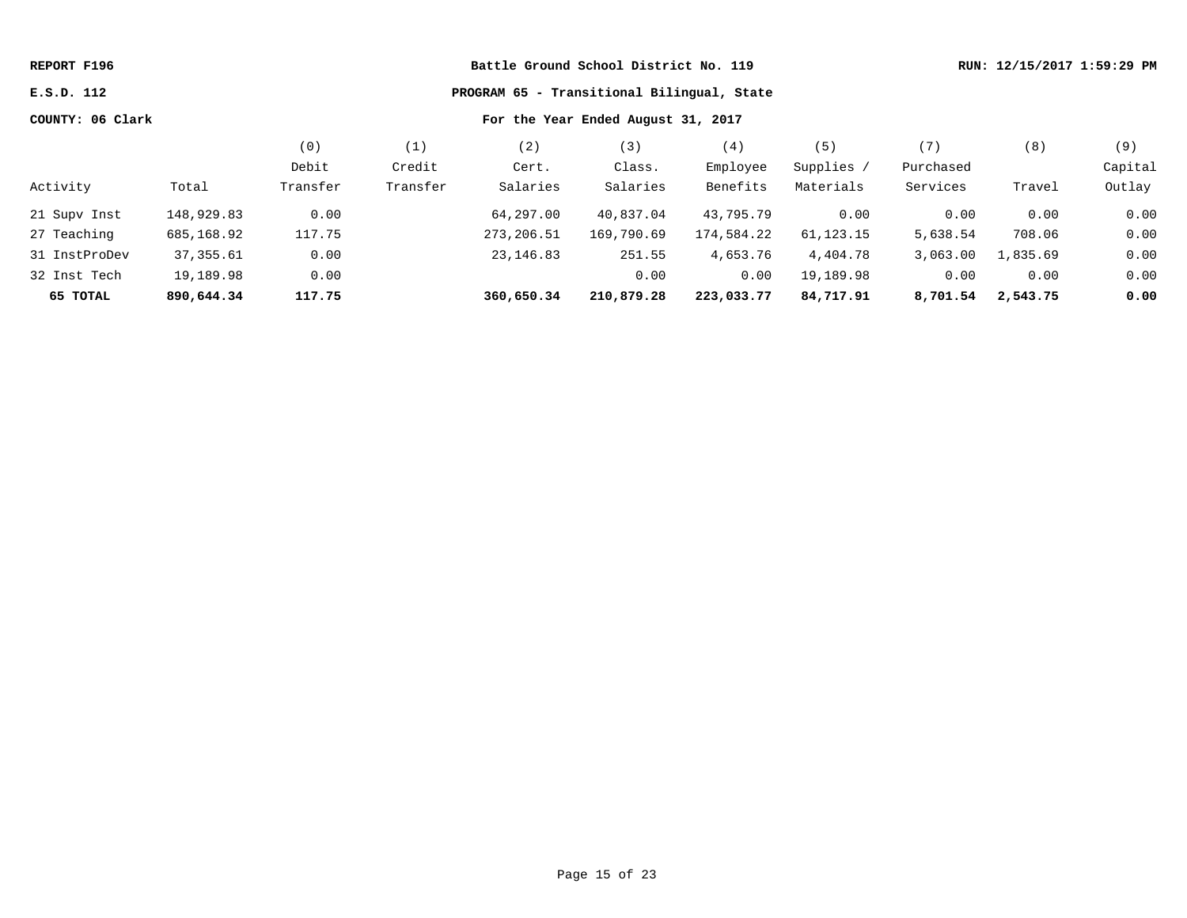| REPORT F196      |            |                                            |          |            | RUN: 12/15/2017 1:59:29 PM         |            |             |           |          |         |
|------------------|------------|--------------------------------------------|----------|------------|------------------------------------|------------|-------------|-----------|----------|---------|
| E.S.D. 112       |            | PROGRAM 65 - Transitional Bilingual, State |          |            |                                    |            |             |           |          |         |
| COUNTY: 06 Clark |            |                                            |          |            | For the Year Ended August 31, 2017 |            |             |           |          |         |
|                  |            | (0)                                        | (1)      | (2)        | (3)                                | (4)        | (5)         | (7)       | (8)      | (9)     |
|                  |            | Debit                                      | Credit   | Cert.      | Class.                             | Employee   | Supplies /  | Purchased |          | Capital |
| Activity         | Total      | Transfer                                   | Transfer | Salaries   | Salaries                           | Benefits   | Materials   | Services  | Travel   | Outlay  |
| 21 Supv Inst     | 148,929.83 | 0.00                                       |          | 64,297.00  | 40,837.04                          | 43,795.79  | 0.00        | 0.00      | 0.00     | 0.00    |
| 27 Teaching      | 685,168.92 | 117.75                                     |          | 273,206.51 | 169,790.69                         | 174,584.22 | 61, 123. 15 | 5,638.54  | 708.06   | 0.00    |
| 31 InstProDev    | 37, 355.61 | 0.00                                       |          | 23, 146.83 | 251.55                             | 4,653.76   | 4,404.78    | 3,063.00  | 1,835.69 | 0.00    |
| 32 Inst Tech     | 19,189.98  | 0.00                                       |          |            | 0.00                               | 0.00       | 19,189.98   | 0.00      | 0.00     | 0.00    |
| 65 TOTAL         | 890,644.34 | 117.75                                     |          | 360,650.34 | 210,879.28                         | 223,033.77 | 84,717.91   | 8,701.54  | 2,543.75 | 0.00    |
|                  |            |                                            |          |            |                                    |            |             |           |          |         |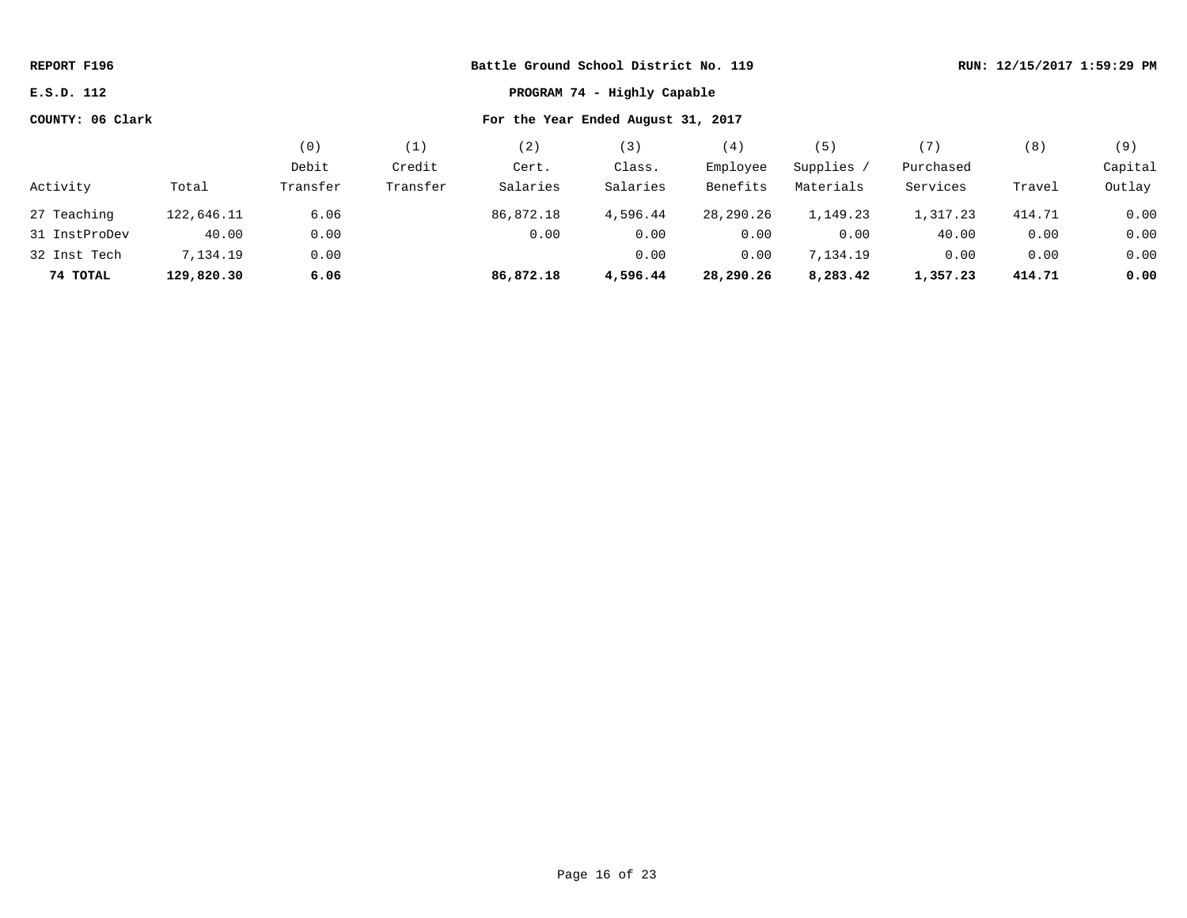| REPORT F196                               |            |          |                                    | Battle Ground School District No. 119 |          |           |            |           |        | RUN: 12/15/2017 1:59:29 PM |
|-------------------------------------------|------------|----------|------------------------------------|---------------------------------------|----------|-----------|------------|-----------|--------|----------------------------|
| PROGRAM 74 - Highly Capable<br>E.S.D. 112 |            |          |                                    |                                       |          |           |            |           |        |                            |
| COUNTY: 06 Clark                          |            |          | For the Year Ended August 31, 2017 |                                       |          |           |            |           |        |                            |
|                                           |            | (0)      | (1)                                | (2)                                   | (3)      | (4)       | (5)        | (7)       | (8)    | (9)                        |
|                                           |            | Debit    | Credit                             | Cert.                                 | Class.   | Employee  | Supplies / | Purchased |        | Capital                    |
| Activity                                  | Total      | Transfer | Transfer                           | Salaries                              | Salaries | Benefits  | Materials  | Services  | Travel | Outlay                     |
| 27 Teaching                               | 122,646.11 | 6.06     |                                    | 86,872.18                             | 4,596.44 | 28,290.26 | 1,149.23   | 1,317.23  | 414.71 | 0.00                       |
| 31 InstProDev                             | 40.00      | 0.00     |                                    | 0.00                                  | 0.00     | 0.00      | 0.00       | 40.00     | 0.00   | 0.00                       |
| 32 Inst Tech                              | 7,134.19   | 0.00     |                                    |                                       | 0.00     | 0.00      | 7,134.19   | 0.00      | 0.00   | 0.00                       |
| 74 TOTAL                                  | 129,820.30 | 6.06     |                                    | 86,872.18                             | 4,596.44 | 28,290.26 | 8,283.42   | 1,357.23  | 414.71 | 0.00                       |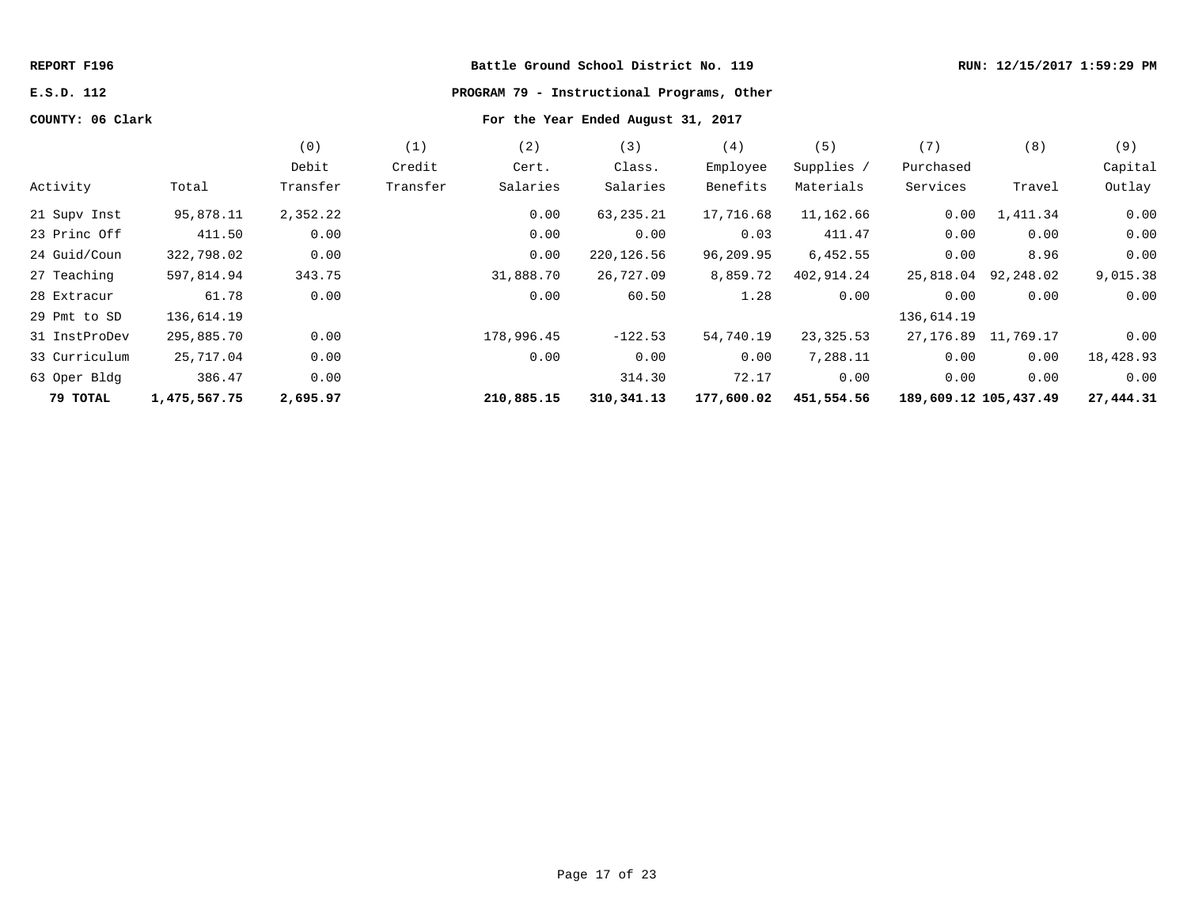# **E.S.D. 112 PROGRAM 79 - Instructional Programs, Other**

|               |              | (0)      | (1)      | (2)        | (3)          | (4)        | (5)        | (7)                   | (8)       | (9)       |
|---------------|--------------|----------|----------|------------|--------------|------------|------------|-----------------------|-----------|-----------|
|               |              | Debit    | Credit   | Cert.      | Class.       | Employee   | Supplies / | Purchased             |           | Capital   |
| Activity      | Total        | Transfer | Transfer | Salaries   | Salaries     | Benefits   | Materials  | Services              | Travel    | Outlay    |
| 21 Supv Inst  | 95,878.11    | 2,352.22 |          | 0.00       | 63,235.21    | 17,716.68  | 11,162.66  | 0.00                  | 1,411.34  | 0.00      |
| 23 Princ Off  | 411.50       | 0.00     |          | 0.00       | 0.00         | 0.03       | 411.47     | 0.00                  | 0.00      | 0.00      |
| 24 Guid/Coun  | 322,798.02   | 0.00     |          | 0.00       | 220, 126.56  | 96,209.95  | 6,452.55   | 0.00                  | 8.96      | 0.00      |
| 27 Teaching   | 597,814.94   | 343.75   |          | 31,888.70  | 26,727.09    | 8,859.72   | 402,914.24 | 25,818.04             | 92,248.02 | 9,015.38  |
| 28 Extracur   | 61.78        | 0.00     |          | 0.00       | 60.50        | 1.28       | 0.00       | 0.00                  | 0.00      | 0.00      |
| 29 Pmt to SD  | 136,614.19   |          |          |            |              |            |            | 136,614.19            |           |           |
| 31 InstProDev | 295,885.70   | 0.00     |          | 178,996.45 | $-122.53$    | 54,740.19  | 23,325.53  | 27, 176.89 11, 769.17 |           | 0.00      |
| 33 Curriculum | 25,717.04    | 0.00     |          | 0.00       | 0.00         | 0.00       | 7,288.11   | 0.00                  | 0.00      | 18,428.93 |
| 63 Oper Bldg  | 386.47       | 0.00     |          |            | 314.30       | 72.17      | 0.00       | 0.00                  | 0.00      | 0.00      |
| 79 TOTAL      | 1,475,567.75 | 2,695.97 |          | 210,885.15 | 310, 341. 13 | 177,600.02 | 451,554.56 | 189,609.12 105,437.49 |           | 27,444.31 |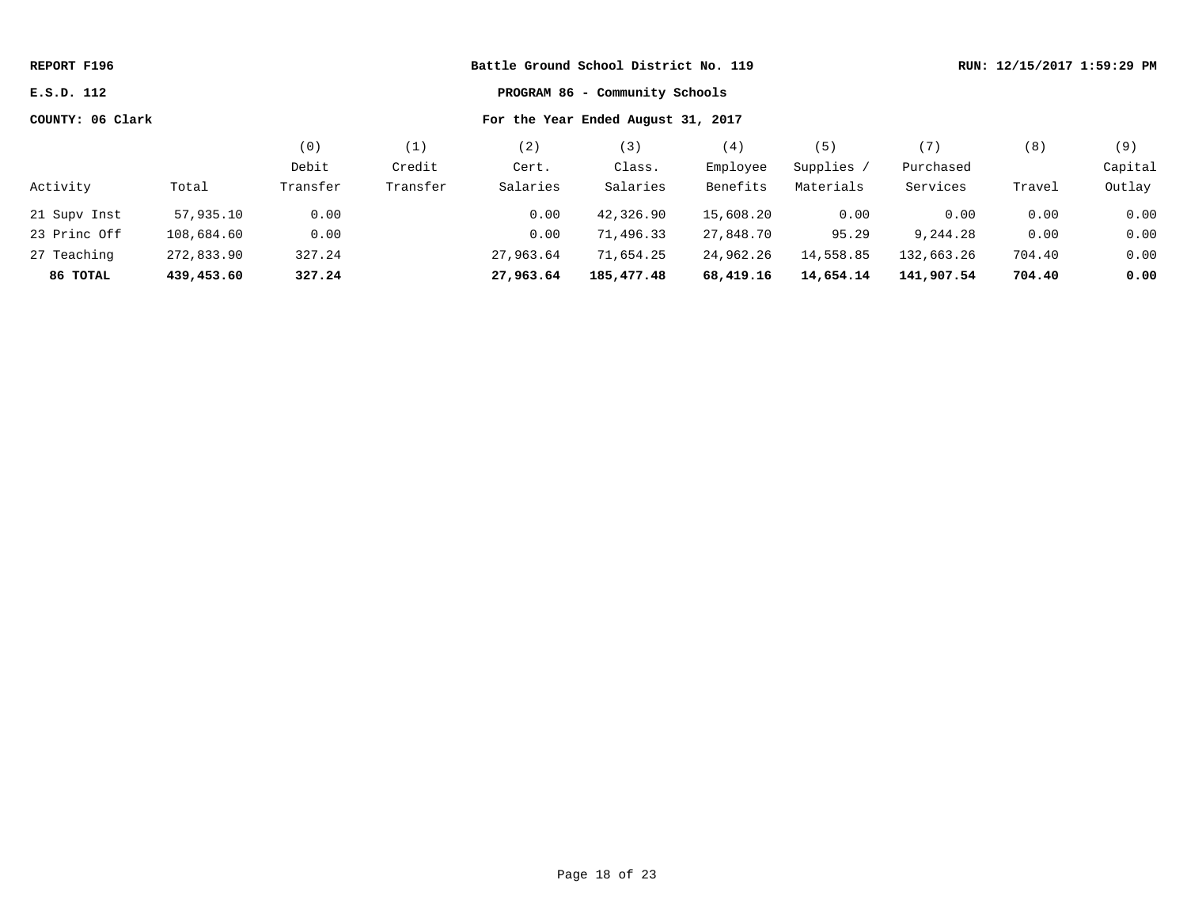| Battle Ground School District No. 119<br>REPORT F196<br>PROGRAM 86 - Community Schools<br>E.S.D. 112 |            |          |                                    |           |            |           |            | RUN: 12/15/2017 1:59:29 PM |        |         |  |
|------------------------------------------------------------------------------------------------------|------------|----------|------------------------------------|-----------|------------|-----------|------------|----------------------------|--------|---------|--|
|                                                                                                      |            |          |                                    |           |            |           |            |                            |        |         |  |
| COUNTY: 06 Clark                                                                                     |            |          | For the Year Ended August 31, 2017 |           |            |           |            |                            |        |         |  |
|                                                                                                      |            | (0)      | (1)                                | (2)       | (3)        | (4)       | (5)        | (7)                        | (8)    | (9)     |  |
|                                                                                                      |            | Debit    | Credit                             | Cert.     | Class.     | Employee  | Supplies / | Purchased                  |        | Capital |  |
| Activity                                                                                             | Total      | Transfer | Transfer                           | Salaries  | Salaries   | Benefits  | Materials  | Services                   | Travel | Outlay  |  |
| 21 Supv Inst                                                                                         | 57,935.10  | 0.00     |                                    | 0.00      | 42,326.90  | 15,608.20 | 0.00       | 0.00                       | 0.00   | 0.00    |  |
| 23 Princ Off                                                                                         | 108,684.60 | 0.00     |                                    | 0.00      | 71,496.33  | 27,848.70 | 95.29      | 9,244.28                   | 0.00   | 0.00    |  |
| 27 Teaching                                                                                          | 272,833.90 | 327.24   |                                    | 27,963.64 | 71,654.25  | 24,962.26 | 14,558.85  | 132,663.26                 | 704.40 | 0.00    |  |
| 86 TOTAL                                                                                             | 439,453.60 | 327.24   |                                    | 27,963.64 | 185,477.48 | 68,419.16 | 14,654.14  | 141,907.54                 | 704.40 | 0.00    |  |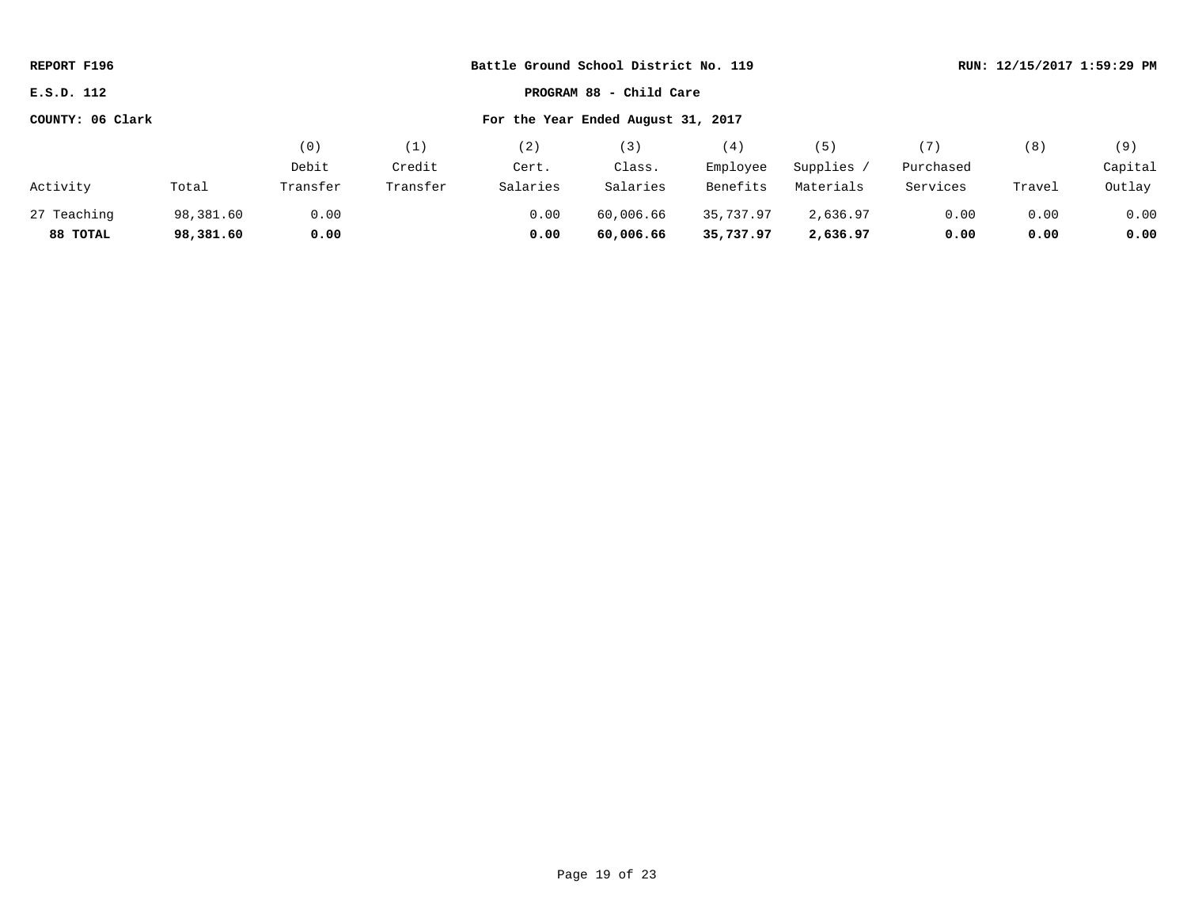| REPORT F196                                            |           |          |          | Battle Ground School District No. 119 |                         |           |            |           | RUN: 12/15/2017 1:59:29 PM |         |
|--------------------------------------------------------|-----------|----------|----------|---------------------------------------|-------------------------|-----------|------------|-----------|----------------------------|---------|
| E.S.D. 112                                             |           |          |          |                                       | PROGRAM 88 - Child Care |           |            |           |                            |         |
| For the Year Ended August 31, 2017<br>COUNTY: 06 Clark |           |          |          |                                       |                         |           |            |           |                            |         |
|                                                        |           | (0)      | (1)      | (2)                                   | (3)                     | (4)       | (5)        | (7)       | (8)                        | (9)     |
|                                                        |           | Debit    | Credit   | Cert.                                 | Class.                  | Employee  | Supplies / | Purchased |                            | Capital |
| Activity                                               | Total     | Transfer | Transfer | Salaries                              | Salaries                | Benefits  | Materials  | Services  | Travel                     | Outlay  |
| 27 Teaching                                            | 98,381.60 | 0.00     |          | 0.00                                  | 60,006.66               | 35,737.97 | 2,636.97   | 0.00      | 0.00                       | 0.00    |
| 88 TOTAL                                               | 98,381.60 | 0.00     |          | 0.00                                  | 60,006.66               | 35,737.97 | 2,636.97   | 0.00      | 0.00                       | 0.00    |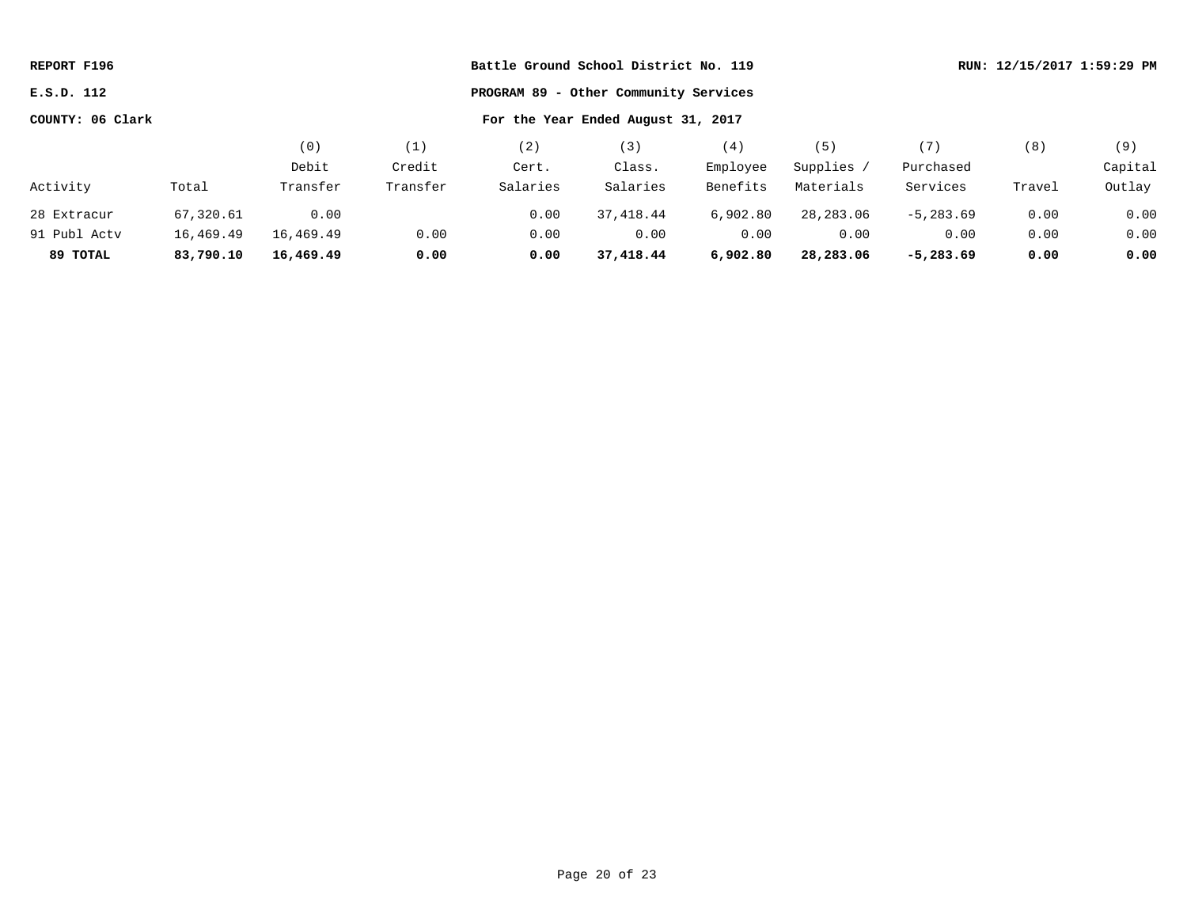| REPORT F196                                         |           |           |          | Battle Ground School District No. 119 |                                    | RUN: 12/15/2017 1:59:29 PM |            |              |        |         |
|-----------------------------------------------------|-----------|-----------|----------|---------------------------------------|------------------------------------|----------------------------|------------|--------------|--------|---------|
| E.S.D. 112<br>PROGRAM 89 - Other Community Services |           |           |          |                                       |                                    |                            |            |              |        |         |
| COUNTY: 06 Clark                                    |           |           |          |                                       | For the Year Ended August 31, 2017 |                            |            |              |        |         |
|                                                     |           | (0)       | (1)      | (2)                                   | (3)                                | (4)                        | (5)        | (7)          | (8)    | (9)     |
|                                                     |           | Debit     | Credit   | Cert.                                 | Class.                             | Employee                   | Supplies / | Purchased    |        | Capital |
| Activity                                            | Total     | Transfer  | Transfer | Salaries                              | Salaries                           | Benefits                   | Materials  | Services     | Travel | Outlay  |
| 28 Extracur                                         | 67,320.61 | 0.00      |          | 0.00                                  | 37,418.44                          | 6,902.80                   | 28,283.06  | $-5, 283.69$ | 0.00   | 0.00    |
| 91 Publ Actv                                        | 16,469.49 | 16,469.49 | 0.00     | 0.00                                  | 0.00                               | 0.00                       | 0.00       | 0.00         | 0.00   | 0.00    |
| 89 TOTAL                                            | 83,790.10 | 16,469.49 | 0.00     | 0.00                                  | 37,418.44                          | 6,902.80                   | 28,283.06  | $-5,283.69$  | 0.00   | 0.00    |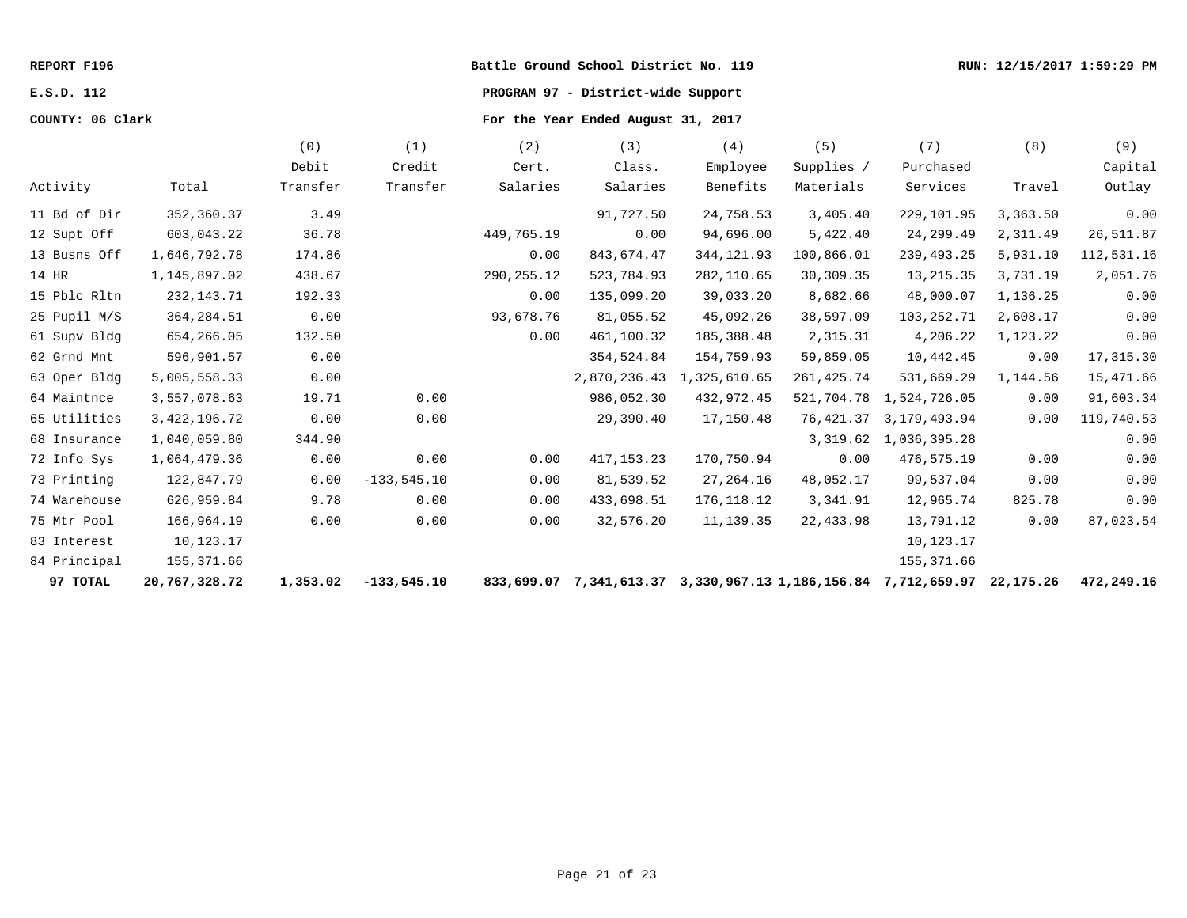# **E.S.D. 112 PROGRAM 97 - District-wide Support**

|              |                 | (0)      | (1)            | (2)          | (3)          | (4)                                                            | (5)         | (7)            | (8)       | (9)        |
|--------------|-----------------|----------|----------------|--------------|--------------|----------------------------------------------------------------|-------------|----------------|-----------|------------|
|              |                 | Debit    | Credit         | Cert.        | Class.       | Employee                                                       | Supplies /  | Purchased      |           | Capital    |
| Activity     | Total           | Transfer | Transfer       | Salaries     | Salaries     | Benefits                                                       | Materials   | Services       | Travel    | Outlay     |
| 11 Bd of Dir | 352,360.37      | 3.49     |                |              | 91,727.50    | 24,758.53                                                      | 3,405.40    | 229,101.95     | 3,363.50  | 0.00       |
| 12 Supt Off  | 603,043.22      | 36.78    |                | 449,765.19   | 0.00         | 94,696.00                                                      | 5,422.40    | 24,299.49      | 2,311.49  | 26,511.87  |
| 13 Busns Off | 1,646,792.78    | 174.86   |                | 0.00         | 843,674.47   | 344, 121.93                                                    | 100,866.01  | 239,493.25     | 5,931.10  | 112,531.16 |
| 14 HR        | 1,145,897.02    | 438.67   |                | 290, 255. 12 | 523,784.93   | 282,110.65                                                     | 30,309.35   | 13, 215.35     | 3,731.19  | 2,051.76   |
| 15 Pblc Rltn | 232, 143. 71    | 192.33   |                | 0.00         | 135,099.20   | 39,033.20                                                      | 8,682.66    | 48,000.07      | 1,136.25  | 0.00       |
| 25 Pupil M/S | 364, 284.51     | 0.00     |                | 93,678.76    | 81,055.52    | 45,092.26                                                      | 38,597.09   | 103, 252. 71   | 2,608.17  | 0.00       |
| 61 Supv Bldg | 654,266.05      | 132.50   |                | 0.00         | 461,100.32   | 185,388.48                                                     | 2,315.31    | 4,206.22       | 1,123.22  | 0.00       |
| 62 Grnd Mnt  | 596,901.57      | 0.00     |                |              | 354,524.84   | 154,759.93                                                     | 59,859.05   | 10,442.45      | 0.00      | 17,315.30  |
| 63 Oper Bldg | 5,005,558.33    | 0.00     |                |              | 2,870,236.43 | 1,325,610.65                                                   | 261, 425.74 | 531,669.29     | 1,144.56  | 15,471.66  |
| 64 Maintnce  | 3,557,078.63    | 19.71    | 0.00           |              | 986,052.30   | 432,972.45                                                     | 521,704.78  | 1,524,726.05   | 0.00      | 91,603.34  |
| 65 Utilities | 3, 422, 196. 72 | 0.00     | 0.00           |              | 29,390.40    | 17,150.48                                                      | 76,421.37   | 3, 179, 493.94 | 0.00      | 119,740.53 |
| 68 Insurance | 1,040,059.80    | 344.90   |                |              |              |                                                                | 3,319.62    | 1,036,395.28   |           | 0.00       |
| 72 Info Sys  | 1,064,479.36    | 0.00     | 0.00           | 0.00         | 417, 153. 23 | 170,750.94                                                     | 0.00        | 476,575.19     | 0.00      | 0.00       |
| 73 Printing  | 122,847.79      | 0.00     | $-133, 545.10$ | 0.00         | 81,539.52    | 27,264.16                                                      | 48,052.17   | 99,537.04      | 0.00      | 0.00       |
| 74 Warehouse | 626,959.84      | 9.78     | 0.00           | 0.00         | 433,698.51   | 176, 118.12                                                    | 3,341.91    | 12,965.74      | 825.78    | 0.00       |
| 75 Mtr Pool  | 166,964.19      | 0.00     | 0.00           | 0.00         | 32,576.20    | 11,139.35                                                      | 22,433.98   | 13,791.12      | 0.00      | 87,023.54  |
| 83 Interest  | 10,123.17       |          |                |              |              |                                                                |             | 10,123.17      |           |            |
| 84 Principal | 155,371.66      |          |                |              |              |                                                                |             | 155, 371.66    |           |            |
| 97 TOTAL     | 20,767,328.72   | 1,353.02 | $-133,545.10$  |              |              | 833,699.07 7,341,613.37 3,330,967.13 1,186,156.84 7,712,659.97 |             |                | 22,175.26 | 472,249.16 |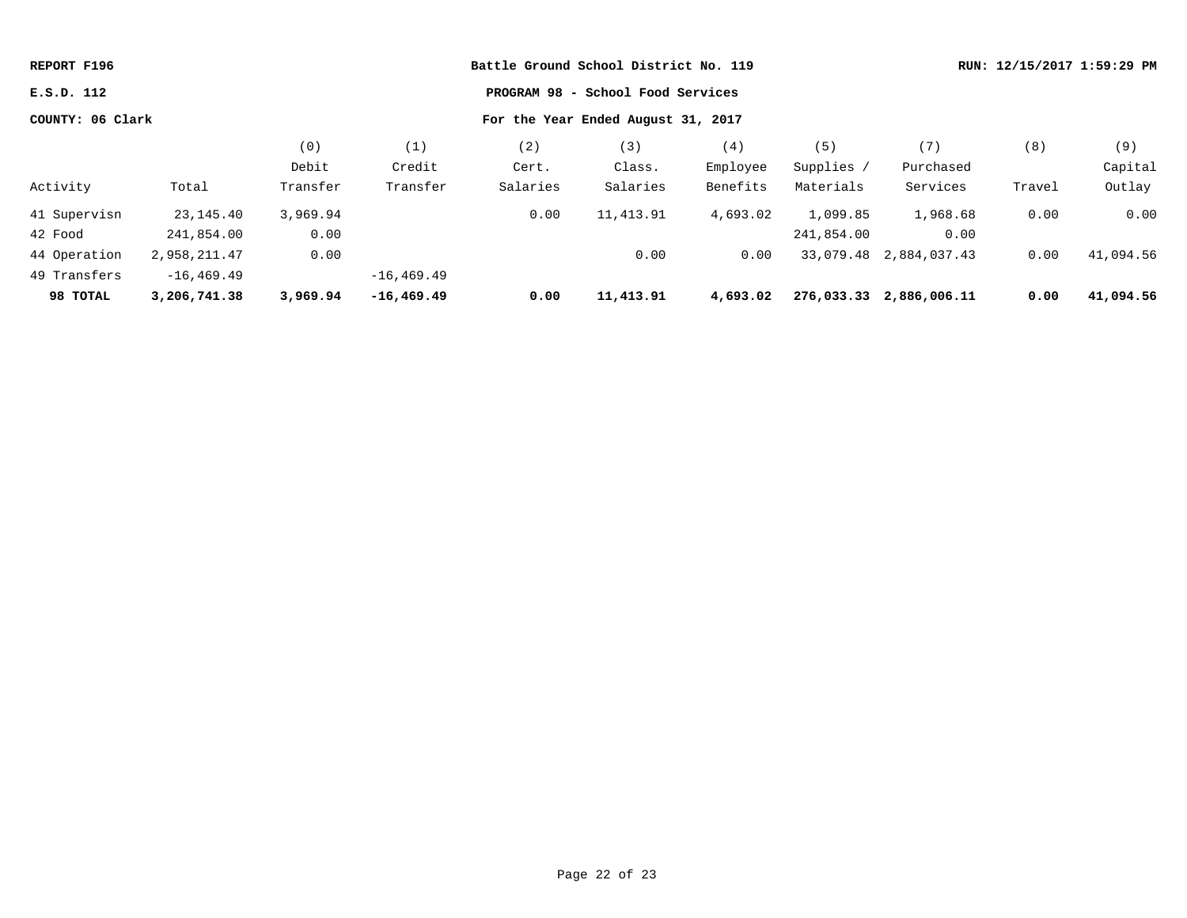| REPORT F196      |               |          |               | Battle Ground School District No. 119 |                                    |          |            |                         | RUN: 12/15/2017 1:59:29 PM |           |  |
|------------------|---------------|----------|---------------|---------------------------------------|------------------------------------|----------|------------|-------------------------|----------------------------|-----------|--|
| E.S.D. 112       |               |          |               |                                       | PROGRAM 98 - School Food Services  |          |            |                         |                            |           |  |
| COUNTY: 06 Clark |               |          |               |                                       | For the Year Ended August 31, 2017 |          |            |                         |                            |           |  |
|                  |               | (0)      | (1)           | (2)                                   | (3)                                | (4)      | (5)        | (7)                     | (8)                        | (9)       |  |
|                  |               | Debit    | Credit        | Cert.                                 | Class.                             | Employee | Supplies / | Purchased               |                            | Capital   |  |
| Activity         | Total         | Transfer | Transfer      | Salaries                              | Salaries                           | Benefits | Materials  | Services                | Travel                     | Outlay    |  |
| 41 Supervisn     | 23,145.40     | 3,969.94 |               | 0.00                                  | 11,413.91                          | 4,693.02 | 1,099.85   | 1,968.68                | 0.00                       | 0.00      |  |
| 42 Food          | 241,854.00    | 0.00     |               |                                       |                                    |          | 241,854.00 | 0.00                    |                            |           |  |
| 44 Operation     | 2,958,211.47  | 0.00     |               |                                       | 0.00                               | 0.00     |            | 33,079.48 2,884,037.43  | 0.00                       | 41,094.56 |  |
| 49 Transfers     | $-16, 469.49$ |          | $-16, 469.49$ |                                       |                                    |          |            |                         |                            |           |  |
| 98 TOTAL         | 3,206,741.38  | 3,969.94 | $-16, 469.49$ | 0.00                                  | 11,413.91                          | 4,693.02 |            | 276,033.33 2,886,006.11 | 0.00                       | 41,094.56 |  |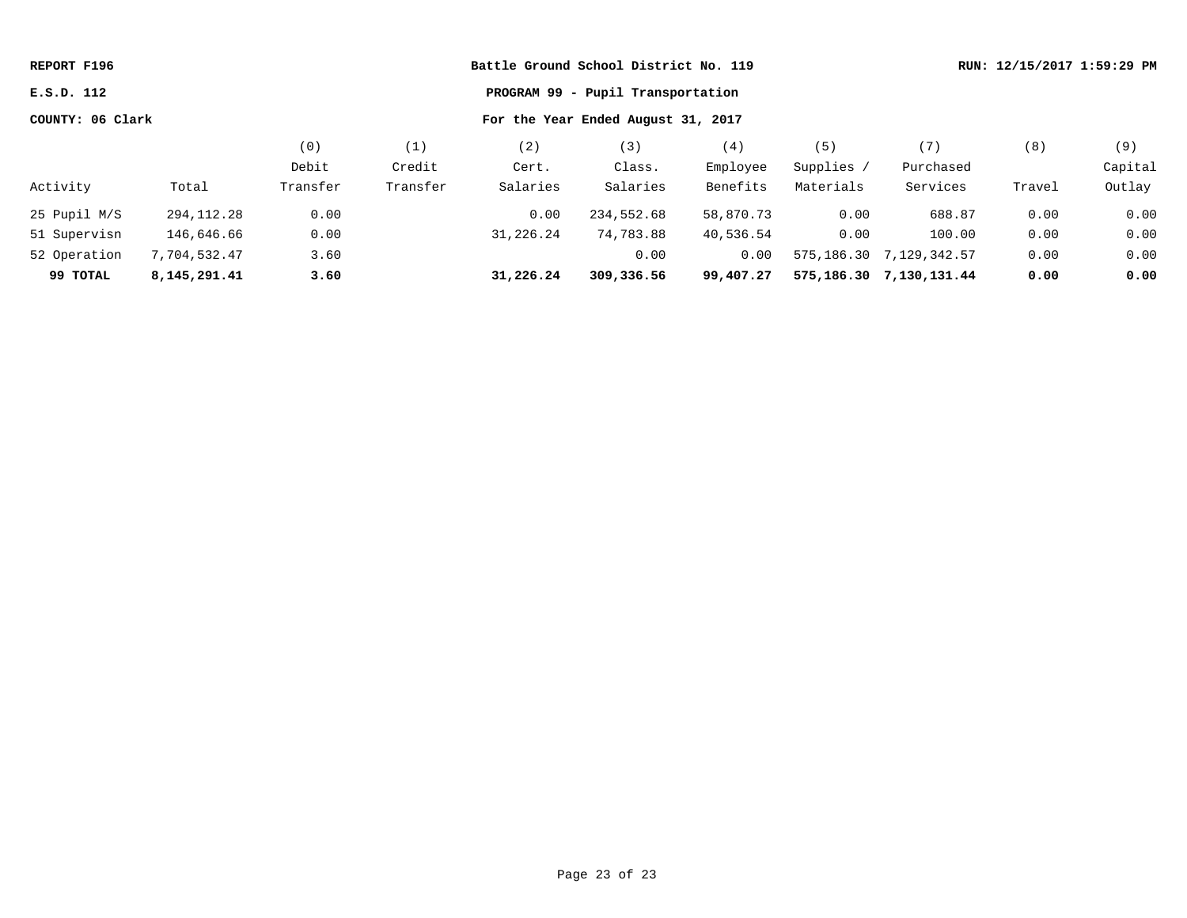| REPORT F196                                            |              |          |          |           | Battle Ground School District No. 119 |           |            |                            |        | RUN: 12/15/2017 1:59:29 PM |
|--------------------------------------------------------|--------------|----------|----------|-----------|---------------------------------------|-----------|------------|----------------------------|--------|----------------------------|
| PROGRAM 99 - Pupil Transportation<br>E.S.D. 112        |              |          |          |           |                                       |           |            |                            |        |                            |
| COUNTY: 06 Clark<br>For the Year Ended August 31, 2017 |              |          |          |           |                                       |           |            |                            |        |                            |
|                                                        |              | (0)      | (1)      | (2)       | (3)                                   | (4)       | (5)        | (7)                        | (8)    | (9)                        |
|                                                        |              | Debit    | Credit   | Cert.     | Class.                                | Employee  | Supplies / | Purchased                  |        | Capital                    |
| Activity                                               | Total        | Transfer | Transfer | Salaries  | Salaries                              | Benefits  | Materials  | Services                   | Travel | Outlay                     |
| 25 Pupil M/S                                           | 294,112.28   | 0.00     |          | 0.00      | 234,552.68                            | 58,870.73 | 0.00       | 688.87                     | 0.00   | 0.00                       |
| 51 Supervisn                                           | 146,646.66   | 0.00     |          | 31,226.24 | 74,783.88                             | 40,536.54 | 0.00       | 100.00                     | 0.00   | 0.00                       |
| 52 Operation                                           | 7,704,532.47 | 3.60     |          |           | 0.00                                  | 0.00      |            | 575, 186.30 7, 129, 342.57 | 0.00   | 0.00                       |
| 99 TOTAL                                               | 8,145,291.41 | 3.60     |          | 31,226.24 | 309,336.56                            | 99,407.27 |            | 575, 186.30 7, 130, 131.44 | 0.00   | 0.00                       |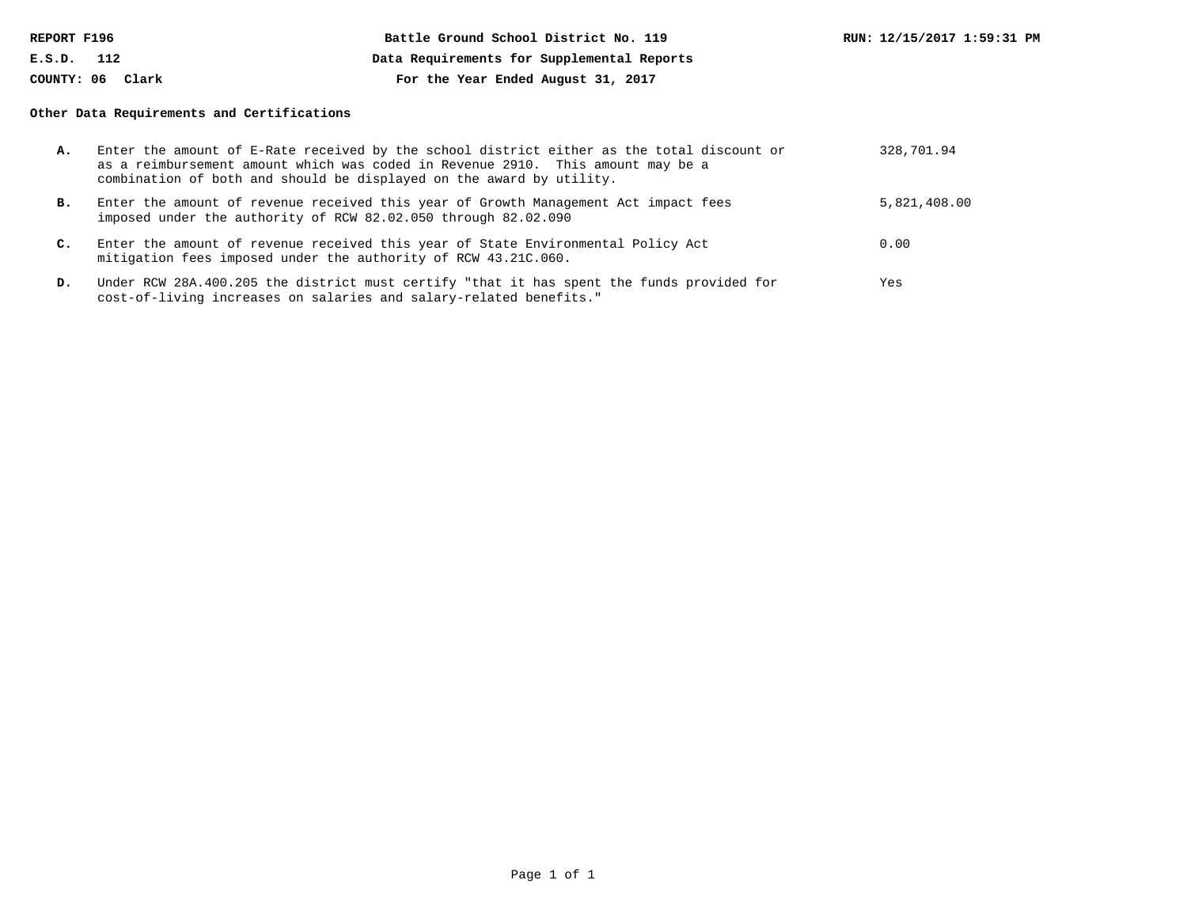| REPORT F196      | Battle Ground School District No. 119      |  | RUN: 12/15/2017 1:59:31 PM |
|------------------|--------------------------------------------|--|----------------------------|
| E.S.D.<br>112    | Data Requirements for Supplemental Reports |  |                            |
| COUNTY: 06 Clark | For the Year Ended August 31, 2017         |  |                            |

### **Other Data Requirements and Certifications**

| А. | Enter the amount of E-Rate received by the school district either as the total discount or<br>as a reimbursement amount which was coded in Revenue 2910. This amount may be a<br>combination of both and should be displayed on the award by utility. | 328,701.94   |
|----|-------------------------------------------------------------------------------------------------------------------------------------------------------------------------------------------------------------------------------------------------------|--------------|
| в. | Enter the amount of revenue received this year of Growth Management Act impact fees<br>imposed under the authority of RCW 82.02.050 through 82.02.090                                                                                                 | 5,821,408.00 |
| C. | Enter the amount of revenue received this year of State Environmental Policy Act<br>mitigation fees imposed under the authority of RCW 43.21C.060.                                                                                                    | 0.00         |
| D. | Under RCW 28A.400.205 the district must certify "that it has spent the funds provided for<br>cost-of-living increases on salaries and salary-related benefits."                                                                                       | Yes          |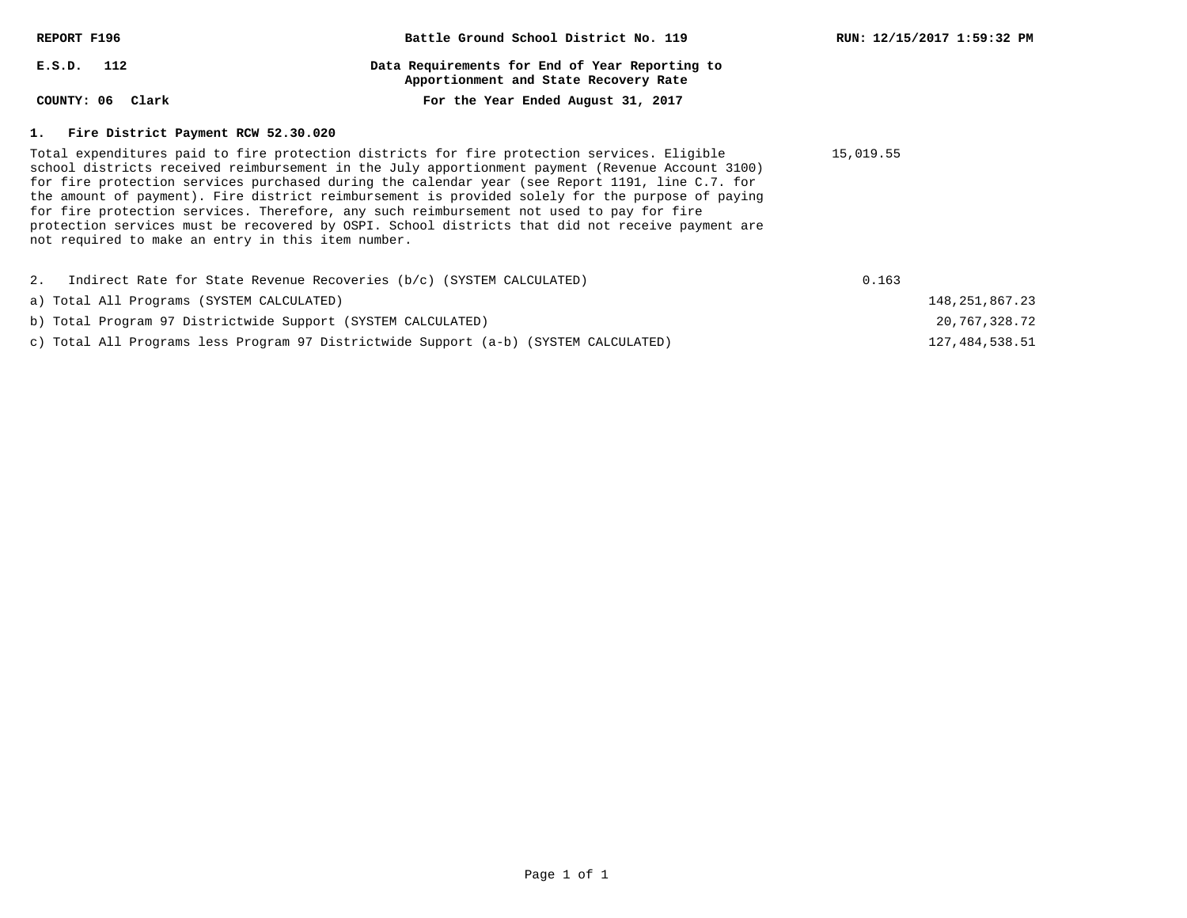| REPORT F196                                                             | Battle Ground School District No. 119                                                                                                                                                                                                                                                                                                                                                                                                                                                                                                                                                                  | RUN: 12/15/2017 1:59:32 PM |
|-------------------------------------------------------------------------|--------------------------------------------------------------------------------------------------------------------------------------------------------------------------------------------------------------------------------------------------------------------------------------------------------------------------------------------------------------------------------------------------------------------------------------------------------------------------------------------------------------------------------------------------------------------------------------------------------|----------------------------|
| $E.S.D.$ 112                                                            | Data Requirements for End of Year Reporting to<br>Apportionment and State Recovery Rate                                                                                                                                                                                                                                                                                                                                                                                                                                                                                                                |                            |
| COUNTY: 06 Clark                                                        | For the Year Ended August 31, 2017                                                                                                                                                                                                                                                                                                                                                                                                                                                                                                                                                                     |                            |
| 1. Fire District Payment RCW 52.30.020                                  |                                                                                                                                                                                                                                                                                                                                                                                                                                                                                                                                                                                                        |                            |
| not required to make an entry in this item number.                      | Total expenditures paid to fire protection districts for fire protection services. Eligible<br>school districts received reimbursement in the July apportionment payment (Revenue Account 3100)<br>for fire protection services purchased during the calendar year (see Report 1191, line C.7. for<br>the amount of payment). Fire district reimbursement is provided solely for the purpose of paying<br>for fire protection services. Therefore, any such reimbursement not used to pay for fire<br>protection services must be recovered by OSPI. School districts that did not receive payment are | 15,019.55                  |
| 2. Indirect Rate for State Revenue Recoveries (b/c) (SYSTEM CALCULATED) |                                                                                                                                                                                                                                                                                                                                                                                                                                                                                                                                                                                                        | 0.163                      |
| a) Total All Programs (SYSTEM CALCULATED)                               |                                                                                                                                                                                                                                                                                                                                                                                                                                                                                                                                                                                                        | 148, 251, 867. 23          |
| b) Total Program 97 Districtwide Support (SYSTEM CALCULATED)            |                                                                                                                                                                                                                                                                                                                                                                                                                                                                                                                                                                                                        | 20,767,328.72              |

127,484,538.51

c) Total All Programs less Program 97 Districtwide Support (a-b) (SYSTEM CALCULATED)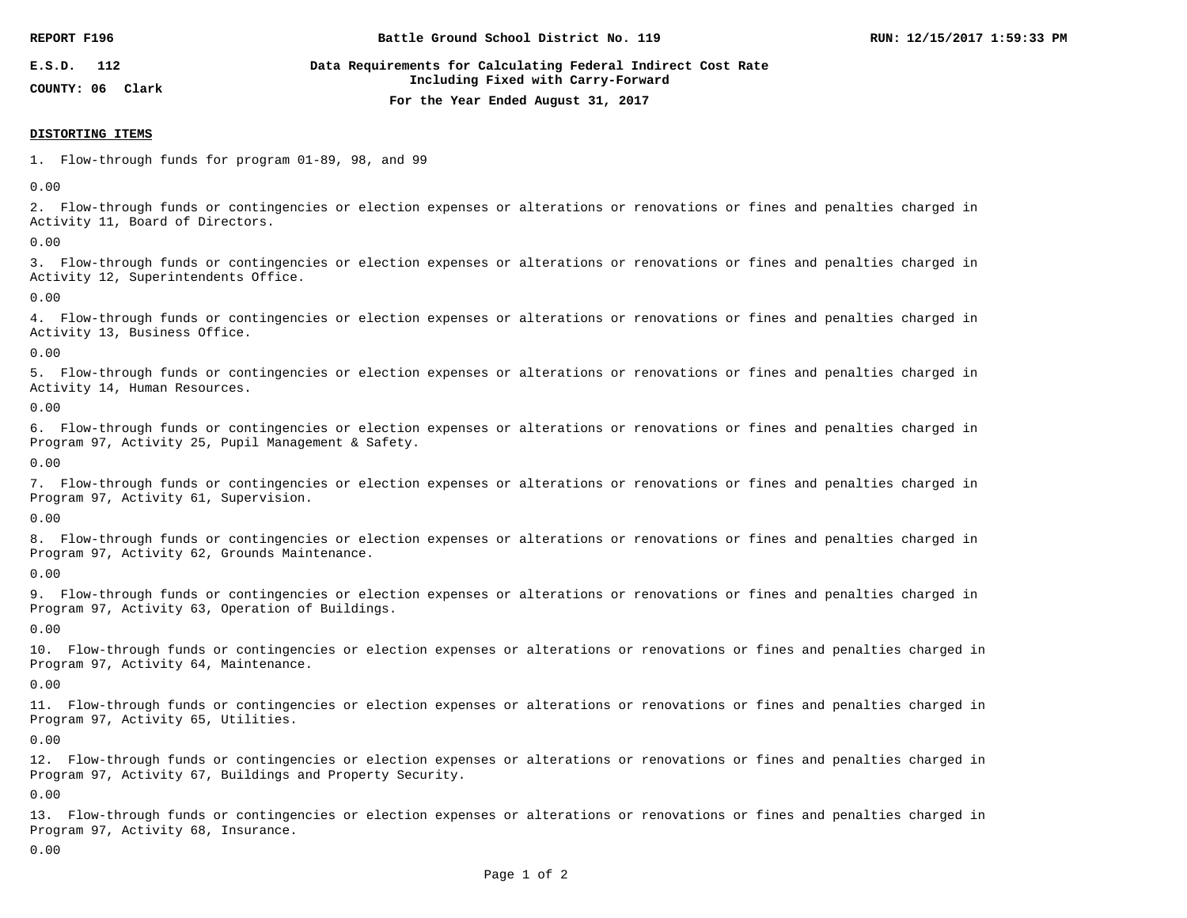| REPORT F196                          | Battle Ground School District No. 119                                                              | RUN: 12/15/2017 1:59:33 PM |
|--------------------------------------|----------------------------------------------------------------------------------------------------|----------------------------|
| E.S.D.<br>112<br>COUNTY: 06<br>Clark | Data Requirements for Calculating Federal Indirect Cost Rate<br>Including Fixed with Carry-Forward |                            |
|                                      | For the Year Ended August 31, 2017                                                                 |                            |

#### **DISTORTING ITEMS**

1. Flow-through funds for program 01-89, 98, and 99

0.00

2. Flow-through funds or contingencies or election expenses or alterations or renovations or fines and penalties charged in Activity 11, Board of Directors.

0.00

3. Flow-through funds or contingencies or election expenses or alterations or renovations or fines and penalties charged in Activity 12, Superintendents Office.

0.00

4. Flow-through funds or contingencies or election expenses or alterations or renovations or fines and penalties charged in Activity 13, Business Office.

0.00

5. Flow-through funds or contingencies or election expenses or alterations or renovations or fines and penalties charged in Activity 14, Human Resources.

0.00

6. Flow-through funds or contingencies or election expenses or alterations or renovations or fines and penalties charged in Program 97, Activity 25, Pupil Management & Safety.

0.00

7. Flow-through funds or contingencies or election expenses or alterations or renovations or fines and penalties charged in Program 97, Activity 61, Supervision.

0.00

8. Flow-through funds or contingencies or election expenses or alterations or renovations or fines and penalties charged in Program 97, Activity 62, Grounds Maintenance.

0.00

9. Flow-through funds or contingencies or election expenses or alterations or renovations or fines and penalties charged in Program 97, Activity 63, Operation of Buildings.

0.00

10. Flow-through funds or contingencies or election expenses or alterations or renovations or fines and penalties charged in Program 97, Activity 64, Maintenance.

0.00

11. Flow-through funds or contingencies or election expenses or alterations or renovations or fines and penalties charged in Program 97, Activity 65, Utilities.

0.00

12. Flow-through funds or contingencies or election expenses or alterations or renovations or fines and penalties charged in Program 97, Activity 67, Buildings and Property Security.

0.00

13. Flow-through funds or contingencies or election expenses or alterations or renovations or fines and penalties charged in Program 97, Activity 68, Insurance.

0.00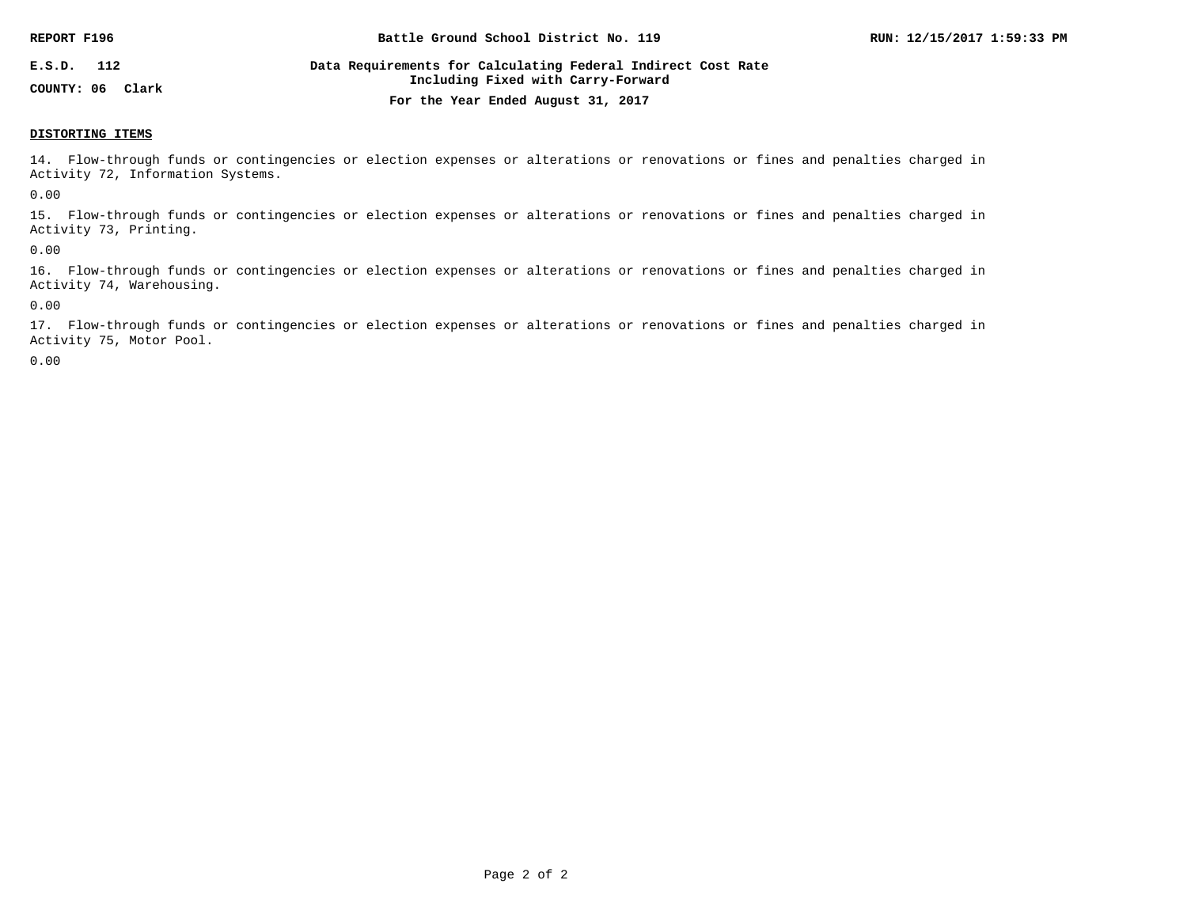| REPORT F196                       | Battle Ground School District No. 119                                                              | RUN: 12/15/2017 1:59:33 PM |
|-----------------------------------|----------------------------------------------------------------------------------------------------|----------------------------|
| E.S.D.<br>112<br>COUNTY: 06 Clark | Data Requirements for Calculating Federal Indirect Cost Rate<br>Including Fixed with Carry-Forward |                            |
|                                   | For the Year Ended August 31, 2017                                                                 |                            |

#### **DISTORTING ITEMS**

14. Flow-through funds or contingencies or election expenses or alterations or renovations or fines and penalties charged in Activity 72, Information Systems.

0.00

15. Flow-through funds or contingencies or election expenses or alterations or renovations or fines and penalties charged in Activity 73, Printing.

0.00

16. Flow-through funds or contingencies or election expenses or alterations or renovations or fines and penalties charged in Activity 74, Warehousing.

0.00

17. Flow-through funds or contingencies or election expenses or alterations or renovations or fines and penalties charged in Activity 75, Motor Pool.

0.00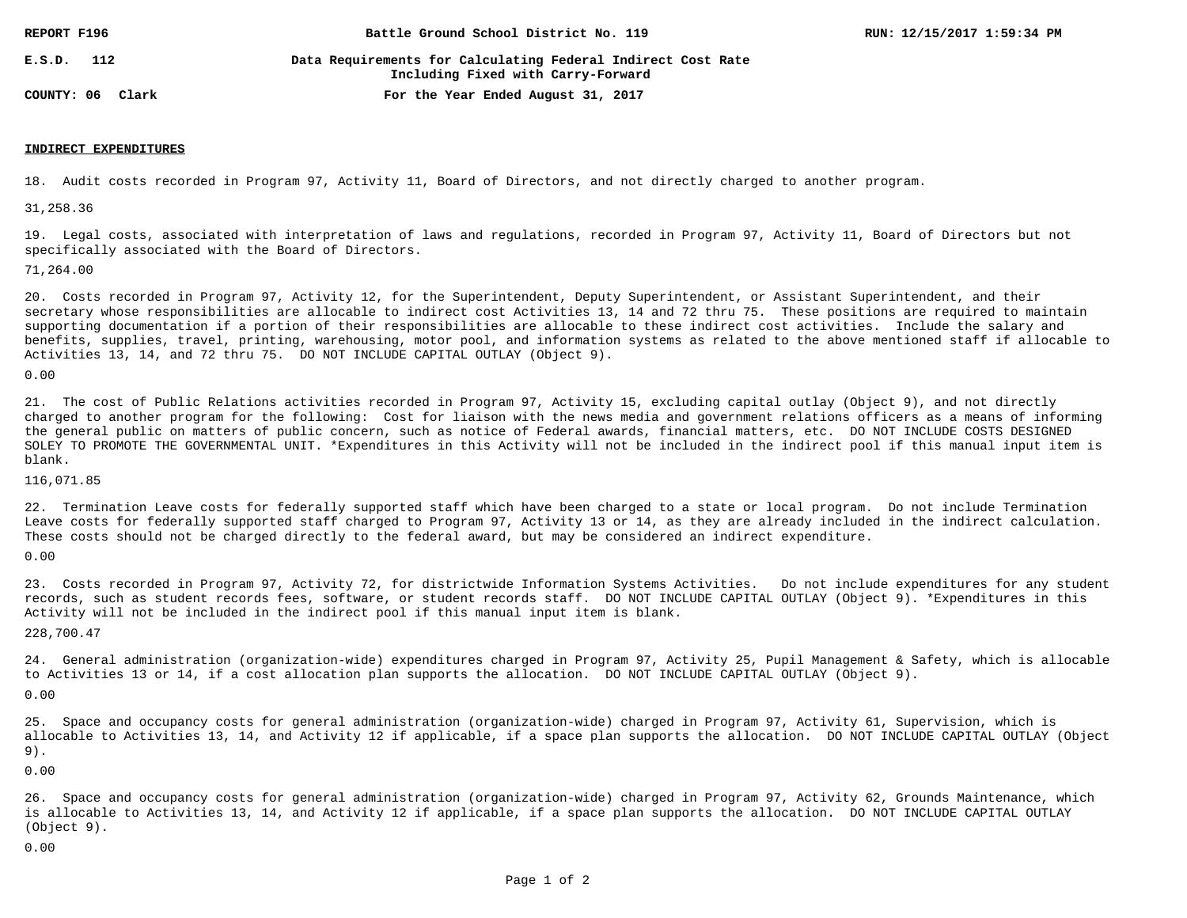| REPORT F196      | Battle Ground School District No. 119                                                              | RUN: 12/15/2017 1:59:34 PM |
|------------------|----------------------------------------------------------------------------------------------------|----------------------------|
| 112<br>E.S.D.    | Data Requirements for Calculating Federal Indirect Cost Rate<br>Including Fixed with Carry-Forward |                            |
| COUNTY: 06 Clark | For the Year Ended August 31, 2017                                                                 |                            |

### **INDIRECT EXPENDITURES**

18. Audit costs recorded in Program 97, Activity 11, Board of Directors, and not directly charged to another program.

31,258.36

19. Legal costs, associated with interpretation of laws and regulations, recorded in Program 97, Activity 11, Board of Directors but not specifically associated with the Board of Directors.

71,264.00

20. Costs recorded in Program 97, Activity 12, for the Superintendent, Deputy Superintendent, or Assistant Superintendent, and their secretary whose responsibilities are allocable to indirect cost Activities 13, 14 and 72 thru 75. These positions are required to maintain supporting documentation if a portion of their responsibilities are allocable to these indirect cost activities. Include the salary and benefits, supplies, travel, printing, warehousing, motor pool, and information systems as related to the above mentioned staff if allocable to Activities 13, 14, and 72 thru 75. DO NOT INCLUDE CAPITAL OUTLAY (Object 9).

0.00

21. The cost of Public Relations activities recorded in Program 97, Activity 15, excluding capital outlay (Object 9), and not directly charged to another program for the following: Cost for liaison with the news media and government relations officers as a means of informing the general public on matters of public concern, such as notice of Federal awards, financial matters, etc. DO NOT INCLUDE COSTS DESIGNED SOLEY TO PROMOTE THE GOVERNMENTAL UNIT. \*Expenditures in this Activity will not be included in the indirect pool if this manual input item is blank.

116,071.85

22. Termination Leave costs for federally supported staff which have been charged to a state or local program. Do not include Termination Leave costs for federally supported staff charged to Program 97, Activity 13 or 14, as they are already included in the indirect calculation. These costs should not be charged directly to the federal award, but may be considered an indirect expenditure.

0.00

23. Costs recorded in Program 97, Activity 72, for districtwide Information Systems Activities. Do not include expenditures for any student records, such as student records fees, software, or student records staff. DO NOT INCLUDE CAPITAL OUTLAY (Object 9). \*Expenditures in this Activity will not be included in the indirect pool if this manual input item is blank.

228,700.47

24. General administration (organization-wide) expenditures charged in Program 97, Activity 25, Pupil Management & Safety, which is allocable to Activities 13 or 14, if a cost allocation plan supports the allocation. DO NOT INCLUDE CAPITAL OUTLAY (Object 9).

0.00

25. Space and occupancy costs for general administration (organization-wide) charged in Program 97, Activity 61, Supervision, which is allocable to Activities 13, 14, and Activity 12 if applicable, if a space plan supports the allocation. DO NOT INCLUDE CAPITAL OUTLAY (Object 9).

0.00

26. Space and occupancy costs for general administration (organization-wide) charged in Program 97, Activity 62, Grounds Maintenance, which is allocable to Activities 13, 14, and Activity 12 if applicable, if a space plan supports the allocation. DO NOT INCLUDE CAPITAL OUTLAY (Object 9).

0.00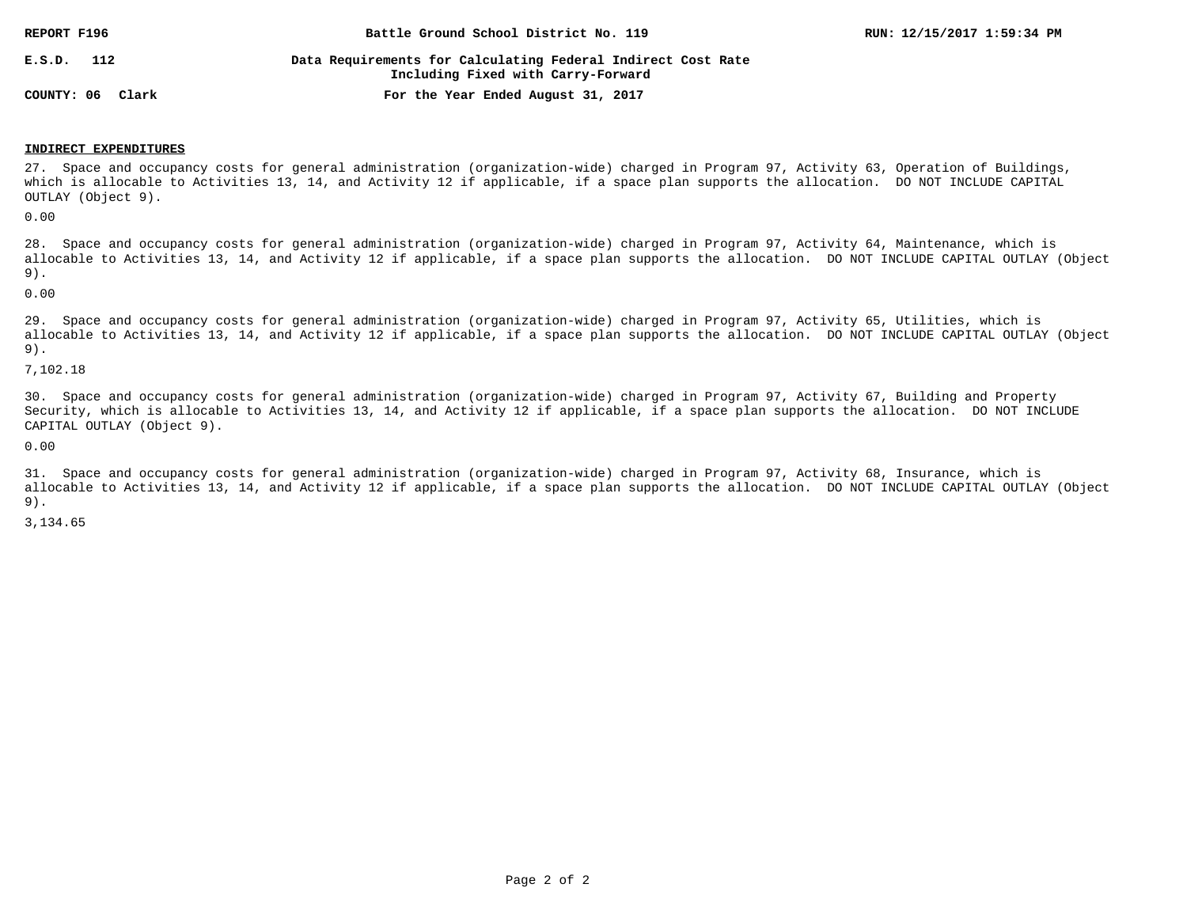| REPORT F196      | Battle Ground School District No. 119                                                              | RUN: 12/15/2017 1:59:34 PM |
|------------------|----------------------------------------------------------------------------------------------------|----------------------------|
| E.S.D.<br>112    | Data Requirements for Calculating Federal Indirect Cost Rate<br>Including Fixed with Carry-Forward |                            |
| COUNTY: 06 Clark | For the Year Ended August 31, 2017                                                                 |                            |

#### **INDIRECT EXPENDITURES**

27. Space and occupancy costs for general administration (organization-wide) charged in Program 97, Activity 63, Operation of Buildings, which is allocable to Activities 13, 14, and Activity 12 if applicable, if a space plan supports the allocation. DO NOT INCLUDE CAPITAL OUTLAY (Object 9).

0.00

28. Space and occupancy costs for general administration (organization-wide) charged in Program 97, Activity 64, Maintenance, which is allocable to Activities 13, 14, and Activity 12 if applicable, if a space plan supports the allocation. DO NOT INCLUDE CAPITAL OUTLAY (Object 9).

0.00

29. Space and occupancy costs for general administration (organization-wide) charged in Program 97, Activity 65, Utilities, which is allocable to Activities 13, 14, and Activity 12 if applicable, if a space plan supports the allocation. DO NOT INCLUDE CAPITAL OUTLAY (Object 9).

7,102.18

30. Space and occupancy costs for general administration (organization-wide) charged in Program 97, Activity 67, Building and Property Security, which is allocable to Activities 13, 14, and Activity 12 if applicable, if a space plan supports the allocation. DO NOT INCLUDE CAPITAL OUTLAY (Object 9).

0.00

31. Space and occupancy costs for general administration (organization-wide) charged in Program 97, Activity 68, Insurance, which is allocable to Activities 13, 14, and Activity 12 if applicable, if a space plan supports the allocation. DO NOT INCLUDE CAPITAL OUTLAY (Object 9).

3,134.65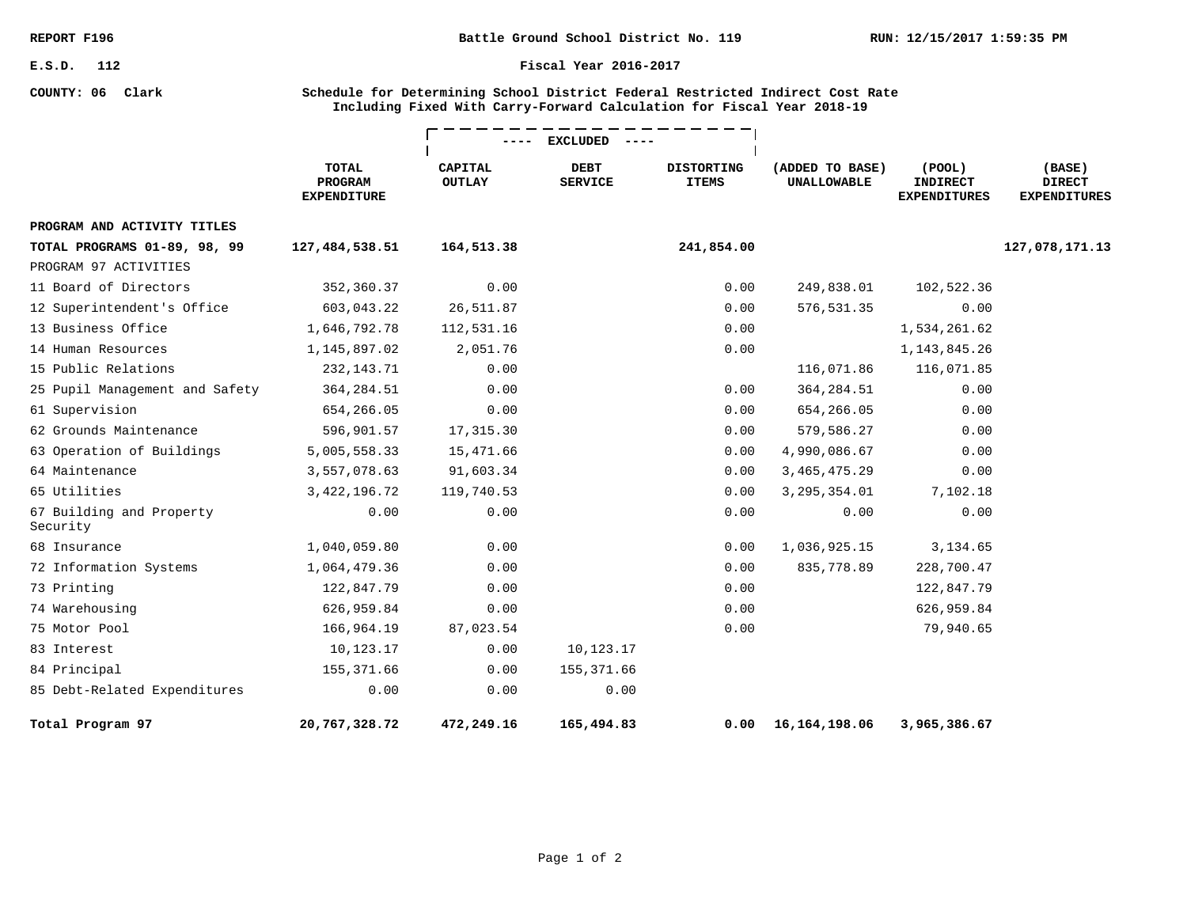**COUNTY: 06 Clark**

#### **Fiscal Year 2016-2017**

### **Schedule for Determining School District Federal Restricted Indirect Cost Rate Including Fixed With Carry-Forward Calculation for Fiscal Year 2018-19**

|                                      |                                               | <b>EXCLUDED</b>                 |                               |                                   |                                       |                                                        |                                                |
|--------------------------------------|-----------------------------------------------|---------------------------------|-------------------------------|-----------------------------------|---------------------------------------|--------------------------------------------------------|------------------------------------------------|
|                                      | <b>TOTAL</b><br>PROGRAM<br><b>EXPENDITURE</b> | <b>CAPITAL</b><br><b>OUTLAY</b> | <b>DEBT</b><br><b>SERVICE</b> | <b>DISTORTING</b><br><b>ITEMS</b> | (ADDED TO BASE)<br><b>UNALLOWABLE</b> | $($ POOL $)$<br><b>INDIRECT</b><br><b>EXPENDITURES</b> | (BASE)<br><b>DIRECT</b><br><b>EXPENDITURES</b> |
| PROGRAM AND ACTIVITY TITLES          |                                               |                                 |                               |                                   |                                       |                                                        |                                                |
| TOTAL PROGRAMS 01-89, 98, 99         | 127,484,538.51                                | 164,513.38                      |                               | 241,854.00                        |                                       |                                                        | 127,078,171.13                                 |
| PROGRAM 97 ACTIVITIES                |                                               |                                 |                               |                                   |                                       |                                                        |                                                |
| 11 Board of Directors                | 352,360.37                                    | 0.00                            |                               | 0.00                              | 249,838.01                            | 102,522.36                                             |                                                |
| 12 Superintendent's Office           | 603,043.22                                    | 26,511.87                       |                               | 0.00                              | 576,531.35                            | 0.00                                                   |                                                |
| 13 Business Office                   | 1,646,792.78                                  | 112,531.16                      |                               | 0.00                              |                                       | 1,534,261.62                                           |                                                |
| 14 Human Resources                   | 1,145,897.02                                  | 2,051.76                        |                               | 0.00                              |                                       | 1, 143, 845. 26                                        |                                                |
| 15 Public Relations                  | 232, 143. 71                                  | 0.00                            |                               |                                   | 116,071.86                            | 116,071.85                                             |                                                |
| 25 Pupil Management and Safety       | 364, 284.51                                   | 0.00                            |                               | 0.00                              | 364, 284.51                           | 0.00                                                   |                                                |
| 61 Supervision                       | 654,266.05                                    | 0.00                            |                               | 0.00                              | 654,266.05                            | 0.00                                                   |                                                |
| 62 Grounds Maintenance               | 596,901.57                                    | 17,315.30                       |                               | 0.00                              | 579,586.27                            | 0.00                                                   |                                                |
| 63 Operation of Buildings            | 5,005,558.33                                  | 15,471.66                       |                               | 0.00                              | 4,990,086.67                          | 0.00                                                   |                                                |
| 64 Maintenance                       | 3,557,078.63                                  | 91,603.34                       |                               | 0.00                              | 3, 465, 475. 29                       | 0.00                                                   |                                                |
| 65 Utilities                         | 3, 422, 196.72                                | 119,740.53                      |                               | 0.00                              | 3, 295, 354.01                        | 7,102.18                                               |                                                |
| 67 Building and Property<br>Security | 0.00                                          | 0.00                            |                               | 0.00                              | 0.00                                  | 0.00                                                   |                                                |
| 68 Insurance                         | 1,040,059.80                                  | 0.00                            |                               | 0.00                              | 1,036,925.15                          | 3,134.65                                               |                                                |
| 72 Information Systems               | 1,064,479.36                                  | 0.00                            |                               | 0.00                              | 835,778.89                            | 228,700.47                                             |                                                |
| 73 Printing                          | 122,847.79                                    | 0.00                            |                               | 0.00                              |                                       | 122,847.79                                             |                                                |
| 74 Warehousing                       | 626,959.84                                    | 0.00                            |                               | 0.00                              |                                       | 626,959.84                                             |                                                |
| 75 Motor Pool                        | 166,964.19                                    | 87,023.54                       |                               | 0.00                              |                                       | 79,940.65                                              |                                                |
| 83 Interest                          | 10,123.17                                     | 0.00                            | 10,123.17                     |                                   |                                       |                                                        |                                                |
| 84 Principal                         | 155, 371.66                                   | 0.00                            | 155, 371.66                   |                                   |                                       |                                                        |                                                |
| 85 Debt-Related Expenditures         | 0.00                                          | 0.00                            | 0.00                          |                                   |                                       |                                                        |                                                |
| Total Program 97                     | 20,767,328.72                                 | 472,249.16                      | 165,494.83                    | 0.00                              | 16,164,198.06                         | 3,965,386.67                                           |                                                |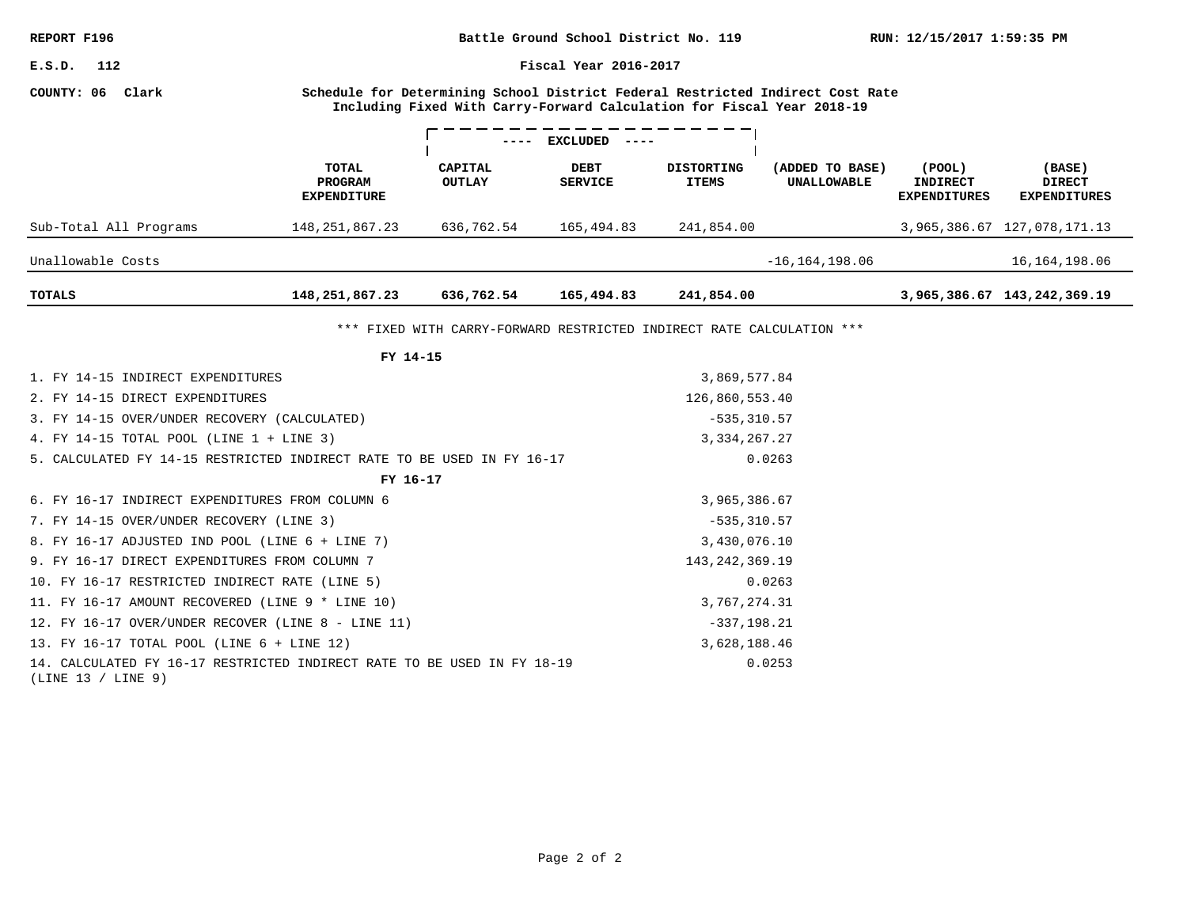| Battle Ground School District No. 119<br>REPORT F196                                          |                                               |                                                                       |                                                                                                                                                          |                                   |                                       | RUN: 12/15/2017 1:59:35 PM                             |                                                |  |  |
|-----------------------------------------------------------------------------------------------|-----------------------------------------------|-----------------------------------------------------------------------|----------------------------------------------------------------------------------------------------------------------------------------------------------|-----------------------------------|---------------------------------------|--------------------------------------------------------|------------------------------------------------|--|--|
| Fiscal Year 2016-2017<br>$_{\tt E.S.D.}$<br>112                                               |                                               |                                                                       |                                                                                                                                                          |                                   |                                       |                                                        |                                                |  |  |
| COUNTY: 06 Clark                                                                              |                                               |                                                                       | Schedule for Determining School District Federal Restricted Indirect Cost Rate<br>Including Fixed With Carry-Forward Calculation for Fiscal Year 2018-19 |                                   |                                       |                                                        |                                                |  |  |
|                                                                                               |                                               |                                                                       | EXCLUDED                                                                                                                                                 |                                   |                                       |                                                        |                                                |  |  |
|                                                                                               | <b>TOTAL</b><br>PROGRAM<br><b>EXPENDITURE</b> | CAPITAL<br><b>OUTLAY</b>                                              | DEBT<br><b>SERVICE</b>                                                                                                                                   | <b>DISTORTING</b><br><b>ITEMS</b> | (ADDED TO BASE)<br><b>UNALLOWABLE</b> | $($ POOL $)$<br><b>INDIRECT</b><br><b>EXPENDITURES</b> | (BASE)<br><b>DIRECT</b><br><b>EXPENDITURES</b> |  |  |
| Sub-Total All Programs                                                                        | 148, 251, 867. 23                             | 636,762.54                                                            | 165,494.83                                                                                                                                               | 241,854.00                        |                                       |                                                        | 3,965,386.67 127,078,171.13                    |  |  |
| Unallowable Costs                                                                             |                                               |                                                                       |                                                                                                                                                          |                                   | $-16, 164, 198.06$                    |                                                        | 16, 164, 198.06                                |  |  |
| TOTALS                                                                                        | 148,251,867.23                                | 636,762.54                                                            | 165,494.83                                                                                                                                               | 241,854.00                        |                                       |                                                        | 3,965,386.67 143,242,369.19                    |  |  |
|                                                                                               |                                               | *** FIXED WITH CARRY-FORWARD RESTRICTED INDIRECT RATE CALCULATION *** |                                                                                                                                                          |                                   |                                       |                                                        |                                                |  |  |
|                                                                                               | FY 14-15                                      |                                                                       |                                                                                                                                                          |                                   |                                       |                                                        |                                                |  |  |
| 1. FY 14-15 INDIRECT EXPENDITURES                                                             |                                               |                                                                       |                                                                                                                                                          | 3,869,577.84                      |                                       |                                                        |                                                |  |  |
| 2. FY 14-15 DIRECT EXPENDITURES                                                               |                                               |                                                                       |                                                                                                                                                          | 126,860,553.40                    |                                       |                                                        |                                                |  |  |
| 3. FY 14-15 OVER/UNDER RECOVERY (CALCULATED)                                                  |                                               |                                                                       |                                                                                                                                                          | $-535, 310.57$                    |                                       |                                                        |                                                |  |  |
| 4. FY 14-15 TOTAL POOL (LINE 1 + LINE 3)                                                      |                                               |                                                                       |                                                                                                                                                          | 3, 334, 267. 27                   |                                       |                                                        |                                                |  |  |
| 5. CALCULATED FY 14-15 RESTRICTED INDIRECT RATE TO BE USED IN FY 16-17                        |                                               |                                                                       |                                                                                                                                                          |                                   | 0.0263                                |                                                        |                                                |  |  |
|                                                                                               | FY 16-17                                      |                                                                       |                                                                                                                                                          |                                   |                                       |                                                        |                                                |  |  |
| 6. FY 16-17 INDIRECT EXPENDITURES FROM COLUMN 6                                               |                                               |                                                                       |                                                                                                                                                          | 3,965,386.67                      |                                       |                                                        |                                                |  |  |
| 7. FY 14-15 OVER/UNDER RECOVERY (LINE 3)                                                      |                                               |                                                                       |                                                                                                                                                          | $-535, 310.57$                    |                                       |                                                        |                                                |  |  |
| 8. FY 16-17 ADJUSTED IND POOL (LINE 6 + LINE 7)                                               |                                               |                                                                       |                                                                                                                                                          | 3,430,076.10                      |                                       |                                                        |                                                |  |  |
| 9. FY 16-17 DIRECT EXPENDITURES FROM COLUMN 7                                                 |                                               |                                                                       |                                                                                                                                                          | 143, 242, 369. 19                 |                                       |                                                        |                                                |  |  |
| 10. FY 16-17 RESTRICTED INDIRECT RATE (LINE 5)                                                |                                               |                                                                       |                                                                                                                                                          |                                   | 0.0263                                |                                                        |                                                |  |  |
| 11. FY 16-17 AMOUNT RECOVERED (LINE 9 * LINE 10)                                              |                                               |                                                                       |                                                                                                                                                          | 3,767,274.31                      |                                       |                                                        |                                                |  |  |
| 12. FY 16-17 OVER/UNDER RECOVER (LINE 8 - LINE 11)                                            |                                               |                                                                       |                                                                                                                                                          | $-337, 198.21$                    |                                       |                                                        |                                                |  |  |
| 13. FY 16-17 TOTAL POOL (LINE 6 + LINE 12)                                                    |                                               |                                                                       |                                                                                                                                                          | 3,628,188.46                      |                                       |                                                        |                                                |  |  |
| 14. CALCULATED FY 16-17 RESTRICTED INDIRECT RATE TO BE USED IN FY 18-19<br>(LINE 13 / LINE 9) |                                               |                                                                       |                                                                                                                                                          |                                   | 0.0253                                |                                                        |                                                |  |  |
|                                                                                               |                                               |                                                                       |                                                                                                                                                          |                                   |                                       |                                                        |                                                |  |  |
|                                                                                               |                                               |                                                                       |                                                                                                                                                          |                                   |                                       |                                                        |                                                |  |  |
|                                                                                               |                                               |                                                                       |                                                                                                                                                          |                                   |                                       |                                                        |                                                |  |  |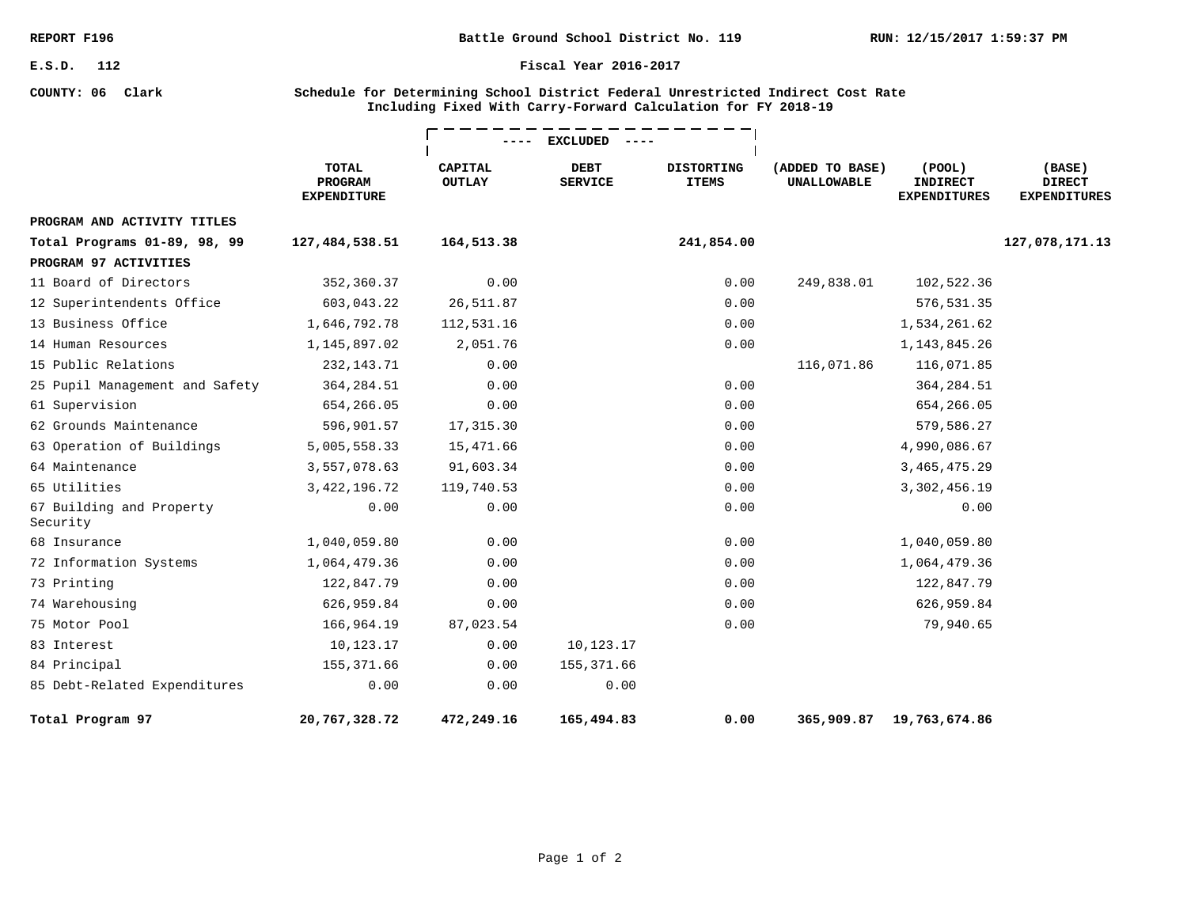**COUNTY: 06 Clark**

**Battle Ground School District No. 119**

#### **Fiscal Year 2016-2017**

### **Schedule for Determining School District Federal Unrestricted Indirect Cost Rate Including Fixed With Carry-Forward Calculation for FY 2018-19**

|                                      |                                               | <b>EXCLUDED</b>          |                               |                                   |                                       |                                                        |                                                |
|--------------------------------------|-----------------------------------------------|--------------------------|-------------------------------|-----------------------------------|---------------------------------------|--------------------------------------------------------|------------------------------------------------|
|                                      | <b>TOTAL</b><br>PROGRAM<br><b>EXPENDITURE</b> | CAPITAL<br><b>OUTLAY</b> | <b>DEBT</b><br><b>SERVICE</b> | <b>DISTORTING</b><br><b>ITEMS</b> | (ADDED TO BASE)<br><b>UNALLOWABLE</b> | $($ POOL $)$<br><b>INDIRECT</b><br><b>EXPENDITURES</b> | (BASE)<br><b>DIRECT</b><br><b>EXPENDITURES</b> |
| PROGRAM AND ACTIVITY TITLES          |                                               |                          |                               |                                   |                                       |                                                        |                                                |
| Total Programs 01-89, 98, 99         | 127,484,538.51                                | 164,513.38               |                               | 241,854.00                        |                                       |                                                        | 127,078,171.13                                 |
| PROGRAM 97 ACTIVITIES                |                                               |                          |                               |                                   |                                       |                                                        |                                                |
| 11 Board of Directors                | 352,360.37                                    | 0.00                     |                               | 0.00                              | 249,838.01                            | 102,522.36                                             |                                                |
| 12 Superintendents Office            | 603,043.22                                    | 26,511.87                |                               | 0.00                              |                                       | 576,531.35                                             |                                                |
| 13 Business Office                   | 1,646,792.78                                  | 112,531.16               |                               | 0.00                              |                                       | 1,534,261.62                                           |                                                |
| 14 Human Resources                   | 1,145,897.02                                  | 2,051.76                 |                               | 0.00                              |                                       | 1, 143, 845. 26                                        |                                                |
| 15 Public Relations                  | 232, 143. 71                                  | 0.00                     |                               |                                   | 116,071.86                            | 116,071.85                                             |                                                |
| 25 Pupil Management and Safety       | 364, 284.51                                   | 0.00                     |                               | 0.00                              |                                       | 364, 284.51                                            |                                                |
| 61 Supervision                       | 654,266.05                                    | 0.00                     |                               | 0.00                              |                                       | 654,266.05                                             |                                                |
| 62 Grounds Maintenance               | 596,901.57                                    | 17,315.30                |                               | 0.00                              |                                       | 579,586.27                                             |                                                |
| 63 Operation of Buildings            | 5,005,558.33                                  | 15,471.66                |                               | 0.00                              |                                       | 4,990,086.67                                           |                                                |
| 64 Maintenance                       | 3,557,078.63                                  | 91,603.34                |                               | 0.00                              |                                       | 3, 465, 475. 29                                        |                                                |
| 65 Utilities                         | 3, 422, 196. 72                               | 119,740.53               |                               | 0.00                              |                                       | 3,302,456.19                                           |                                                |
| 67 Building and Property<br>Security | 0.00                                          | 0.00                     |                               | 0.00                              |                                       | 0.00                                                   |                                                |
| 68 Insurance                         | 1,040,059.80                                  | 0.00                     |                               | 0.00                              |                                       | 1,040,059.80                                           |                                                |
| 72 Information Systems               | 1,064,479.36                                  | 0.00                     |                               | 0.00                              |                                       | 1,064,479.36                                           |                                                |
| 73 Printing                          | 122,847.79                                    | 0.00                     |                               | 0.00                              |                                       | 122,847.79                                             |                                                |
| 74 Warehousing                       | 626,959.84                                    | 0.00                     |                               | 0.00                              |                                       | 626,959.84                                             |                                                |
| 75 Motor Pool                        | 166,964.19                                    | 87,023.54                |                               | 0.00                              |                                       | 79,940.65                                              |                                                |
| 83 Interest                          | 10,123.17                                     | 0.00                     | 10,123.17                     |                                   |                                       |                                                        |                                                |
| 84 Principal                         | 155,371.66                                    | 0.00                     | 155, 371.66                   |                                   |                                       |                                                        |                                                |
| 85 Debt-Related Expenditures         | 0.00                                          | 0.00                     | 0.00                          |                                   |                                       |                                                        |                                                |
| Total Program 97                     | 20,767,328.72                                 | 472,249.16               | 165,494.83                    | 0.00                              | 365,909.87                            | 19,763,674.86                                          |                                                |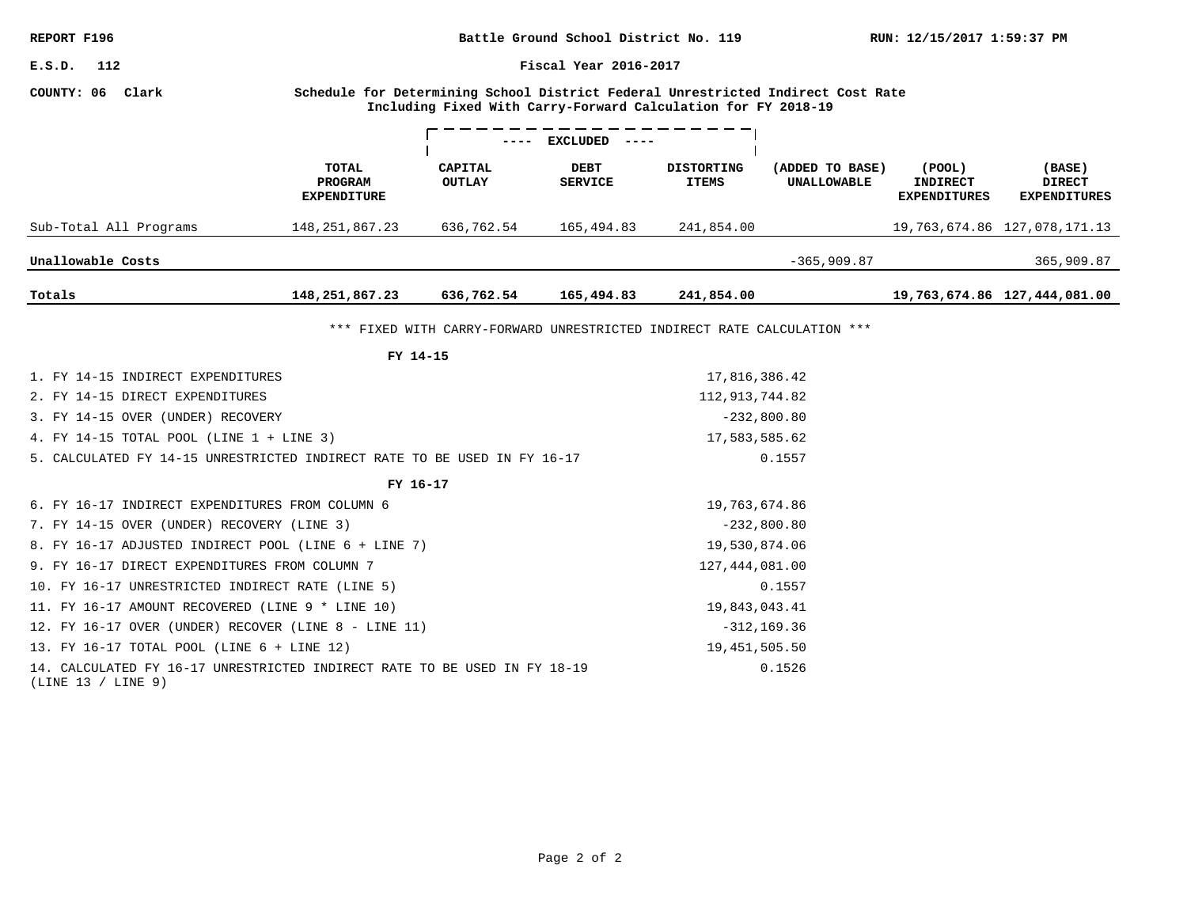| REPORT F196                                                                                                                                                           |                               | RUN: 12/15/2017 1:59:37 PM |                                                                         |                   |                    |                                        |                                      |  |  |
|-----------------------------------------------------------------------------------------------------------------------------------------------------------------------|-------------------------------|----------------------------|-------------------------------------------------------------------------|-------------------|--------------------|----------------------------------------|--------------------------------------|--|--|
| Fiscal Year 2016-2017<br>E.S.D.<br>112                                                                                                                                |                               |                            |                                                                         |                   |                    |                                        |                                      |  |  |
| COUNTY: 06 Clark<br>Schedule for Determining School District Federal Unrestricted Indirect Cost Rate<br>Including Fixed With Carry-Forward Calculation for FY 2018-19 |                               |                            |                                                                         |                   |                    |                                        |                                      |  |  |
|                                                                                                                                                                       | TOTAL                         | <b>CAPITAL</b>             | EXCLUDED<br><b>DEBT</b>                                                 | <b>DISTORTING</b> | (ADDED TO BASE)    | (POOL)                                 | (BASE)                               |  |  |
|                                                                                                                                                                       | PROGRAM<br><b>EXPENDITURE</b> | <b>OUTLAY</b>              | <b>SERVICE</b>                                                          | <b>ITEMS</b>      | <b>UNALLOWABLE</b> | <b>INDIRECT</b><br><b>EXPENDITURES</b> | <b>DIRECT</b><br><b>EXPENDITURES</b> |  |  |
| Sub-Total All Programs                                                                                                                                                | 148, 251, 867. 23             | 636,762.54                 | 165,494.83                                                              | 241,854.00        |                    |                                        | 19, 763, 674.86 127, 078, 171.13     |  |  |
| Unallowable Costs                                                                                                                                                     |                               |                            |                                                                         |                   | $-365,909.87$      |                                        | 365,909.87                           |  |  |
| Totals                                                                                                                                                                | 148,251,867.23                | 636,762.54                 | 165,494.83                                                              | 241,854.00        |                    |                                        | 19,763,674.86 127,444,081.00         |  |  |
|                                                                                                                                                                       |                               |                            | *** FIXED WITH CARRY-FORWARD UNRESTRICTED INDIRECT RATE CALCULATION *** |                   |                    |                                        |                                      |  |  |
|                                                                                                                                                                       | FY 14-15                      |                            |                                                                         |                   |                    |                                        |                                      |  |  |
| 1. FY 14-15 INDIRECT EXPENDITURES                                                                                                                                     |                               |                            |                                                                         | 17,816,386.42     |                    |                                        |                                      |  |  |
| 2. FY 14-15 DIRECT EXPENDITURES                                                                                                                                       |                               |                            |                                                                         | 112, 913, 744.82  |                    |                                        |                                      |  |  |
| 3. FY 14-15 OVER (UNDER) RECOVERY                                                                                                                                     |                               |                            |                                                                         | $-232,800.80$     |                    |                                        |                                      |  |  |
| 4. FY 14-15 TOTAL POOL (LINE 1 + LINE 3)                                                                                                                              |                               |                            |                                                                         | 17,583,585.62     |                    |                                        |                                      |  |  |
| 5. CALCULATED FY 14-15 UNRESTRICTED INDIRECT RATE TO BE USED IN FY 16-17                                                                                              |                               |                            |                                                                         |                   | 0.1557             |                                        |                                      |  |  |
|                                                                                                                                                                       | FY 16-17                      |                            |                                                                         |                   |                    |                                        |                                      |  |  |
| 6. FY 16-17 INDIRECT EXPENDITURES FROM COLUMN 6                                                                                                                       |                               |                            |                                                                         | 19,763,674.86     |                    |                                        |                                      |  |  |
| 7. FY 14-15 OVER (UNDER) RECOVERY (LINE 3)                                                                                                                            |                               |                            |                                                                         | $-232,800.80$     |                    |                                        |                                      |  |  |
| 8. FY 16-17 ADJUSTED INDIRECT POOL (LINE 6 + LINE 7)                                                                                                                  |                               |                            |                                                                         | 19,530,874.06     |                    |                                        |                                      |  |  |
| 9. FY 16-17 DIRECT EXPENDITURES FROM COLUMN 7                                                                                                                         |                               |                            |                                                                         | 127, 444, 081.00  |                    |                                        |                                      |  |  |
| 10. FY 16-17 UNRESTRICTED INDIRECT RATE (LINE 5)                                                                                                                      |                               |                            |                                                                         |                   | 0.1557             |                                        |                                      |  |  |
| 11. FY 16-17 AMOUNT RECOVERED (LINE 9 * LINE 10)<br>19,843,043.41                                                                                                     |                               |                            |                                                                         |                   |                    |                                        |                                      |  |  |
| 12. FY 16-17 OVER (UNDER) RECOVER (LINE 8 - LINE 11)<br>$-312, 169.36$                                                                                                |                               |                            |                                                                         |                   |                    |                                        |                                      |  |  |
| 13. FY 16-17 TOTAL POOL (LINE 6 + LINE 12)                                                                                                                            |                               |                            |                                                                         | 19, 451, 505.50   |                    |                                        |                                      |  |  |
| 14. CALCULATED FY 16-17 UNRESTRICTED INDIRECT RATE TO BE USED IN FY 18-19<br>(LINE 13 / LINE 9)                                                                       |                               |                            |                                                                         |                   | 0.1526             |                                        |                                      |  |  |
|                                                                                                                                                                       |                               |                            |                                                                         |                   |                    |                                        |                                      |  |  |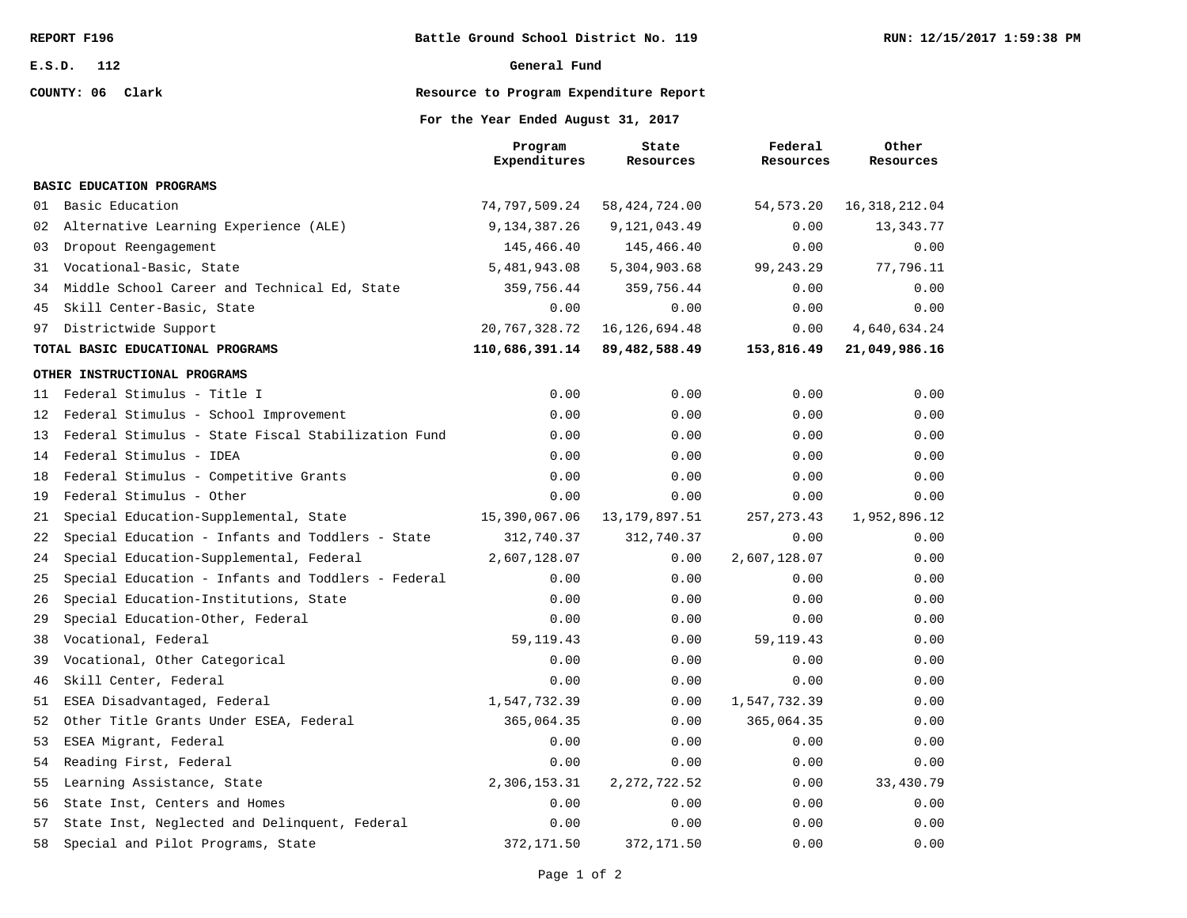**COUNTY: 06 Clark**

#### **General Fund**

### **Resource to Program Expenditure Report**

### **For the Year Ended August 31, 2017**

|    |                                                    | Program<br>Expenditures | State<br>Resources | Federal<br>Resources | Other<br>Resources |
|----|----------------------------------------------------|-------------------------|--------------------|----------------------|--------------------|
|    | <b>BASIC EDUCATION PROGRAMS</b>                    |                         |                    |                      |                    |
| 01 | Basic Education                                    | 74,797,509.24           | 58, 424, 724.00    | 54, 573. 20          | 16, 318, 212.04    |
| 02 | Alternative Learning Experience (ALE)              | 9, 134, 387. 26         | 9,121,043.49       | 0.00                 | 13,343.77          |
| 03 | Dropout Reengagement                               | 145,466.40              | 145,466.40         | 0.00                 | 0.00               |
| 31 | Vocational-Basic, State                            | 5,481,943.08            | 5,304,903.68       | 99, 243. 29          | 77,796.11          |
| 34 | Middle School Career and Technical Ed, State       | 359,756.44              | 359,756.44         | 0.00                 | 0.00               |
| 45 | Skill Center-Basic, State                          | 0.00                    | 0.00               | 0.00                 | 0.00               |
| 97 | Districtwide Support                               | 20, 767, 328. 72        | 16, 126, 694. 48   | 0.00                 | 4,640,634.24       |
|    | TOTAL BASIC EDUCATIONAL PROGRAMS                   | 110,686,391.14          | 89,482,588.49      | 153,816.49           | 21,049,986.16      |
|    | OTHER INSTRUCTIONAL PROGRAMS                       |                         |                    |                      |                    |
| 11 | Federal Stimulus - Title I                         | 0.00                    | 0.00               | 0.00                 | 0.00               |
| 12 | Federal Stimulus - School Improvement              | 0.00                    | 0.00               | 0.00                 | 0.00               |
| 13 | Federal Stimulus - State Fiscal Stabilization Fund | 0.00                    | 0.00               | 0.00                 | 0.00               |
| 14 | Federal Stimulus - IDEA                            | 0.00                    | 0.00               | 0.00                 | 0.00               |
| 18 | Federal Stimulus - Competitive Grants              | 0.00                    | 0.00               | 0.00                 | 0.00               |
| 19 | Federal Stimulus - Other                           | 0.00                    | 0.00               | 0.00                 | 0.00               |
| 21 | Special Education-Supplemental, State              | 15,390,067.06           | 13, 179, 897.51    | 257, 273.43          | 1,952,896.12       |
| 22 | Special Education - Infants and Toddlers - State   | 312,740.37              | 312,740.37         | 0.00                 | 0.00               |
| 24 | Special Education-Supplemental, Federal            | 2,607,128.07            | 0.00               | 2,607,128.07         | 0.00               |
| 25 | Special Education - Infants and Toddlers - Federal | 0.00                    | 0.00               | 0.00                 | 0.00               |
| 26 | Special Education-Institutions, State              | 0.00                    | 0.00               | 0.00                 | 0.00               |
| 29 | Special Education-Other, Federal                   | 0.00                    | 0.00               | 0.00                 | 0.00               |
| 38 | Vocational, Federal                                | 59, 119. 43             | 0.00               | 59, 119. 43          | 0.00               |
| 39 | Vocational, Other Categorical                      | 0.00                    | 0.00               | 0.00                 | 0.00               |
| 46 | Skill Center, Federal                              | 0.00                    | 0.00               | 0.00                 | 0.00               |
| 51 | ESEA Disadvantaged, Federal                        | 1,547,732.39            | 0.00               | 1,547,732.39         | 0.00               |
| 52 | Other Title Grants Under ESEA, Federal             | 365,064.35              | 0.00               | 365,064.35           | 0.00               |
| 53 | ESEA Migrant, Federal                              | 0.00                    | 0.00               | 0.00                 | 0.00               |
| 54 | Reading First, Federal                             | 0.00                    | 0.00               | 0.00                 | 0.00               |
| 55 | Learning Assistance, State                         | 2,306,153.31            | 2, 272, 722.52     | 0.00                 | 33,430.79          |
| 56 | State Inst, Centers and Homes                      | 0.00                    | 0.00               | 0.00                 | 0.00               |
| 57 | State Inst, Neglected and Delinquent, Federal      | 0.00                    | 0.00               | 0.00                 | 0.00               |
| 58 | Special and Pilot Programs, State                  | 372,171.50              | 372,171.50         | 0.00                 | 0.00               |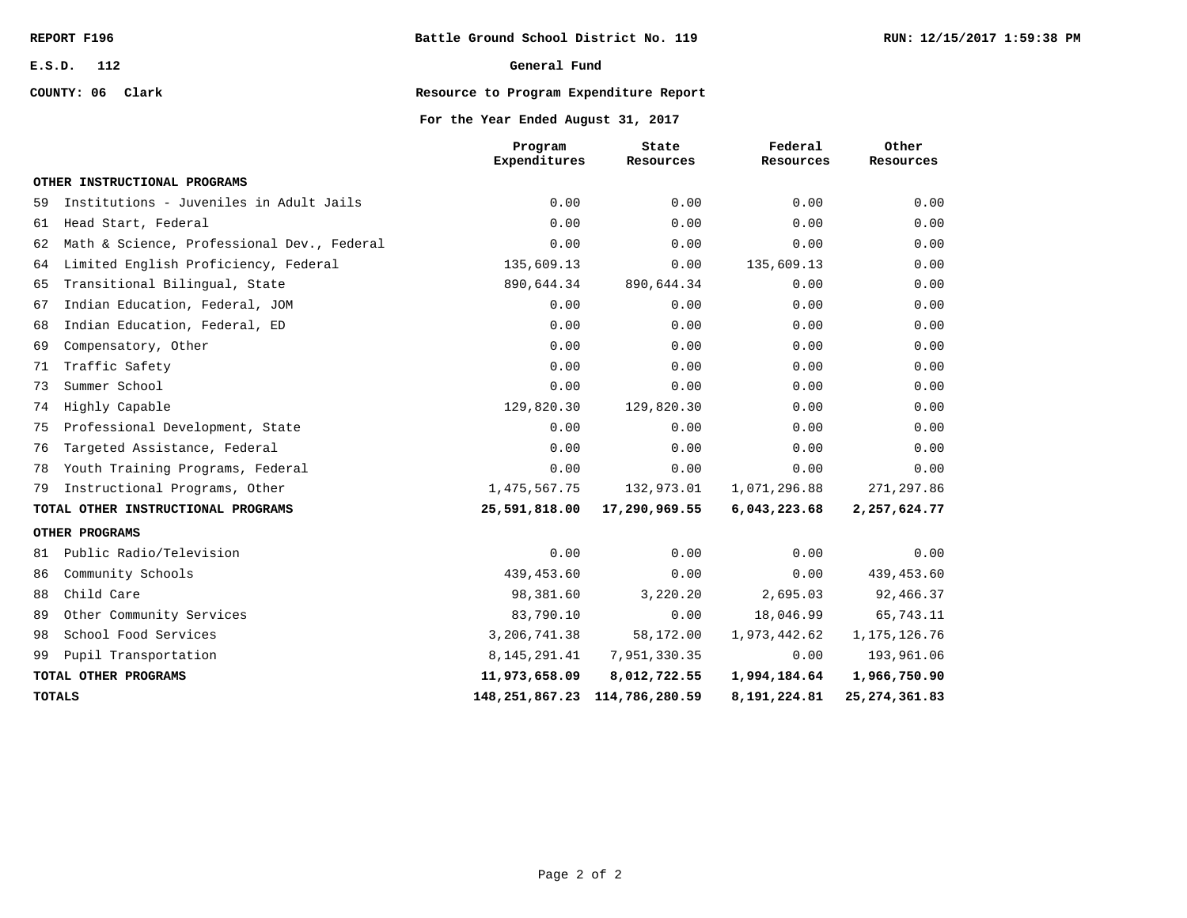**COUNTY: 06 Clark**

### **General Fund**

# **Resource to Program Expenditure Report**

### **For the Year Ended August 31, 2017**

|    |                                            | Program<br>Expenditures | State<br>Resources                  | Federal<br>Resources | Other<br>Resources |
|----|--------------------------------------------|-------------------------|-------------------------------------|----------------------|--------------------|
|    | OTHER INSTRUCTIONAL PROGRAMS               |                         |                                     |                      |                    |
| 59 | Institutions - Juveniles in Adult Jails    | 0.00                    | 0.00                                | 0.00                 | 0.00               |
| 61 | Head Start, Federal                        | 0.00                    | 0.00                                | 0.00                 | 0.00               |
| 62 | Math & Science, Professional Dev., Federal | 0.00                    | 0.00                                | 0.00                 | 0.00               |
| 64 | Limited English Proficiency, Federal       | 135,609.13              | 0.00                                | 135,609.13           | 0.00               |
| 65 | Transitional Bilingual, State              | 890,644.34              | 890,644.34                          | 0.00                 | 0.00               |
| 67 | Indian Education, Federal, JOM             | 0.00                    | 0.00                                | 0.00                 | 0.00               |
| 68 | Indian Education, Federal, ED              | 0.00                    | 0.00                                | 0.00                 | 0.00               |
| 69 | Compensatory, Other                        | 0.00                    | 0.00                                | 0.00                 | 0.00               |
| 71 | Traffic Safety                             | 0.00                    | 0.00                                | 0.00                 | 0.00               |
| 73 | Summer School                              | 0.00                    | 0.00                                | 0.00                 | 0.00               |
| 74 | Highly Capable                             | 129,820.30              | 129,820.30                          | 0.00                 | 0.00               |
| 75 | Professional Development, State            | 0.00                    | 0.00                                | 0.00                 | 0.00               |
| 76 | Targeted Assistance, Federal               | 0.00                    | 0.00                                | 0.00                 | 0.00               |
| 78 | Youth Training Programs, Federal           | 0.00                    | 0.00                                | 0.00                 | 0.00               |
| 79 | Instructional Programs, Other              | 1,475,567.75            | 132,973.01                          | 1,071,296.88         | 271, 297.86        |
|    | TOTAL OTHER INSTRUCTIONAL PROGRAMS         | 25,591,818.00           | 17,290,969.55                       | 6,043,223.68         | 2,257,624.77       |
|    | OTHER PROGRAMS                             |                         |                                     |                      |                    |
| 81 | Public Radio/Television                    | 0.00                    | 0.00                                | 0.00                 | 0.00               |
| 86 | Community Schools                          | 439, 453.60             | 0.00                                | 0.00                 | 439,453.60         |
| 88 | Child Care                                 | 98,381.60               | 3,220.20                            | 2,695.03             | 92,466.37          |
| 89 | Other Community Services                   | 83,790.10               | 0.00                                | 18,046.99            | 65,743.11          |
| 98 | School Food Services                       | 3,206,741.38            | 58,172.00                           | 1,973,442.62         | 1, 175, 126.76     |
| 99 | Pupil Transportation                       | 8, 145, 291.41          | 7,951,330.35                        | 0.00                 | 193,961.06         |
|    | TOTAL OTHER PROGRAMS                       | 11,973,658.09           | 8,012,722.55                        | 1,994,184.64         | 1,966,750.90       |
|    | <b>TOTALS</b>                              |                         | 148, 251, 867. 23 114, 786, 280. 59 | 8,191,224.81         | 25, 274, 361.83    |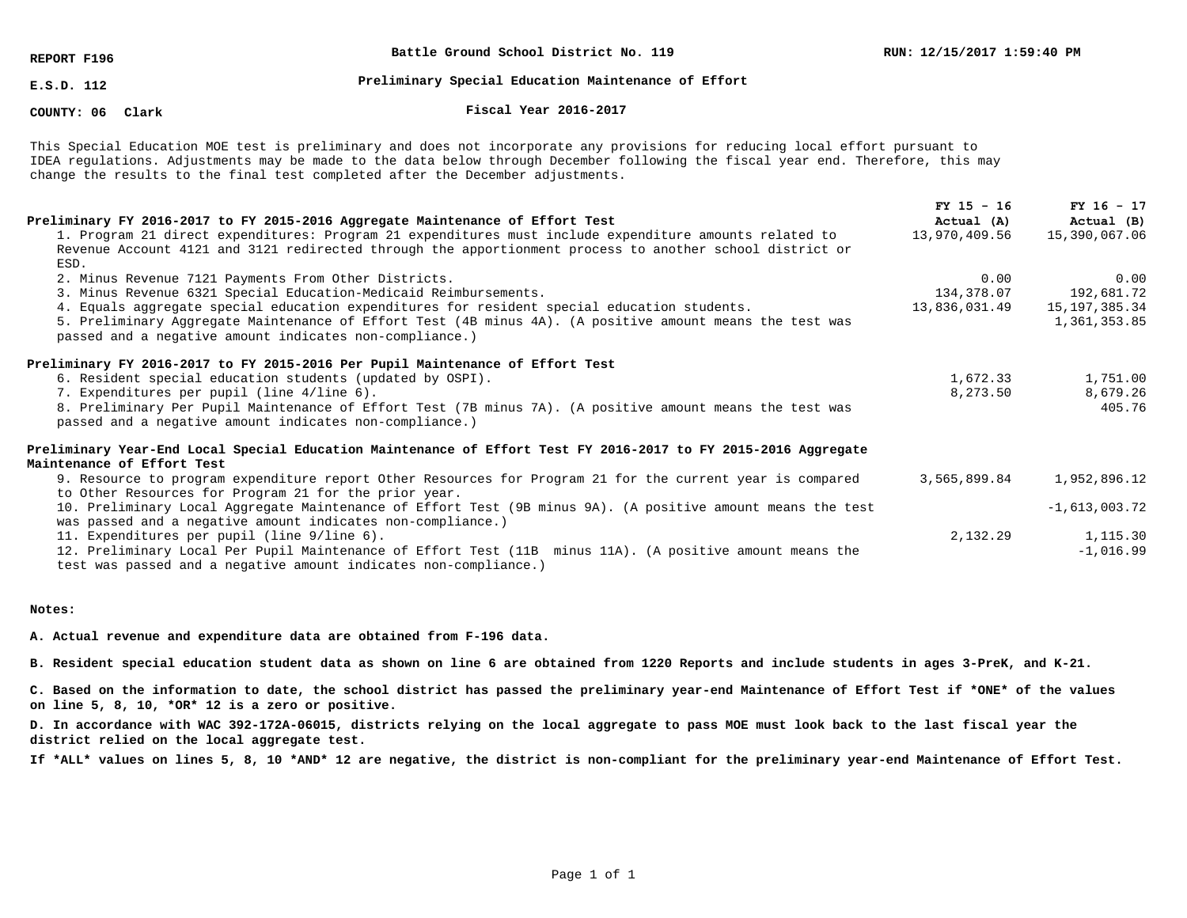**REPORT F196**

**Battle Ground School District No. 119**

**E.S.D. 112**

# **Preliminary Special Education Maintenance of Effort**

**COUNTY: 06**

**Clark Fiscal Year 2016-2017**

This Special Education MOE test is preliminary and does not incorporate any provisions for reducing local effort pursuant to IDEA regulations. Adjustments may be made to the data below through December following the fiscal year end. Therefore, this may change the results to the final test completed after the December adjustments.

| Preliminary FY 2016-2017 to FY 2015-2016 Aggregate Maintenance of Effort Test                                                                                                 | $FY$ 15 - 16<br>Actual (A) | $FY$ 16 - 17<br>Actual (B) |
|-------------------------------------------------------------------------------------------------------------------------------------------------------------------------------|----------------------------|----------------------------|
| 1. Program 21 direct expenditures: Program 21 expenditures must include expenditure amounts related to                                                                        | 13,970,409.56              | 15,390,067.06              |
| Revenue Account 4121 and 3121 redirected through the apportionment process to another school district or<br>ESD.                                                              |                            |                            |
| 2. Minus Revenue 7121 Payments From Other Districts.                                                                                                                          | 0.00                       | 0.00                       |
| 3. Minus Revenue 6321 Special Education-Medicaid Reimbursements.                                                                                                              | 134,378.07                 | 192,681.72                 |
| 4. Equals aggregate special education expenditures for resident special education students.                                                                                   | 13,836,031.49              | 15,197,385.34              |
| 5. Preliminary Aggregate Maintenance of Effort Test (4B minus 4A). (A positive amount means the test was<br>passed and a negative amount indicates non-compliance.)           |                            | 1,361,353.85               |
| Preliminary FY 2016-2017 to FY 2015-2016 Per Pupil Maintenance of Effort Test                                                                                                 |                            |                            |
| 6. Resident special education students (updated by OSPI).                                                                                                                     | 1,672.33                   | 1,751.00                   |
| 7. Expenditures per pupil (line 4/line 6).                                                                                                                                    | 8,273.50                   | 8,679.26                   |
| 8. Preliminary Per Pupil Maintenance of Effort Test (7B minus 7A). (A positive amount means the test was<br>passed and a negative amount indicates non-compliance.)           |                            | 405.76                     |
| Preliminary Year-End Local Special Education Maintenance of Effort Test FY 2016-2017 to FY 2015-2016 Aggregate                                                                |                            |                            |
| Maintenance of Effort Test                                                                                                                                                    |                            |                            |
| 9. Resource to program expenditure report Other Resources for Program 21 for the current year is compared<br>to Other Resources for Program 21 for the prior year.            | 3,565,899.84               | 1,952,896.12               |
| 10. Preliminary Local Aggregate Maintenance of Effort Test (9B minus 9A). (A positive amount means the test<br>was passed and a negative amount indicates non-compliance.)    |                            | $-1,613,003.72$            |
| 11. Expenditures per pupil (line 9/line 6).                                                                                                                                   | 2,132.29                   | 1,115.30                   |
| 12. Preliminary Local Per Pupil Maintenance of Effort Test (11B) minus 11A). (A positive amount means the<br>test was passed and a negative amount indicates non-compliance.) |                            | $-1,016.99$                |

#### **Notes:**

**A. Actual revenue and expenditure data are obtained from F-196 data.**

**B. Resident special education student data as shown on line 6 are obtained from 1220 Reports and include students in ages 3-PreK, and K-21.**

**C. Based on the information to date, the school district has passed the preliminary year-end Maintenance of Effort Test if \*ONE\* of the values on line 5, 8, 10, \*OR\* 12 is a zero or positive.**

**D. In accordance with WAC 392-172A-06015, districts relying on the local aggregate to pass MOE must look back to the last fiscal year the district relied on the local aggregate test.**

**If \*ALL\* values on lines 5, 8, 10 \*AND\* 12 are negative, the district is non-compliant for the preliminary year-end Maintenance of Effort Test.**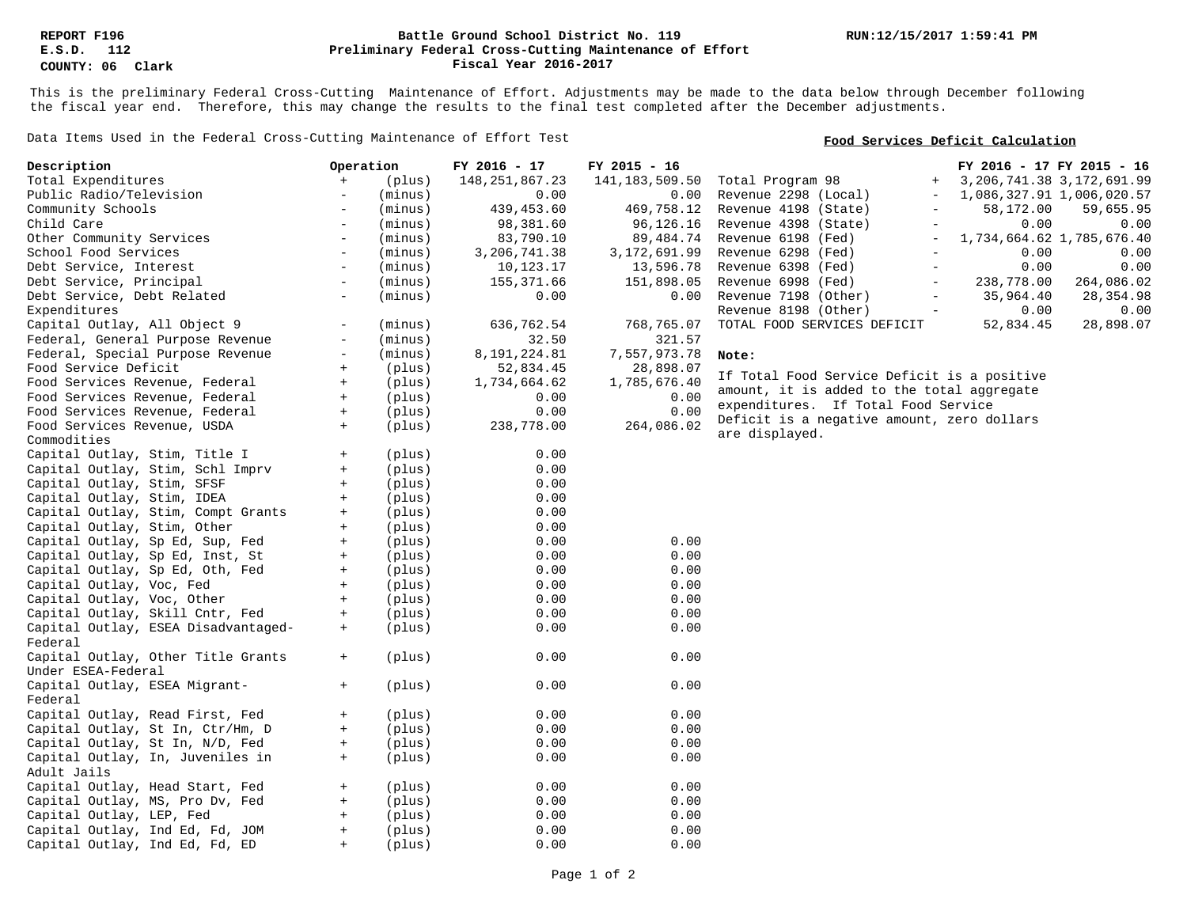### **Preliminary Federal Cross-Cutting Maintenance of Effort Battle Ground School District No. 119 Fiscal Year 2016-2017**

This is the preliminary Federal Cross-Cutting Maintenance of Effort. Adjustments may be made to the data below through December following the fiscal year end. Therefore, this may change the results to the final test completed after the December adjustments.

Data Items Used in the Federal Cross-Cutting Maintenance of Effort Test

### **Food Services Deficit Calculation**

| Description                         | Operation                        |         | FY 2016 - 17      | FY 2015 - 16   | FY 2016 - 17 FY 2015 - 16                                                  |
|-------------------------------------|----------------------------------|---------|-------------------|----------------|----------------------------------------------------------------------------|
| Total Expenditures                  | $+$                              | (plus)  | 148, 251, 867. 23 | 141,183,509.50 | Total Program 98<br>3, 206, 741.38 3, 172, 691.99<br>$+$                   |
| Public Radio/Television             | $\overline{\phantom{m}}$         | (minus) | 0.00              | 0.00           | Revenue 2298 (Local)<br>1,086,327.91 1,006,020.57                          |
| Community Schools                   | $\overline{\phantom{a}}$         | (minus) | 439,453.60        | 469,758.12     | Revenue 4198 (State)<br>58,172.00<br>59,655.95                             |
| Child Care                          | $\overline{\phantom{a}}$         | (minus) | 98,381.60         | 96,126.16      | Revenue 4398 (State)<br>0.00<br>0.00<br>$\equiv$                           |
| Other Community Services            | $\overline{\phantom{a}}$         | (minus) | 83,790.10         | 89, 484. 74    | Revenue 6198 (Fed)<br>1,734,664.62 1,785,676.40                            |
| School Food Services                | $\overline{\phantom{a}}$         | (minus) | 3,206,741.38      | 3,172,691.99   | Revenue 6298 (Fed)<br>0.00<br>0.00<br>$\equiv$                             |
| Debt Service, Interest              | $\overline{\phantom{0}}$         | (minus) | 10,123.17         | 13,596.78      | 0.00<br>0.00<br>Revenue 6398 (Fed)                                         |
| Debt Service, Principal             | $\overline{\phantom{a}}$         | (minus) | 155,371.66        | 151,898.05     | Revenue 6998 (Fed)<br>238,778.00<br>264,086.02<br>$\overline{\phantom{a}}$ |
| Debt Service, Debt Related          | $\overline{\phantom{a}}$         | (minus) | 0.00              | 0.00           | 35,964.40<br>Revenue 7198 (Other)<br>28, 354.98                            |
| Expenditures                        |                                  |         |                   |                | 0.00<br>0.00<br>Revenue 8198 (Other)                                       |
| Capital Outlay, All Object 9        |                                  | (minus) | 636,762.54        | 768,765.07     | TOTAL FOOD SERVICES DEFICIT<br>52,834.45<br>28,898.07                      |
| Federal, General Purpose Revenue    | $\overline{\phantom{a}}$         | (minus) | 32.50             | 321.57         |                                                                            |
| Federal, Special Purpose Revenue    | $\overline{\phantom{a}}$         | (minus) | 8,191,224.81      | 7,557,973.78   | Note:                                                                      |
| Food Service Deficit                | $+$                              | (plus)  | 52,834.45         | 28,898.07      |                                                                            |
| Food Services Revenue, Federal      | $+$                              | (plus)  | 1,734,664.62      | 1,785,676.40   | If Total Food Service Deficit is a positive                                |
| Food Services Revenue, Federal      | $\begin{array}{c} + \end{array}$ | (plus)  | 0.00              | 0.00           | amount, it is added to the total aggregate                                 |
| Food Services Revenue, Federal      | $\pm$                            | (plus)  | 0.00              | 0.00           | expenditures. If Total Food Service                                        |
|                                     | $+$                              |         |                   | 264,086.02     | Deficit is a negative amount, zero dollars                                 |
| Food Services Revenue, USDA         |                                  | (plus)  | 238,778.00        |                | are displayed.                                                             |
| Commodities                         |                                  |         |                   |                |                                                                            |
| Capital Outlay, Stim, Title I       | $+$                              | (plus)  | 0.00              |                |                                                                            |
| Capital Outlay, Stim, Schl Imprv    | $\begin{array}{c} + \end{array}$ | (plus)  | 0.00              |                |                                                                            |
| Capital Outlay, Stim, SFSF          | $+$                              | (plus)  | 0.00              |                |                                                                            |
| Capital Outlay, Stim, IDEA          | $+$                              | (plus)  | 0.00              |                |                                                                            |
| Capital Outlay, Stim, Compt Grants  | $+$                              | (plus)  | 0.00              |                |                                                                            |
| Capital Outlay, Stim, Other         | $+$                              | (plus)  | 0.00              |                |                                                                            |
| Capital Outlay, Sp Ed, Sup, Fed     | $\pm$                            | (plus)  | 0.00              | 0.00           |                                                                            |
| Capital Outlay, Sp Ed, Inst, St     | $\begin{array}{c} + \end{array}$ | (plus)  | 0.00              | 0.00           |                                                                            |
| Capital Outlay, Sp Ed, Oth, Fed     | $\begin{array}{c} + \end{array}$ | (plus)  | 0.00              | 0.00           |                                                                            |
| Capital Outlay, Voc, Fed            | $+$                              | (plus)  | 0.00              | 0.00           |                                                                            |
| Capital Outlay, Voc, Other          | $\pm$                            | (plus)  | 0.00              | 0.00           |                                                                            |
| Capital Outlay, Skill Cntr, Fed     | $+$                              | (plus)  | 0.00              | 0.00           |                                                                            |
| Capital Outlay, ESEA Disadvantaged- | $+$                              | (plus)  | 0.00              | 0.00           |                                                                            |
| Federal                             |                                  |         |                   |                |                                                                            |
| Capital Outlay, Other Title Grants  | $+$                              | (plus)  | 0.00              | 0.00           |                                                                            |
| Under ESEA-Federal                  |                                  |         |                   |                |                                                                            |
| Capital Outlay, ESEA Migrant-       | $+$                              | (plus)  | 0.00              | 0.00           |                                                                            |
| Federal                             |                                  |         |                   |                |                                                                            |
| Capital Outlay, Read First, Fed     | $+$                              | (plus)  | 0.00              | 0.00           |                                                                            |
| Capital Outlay, St In, Ctr/Hm, D    | $\begin{array}{c} + \end{array}$ | (plus)  | 0.00              | 0.00           |                                                                            |
| Capital Outlay, St In, N/D, Fed     | $+$                              | (plus)  | 0.00              | 0.00           |                                                                            |
| Capital Outlay, In, Juveniles in    | $+$                              | (plus)  | 0.00              | 0.00           |                                                                            |
| Adult Jails                         |                                  |         |                   |                |                                                                            |
| Capital Outlay, Head Start, Fed     | $+$                              | (plus)  | 0.00              | 0.00           |                                                                            |
| Capital Outlay, MS, Pro Dv, Fed     | $+$                              | (plus)  | 0.00              | 0.00           |                                                                            |
| Capital Outlay, LEP, Fed            | $\begin{array}{c} + \end{array}$ | (plus)  | 0.00              | 0.00           |                                                                            |
|                                     | $\pm$                            |         | 0.00              | 0.00           |                                                                            |
| Capital Outlay, Ind Ed, Fd, JOM     |                                  | (plus)  |                   |                |                                                                            |
| Capital Outlay, Ind Ed, Fd, ED      | $+$                              | (plus)  | 0.00              | 0.00           |                                                                            |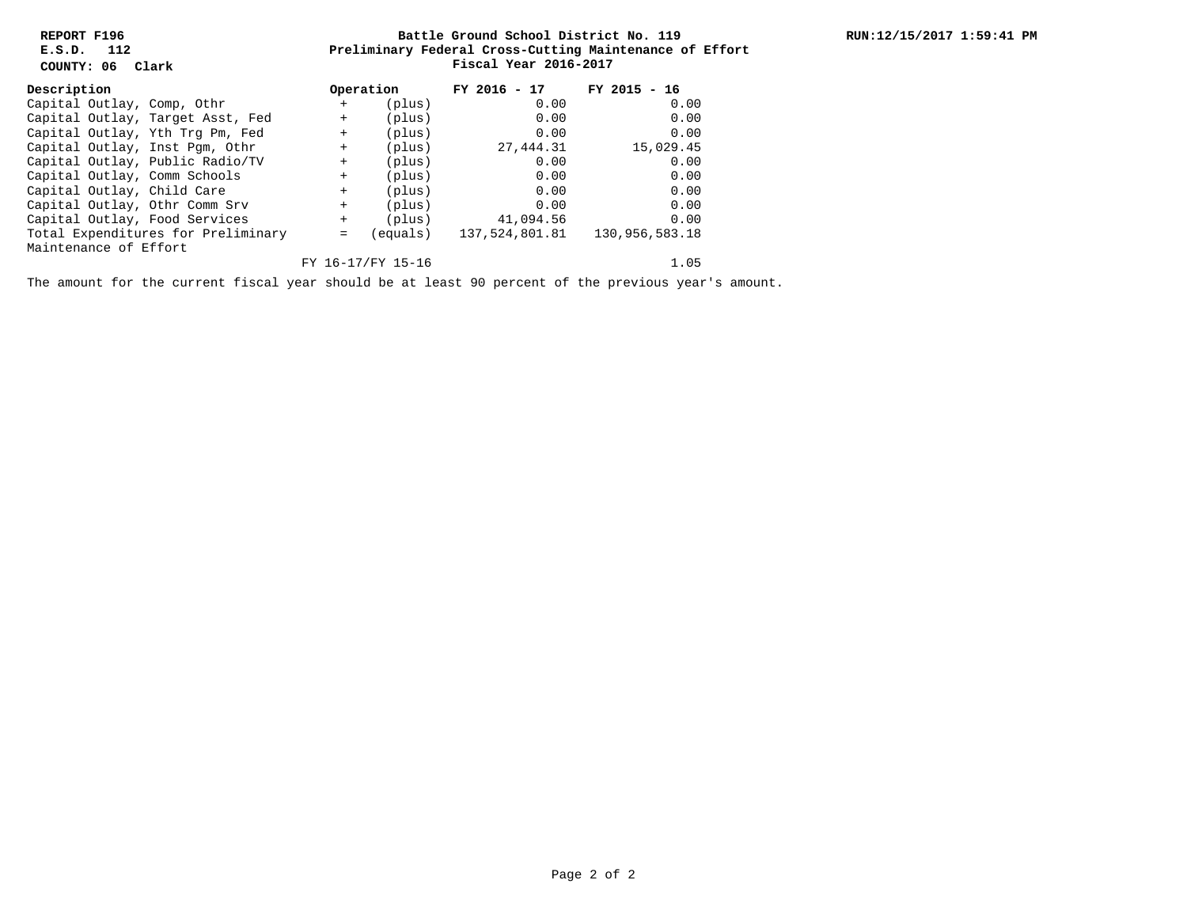**REPORT F196 E.S.D. 112**

**COUNTY: 06 Clark**

### **Preliminary Federal Cross-Cutting Maintenance of Effort Battle Ground School District No. 119 Fiscal Year 2016-2017**

| Description                   |                                    |        | Operation         | $FY$ 2016 - 17 | $FY$ 2015 - 16 |
|-------------------------------|------------------------------------|--------|-------------------|----------------|----------------|
| Capital Outlay, Comp, Othr    |                                    | $+$    | (plus)            | 0.00           | 0.00           |
|                               | Capital Outlay, Target Asst, Fed   | $+$    | (plus)            | 0.00           | 0.00           |
|                               | Capital Outlay, Yth Trg Pm, Fed    | $^{+}$ | (plus)            | 0.00           | 0.00           |
|                               | Capital Outlay, Inst Pgm, Othr     | $^{+}$ | (plus)            | 27,444.31      | 15,029.45      |
|                               | Capital Outlay, Public Radio/TV    | $^{+}$ | (plus)            | 0.00           | 0.00           |
| Capital Outlay, Comm Schools  |                                    | $^{+}$ | (plus)            | 0.00           | 0.00           |
| Capital Outlay, Child Care    |                                    | $+$    | (plus)            | 0.00           | 0.00           |
| Capital Outlay, Othr Comm Srv |                                    | $+$    | (plus)            | 0.00           | 0.00           |
| Capital Outlay, Food Services |                                    | $+$    | (plus)            | 41,094.56      | 0.00           |
|                               | Total Expenditures for Preliminary | $=$    | equals)           | 137,524,801.81 | 130,956,583.18 |
| Maintenance of Effort         |                                    |        |                   |                |                |
|                               |                                    |        | FY 16-17/FY 15-16 |                | 1.05           |

The amount for the current fiscal year should be at least 90 percent of the previous year's amount.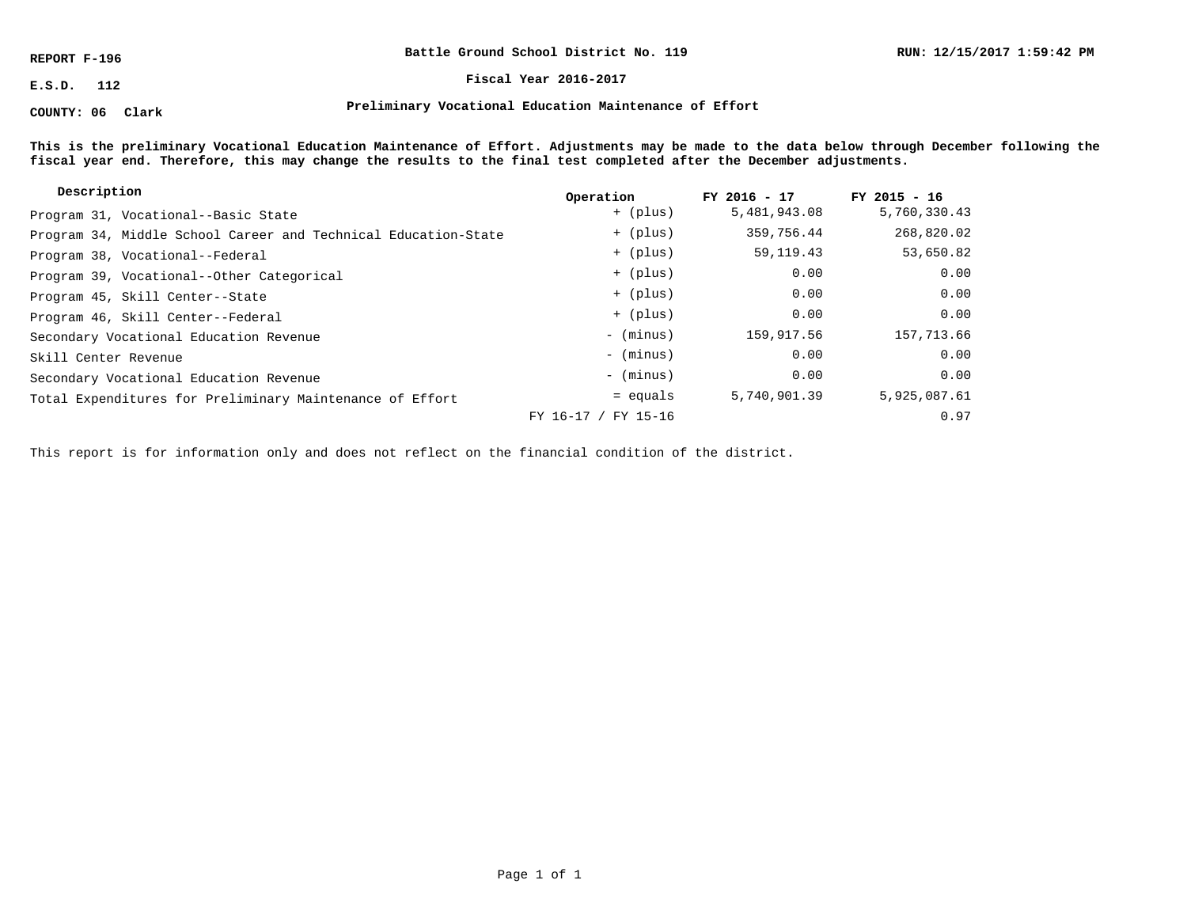**REPORT F-196**

**COUNTY: 06 Clark**

**Battle Ground School District No. 119**

**E.S.D. 112 Fiscal Year 2016-2017**

**Preliminary Vocational Education Maintenance of Effort**

**This is the preliminary Vocational Education Maintenance of Effort. Adjustments may be made to the data below through December following the fiscal year end. Therefore, this may change the results to the final test completed after the December adjustments.**

| Description                                                    | Operation           | FY 2016 - 17 | $FY$ 2015 - 16 |
|----------------------------------------------------------------|---------------------|--------------|----------------|
| Program 31, Vocational--Basic State                            | + (plus)            | 5,481,943.08 | 5,760,330.43   |
| Program 34, Middle School Career and Technical Education-State | + (plus)            | 359,756.44   | 268,820.02     |
| Program 38, Vocational--Federal                                | + (plus)            | 59, 119. 43  | 53,650.82      |
| Program 39, Vocational--Other Categorical                      | + (plus)            | 0.00         | 0.00           |
| Program 45, Skill Center--State                                | + (plus)            | 0.00         | 0.00           |
| Program 46, Skill Center--Federal                              | + (plus)            | 0.00         | 0.00           |
| Secondary Vocational Education Revenue                         | - (minus)           | 159,917.56   | 157,713.66     |
| Skill Center Revenue                                           | - (minus)           | 0.00         | 0.00           |
| Secondary Vocational Education Revenue                         | - (minus)           | 0.00         | 0.00           |
| Total Expenditures for Preliminary Maintenance of Effort       | $=$ equals          | 5,740,901.39 | 5,925,087.61   |
|                                                                | FY 16-17 / FY 15-16 |              | 0.97           |

This report is for information only and does not reflect on the financial condition of the district.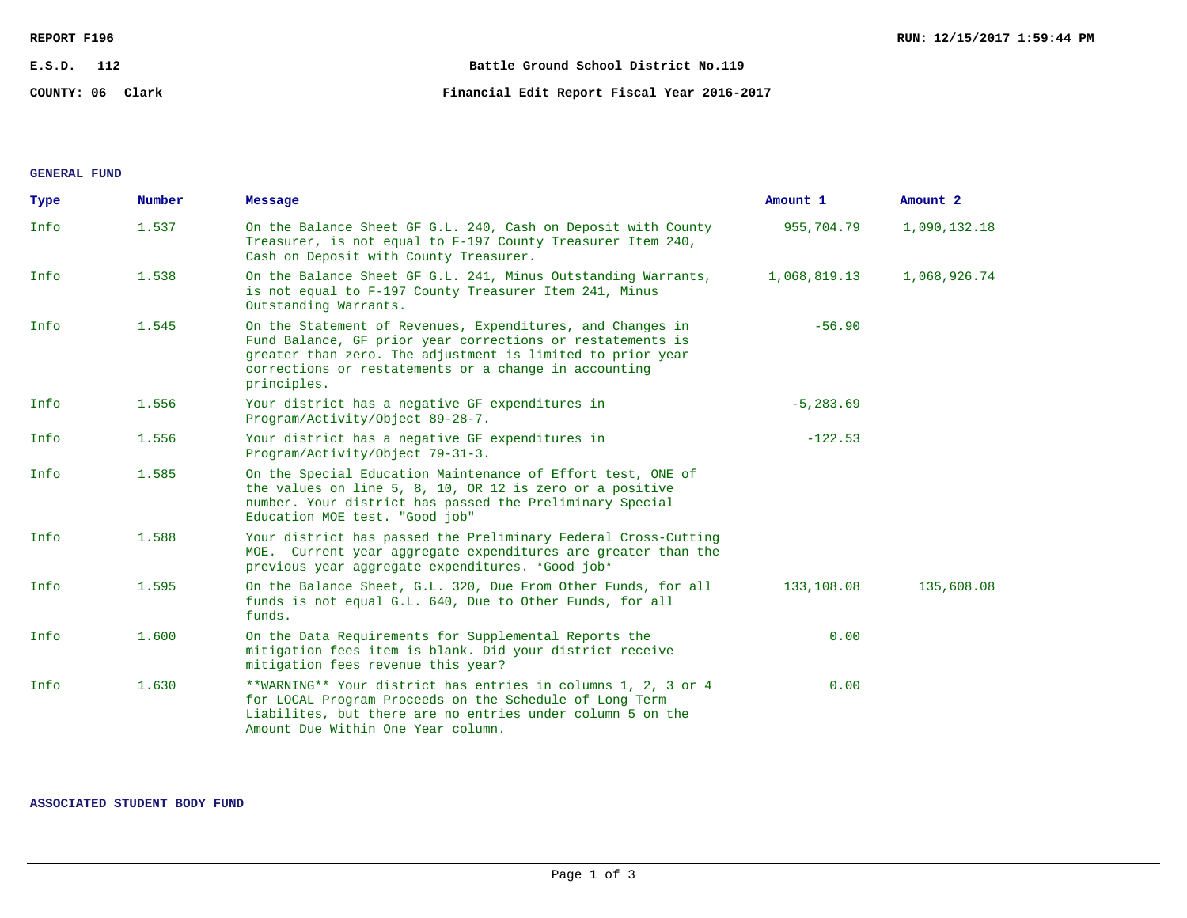| REPORT F196      |                                             | RUN: 12/15/2017 1:59:44 PM |
|------------------|---------------------------------------------|----------------------------|
| E.S.D.<br>112    | Battle Ground School District No.119        |                            |
| COUNTY: 06 Clark | Financial Edit Report Fiscal Year 2016-2017 |                            |

**GENERAL FUND**

| Type | Number | Message                                                                                                                                                                                                                                                        | Amount 1     | Amount 2     |
|------|--------|----------------------------------------------------------------------------------------------------------------------------------------------------------------------------------------------------------------------------------------------------------------|--------------|--------------|
| Info | 1.537  | On the Balance Sheet GF G.L. 240, Cash on Deposit with County<br>Treasurer, is not equal to F-197 County Treasurer Item 240,<br>Cash on Deposit with County Treasurer.                                                                                         | 955,704.79   | 1,090,132.18 |
| Info | 1.538  | On the Balance Sheet GF G.L. 241, Minus Outstanding Warrants,<br>is not equal to F-197 County Treasurer Item 241, Minus<br>Outstanding Warrants.                                                                                                               | 1,068,819.13 | 1,068,926.74 |
| Info | 1.545  | On the Statement of Revenues, Expenditures, and Changes in<br>Fund Balance, GF prior year corrections or restatements is<br>greater than zero. The adjustment is limited to prior year<br>corrections or restatements or a change in accounting<br>principles. | $-56.90$     |              |
| Info | 1.556  | Your district has a negative GF expenditures in<br>Program/Activity/Object 89-28-7.                                                                                                                                                                            | $-5, 283.69$ |              |
| Info | 1.556  | Your district has a negative GF expenditures in<br>Program/Activity/Object 79-31-3.                                                                                                                                                                            | $-122.53$    |              |
| Info | 1.585  | On the Special Education Maintenance of Effort test, ONE of<br>the values on line 5, 8, 10, OR 12 is zero or a positive<br>number. Your district has passed the Preliminary Special<br>Education MOE test. "Good job"                                          |              |              |
| Info | 1.588  | Your district has passed the Preliminary Federal Cross-Cutting<br>MOE. Current year aggregate expenditures are greater than the<br>previous year aggregate expenditures. *Good job*                                                                            |              |              |
| Info | 1.595  | On the Balance Sheet, G.L. 320, Due From Other Funds, for all<br>funds is not equal G.L. 640, Due to Other Funds, for all<br>funds.                                                                                                                            | 133,108.08   | 135,608.08   |
| Info | 1.600  | On the Data Requirements for Supplemental Reports the<br>mitigation fees item is blank. Did your district receive<br>mitigation fees revenue this year?                                                                                                        | 0.00         |              |
| Info | 1.630  | **WARNING** Your district has entries in columns 1, 2, 3 or 4<br>for LOCAL Program Proceeds on the Schedule of Long Term<br>Liabilites, but there are no entries under column 5 on the<br>Amount Due Within One Year column.                                   | 0.00         |              |

**ASSOCIATED STUDENT BODY FUND**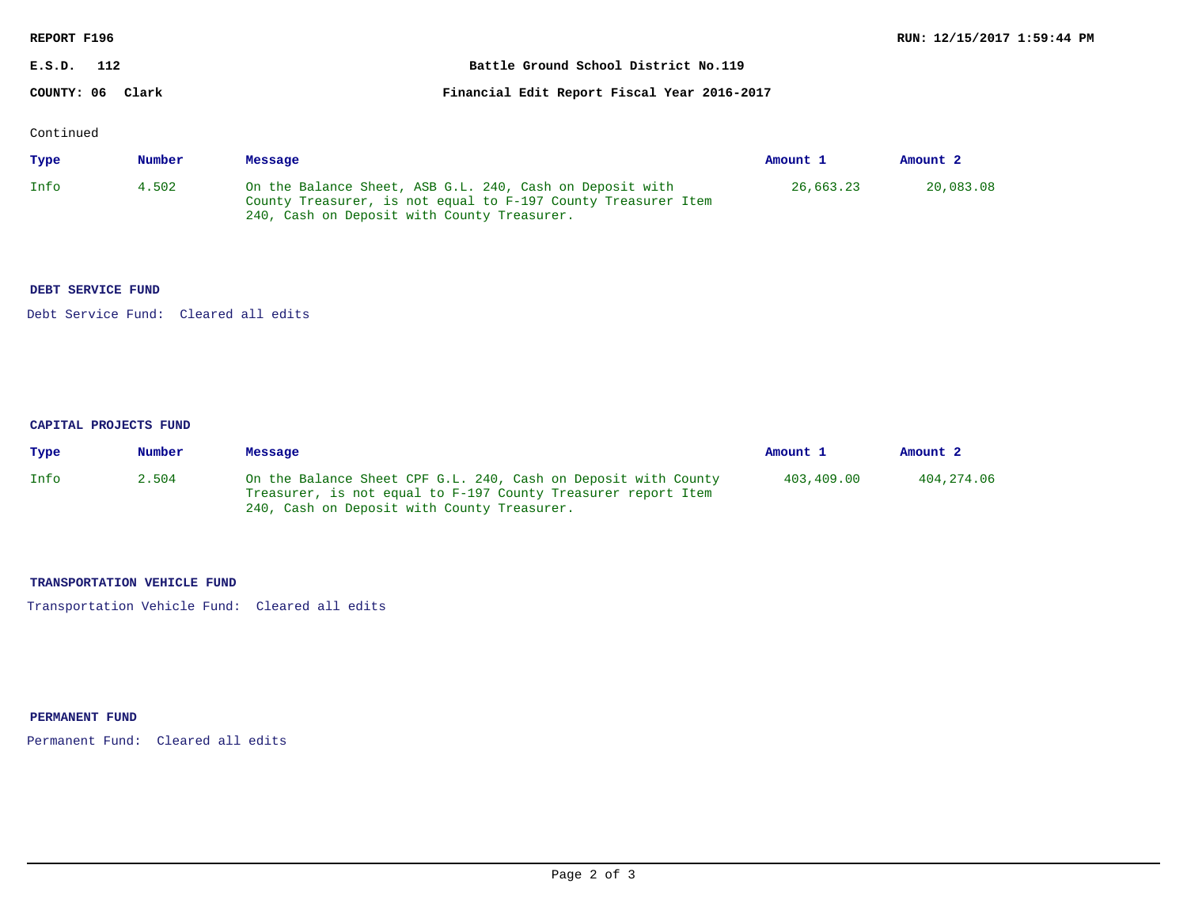| REPORT F196      |                                             | RUN: 12/15/2017 1:59:44 PM |
|------------------|---------------------------------------------|----------------------------|
| E.S.D.<br>112    | Battle Ground School District No.119        |                            |
| COUNTY: 06 Clark | Financial Edit Report Fiscal Year 2016-2017 |                            |

Continued

| Type | Number | Message                                                                                                                                                                  | Amount 1  | Amount <sub>2</sub> |
|------|--------|--------------------------------------------------------------------------------------------------------------------------------------------------------------------------|-----------|---------------------|
| Info | 4.502  | On the Balance Sheet, ASB G.L. 240, Cash on Deposit with<br>County Treasurer, is not equal to F-197 County Treasurer Item<br>240, Cash on Deposit with County Treasurer. | 26,663.23 | 20,083.08           |

## **DEBT SERVICE FUND**

Debt Service Fund: Cleared all edits

#### **CAPITAL PROJECTS FUND**

| Type | Number | Message                                                                                                                                                                        | Amount <sub>1</sub> | Amount 2   |
|------|--------|--------------------------------------------------------------------------------------------------------------------------------------------------------------------------------|---------------------|------------|
| Info | 2.504  | On the Balance Sheet CPF G.L. 240, Cash on Deposit with County<br>Treasurer, is not equal to F-197 County Treasurer report Item<br>240, Cash on Deposit with County Treasurer. | 403.409.00          | 404,274.06 |

### **TRANSPORTATION VEHICLE FUND**

Transportation Vehicle Fund: Cleared all edits

# **PERMANENT FUND**

Permanent Fund: Cleared all edits